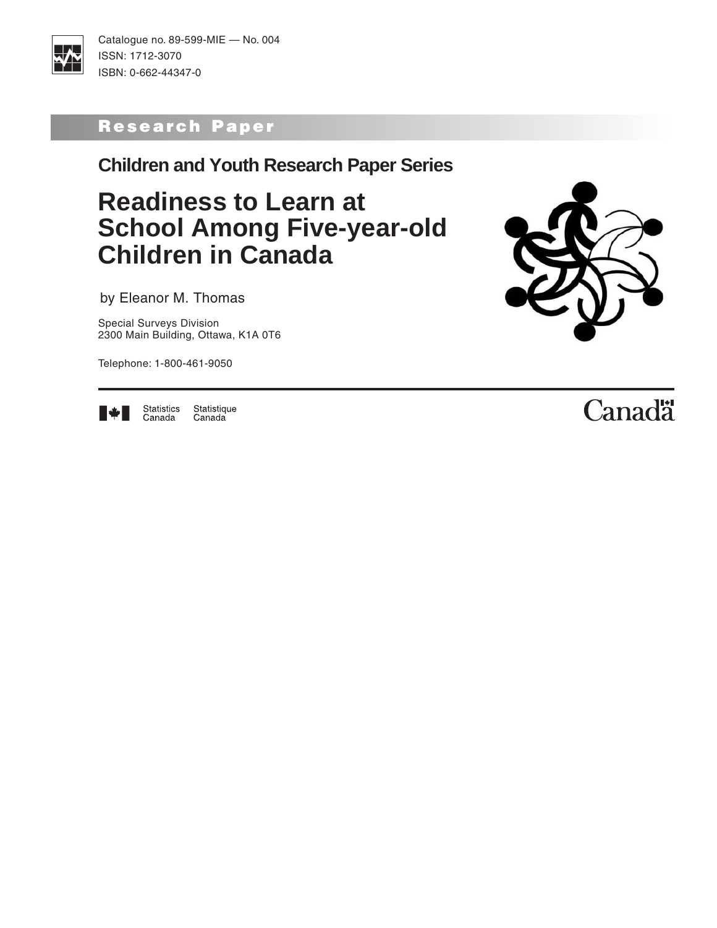

Catalogue no. 89-599-MIE — No. 004 ISSN: 1712-3070 ISBN: 0-662-44347-0

# Research Paper

**Children and Youth Research Paper Series**

# **Readiness to Learn at School Among Five-year-old Children in Canada**

by Eleanor M. Thomas

Special Surveys Division 2300 Main Building, Ottawa, K1A 0T6

Telephone: 1-800-461-9050





Statistics<br>Canada Statistique Canada

# Canadä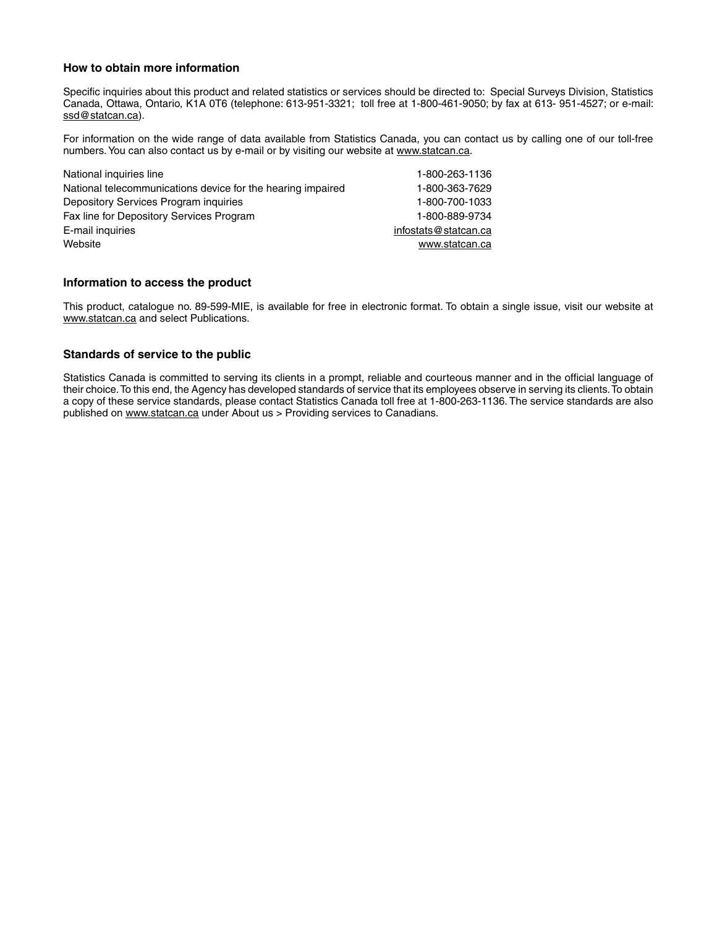#### **How to obtain more information**

Specific inquiries about this product and related statistics or services should be directed to: Special Surveys Division, Statistics Canada, Ottawa, Ontario, K1A 0T6 (telephone: 613-951-3321; toll free at 1-800-461-9050; by fax at 613- 951-4527; or e-mail: ssd@statcan.ca).

For information on the wide range of data available from Statistics Canada, you can contact us by calling one of our toll-free numbers. You can also contact us by e-mail or by visiting our website at www.statcan.ca.

| National inquiries line                                     | 1-800-263-1136       |
|-------------------------------------------------------------|----------------------|
| National telecommunications device for the hearing impaired | 1-800-363-7629       |
| Depository Services Program inquiries                       | 1-800-700-1033       |
| Fax line for Depository Services Program                    | 1-800-889-9734       |
| E-mail inquiries                                            | infostats@statcan.ca |
| Website                                                     | www.statcan.ca       |
|                                                             |                      |

#### **Information to access the product**

This product, catalogue no. 89-599-MIE, is available for free in electronic format. To obtain a single issue, visit our website at www.statcan.ca and select Publications.

#### **Standards of service to the public**

Statistics Canada is committed to serving its clients in a prompt, reliable and courteous manner and in the official language of their choice. To this end, the Agency has developed standards of service that its employees observe in serving its clients. To obtain a copy of these service standards, please contact Statistics Canada toll free at 1-800-263-1136. The service standards are also published on www.statcan.ca under About us > Providing services to Canadians.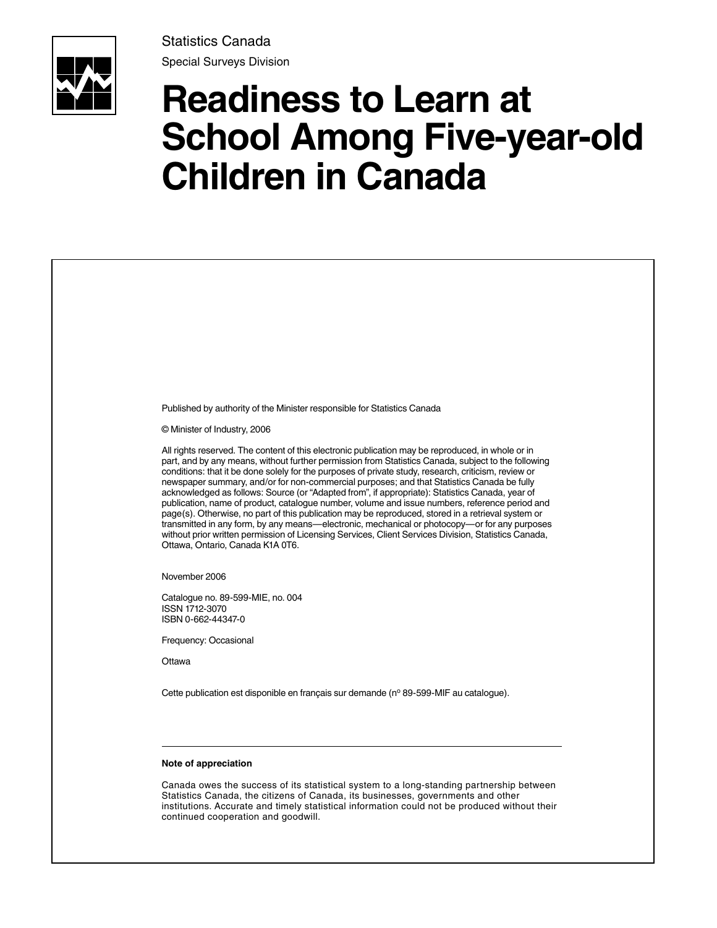

Statistics Canada Special Surveys Division

# **Readiness to Learn at School Among Five-year-old Children in Canada**

| Published by authority of the Minister responsible for Statistics Canada                                                                                                                                                                                                                                                                                                                                                                                                                                                                                                                                                                                                                                                                                                                                                                                                                                                                                               |
|------------------------------------------------------------------------------------------------------------------------------------------------------------------------------------------------------------------------------------------------------------------------------------------------------------------------------------------------------------------------------------------------------------------------------------------------------------------------------------------------------------------------------------------------------------------------------------------------------------------------------------------------------------------------------------------------------------------------------------------------------------------------------------------------------------------------------------------------------------------------------------------------------------------------------------------------------------------------|
| © Minister of Industry, 2006                                                                                                                                                                                                                                                                                                                                                                                                                                                                                                                                                                                                                                                                                                                                                                                                                                                                                                                                           |
| All rights reserved. The content of this electronic publication may be reproduced, in whole or in<br>part, and by any means, without further permission from Statistics Canada, subject to the following<br>conditions: that it be done solely for the purposes of private study, research, criticism, review or<br>newspaper summary, and/or for non-commercial purposes; and that Statistics Canada be fully<br>acknowledged as follows: Source (or "Adapted from", if appropriate): Statistics Canada, year of<br>publication, name of product, catalogue number, volume and issue numbers, reference period and<br>page(s). Otherwise, no part of this publication may be reproduced, stored in a retrieval system or<br>transmitted in any form, by any means—electronic, mechanical or photocopy—or for any purposes<br>without prior written permission of Licensing Services, Client Services Division, Statistics Canada,<br>Ottawa, Ontario, Canada K1A 0T6. |
| November 2006                                                                                                                                                                                                                                                                                                                                                                                                                                                                                                                                                                                                                                                                                                                                                                                                                                                                                                                                                          |
| Catalogue no. 89-599-MIE, no. 004<br>ISSN 1712-3070<br>ISBN 0-662-44347-0                                                                                                                                                                                                                                                                                                                                                                                                                                                                                                                                                                                                                                                                                                                                                                                                                                                                                              |
| Frequency: Occasional                                                                                                                                                                                                                                                                                                                                                                                                                                                                                                                                                                                                                                                                                                                                                                                                                                                                                                                                                  |
| Ottawa                                                                                                                                                                                                                                                                                                                                                                                                                                                                                                                                                                                                                                                                                                                                                                                                                                                                                                                                                                 |
| Cette publication est disponible en français sur demande (nº 89-599-MIF au catalogue).                                                                                                                                                                                                                                                                                                                                                                                                                                                                                                                                                                                                                                                                                                                                                                                                                                                                                 |
|                                                                                                                                                                                                                                                                                                                                                                                                                                                                                                                                                                                                                                                                                                                                                                                                                                                                                                                                                                        |
| Note of appreciation                                                                                                                                                                                                                                                                                                                                                                                                                                                                                                                                                                                                                                                                                                                                                                                                                                                                                                                                                   |
| Canada owes the success of its statistical system to a long-standing partnership between<br>Statistics Canada, the citizens of Canada, its businesses, governments and other<br>institutions. Accurate and timely statistical information could not be produced without their                                                                                                                                                                                                                                                                                                                                                                                                                                                                                                                                                                                                                                                                                          |

continued cooperation and goodwill.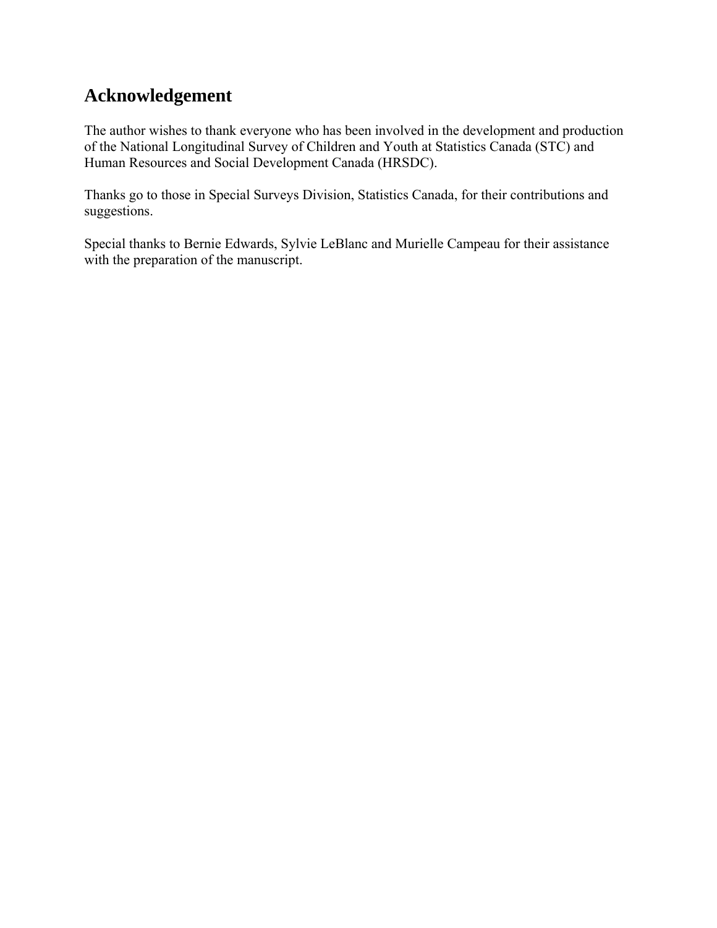## **Acknowledgement**

The author wishes to thank everyone who has been involved in the development and production of the National Longitudinal Survey of Children and Youth at Statistics Canada (STC) and Human Resources and Social Development Canada (HRSDC).

Thanks go to those in Special Surveys Division, Statistics Canada, for their contributions and suggestions.

Special thanks to Bernie Edwards, Sylvie LeBlanc and Murielle Campeau for their assistance with the preparation of the manuscript.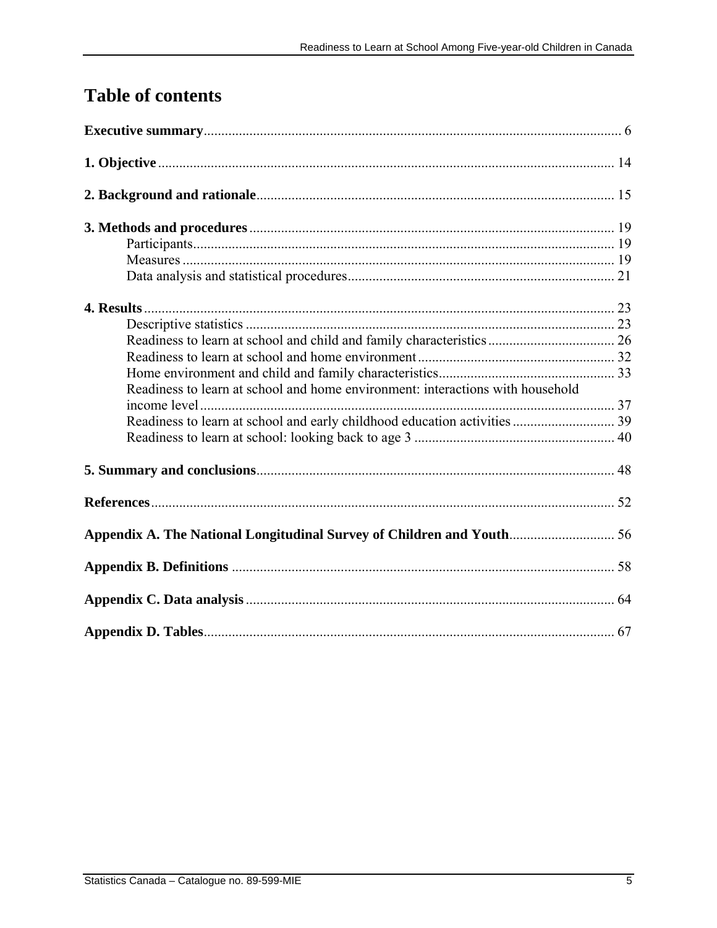# **Table of contents**

| Readiness to learn at school and home environment: interactions with household |  |
|--------------------------------------------------------------------------------|--|
|                                                                                |  |
|                                                                                |  |
|                                                                                |  |
|                                                                                |  |
| Appendix A. The National Longitudinal Survey of Children and Youth 56          |  |
|                                                                                |  |
|                                                                                |  |
|                                                                                |  |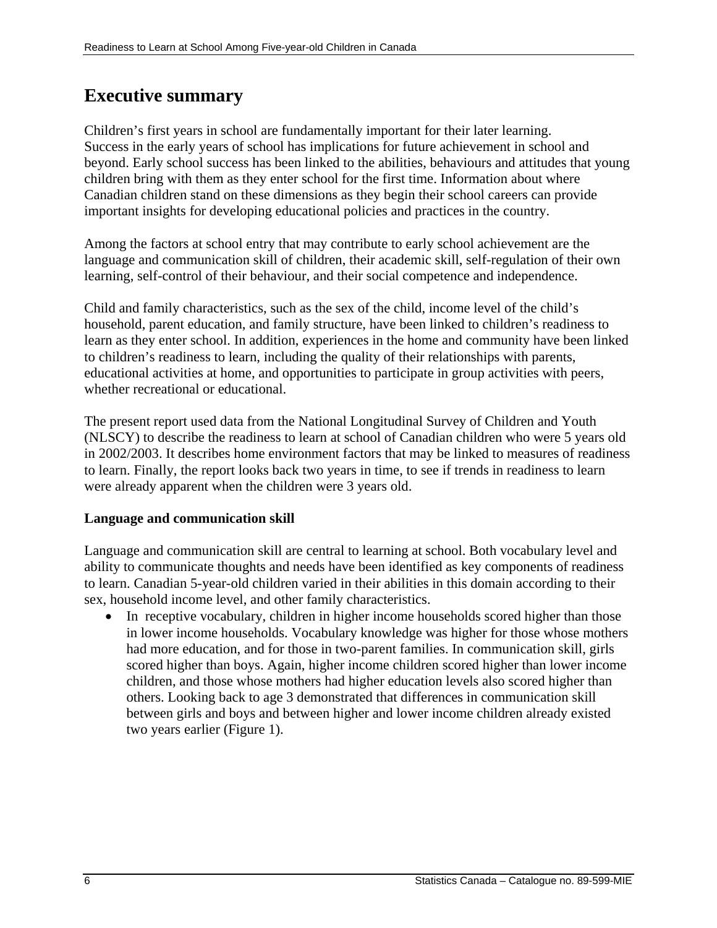## <span id="page-5-0"></span>**Executive summary**

Children's first years in school are fundamentally important for their later learning. Success in the early years of school has implications for future achievement in school and beyond. Early school success has been linked to the abilities, behaviours and attitudes that young children bring with them as they enter school for the first time. Information about where Canadian children stand on these dimensions as they begin their school careers can provide important insights for developing educational policies and practices in the country.

Among the factors at school entry that may contribute to early school achievement are the language and communication skill of children, their academic skill, self-regulation of their own learning, self-control of their behaviour, and their social competence and independence.

Child and family characteristics, such as the sex of the child, income level of the child's household, parent education, and family structure, have been linked to children's readiness to learn as they enter school. In addition, experiences in the home and community have been linked to children's readiness to learn, including the quality of their relationships with parents, educational activities at home, and opportunities to participate in group activities with peers, whether recreational or educational.

The present report used data from the National Longitudinal Survey of Children and Youth (NLSCY) to describe the readiness to learn at school of Canadian children who were 5 years old in 2002/2003. It describes home environment factors that may be linked to measures of readiness to learn. Finally, the report looks back two years in time, to see if trends in readiness to learn were already apparent when the children were 3 years old.

## **Language and communication skill**

Language and communication skill are central to learning at school. Both vocabulary level and ability to communicate thoughts and needs have been identified as key components of readiness to learn. Canadian 5-year-old children varied in their abilities in this domain according to their sex, household income level, and other family characteristics.

• In receptive vocabulary, children in higher income households scored higher than those in lower income households. Vocabulary knowledge was higher for those whose mothers had more education, and for those in two-parent families. In communication skill, girls scored higher than boys. Again, higher income children scored higher than lower income children, and those whose mothers had higher education levels also scored higher than others. Looking back to age 3 demonstrated that differences in communication skill between girls and boys and between higher and lower income children already existed two years earlier (Figure 1).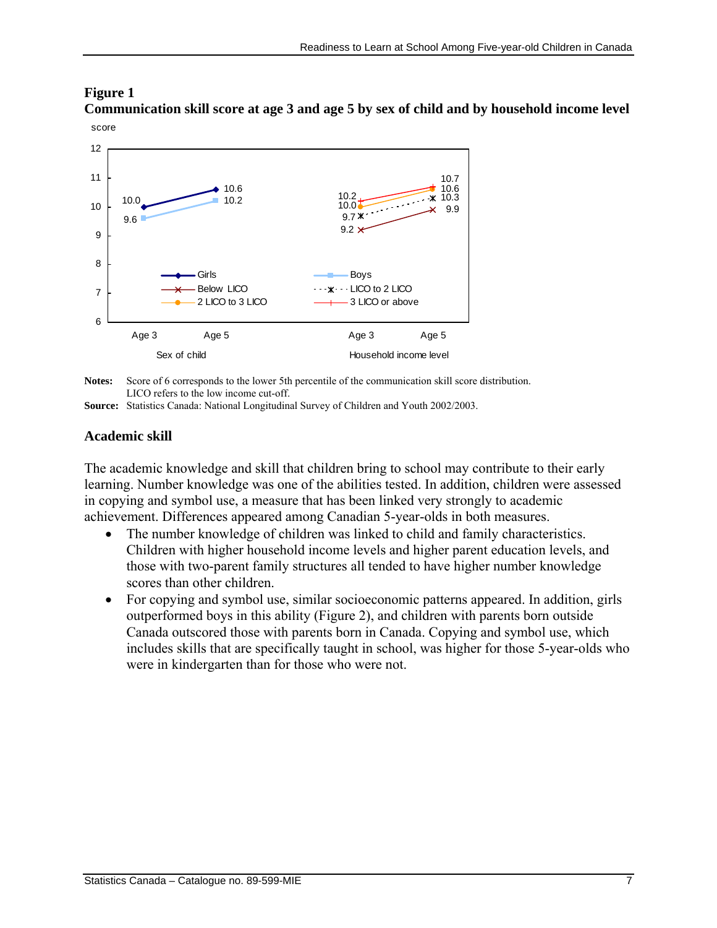## **Figure 1**

**Communication skill score at age 3 and age 5 by sex of child and by household income level**  score



**Notes:** Score of 6 corresponds to the lower 5th percentile of the communication skill score distribution. LICO refers to the low income cut-off.

**Source:** Statistics Canada: National Longitudinal Survey of Children and Youth 2002/2003.

## **Academic skill**

The academic knowledge and skill that children bring to school may contribute to their early learning. Number knowledge was one of the abilities tested. In addition, children were assessed in copying and symbol use, a measure that has been linked very strongly to academic achievement. Differences appeared among Canadian 5-year-olds in both measures.

- The number knowledge of children was linked to child and family characteristics. Children with higher household income levels and higher parent education levels, and those with two-parent family structures all tended to have higher number knowledge scores than other children.
- For copying and symbol use, similar socioeconomic patterns appeared. In addition, girls outperformed boys in this ability (Figure 2), and children with parents born outside Canada outscored those with parents born in Canada. Copying and symbol use, which includes skills that are specifically taught in school, was higher for those 5-year-olds who were in kindergarten than for those who were not.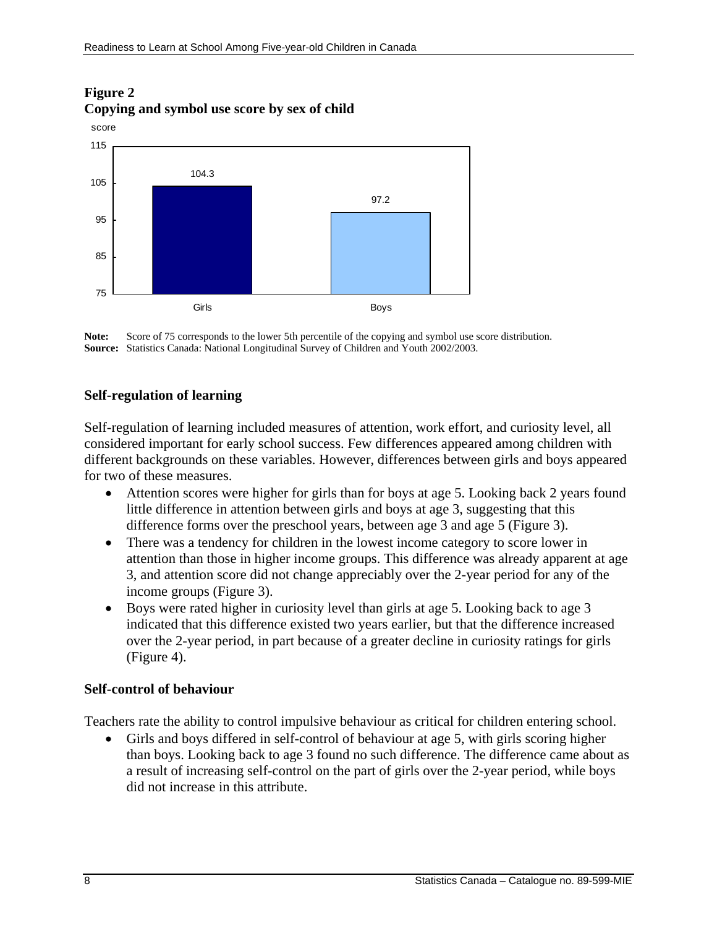## **Figure 2 Copying and symbol use score by sex of child**



**Note:** Score of 75 corresponds to the lower 5th percentile of the copying and symbol use score distribution. **Source:** Statistics Canada: National Longitudinal Survey of Children and Youth 2002/2003.

## **Self-regulation of learning**

Self-regulation of learning included measures of attention, work effort, and curiosity level, all considered important for early school success. Few differences appeared among children with different backgrounds on these variables. However, differences between girls and boys appeared for two of these measures.

- Attention scores were higher for girls than for boys at age 5. Looking back 2 years found little difference in attention between girls and boys at age 3, suggesting that this difference forms over the preschool years, between age 3 and age 5 (Figure 3).
- There was a tendency for children in the lowest income category to score lower in attention than those in higher income groups. This difference was already apparent at age 3, and attention score did not change appreciably over the 2-year period for any of the income groups (Figure 3).
- Boys were rated higher in curiosity level than girls at age 5. Looking back to age 3 indicated that this difference existed two years earlier, but that the difference increased over the 2-year period, in part because of a greater decline in curiosity ratings for girls (Figure 4).

### **Self-control of behaviour**

Teachers rate the ability to control impulsive behaviour as critical for children entering school.

• Girls and boys differed in self-control of behaviour at age 5, with girls scoring higher than boys. Looking back to age 3 found no such difference. The difference came about as a result of increasing self-control on the part of girls over the 2-year period, while boys did not increase in this attribute.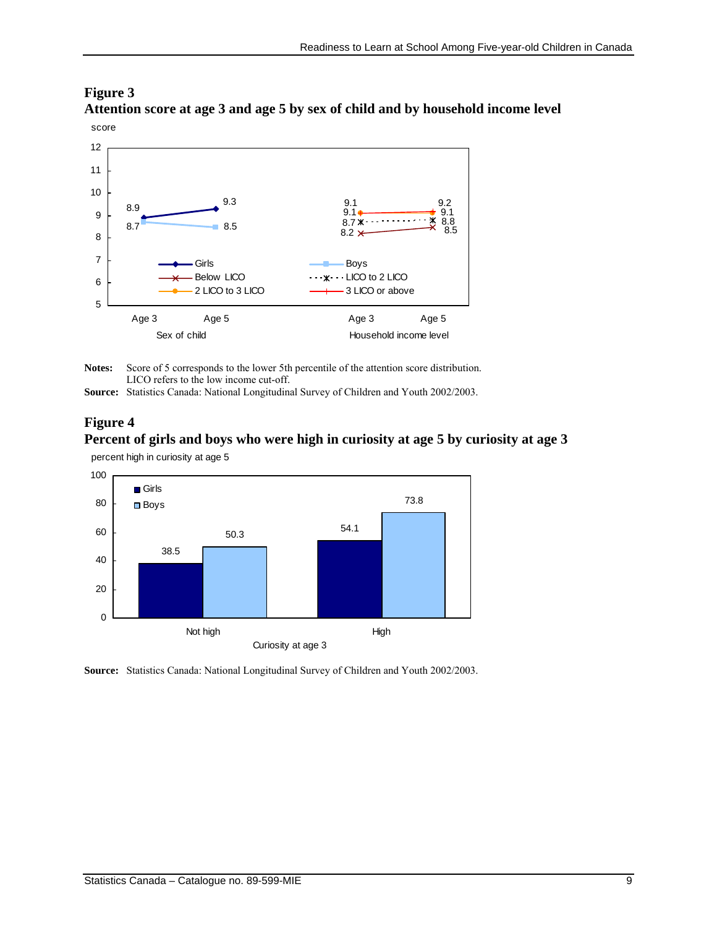#### **Figure 3 Attention score at age 3 and age 5 by sex of child and by household income level**



**Notes:** Score of 5 corresponds to the lower 5th percentile of the attention score distribution. LICO refers to the low income cut-off.

**Source:** Statistics Canada: National Longitudinal Survey of Children and Youth 2002/2003.

## **Figure 4 Percent of girls and boys who were high in curiosity at age 5 by curiosity at age 3**

percent high in curiosity at age 5



**Source:** Statistics Canada: National Longitudinal Survey of Children and Youth 2002/2003.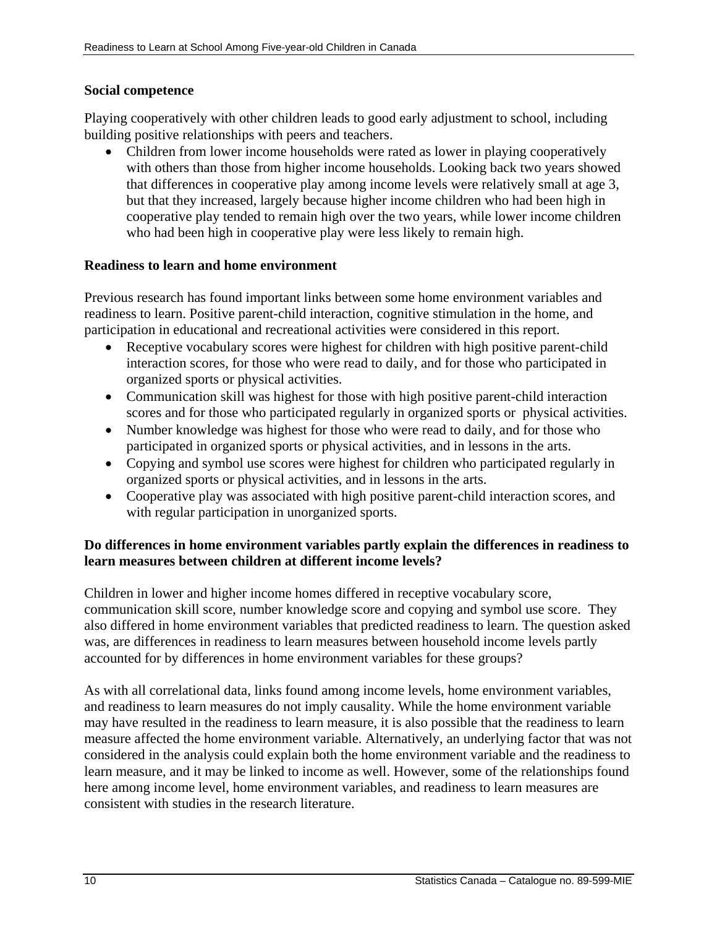### **Social competence**

Playing cooperatively with other children leads to good early adjustment to school, including building positive relationships with peers and teachers.

• Children from lower income households were rated as lower in playing cooperatively with others than those from higher income households. Looking back two years showed that differences in cooperative play among income levels were relatively small at age 3, but that they increased, largely because higher income children who had been high in cooperative play tended to remain high over the two years, while lower income children who had been high in cooperative play were less likely to remain high.

### **Readiness to learn and home environment**

Previous research has found important links between some home environment variables and readiness to learn. Positive parent-child interaction, cognitive stimulation in the home, and participation in educational and recreational activities were considered in this report.

- Receptive vocabulary scores were highest for children with high positive parent-child interaction scores, for those who were read to daily, and for those who participated in organized sports or physical activities.
- Communication skill was highest for those with high positive parent-child interaction scores and for those who participated regularly in organized sports or physical activities.
- Number knowledge was highest for those who were read to daily, and for those who participated in organized sports or physical activities, and in lessons in the arts.
- Copying and symbol use scores were highest for children who participated regularly in organized sports or physical activities, and in lessons in the arts.
- Cooperative play was associated with high positive parent-child interaction scores, and with regular participation in unorganized sports.

## **Do differences in home environment variables partly explain the differences in readiness to learn measures between children at different income levels?**

Children in lower and higher income homes differed in receptive vocabulary score, communication skill score, number knowledge score and copying and symbol use score. They also differed in home environment variables that predicted readiness to learn. The question asked was, are differences in readiness to learn measures between household income levels partly accounted for by differences in home environment variables for these groups?

As with all correlational data, links found among income levels, home environment variables, and readiness to learn measures do not imply causality. While the home environment variable may have resulted in the readiness to learn measure, it is also possible that the readiness to learn measure affected the home environment variable. Alternatively, an underlying factor that was not considered in the analysis could explain both the home environment variable and the readiness to learn measure, and it may be linked to income as well. However, some of the relationships found here among income level, home environment variables, and readiness to learn measures are consistent with studies in the research literature.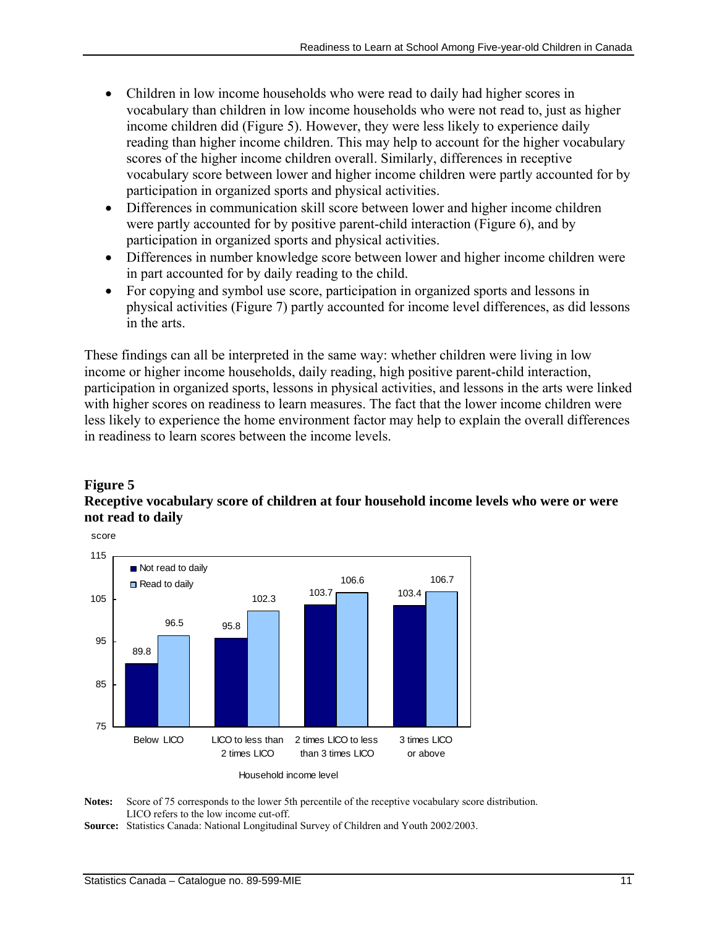- Children in low income households who were read to daily had higher scores in vocabulary than children in low income households who were not read to, just as higher income children did (Figure 5). However, they were less likely to experience daily reading than higher income children. This may help to account for the higher vocabulary scores of the higher income children overall. Similarly, differences in receptive vocabulary score between lower and higher income children were partly accounted for by participation in organized sports and physical activities.
- Differences in communication skill score between lower and higher income children were partly accounted for by positive parent-child interaction (Figure 6), and by participation in organized sports and physical activities.
- Differences in number knowledge score between lower and higher income children were in part accounted for by daily reading to the child.
- For copying and symbol use score, participation in organized sports and lessons in physical activities (Figure 7) partly accounted for income level differences, as did lessons in the arts.

These findings can all be interpreted in the same way: whether children were living in low income or higher income households, daily reading, high positive parent-child interaction, participation in organized sports, lessons in physical activities, and lessons in the arts were linked with higher scores on readiness to learn measures. The fact that the lower income children were less likely to experience the home environment factor may help to explain the overall differences in readiness to learn scores between the income levels.

## **Figure 5**

## **Receptive vocabulary score of children at four household income levels who were or were not read to daily**



Notes: Score of 75 corresponds to the lower 5th percentile of the receptive vocabulary score distribution. LICO refers to the low income cut-off.

**Source:** Statistics Canada: National Longitudinal Survey of Children and Youth 2002/2003.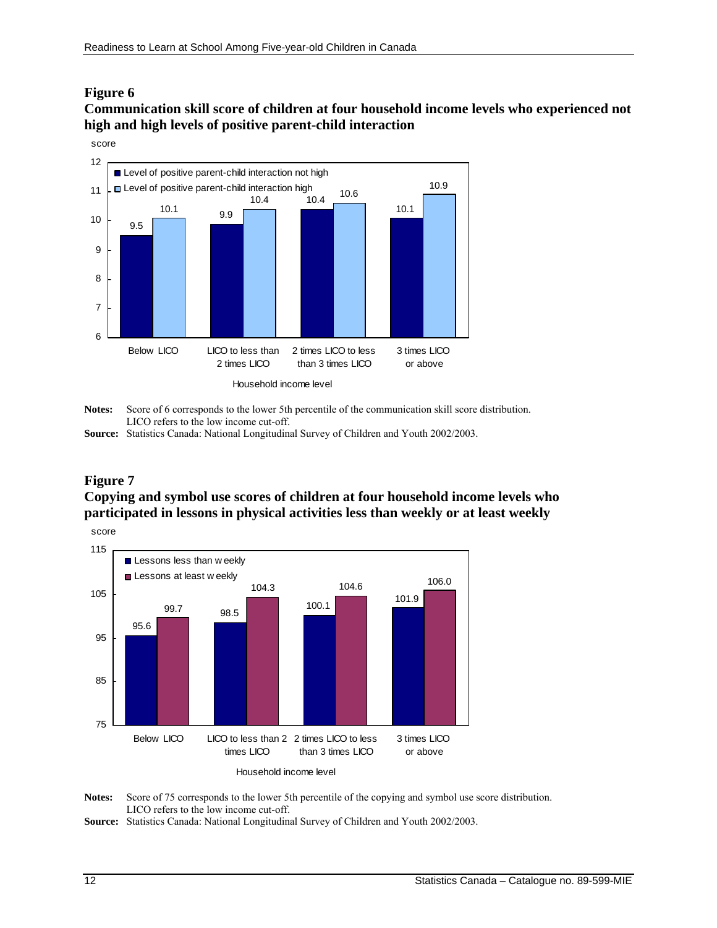#### **Figure 6**

## **Communication skill score of children at four household income levels who experienced not high and high levels of positive parent-child interaction**



**Notes:** Score of 6 corresponds to the lower 5th percentile of the communication skill score distribution. LICO refers to the low income cut-off.

**Source:** Statistics Canada: National Longitudinal Survey of Children and Youth 2002/2003.

### **Figure 7**

## **Copying and symbol use scores of children at four household income levels who participated in lessons in physical activities less than weekly or at least weekly**



**Notes:** Score of 75 corresponds to the lower 5th percentile of the copying and symbol use score distribution. LICO refers to the low income cut-off.

**Source:** Statistics Canada: National Longitudinal Survey of Children and Youth 2002/2003.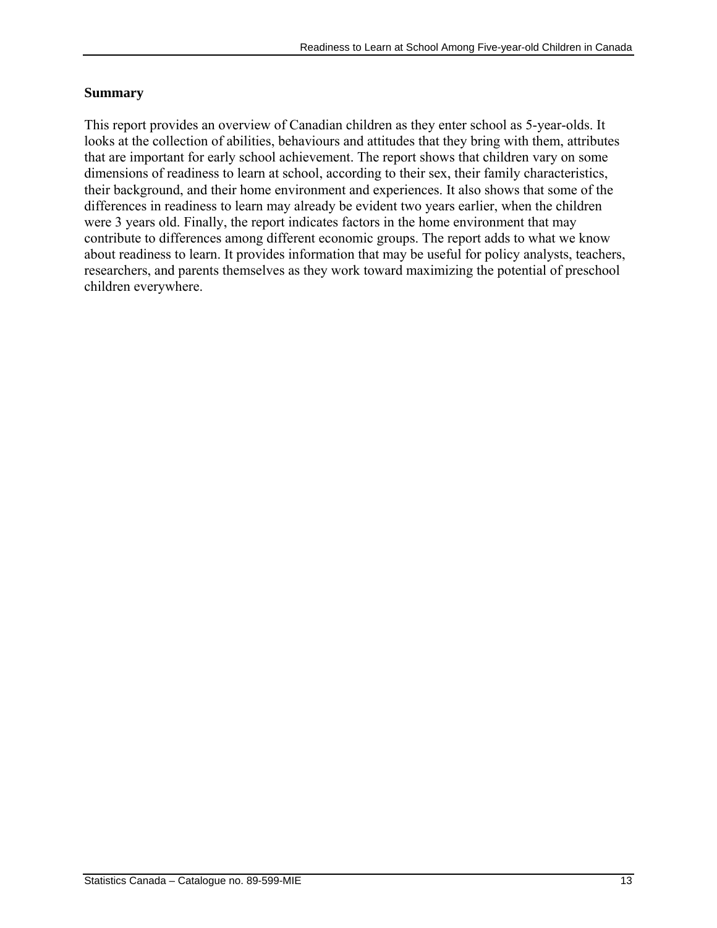## **Summary**

This report provides an overview of Canadian children as they enter school as 5-year-olds. It looks at the collection of abilities, behaviours and attitudes that they bring with them, attributes that are important for early school achievement. The report shows that children vary on some dimensions of readiness to learn at school, according to their sex, their family characteristics, their background, and their home environment and experiences. It also shows that some of the differences in readiness to learn may already be evident two years earlier, when the children were 3 years old. Finally, the report indicates factors in the home environment that may contribute to differences among different economic groups. The report adds to what we know about readiness to learn. It provides information that may be useful for policy analysts, teachers, researchers, and parents themselves as they work toward maximizing the potential of preschool children everywhere.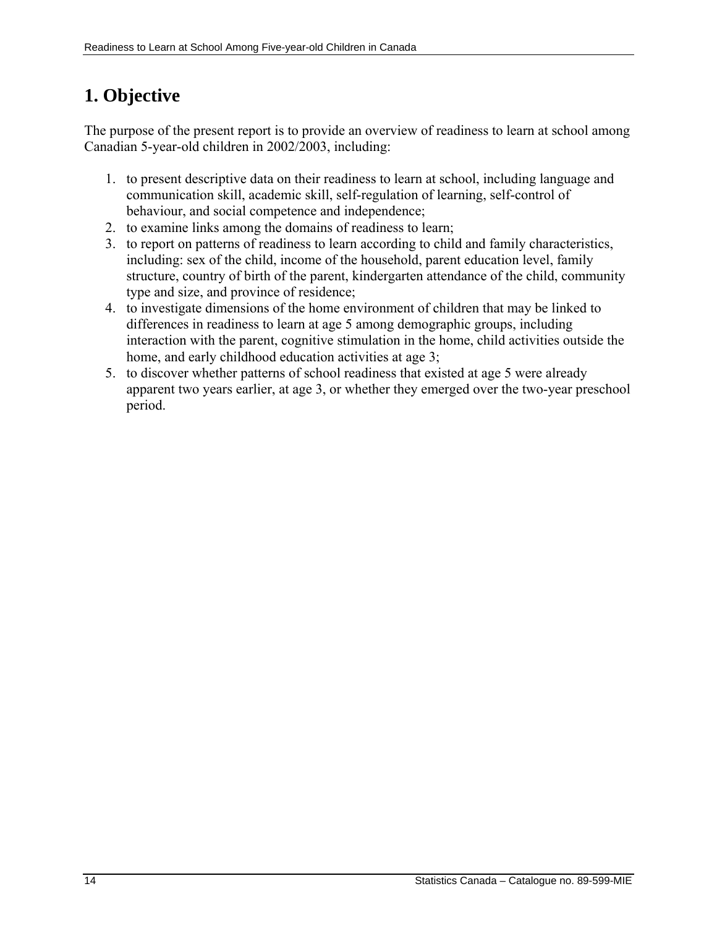# <span id="page-13-0"></span>**1. Objective**

The purpose of the present report is to provide an overview of readiness to learn at school among Canadian 5-year-old children in 2002/2003, including:

- 1. to present descriptive data on their readiness to learn at school, including language and communication skill, academic skill, self-regulation of learning, self-control of behaviour, and social competence and independence;
- 2. to examine links among the domains of readiness to learn;
- 3. to report on patterns of readiness to learn according to child and family characteristics, including: sex of the child, income of the household, parent education level, family structure, country of birth of the parent, kindergarten attendance of the child, community type and size, and province of residence;
- 4. to investigate dimensions of the home environment of children that may be linked to differences in readiness to learn at age 5 among demographic groups, including interaction with the parent, cognitive stimulation in the home, child activities outside the home, and early childhood education activities at age 3;
- 5. to discover whether patterns of school readiness that existed at age 5 were already apparent two years earlier, at age 3, or whether they emerged over the two-year preschool period.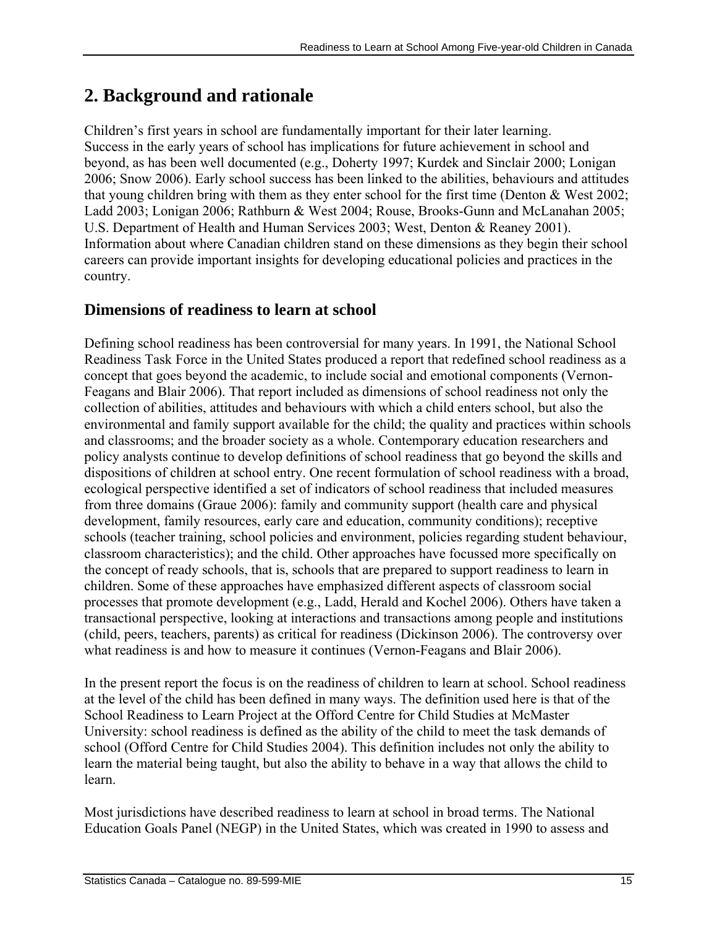# <span id="page-14-0"></span>**2. Background and rationale**

Children's first years in school are fundamentally important for their later learning. Success in the early years of school has implications for future achievement in school and beyond, as has been well documented (e.g., Doherty 1997; Kurdek and Sinclair 2000; Lonigan 2006; Snow 2006). Early school success has been linked to the abilities, behaviours and attitudes that young children bring with them as they enter school for the first time (Denton & West 2002; Ladd 2003; Lonigan 2006; Rathburn & West 2004; Rouse, Brooks-Gunn and McLanahan 2005; U.S. Department of Health and Human Services 2003; West, Denton & Reaney 2001). Information about where Canadian children stand on these dimensions as they begin their school careers can provide important insights for developing educational policies and practices in the country.

## **Dimensions of readiness to learn at school**

Defining school readiness has been controversial for many years. In 1991, the National School Readiness Task Force in the United States produced a report that redefined school readiness as a concept that goes beyond the academic, to include social and emotional components (Vernon-Feagans and Blair 2006). That report included as dimensions of school readiness not only the collection of abilities, attitudes and behaviours with which a child enters school, but also the environmental and family support available for the child; the quality and practices within schools and classrooms; and the broader society as a whole. Contemporary education researchers and policy analysts continue to develop definitions of school readiness that go beyond the skills and dispositions of children at school entry. One recent formulation of school readiness with a broad, ecological perspective identified a set of indicators of school readiness that included measures from three domains (Graue 2006): family and community support (health care and physical development, family resources, early care and education, community conditions); receptive schools (teacher training, school policies and environment, policies regarding student behaviour, classroom characteristics); and the child. Other approaches have focussed more specifically on the concept of ready schools, that is, schools that are prepared to support readiness to learn in children. Some of these approaches have emphasized different aspects of classroom social processes that promote development (e.g., Ladd, Herald and Kochel 2006). Others have taken a transactional perspective, looking at interactions and transactions among people and institutions (child, peers, teachers, parents) as critical for readiness (Dickinson 2006). The controversy over what readiness is and how to measure it continues (Vernon-Feagans and Blair 2006).

In the present report the focus is on the readiness of children to learn at school. School readiness at the level of the child has been defined in many ways. The definition used here is that of the School Readiness to Learn Project at the Offord Centre for Child Studies at McMaster University: school readiness is defined as the ability of the child to meet the task demands of school (Offord Centre for Child Studies 2004). This definition includes not only the ability to learn the material being taught, but also the ability to behave in a way that allows the child to learn.

Most jurisdictions have described readiness to learn at school in broad terms. The National Education Goals Panel (NEGP) in the United States, which was created in 1990 to assess and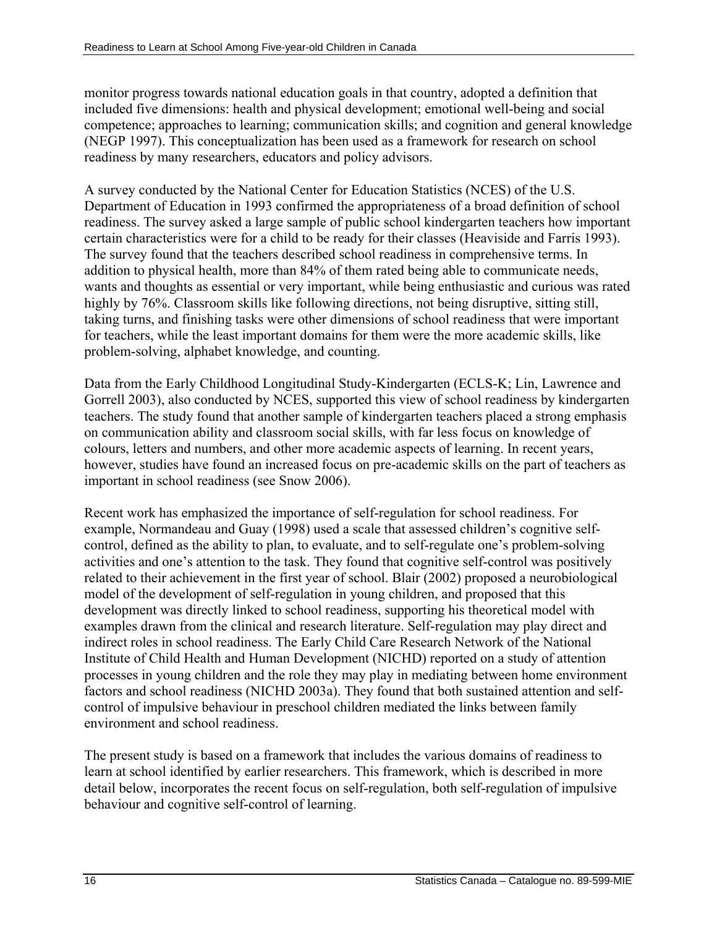monitor progress towards national education goals in that country, adopted a definition that included five dimensions: health and physical development; emotional well-being and social competence; approaches to learning; communication skills; and cognition and general knowledge (NEGP 1997). This conceptualization has been used as a framework for research on school readiness by many researchers, educators and policy advisors.

A survey conducted by the National Center for Education Statistics (NCES) of the U.S. Department of Education in 1993 confirmed the appropriateness of a broad definition of school readiness. The survey asked a large sample of public school kindergarten teachers how important certain characteristics were for a child to be ready for their classes (Heaviside and Farris 1993). The survey found that the teachers described school readiness in comprehensive terms. In addition to physical health, more than 84% of them rated being able to communicate needs, wants and thoughts as essential or very important, while being enthusiastic and curious was rated highly by 76%. Classroom skills like following directions, not being disruptive, sitting still, taking turns, and finishing tasks were other dimensions of school readiness that were important for teachers, while the least important domains for them were the more academic skills, like problem-solving, alphabet knowledge, and counting.

Data from the Early Childhood Longitudinal Study-Kindergarten (ECLS-K; Lin, Lawrence and Gorrell 2003), also conducted by NCES, supported this view of school readiness by kindergarten teachers. The study found that another sample of kindergarten teachers placed a strong emphasis on communication ability and classroom social skills, with far less focus on knowledge of colours, letters and numbers, and other more academic aspects of learning. In recent years, however, studies have found an increased focus on pre-academic skills on the part of teachers as important in school readiness (see Snow 2006).

Recent work has emphasized the importance of self-regulation for school readiness. For example, Normandeau and Guay (1998) used a scale that assessed children's cognitive selfcontrol, defined as the ability to plan, to evaluate, and to self-regulate one's problem-solving activities and one's attention to the task. They found that cognitive self-control was positively related to their achievement in the first year of school. Blair (2002) proposed a neurobiological model of the development of self-regulation in young children, and proposed that this development was directly linked to school readiness, supporting his theoretical model with examples drawn from the clinical and research literature. Self-regulation may play direct and indirect roles in school readiness. The Early Child Care Research Network of the National Institute of Child Health and Human Development (NICHD) reported on a study of attention processes in young children and the role they may play in mediating between home environment factors and school readiness (NICHD 2003a). They found that both sustained attention and selfcontrol of impulsive behaviour in preschool children mediated the links between family environment and school readiness.

The present study is based on a framework that includes the various domains of readiness to learn at school identified by earlier researchers. This framework, which is described in more detail below, incorporates the recent focus on self-regulation, both self-regulation of impulsive behaviour and cognitive self-control of learning.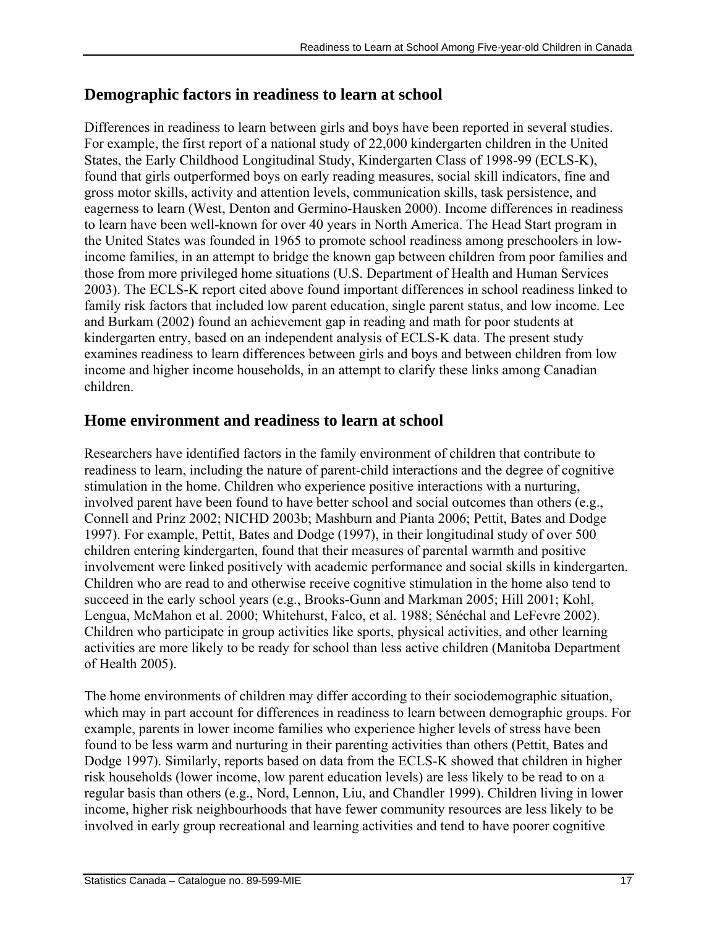## **Demographic factors in readiness to learn at school**

Differences in readiness to learn between girls and boys have been reported in several studies. For example, the first report of a national study of 22,000 kindergarten children in the United States, the Early Childhood Longitudinal Study, Kindergarten Class of 1998-99 (ECLS-K), found that girls outperformed boys on early reading measures, social skill indicators, fine and gross motor skills, activity and attention levels, communication skills, task persistence, and eagerness to learn (West, Denton and Germino-Hausken 2000). Income differences in readiness to learn have been well-known for over 40 years in North America. The Head Start program in the United States was founded in 1965 to promote school readiness among preschoolers in lowincome families, in an attempt to bridge the known gap between children from poor families and those from more privileged home situations (U.S. Department of Health and Human Services 2003). The ECLS-K report cited above found important differences in school readiness linked to family risk factors that included low parent education, single parent status, and low income. Lee and Burkam (2002) found an achievement gap in reading and math for poor students at kindergarten entry, based on an independent analysis of ECLS-K data. The present study examines readiness to learn differences between girls and boys and between children from low income and higher income households, in an attempt to clarify these links among Canadian children.

## **Home environment and readiness to learn at school**

Researchers have identified factors in the family environment of children that contribute to readiness to learn, including the nature of parent-child interactions and the degree of cognitive stimulation in the home. Children who experience positive interactions with a nurturing, involved parent have been found to have better school and social outcomes than others (e.g., Connell and Prinz 2002; NICHD 2003b; Mashburn and Pianta 2006; Pettit, Bates and Dodge 1997). For example, Pettit, Bates and Dodge (1997), in their longitudinal study of over 500 children entering kindergarten, found that their measures of parental warmth and positive involvement were linked positively with academic performance and social skills in kindergarten. Children who are read to and otherwise receive cognitive stimulation in the home also tend to succeed in the early school years (e.g., Brooks-Gunn and Markman 2005; Hill 2001; Kohl, Lengua, McMahon et al. 2000; Whitehurst, Falco, et al. 1988; Sénéchal and LeFevre 2002). Children who participate in group activities like sports, physical activities, and other learning activities are more likely to be ready for school than less active children (Manitoba Department of Health 2005).

The home environments of children may differ according to their sociodemographic situation, which may in part account for differences in readiness to learn between demographic groups. For example, parents in lower income families who experience higher levels of stress have been found to be less warm and nurturing in their parenting activities than others (Pettit, Bates and Dodge 1997). Similarly, reports based on data from the ECLS-K showed that children in higher risk households (lower income, low parent education levels) are less likely to be read to on a regular basis than others (e.g., Nord, Lennon, Liu, and Chandler 1999). Children living in lower income, higher risk neighbourhoods that have fewer community resources are less likely to be involved in early group recreational and learning activities and tend to have poorer cognitive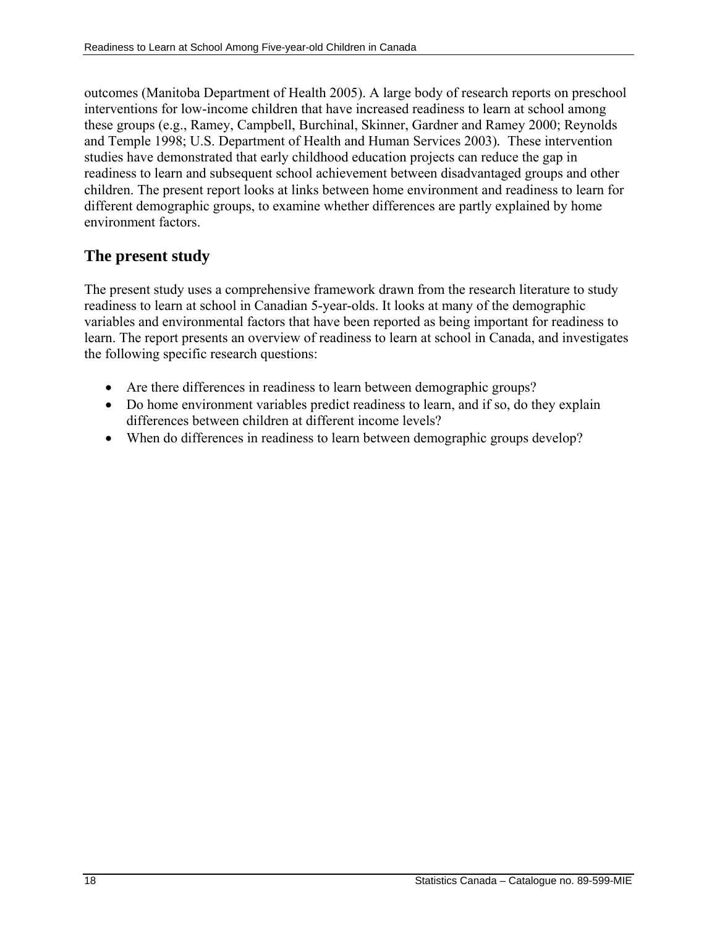outcomes (Manitoba Department of Health 2005). A large body of research reports on preschool interventions for low-income children that have increased readiness to learn at school among these groups (e.g., Ramey, Campbell, Burchinal, Skinner, Gardner and Ramey 2000; Reynolds and Temple 1998; U.S. Department of Health and Human Services 2003)*.* These intervention studies have demonstrated that early childhood education projects can reduce the gap in readiness to learn and subsequent school achievement between disadvantaged groups and other children. The present report looks at links between home environment and readiness to learn for different demographic groups, to examine whether differences are partly explained by home environment factors.

## **The present study**

The present study uses a comprehensive framework drawn from the research literature to study readiness to learn at school in Canadian 5-year-olds. It looks at many of the demographic variables and environmental factors that have been reported as being important for readiness to learn. The report presents an overview of readiness to learn at school in Canada, and investigates the following specific research questions:

- Are there differences in readiness to learn between demographic groups?
- Do home environment variables predict readiness to learn, and if so, do they explain differences between children at different income levels?
- When do differences in readiness to learn between demographic groups develop?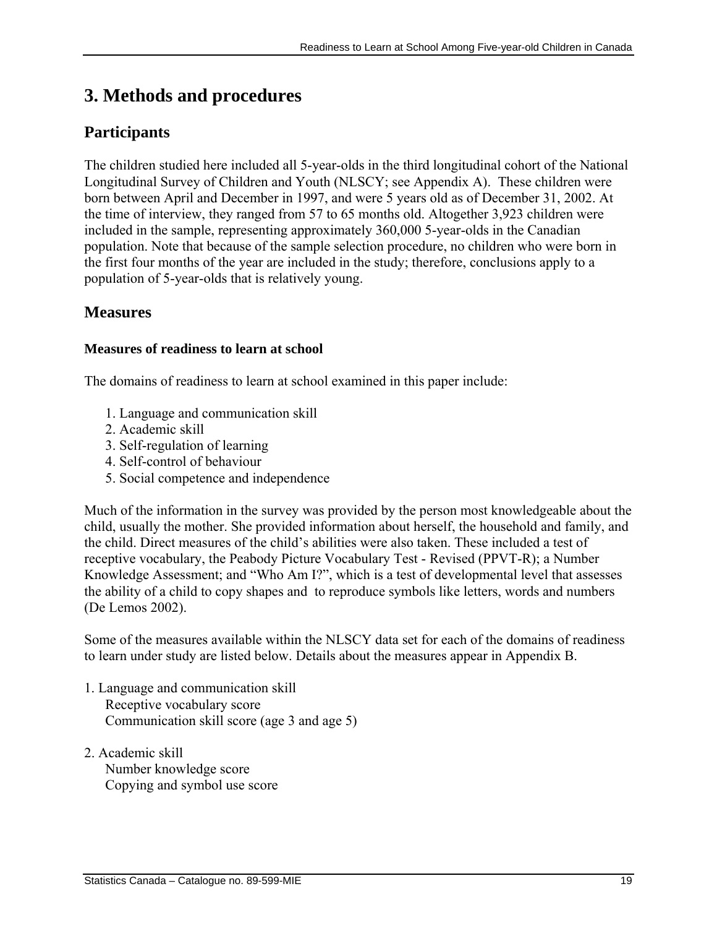# <span id="page-18-0"></span>**3. Methods and procedures**

## **Participants**

The children studied here included all 5-year-olds in the third longitudinal cohort of the National Longitudinal Survey of Children and Youth (NLSCY; see Appendix A). These children were born between April and December in 1997, and were 5 years old as of December 31, 2002. At the time of interview, they ranged from 57 to 65 months old. Altogether 3,923 children were included in the sample, representing approximately 360,000 5-year-olds in the Canadian population. Note that because of the sample selection procedure, no children who were born in the first four months of the year are included in the study; therefore, conclusions apply to a population of 5-year-olds that is relatively young.

## **Measures**

## **Measures of readiness to learn at school**

The domains of readiness to learn at school examined in this paper include:

- 1. Language and communication skill
- 2. Academic skill
- 3. Self-regulation of learning
- 4. Self-control of behaviour
- 5. Social competence and independence

Much of the information in the survey was provided by the person most knowledgeable about the child, usually the mother. She provided information about herself, the household and family, and the child. Direct measures of the child's abilities were also taken. These included a test of receptive vocabulary, the Peabody Picture Vocabulary Test - Revised (PPVT-R); a Number Knowledge Assessment; and "Who Am I?", which is a test of developmental level that assesses the ability of a child to copy shapes and to reproduce symbols like letters, words and numbers (De Lemos 2002).

Some of the measures available within the NLSCY data set for each of the domains of readiness to learn under study are listed below. Details about the measures appear in Appendix B.

- 1. Language and communication skill Receptive vocabulary score Communication skill score (age 3 and age 5)
- 2. Academic skill Number knowledge score Copying and symbol use score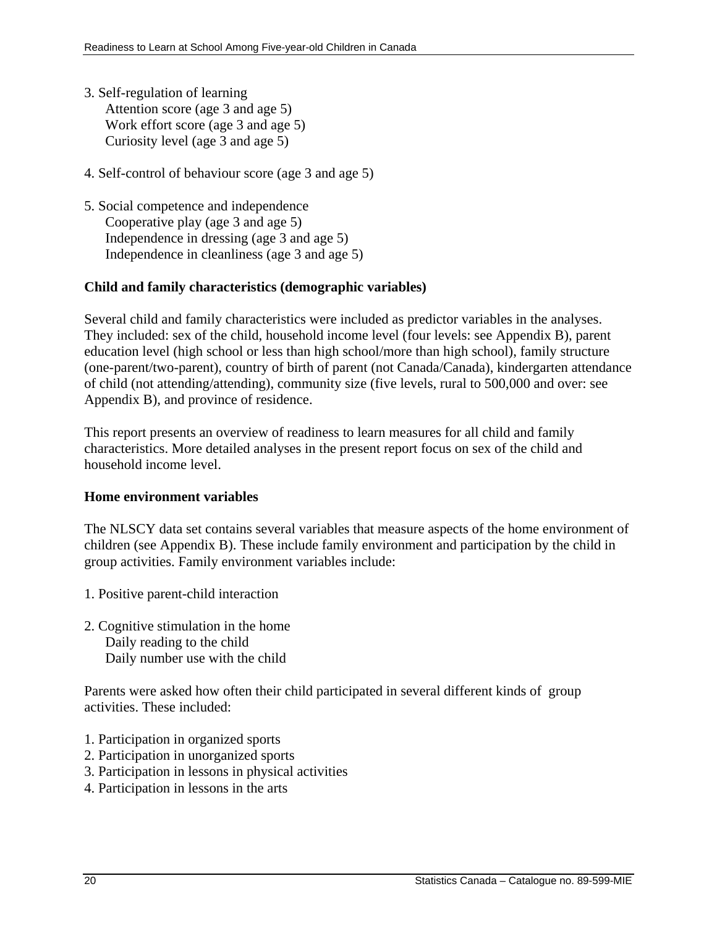- 3. Self-regulation of learning Attention score (age 3 and age 5) Work effort score (age 3 and age 5) Curiosity level (age 3 and age 5)
- 4. Self-control of behaviour score (age 3 and age 5)
- 5. Social competence and independence Cooperative play (age 3 and age 5) Independence in dressing (age 3 and age 5) Independence in cleanliness (age 3 and age 5)

## **Child and family characteristics (demographic variables)**

Several child and family characteristics were included as predictor variables in the analyses. They included: sex of the child, household income level (four levels: see Appendix B), parent education level (high school or less than high school/more than high school), family structure (one-parent/two-parent), country of birth of parent (not Canada/Canada), kindergarten attendance of child (not attending/attending), community size (five levels, rural to 500,000 and over: see Appendix B), and province of residence.

This report presents an overview of readiness to learn measures for all child and family characteristics. More detailed analyses in the present report focus on sex of the child and household income level.

### **Home environment variables**

The NLSCY data set contains several variables that measure aspects of the home environment of children (see Appendix B). These include family environment and participation by the child in group activities. Family environment variables include:

- 1. Positive parent-child interaction
- 2. Cognitive stimulation in the home Daily reading to the child Daily number use with the child

Parents were asked how often their child participated in several different kinds of group activities. These included:

- 1. Participation in organized sports
- 2. Participation in unorganized sports
- 3. Participation in lessons in physical activities
- 4. Participation in lessons in the arts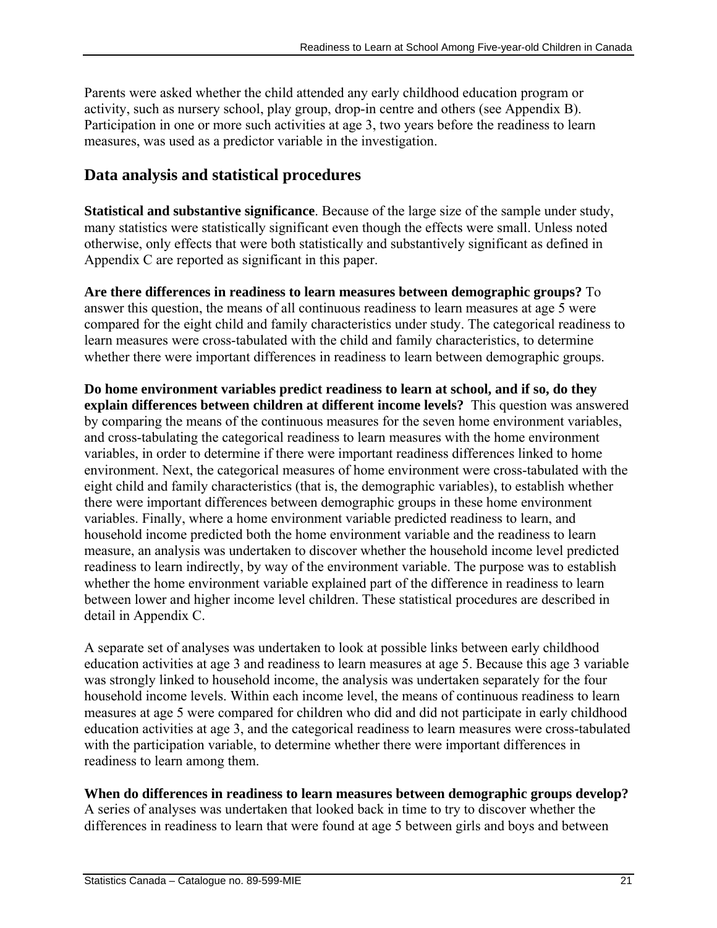<span id="page-20-0"></span>Parents were asked whether the child attended any early childhood education program or activity, such as nursery school, play group, drop-in centre and others (see Appendix B). Participation in one or more such activities at age 3, two years before the readiness to learn measures, was used as a predictor variable in the investigation.

## **Data analysis and statistical procedures**

**Statistical and substantive significance**. Because of the large size of the sample under study, many statistics were statistically significant even though the effects were small. Unless noted otherwise, only effects that were both statistically and substantively significant as defined in Appendix C are reported as significant in this paper.

**Are there differences in readiness to learn measures between demographic groups?** To answer this question, the means of all continuous readiness to learn measures at age 5 were compared for the eight child and family characteristics under study. The categorical readiness to learn measures were cross-tabulated with the child and family characteristics, to determine whether there were important differences in readiness to learn between demographic groups.

**Do home environment variables predict readiness to learn at school, and if so, do they explain differences between children at different income levels?** This question was answered by comparing the means of the continuous measures for the seven home environment variables, and cross-tabulating the categorical readiness to learn measures with the home environment variables, in order to determine if there were important readiness differences linked to home environment. Next, the categorical measures of home environment were cross-tabulated with the eight child and family characteristics (that is, the demographic variables), to establish whether there were important differences between demographic groups in these home environment variables. Finally, where a home environment variable predicted readiness to learn, and household income predicted both the home environment variable and the readiness to learn measure, an analysis was undertaken to discover whether the household income level predicted readiness to learn indirectly, by way of the environment variable. The purpose was to establish whether the home environment variable explained part of the difference in readiness to learn between lower and higher income level children. These statistical procedures are described in detail in Appendix C.

A separate set of analyses was undertaken to look at possible links between early childhood education activities at age 3 and readiness to learn measures at age 5. Because this age 3 variable was strongly linked to household income, the analysis was undertaken separately for the four household income levels. Within each income level, the means of continuous readiness to learn measures at age 5 were compared for children who did and did not participate in early childhood education activities at age 3, and the categorical readiness to learn measures were cross-tabulated with the participation variable, to determine whether there were important differences in readiness to learn among them.

## **When do differences in readiness to learn measures between demographic groups develop?**

A series of analyses was undertaken that looked back in time to try to discover whether the differences in readiness to learn that were found at age 5 between girls and boys and between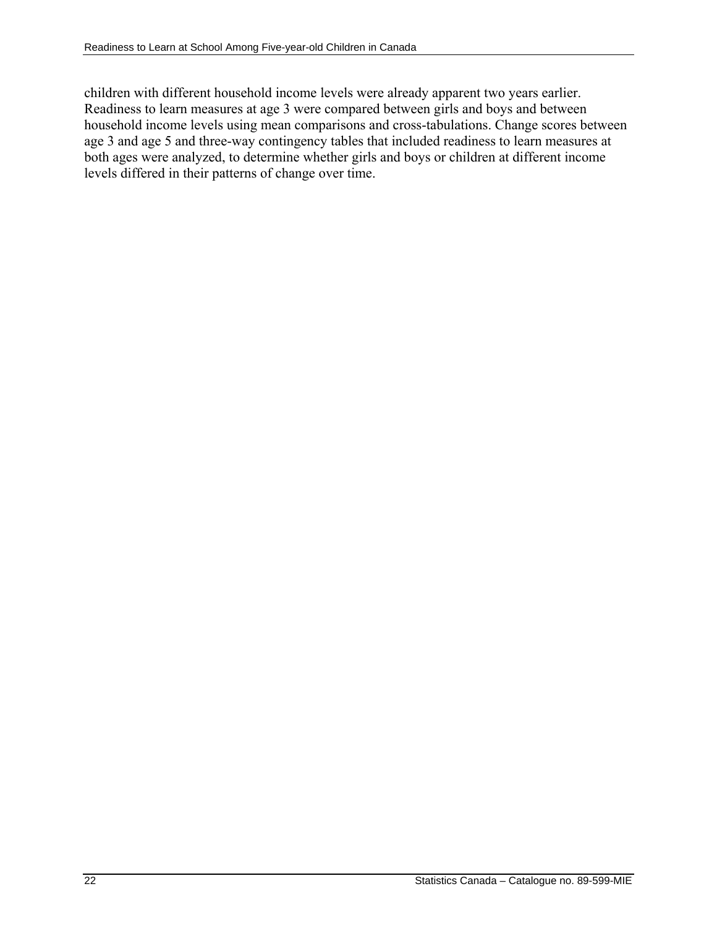children with different household income levels were already apparent two years earlier. Readiness to learn measures at age 3 were compared between girls and boys and between household income levels using mean comparisons and cross-tabulations. Change scores between age 3 and age 5 and three-way contingency tables that included readiness to learn measures at both ages were analyzed, to determine whether girls and boys or children at different income levels differed in their patterns of change over time.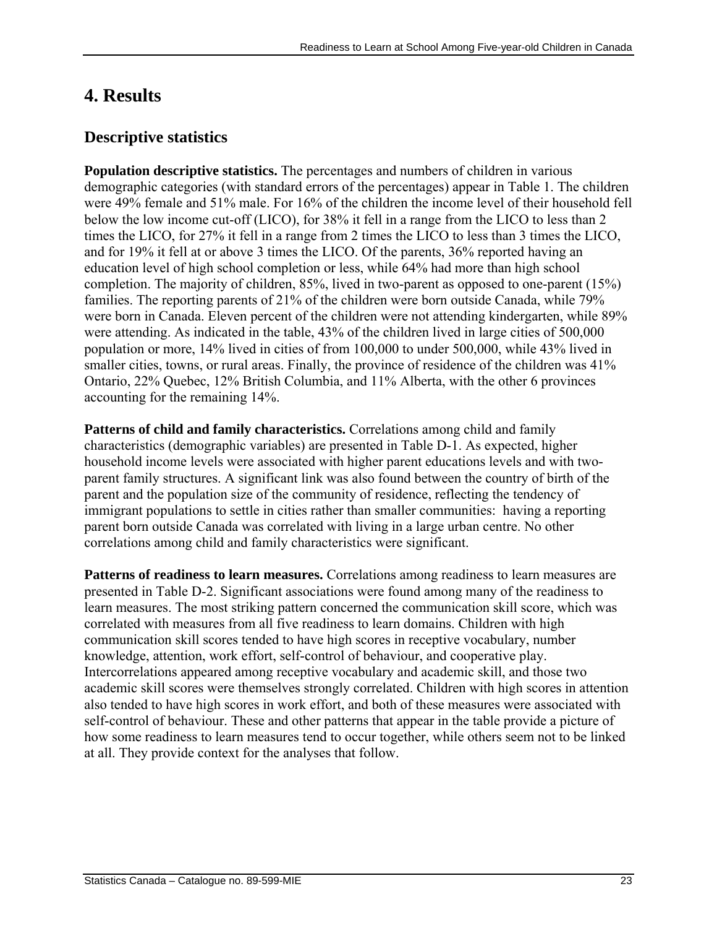# <span id="page-22-0"></span>**4. Results**

## **Descriptive statistics**

**Population descriptive statistics.** The percentages and numbers of children in various demographic categories (with standard errors of the percentages) appear in Table 1. The children were 49% female and 51% male. For 16% of the children the income level of their household fell below the low income cut-off (LICO), for 38% it fell in a range from the LICO to less than 2 times the LICO, for 27% it fell in a range from 2 times the LICO to less than 3 times the LICO, and for 19% it fell at or above 3 times the LICO. Of the parents, 36% reported having an education level of high school completion or less, while 64% had more than high school completion. The majority of children, 85%, lived in two-parent as opposed to one-parent (15%) families. The reporting parents of 21% of the children were born outside Canada, while 79% were born in Canada. Eleven percent of the children were not attending kindergarten, while 89% were attending. As indicated in the table, 43% of the children lived in large cities of 500,000 population or more, 14% lived in cities of from 100,000 to under 500,000, while 43% lived in smaller cities, towns, or rural areas. Finally, the province of residence of the children was 41% Ontario, 22% Quebec, 12% British Columbia, and 11% Alberta, with the other 6 provinces accounting for the remaining 14%.

**Patterns of child and family characteristics.** Correlations among child and family characteristics (demographic variables) are presented in Table D-1. As expected, higher household income levels were associated with higher parent educations levels and with twoparent family structures. A significant link was also found between the country of birth of the parent and the population size of the community of residence, reflecting the tendency of immigrant populations to settle in cities rather than smaller communities: having a reporting parent born outside Canada was correlated with living in a large urban centre. No other correlations among child and family characteristics were significant.

**Patterns of readiness to learn measures.** Correlations among readiness to learn measures are presented in Table D-2. Significant associations were found among many of the readiness to learn measures. The most striking pattern concerned the communication skill score, which was correlated with measures from all five readiness to learn domains. Children with high communication skill scores tended to have high scores in receptive vocabulary, number knowledge, attention, work effort, self-control of behaviour, and cooperative play. Intercorrelations appeared among receptive vocabulary and academic skill, and those two academic skill scores were themselves strongly correlated. Children with high scores in attention also tended to have high scores in work effort, and both of these measures were associated with self-control of behaviour. These and other patterns that appear in the table provide a picture of how some readiness to learn measures tend to occur together, while others seem not to be linked at all. They provide context for the analyses that follow.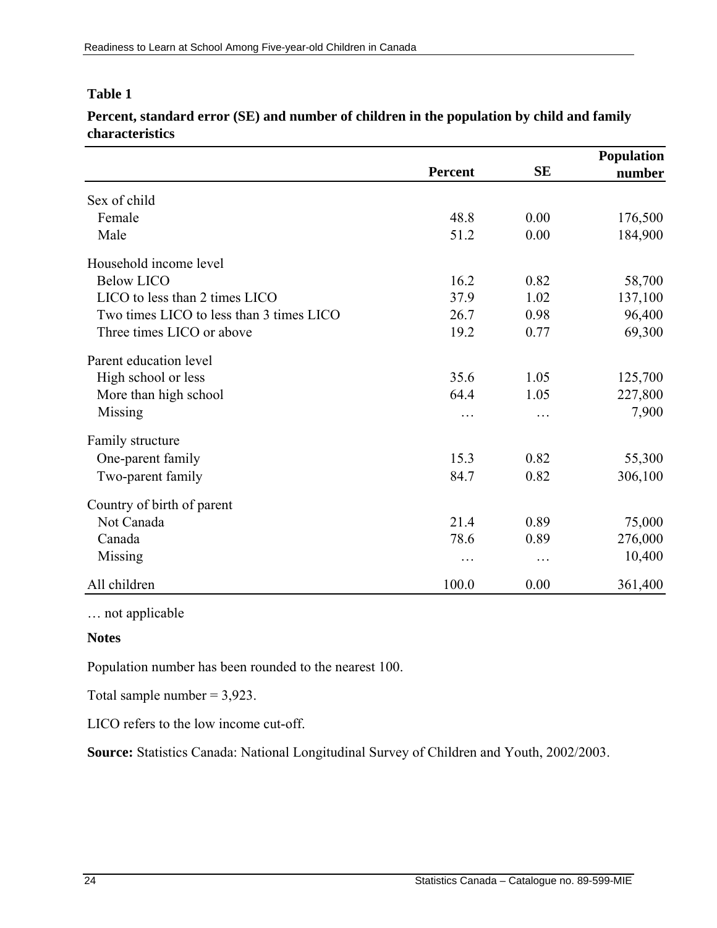### **Table 1**

**Percent, standard error (SE) and number of children in the population by child and family characteristics** 

|                                          |                |           | <b>Population</b> |  |
|------------------------------------------|----------------|-----------|-------------------|--|
|                                          | <b>Percent</b> | <b>SE</b> | number            |  |
| Sex of child                             |                |           |                   |  |
| Female                                   | 48.8           | 0.00      | 176,500           |  |
| Male                                     | 51.2           | 0.00      | 184,900           |  |
| Household income level                   |                |           |                   |  |
| <b>Below LICO</b>                        | 16.2           | 0.82      | 58,700            |  |
| LICO to less than 2 times LICO           | 37.9           | 1.02      | 137,100           |  |
| Two times LICO to less than 3 times LICO | 26.7           | 0.98      | 96,400            |  |
| Three times LICO or above                | 19.2           | 0.77      | 69,300            |  |
| Parent education level                   |                |           |                   |  |
| High school or less                      | 35.6           | 1.05      | 125,700           |  |
| More than high school                    | 64.4           | 1.05      | 227,800           |  |
| <b>Missing</b>                           | .              |           | 7,900             |  |
| Family structure                         |                |           |                   |  |
| One-parent family                        | 15.3           | 0.82      | 55,300            |  |
| Two-parent family                        | 84.7           | 0.82      | 306,100           |  |
| Country of birth of parent               |                |           |                   |  |
| Not Canada                               | 21.4           | 0.89      | 75,000            |  |
| Canada                                   | 78.6           | 0.89      | 276,000           |  |
| Missing                                  | $\cdots$       | $\cdots$  | 10,400            |  |
| All children                             | 100.0          | 0.00      | 361,400           |  |

… not applicable

### **Notes**

Population number has been rounded to the nearest 100.

Total sample number  $= 3,923$ .

LICO refers to the low income cut-off.

**Source:** Statistics Canada: National Longitudinal Survey of Children and Youth, 2002/2003.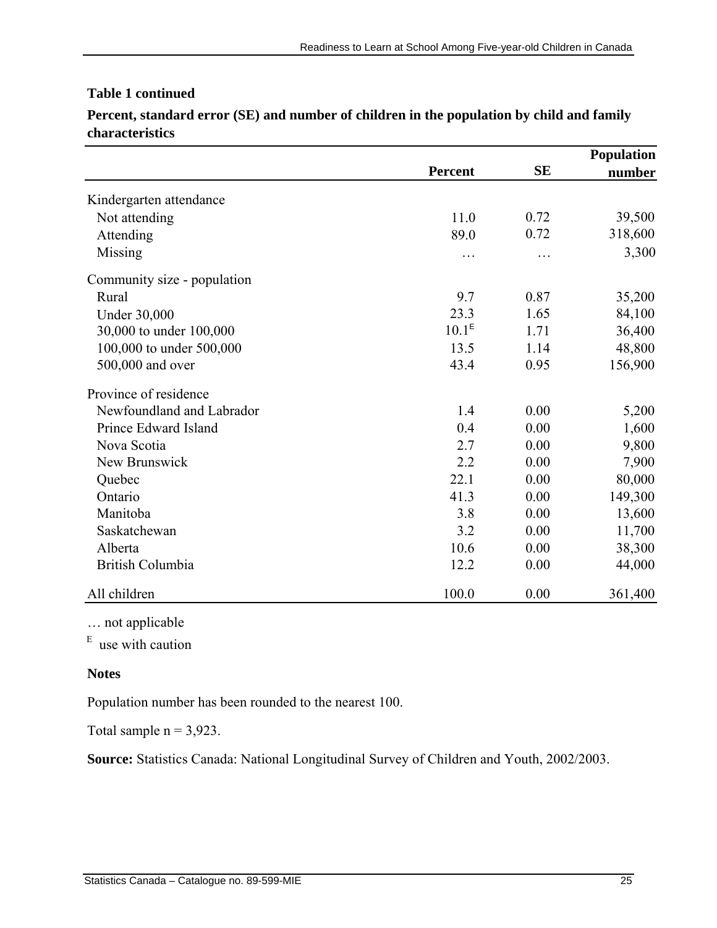## **Table 1 continued**

|                             |                   |           | <b>Population</b> |
|-----------------------------|-------------------|-----------|-------------------|
|                             | <b>Percent</b>    | <b>SE</b> | number            |
| Kindergarten attendance     |                   |           |                   |
| Not attending               | 11.0              | 0.72      | 39,500            |
| Attending                   | 89.0              | 0.72      | 318,600           |
| Missing                     | .                 |           | 3,300             |
| Community size - population |                   |           |                   |
| Rural                       | 9.7               | 0.87      | 35,200            |
| <b>Under 30,000</b>         | 23.3              | 1.65      | 84,100            |
| 30,000 to under 100,000     | 10.1 <sup>E</sup> | 1.71      | 36,400            |
| 100,000 to under 500,000    | 13.5              | 1.14      | 48,800            |
| 500,000 and over            | 43.4              | 0.95      | 156,900           |
| Province of residence       |                   |           |                   |
| Newfoundland and Labrador   | 1.4               | 0.00      | 5,200             |
| Prince Edward Island        | 0.4               | 0.00      | 1,600             |
| Nova Scotia                 | 2.7               | 0.00      | 9,800             |
| New Brunswick               | 2.2               | 0.00      | 7,900             |
| Quebec                      | 22.1              | 0.00      | 80,000            |
| Ontario                     | 41.3              | 0.00      | 149,300           |
| Manitoba                    | 3.8               | 0.00      | 13,600            |
| Saskatchewan                | 3.2               | 0.00      | 11,700            |
| Alberta                     | 10.6              | 0.00      | 38,300            |
| <b>British Columbia</b>     | 12.2              | 0.00      | 44,000            |
| All children                | 100.0             | 0.00      | 361,400           |

**Percent, standard error (SE) and number of children in the population by child and family characteristics** 

… not applicable

 $E$  use with caution

#### **Notes**

Population number has been rounded to the nearest 100.

Total sample  $n = 3,923$ .

**Source:** Statistics Canada: National Longitudinal Survey of Children and Youth, 2002/2003.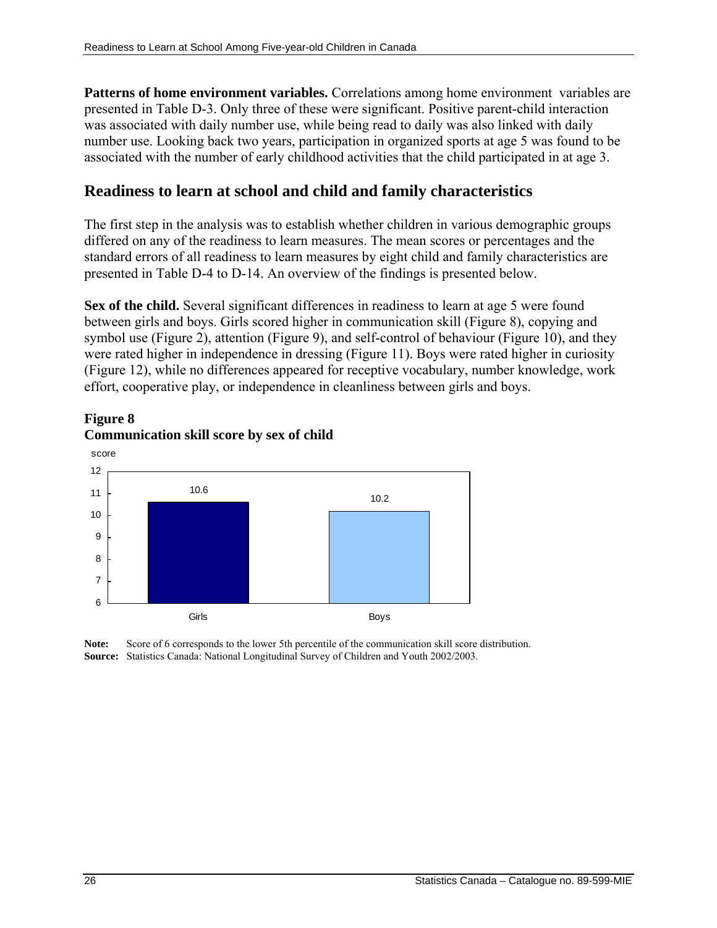<span id="page-25-0"></span>**Patterns of home environment variables.** Correlations among home environment variables are presented in Table D-3. Only three of these were significant. Positive parent-child interaction was associated with daily number use, while being read to daily was also linked with daily number use. Looking back two years, participation in organized sports at age 5 was found to be associated with the number of early childhood activities that the child participated in at age 3.

## **Readiness to learn at school and child and family characteristics**

The first step in the analysis was to establish whether children in various demographic groups differed on any of the readiness to learn measures. The mean scores or percentages and the standard errors of all readiness to learn measures by eight child and family characteristics are presented in Table D-4 to D-14. An overview of the findings is presented below.

Sex of the child. Several significant differences in readiness to learn at age 5 were found between girls and boys. Girls scored higher in communication skill (Figure 8), copying and symbol use (Figure 2), attention (Figure 9), and self-control of behaviour (Figure 10), and they were rated higher in independence in dressing (Figure 11). Boys were rated higher in curiosity (Figure 12), while no differences appeared for receptive vocabulary, number knowledge, work effort, cooperative play, or independence in cleanliness between girls and boys.





**Note:** Score of 6 corresponds to the lower 5th percentile of the communication skill score distribution. **Source:** Statistics Canada: National Longitudinal Survey of Children and Youth 2002/2003.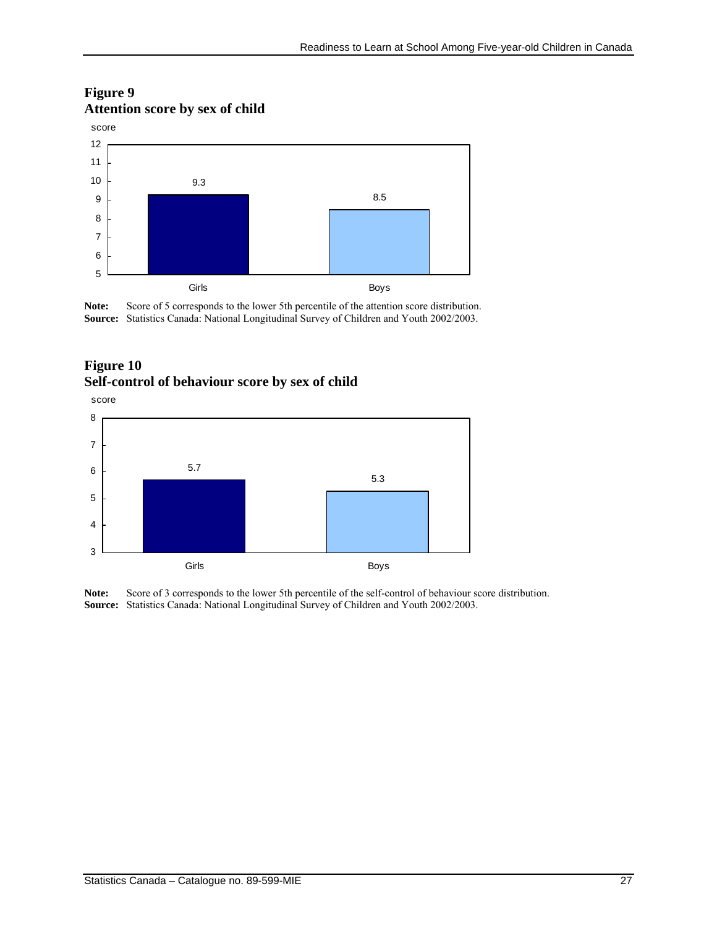## **Figure 9 Attention score by sex of child**



Note: Score of 5 corresponds to the lower 5th percentile of the attention score distribution. **Source:** Statistics Canada: National Longitudinal Survey of Children and Youth 2002/2003.

## **Figure 10 Self-control of behaviour score by sex of child**



**Note:** Score of 3 corresponds to the lower 5th percentile of the self-control of behaviour score distribution. **Source:** Statistics Canada: National Longitudinal Survey of Children and Youth 2002/2003.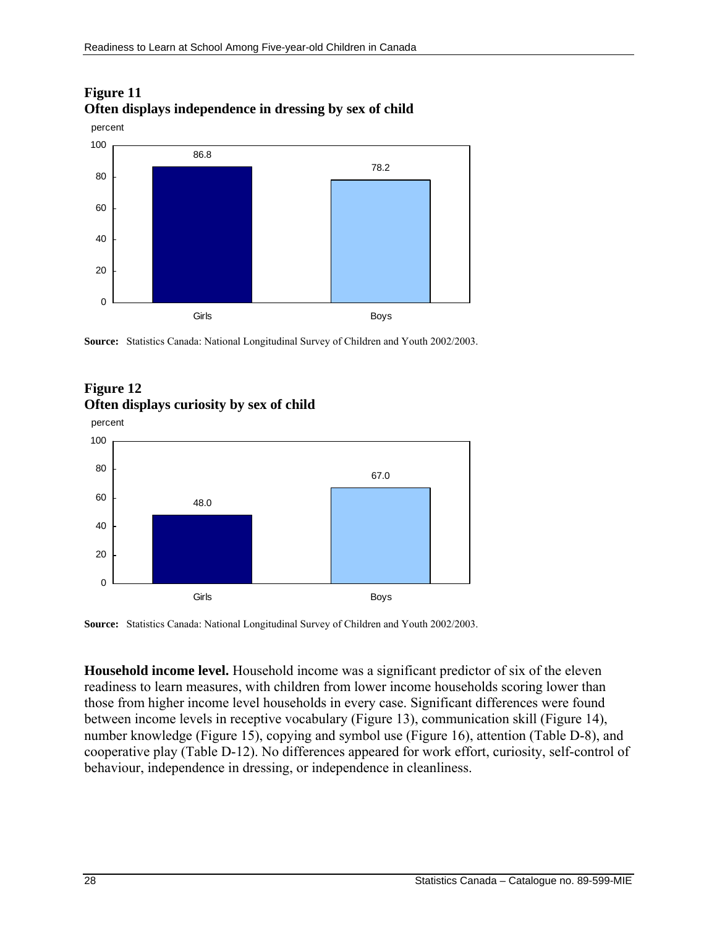

## **Figure 11 Often displays independence in dressing by sex of child**

**Source:** Statistics Canada: National Longitudinal Survey of Children and Youth 2002/2003.

## **Figure 12 Often displays curiosity by sex of child**



**Source:** Statistics Canada: National Longitudinal Survey of Children and Youth 2002/2003.

**Household income level.** Household income was a significant predictor of six of the eleven readiness to learn measures, with children from lower income households scoring lower than those from higher income level households in every case. Significant differences were found between income levels in receptive vocabulary (Figure 13), communication skill (Figure 14), number knowledge (Figure 15), copying and symbol use (Figure 16), attention (Table D-8), and cooperative play (Table D-12). No differences appeared for work effort, curiosity, self-control of behaviour, independence in dressing, or independence in cleanliness.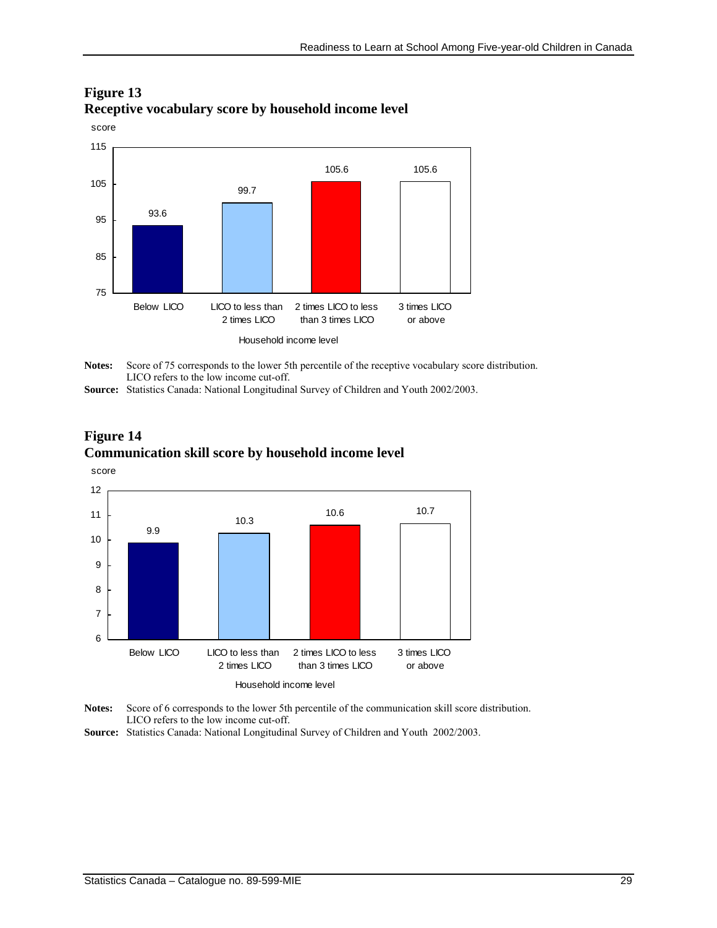

## **Figure 13 Receptive vocabulary score by household income level**

**Notes:** Score of 75 corresponds to the lower 5th percentile of the receptive vocabulary score distribution. LICO refers to the low income cut-off.

**Source:** Statistics Canada: National Longitudinal Survey of Children and Youth 2002/2003.





**Notes:** Score of 6 corresponds to the lower 5th percentile of the communication skill score distribution. LICO refers to the low income cut-off.

**Source:** Statistics Canada: National Longitudinal Survey of Children and Youth 2002/2003.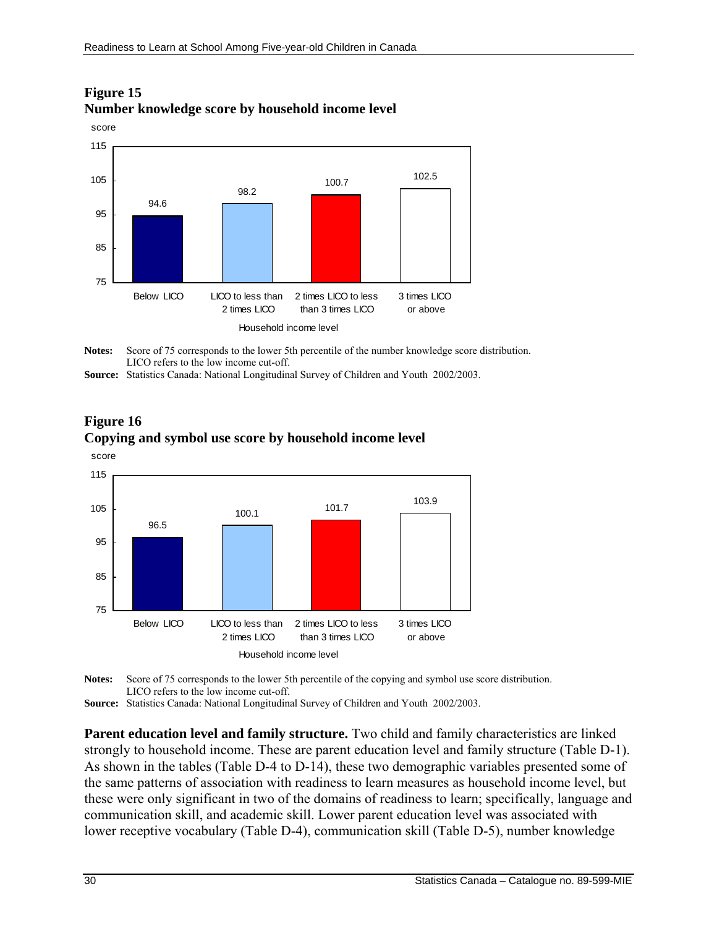

## **Figure 15 Number knowledge score by household income level**

Notes: Score of 75 corresponds to the lower 5th percentile of the number knowledge score distribution. LICO refers to the low income cut-off.

**Source:** Statistics Canada: National Longitudinal Survey of Children and Youth 2002/2003.





**Notes:** Score of 75 corresponds to the lower 5th percentile of the copying and symbol use score distribution. LICO refers to the low income cut-off.

**Source:** Statistics Canada: National Longitudinal Survey of Children and Youth 2002/2003.

**Parent education level and family structure.** Two child and family characteristics are linked strongly to household income. These are parent education level and family structure (Table D-1). As shown in the tables (Table D-4 to D-14), these two demographic variables presented some of the same patterns of association with readiness to learn measures as household income level, but these were only significant in two of the domains of readiness to learn; specifically, language and communication skill, and academic skill. Lower parent education level was associated with lower receptive vocabulary (Table D-4), communication skill (Table D-5), number knowledge

**Figure 16**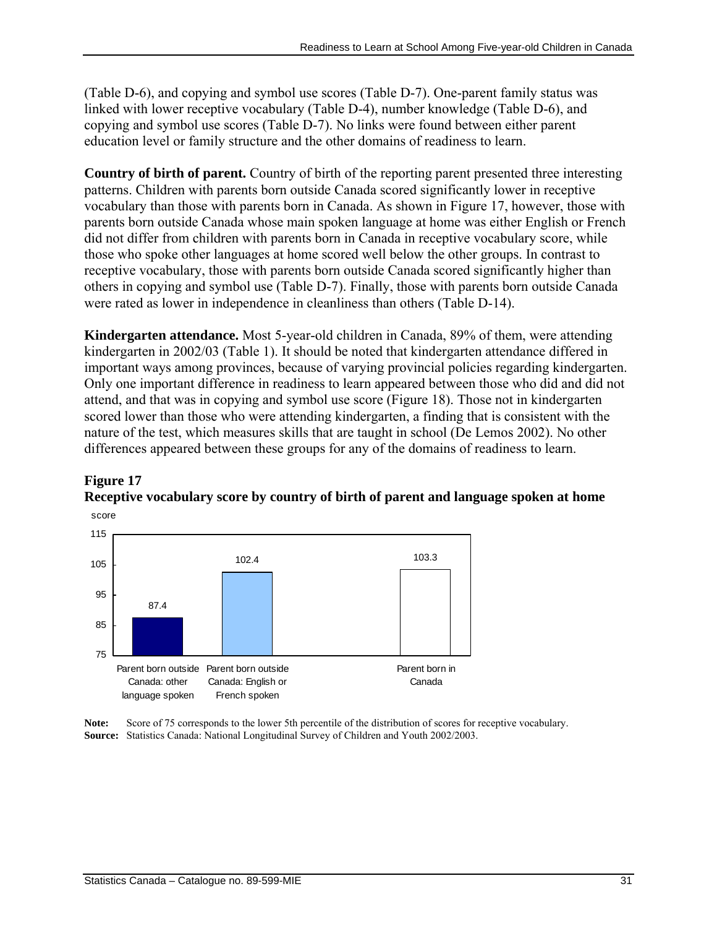(Table D-6), and copying and symbol use scores (Table D-7). One-parent family status was linked with lower receptive vocabulary (Table D-4), number knowledge (Table D-6), and copying and symbol use scores (Table D-7). No links were found between either parent education level or family structure and the other domains of readiness to learn.

**Country of birth of parent.** Country of birth of the reporting parent presented three interesting patterns. Children with parents born outside Canada scored significantly lower in receptive vocabulary than those with parents born in Canada. As shown in Figure 17, however, those with parents born outside Canada whose main spoken language at home was either English or French did not differ from children with parents born in Canada in receptive vocabulary score, while those who spoke other languages at home scored well below the other groups. In contrast to receptive vocabulary, those with parents born outside Canada scored significantly higher than others in copying and symbol use (Table D-7). Finally, those with parents born outside Canada were rated as lower in independence in cleanliness than others (Table D-14).

**Kindergarten attendance.** Most 5-year-old children in Canada, 89% of them, were attending kindergarten in 2002/03 (Table 1). It should be noted that kindergarten attendance differed in important ways among provinces, because of varying provincial policies regarding kindergarten. Only one important difference in readiness to learn appeared between those who did and did not attend, and that was in copying and symbol use score (Figure 18). Those not in kindergarten scored lower than those who were attending kindergarten, a finding that is consistent with the nature of the test, which measures skills that are taught in school (De Lemos 2002). No other differences appeared between these groups for any of the domains of readiness to learn.





**Note:** Score of 75 corresponds to the lower 5th percentile of the distribution of scores for receptive vocabulary. **Source:** Statistics Canada: National Longitudinal Survey of Children and Youth 2002/2003.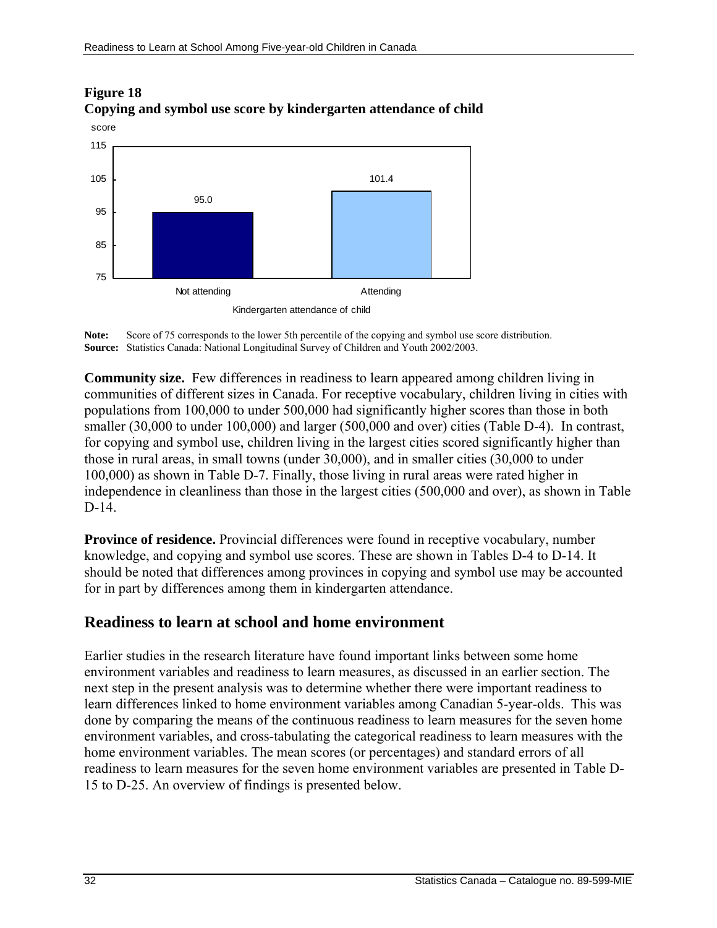

## <span id="page-31-0"></span>**Figure 18 Copying and symbol use score by kindergarten attendance of child**



**Community size.** Few differences in readiness to learn appeared among children living in communities of different sizes in Canada. For receptive vocabulary, children living in cities with populations from 100,000 to under 500,000 had significantly higher scores than those in both smaller (30,000 to under 100,000) and larger (500,000 and over) cities (Table D-4). In contrast, for copying and symbol use, children living in the largest cities scored significantly higher than those in rural areas, in small towns (under 30,000), and in smaller cities (30,000 to under 100,000) as shown in Table D-7. Finally, those living in rural areas were rated higher in independence in cleanliness than those in the largest cities (500,000 and over), as shown in Table D-14.

**Province of residence.** Provincial differences were found in receptive vocabulary, number knowledge, and copying and symbol use scores. These are shown in Tables D-4 to D-14. It should be noted that differences among provinces in copying and symbol use may be accounted for in part by differences among them in kindergarten attendance.

## **Readiness to learn at school and home environment**

Earlier studies in the research literature have found important links between some home environment variables and readiness to learn measures, as discussed in an earlier section. The next step in the present analysis was to determine whether there were important readiness to learn differences linked to home environment variables among Canadian 5-year-olds. This was done by comparing the means of the continuous readiness to learn measures for the seven home environment variables, and cross-tabulating the categorical readiness to learn measures with the home environment variables. The mean scores (or percentages) and standard errors of all readiness to learn measures for the seven home environment variables are presented in Table D-15 to D-25. An overview of findings is presented below.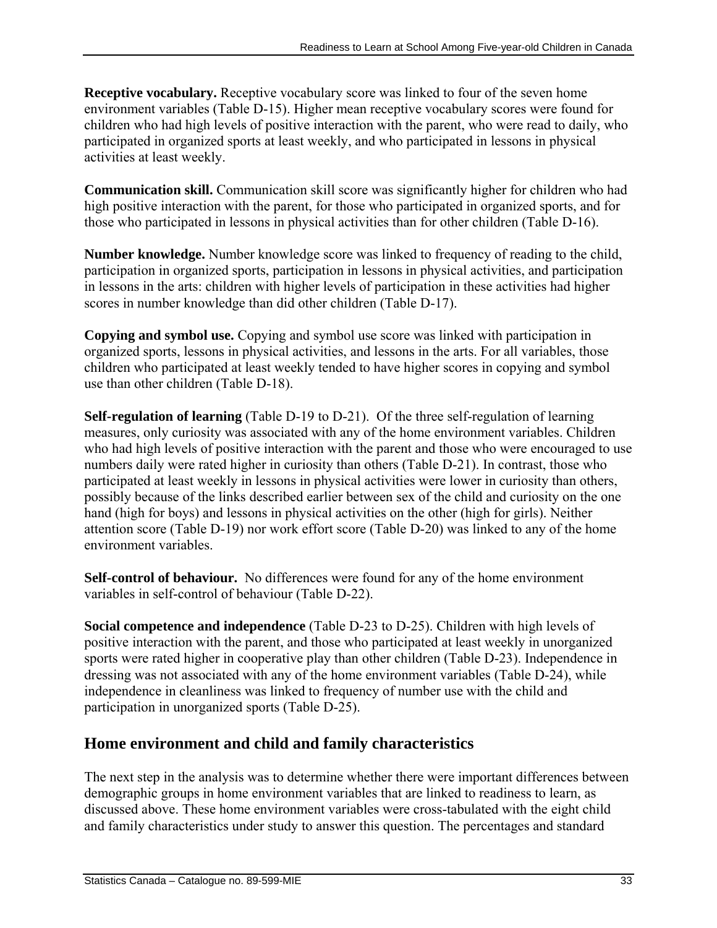<span id="page-32-0"></span>**Receptive vocabulary.** Receptive vocabulary score was linked to four of the seven home environment variables (Table D-15). Higher mean receptive vocabulary scores were found for children who had high levels of positive interaction with the parent, who were read to daily, who participated in organized sports at least weekly, and who participated in lessons in physical activities at least weekly.

**Communication skill.** Communication skill score was significantly higher for children who had high positive interaction with the parent, for those who participated in organized sports, and for those who participated in lessons in physical activities than for other children (Table D-16).

**Number knowledge.** Number knowledge score was linked to frequency of reading to the child, participation in organized sports, participation in lessons in physical activities, and participation in lessons in the arts: children with higher levels of participation in these activities had higher scores in number knowledge than did other children (Table D-17).

**Copying and symbol use.** Copying and symbol use score was linked with participation in organized sports, lessons in physical activities, and lessons in the arts. For all variables, those children who participated at least weekly tended to have higher scores in copying and symbol use than other children (Table D-18).

**Self-regulation of learning** (Table D-19 to D-21). Of the three self-regulation of learning measures, only curiosity was associated with any of the home environment variables. Children who had high levels of positive interaction with the parent and those who were encouraged to use numbers daily were rated higher in curiosity than others (Table D-21). In contrast, those who participated at least weekly in lessons in physical activities were lower in curiosity than others, possibly because of the links described earlier between sex of the child and curiosity on the one hand (high for boys) and lessons in physical activities on the other (high for girls). Neither attention score (Table D-19) nor work effort score (Table D-20) was linked to any of the home environment variables.

**Self-control of behaviour.** No differences were found for any of the home environment variables in self-control of behaviour (Table D-22).

**Social competence and independence** (Table D-23 to D-25). Children with high levels of positive interaction with the parent, and those who participated at least weekly in unorganized sports were rated higher in cooperative play than other children (Table D-23). Independence in dressing was not associated with any of the home environment variables (Table D-24), while independence in cleanliness was linked to frequency of number use with the child and participation in unorganized sports (Table D-25).

## **Home environment and child and family characteristics**

The next step in the analysis was to determine whether there were important differences between demographic groups in home environment variables that are linked to readiness to learn, as discussed above. These home environment variables were cross-tabulated with the eight child and family characteristics under study to answer this question. The percentages and standard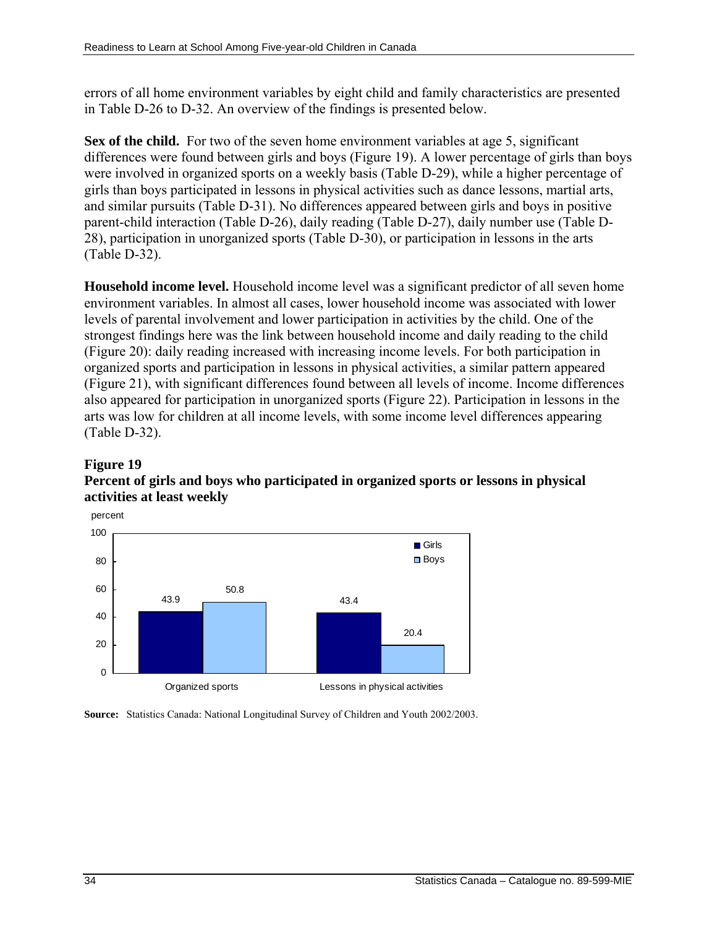errors of all home environment variables by eight child and family characteristics are presented in Table D-26 to D-32. An overview of the findings is presented below.

**Sex of the child.** For two of the seven home environment variables at age 5, significant differences were found between girls and boys (Figure 19). A lower percentage of girls than boys were involved in organized sports on a weekly basis (Table D-29), while a higher percentage of girls than boys participated in lessons in physical activities such as dance lessons, martial arts, and similar pursuits (Table D-31). No differences appeared between girls and boys in positive parent-child interaction (Table D-26), daily reading (Table D-27), daily number use (Table D-28), participation in unorganized sports (Table D-30), or participation in lessons in the arts (Table D-32).

**Household income level.** Household income level was a significant predictor of all seven home environment variables. In almost all cases, lower household income was associated with lower levels of parental involvement and lower participation in activities by the child. One of the strongest findings here was the link between household income and daily reading to the child (Figure 20): daily reading increased with increasing income levels. For both participation in organized sports and participation in lessons in physical activities, a similar pattern appeared (Figure 21), with significant differences found between all levels of income. Income differences also appeared for participation in unorganized sports (Figure 22). Participation in lessons in the arts was low for children at all income levels, with some income level differences appearing (Table D-32).

## **Figure 19**

## **Percent of girls and boys who participated in organized sports or lessons in physical activities at least weekly**



**Source:** Statistics Canada: National Longitudinal Survey of Children and Youth 2002/2003.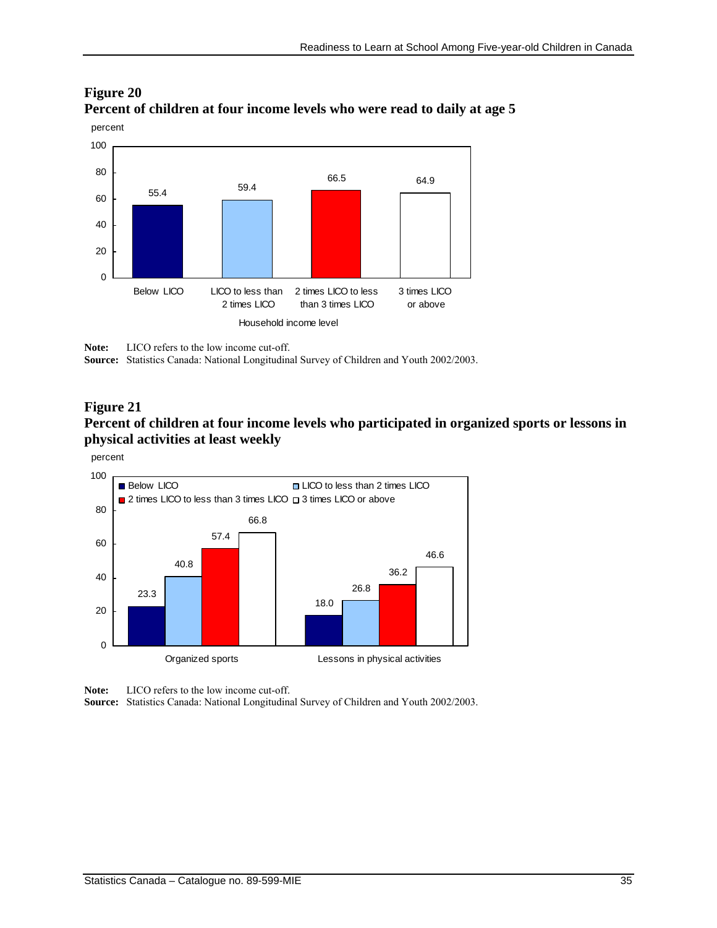

## **Figure 20 Percent of children at four income levels who were read to daily at age 5**

**Note:** LICO refers to the low income cut-off.

**Source:** Statistics Canada: National Longitudinal Survey of Children and Youth 2002/2003.

#### **Figure 21**

### **Percent of children at four income levels who participated in organized sports or lessons in physical activities at least weekly**



**Note:** LICO refers to the low income cut-off.

**Source:** Statistics Canada: National Longitudinal Survey of Children and Youth 2002/2003.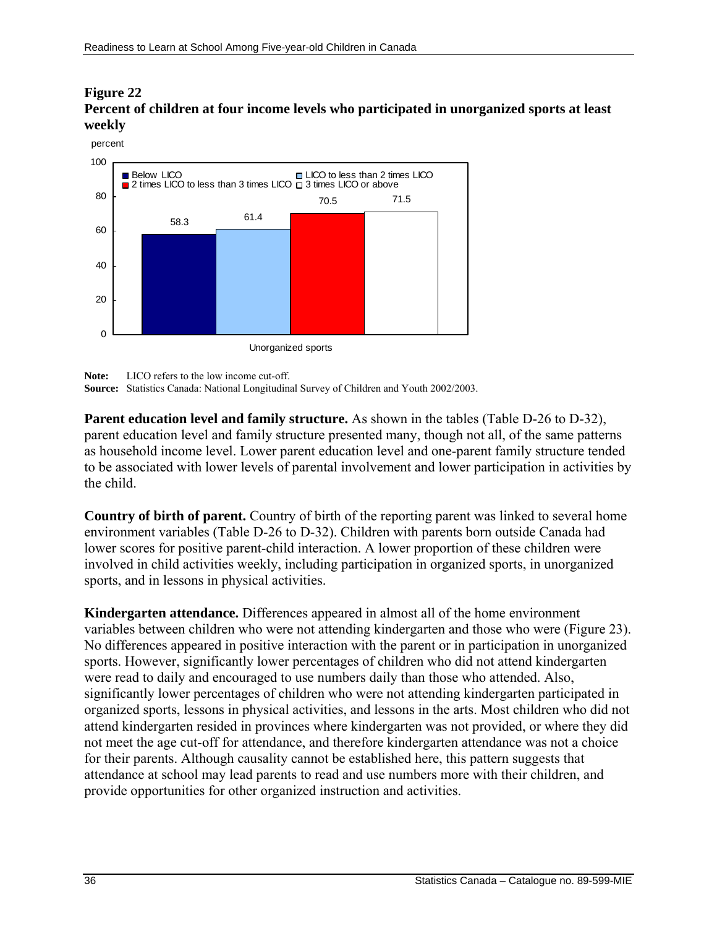## **Figure 22 Percent of children at four income levels who participated in unorganized sports at least weekly**



**Note:** LICO refers to the low income cut-off.

**Source:** Statistics Canada: National Longitudinal Survey of Children and Youth 2002/2003.

**Parent education level and family structure.** As shown in the tables (Table D-26 to D-32), parent education level and family structure presented many, though not all, of the same patterns as household income level. Lower parent education level and one-parent family structure tended to be associated with lower levels of parental involvement and lower participation in activities by the child.

**Country of birth of parent.** Country of birth of the reporting parent was linked to several home environment variables (Table D-26 to D-32). Children with parents born outside Canada had lower scores for positive parent-child interaction. A lower proportion of these children were involved in child activities weekly, including participation in organized sports, in unorganized sports, and in lessons in physical activities.

**Kindergarten attendance.** Differences appeared in almost all of the home environment variables between children who were not attending kindergarten and those who were (Figure 23). No differences appeared in positive interaction with the parent or in participation in unorganized sports. However, significantly lower percentages of children who did not attend kindergarten were read to daily and encouraged to use numbers daily than those who attended. Also, significantly lower percentages of children who were not attending kindergarten participated in organized sports, lessons in physical activities, and lessons in the arts. Most children who did not attend kindergarten resided in provinces where kindergarten was not provided, or where they did not meet the age cut-off for attendance, and therefore kindergarten attendance was not a choice for their parents. Although causality cannot be established here, this pattern suggests that attendance at school may lead parents to read and use numbers more with their children, and provide opportunities for other organized instruction and activities.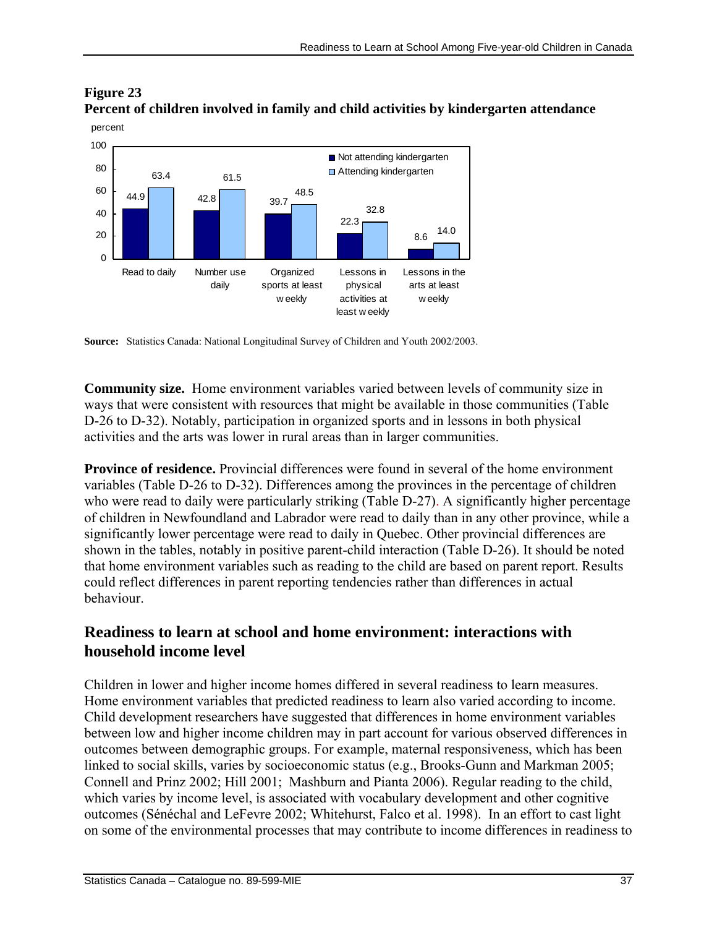

## **Figure 23 Percent of children involved in family and child activities by kindergarten attendance**

**Source:** Statistics Canada: National Longitudinal Survey of Children and Youth 2002/2003.

**Community size.** Home environment variables varied between levels of community size in ways that were consistent with resources that might be available in those communities (Table D-26 to D-32). Notably, participation in organized sports and in lessons in both physical activities and the arts was lower in rural areas than in larger communities.

**Province of residence.** Provincial differences were found in several of the home environment variables (Table D-26 to D-32). Differences among the provinces in the percentage of children who were read to daily were particularly striking (Table D-27). A significantly higher percentage of children in Newfoundland and Labrador were read to daily than in any other province, while a significantly lower percentage were read to daily in Quebec. Other provincial differences are shown in the tables, notably in positive parent-child interaction (Table D-26). It should be noted that home environment variables such as reading to the child are based on parent report. Results could reflect differences in parent reporting tendencies rather than differences in actual behaviour.

## **Readiness to learn at school and home environment: interactions with household income level**

Children in lower and higher income homes differed in several readiness to learn measures. Home environment variables that predicted readiness to learn also varied according to income. Child development researchers have suggested that differences in home environment variables between low and higher income children may in part account for various observed differences in outcomes between demographic groups. For example, maternal responsiveness, which has been linked to social skills, varies by socioeconomic status (e.g., Brooks-Gunn and Markman 2005; Connell and Prinz 2002; Hill 2001; Mashburn and Pianta 2006). Regular reading to the child, which varies by income level, is associated with vocabulary development and other cognitive outcomes (Sénéchal and LeFevre 2002; Whitehurst, Falco et al. 1998). In an effort to cast light on some of the environmental processes that may contribute to income differences in readiness to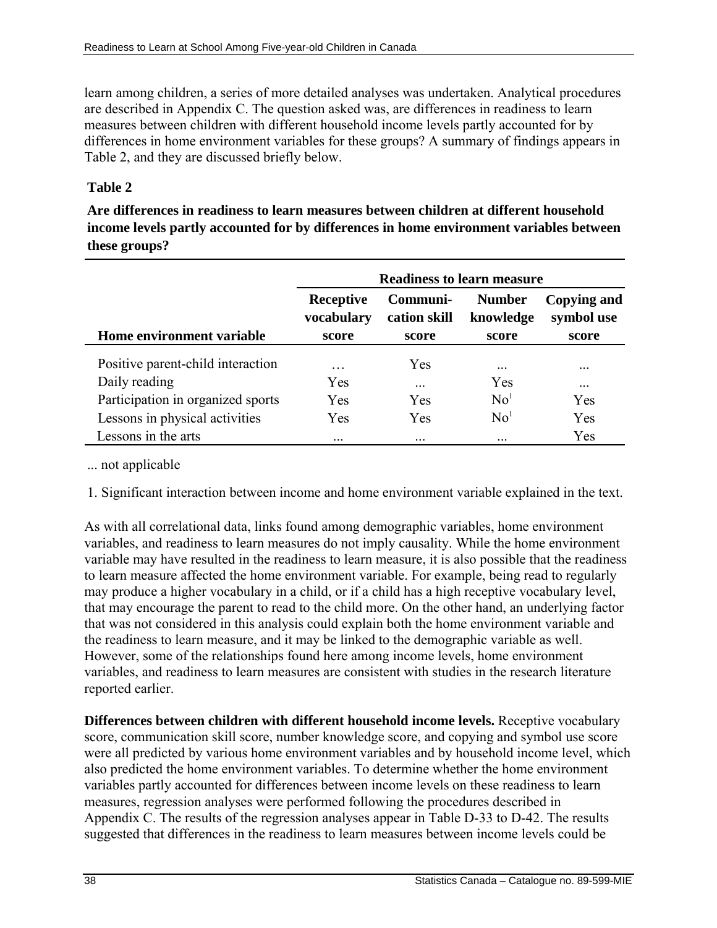learn among children, a series of more detailed analyses was undertaken. Analytical procedures are described in Appendix C. The question asked was, are differences in readiness to learn measures between children with different household income levels partly accounted for by differences in home environment variables for these groups? A summary of findings appears in Table 2, and they are discussed briefly below.

# **Table 2**

**Are differences in readiness to learn measures between children at different household income levels partly accounted for by differences in home environment variables between these groups?**

|                                   | <b>Readiness to learn measure</b> |                          |                            |                           |  |  |  |
|-----------------------------------|-----------------------------------|--------------------------|----------------------------|---------------------------|--|--|--|
|                                   | Receptive<br>vocabulary           | Communi-<br>cation skill | <b>Number</b><br>knowledge | Copying and<br>symbol use |  |  |  |
| Home environment variable         | score                             | score                    | score                      | score                     |  |  |  |
| Positive parent-child interaction | $\ddotsc$                         | Yes                      | $\cdot\cdot\cdot$          | $\cdot \cdot \cdot$       |  |  |  |
| Daily reading                     | Yes                               | $\cdots$                 | Yes                        | $\cdot\cdot\cdot$         |  |  |  |
| Participation in organized sports | Yes                               | Yes                      | No <sup>1</sup>            | Yes                       |  |  |  |
| Lessons in physical activities    | Yes                               | Yes                      | $\mathrm{No}^1$            | Yes                       |  |  |  |
| Lessons in the arts               | $\cdot \cdot \cdot$               | $\cdot\cdot\cdot$        | $\cdot\cdot\cdot$          | Yes                       |  |  |  |

... not applicable

1. Significant interaction between income and home environment variable explained in the text.

As with all correlational data, links found among demographic variables, home environment variables, and readiness to learn measures do not imply causality. While the home environment variable may have resulted in the readiness to learn measure, it is also possible that the readiness to learn measure affected the home environment variable. For example, being read to regularly may produce a higher vocabulary in a child, or if a child has a high receptive vocabulary level, that may encourage the parent to read to the child more. On the other hand, an underlying factor that was not considered in this analysis could explain both the home environment variable and the readiness to learn measure, and it may be linked to the demographic variable as well. However, some of the relationships found here among income levels, home environment variables, and readiness to learn measures are consistent with studies in the research literature reported earlier.

**Differences between children with different household income levels.** Receptive vocabulary score, communication skill score, number knowledge score, and copying and symbol use score were all predicted by various home environment variables and by household income level, which also predicted the home environment variables. To determine whether the home environment variables partly accounted for differences between income levels on these readiness to learn measures, regression analyses were performed following the procedures described in Appendix C. The results of the regression analyses appear in Table D-33 to D-42. The results suggested that differences in the readiness to learn measures between income levels could be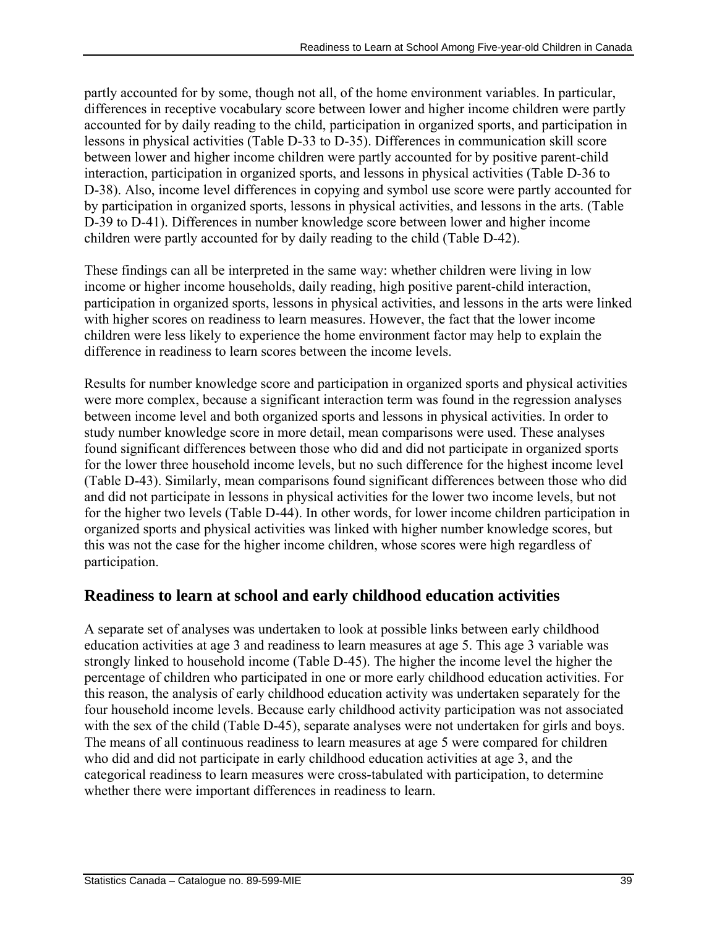partly accounted for by some, though not all, of the home environment variables. In particular, differences in receptive vocabulary score between lower and higher income children were partly accounted for by daily reading to the child, participation in organized sports, and participation in lessons in physical activities (Table D-33 to D-35). Differences in communication skill score between lower and higher income children were partly accounted for by positive parent-child interaction, participation in organized sports, and lessons in physical activities (Table D-36 to D-38). Also, income level differences in copying and symbol use score were partly accounted for by participation in organized sports, lessons in physical activities, and lessons in the arts. (Table D-39 to D-41). Differences in number knowledge score between lower and higher income children were partly accounted for by daily reading to the child (Table D-42).

These findings can all be interpreted in the same way: whether children were living in low income or higher income households, daily reading, high positive parent-child interaction, participation in organized sports, lessons in physical activities, and lessons in the arts were linked with higher scores on readiness to learn measures. However, the fact that the lower income children were less likely to experience the home environment factor may help to explain the difference in readiness to learn scores between the income levels.

Results for number knowledge score and participation in organized sports and physical activities were more complex, because a significant interaction term was found in the regression analyses between income level and both organized sports and lessons in physical activities. In order to study number knowledge score in more detail, mean comparisons were used. These analyses found significant differences between those who did and did not participate in organized sports for the lower three household income levels, but no such difference for the highest income level (Table D-43). Similarly, mean comparisons found significant differences between those who did and did not participate in lessons in physical activities for the lower two income levels, but not for the higher two levels (Table D-44). In other words, for lower income children participation in organized sports and physical activities was linked with higher number knowledge scores, but this was not the case for the higher income children, whose scores were high regardless of participation.

# **Readiness to learn at school and early childhood education activities**

A separate set of analyses was undertaken to look at possible links between early childhood education activities at age 3 and readiness to learn measures at age 5. This age 3 variable was strongly linked to household income (Table D-45). The higher the income level the higher the percentage of children who participated in one or more early childhood education activities. For this reason, the analysis of early childhood education activity was undertaken separately for the four household income levels. Because early childhood activity participation was not associated with the sex of the child (Table D-45), separate analyses were not undertaken for girls and boys. The means of all continuous readiness to learn measures at age 5 were compared for children who did and did not participate in early childhood education activities at age 3, and the categorical readiness to learn measures were cross-tabulated with participation, to determine whether there were important differences in readiness to learn.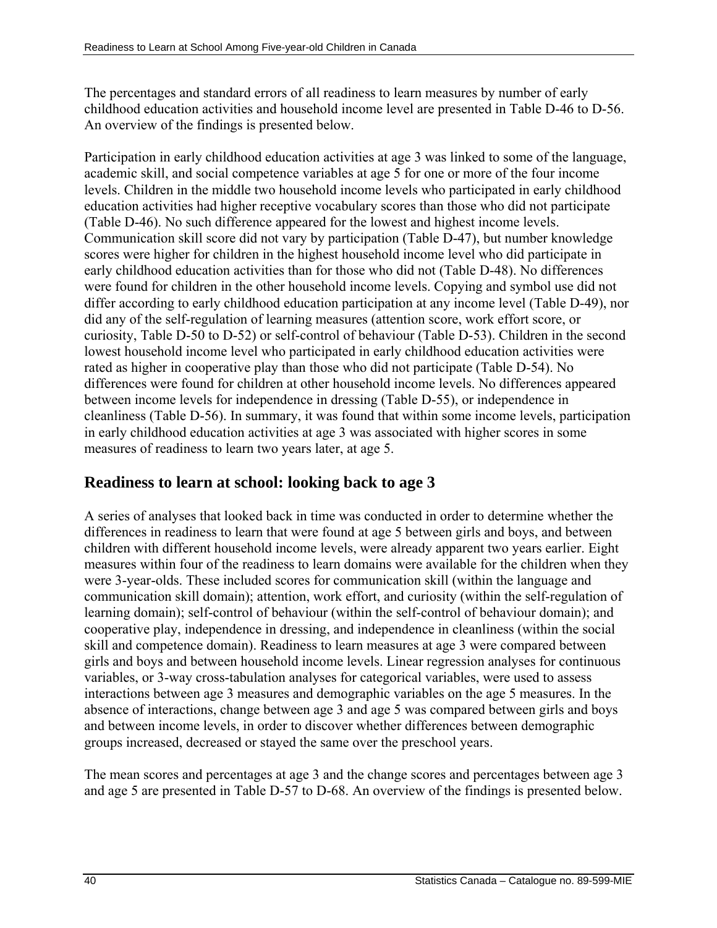The percentages and standard errors of all readiness to learn measures by number of early childhood education activities and household income level are presented in Table D-46 to D-56. An overview of the findings is presented below.

Participation in early childhood education activities at age 3 was linked to some of the language, academic skill, and social competence variables at age 5 for one or more of the four income levels. Children in the middle two household income levels who participated in early childhood education activities had higher receptive vocabulary scores than those who did not participate (Table D-46). No such difference appeared for the lowest and highest income levels. Communication skill score did not vary by participation (Table D-47), but number knowledge scores were higher for children in the highest household income level who did participate in early childhood education activities than for those who did not (Table D-48). No differences were found for children in the other household income levels. Copying and symbol use did not differ according to early childhood education participation at any income level (Table D-49), nor did any of the self-regulation of learning measures (attention score, work effort score, or curiosity, Table D-50 to D-52) or self-control of behaviour (Table D-53). Children in the second lowest household income level who participated in early childhood education activities were rated as higher in cooperative play than those who did not participate (Table D-54). No differences were found for children at other household income levels. No differences appeared between income levels for independence in dressing (Table D-55), or independence in cleanliness (Table D-56). In summary, it was found that within some income levels, participation in early childhood education activities at age 3 was associated with higher scores in some measures of readiness to learn two years later, at age 5.

# **Readiness to learn at school: looking back to age 3**

A series of analyses that looked back in time was conducted in order to determine whether the differences in readiness to learn that were found at age 5 between girls and boys, and between children with different household income levels, were already apparent two years earlier. Eight measures within four of the readiness to learn domains were available for the children when they were 3-year-olds. These included scores for communication skill (within the language and communication skill domain); attention, work effort, and curiosity (within the self-regulation of learning domain); self-control of behaviour (within the self-control of behaviour domain); and cooperative play, independence in dressing, and independence in cleanliness (within the social skill and competence domain). Readiness to learn measures at age 3 were compared between girls and boys and between household income levels. Linear regression analyses for continuous variables, or 3-way cross-tabulation analyses for categorical variables, were used to assess interactions between age 3 measures and demographic variables on the age 5 measures. In the absence of interactions, change between age 3 and age 5 was compared between girls and boys and between income levels, in order to discover whether differences between demographic groups increased, decreased or stayed the same over the preschool years.

The mean scores and percentages at age 3 and the change scores and percentages between age 3 and age 5 are presented in Table D-57 to D-68. An overview of the findings is presented below.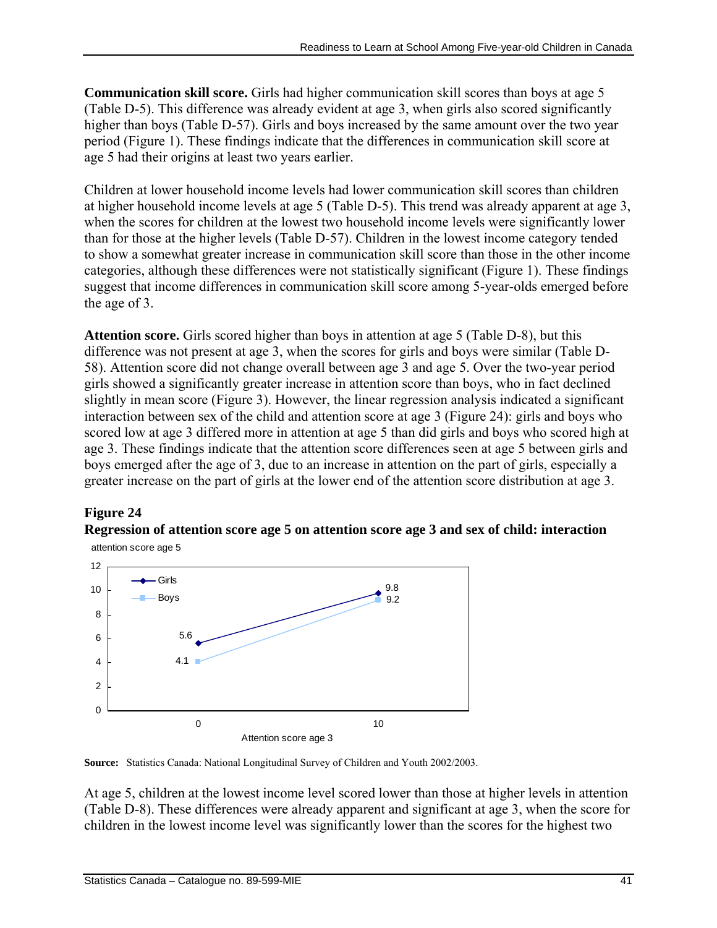**Communication skill score.** Girls had higher communication skill scores than boys at age 5 (Table D-5). This difference was already evident at age 3, when girls also scored significantly higher than boys (Table D-57). Girls and boys increased by the same amount over the two year period (Figure 1). These findings indicate that the differences in communication skill score at age 5 had their origins at least two years earlier.

Children at lower household income levels had lower communication skill scores than children at higher household income levels at age 5 (Table D-5). This trend was already apparent at age 3, when the scores for children at the lowest two household income levels were significantly lower than for those at the higher levels (Table D-57). Children in the lowest income category tended to show a somewhat greater increase in communication skill score than those in the other income categories, although these differences were not statistically significant (Figure 1). These findings suggest that income differences in communication skill score among 5-year-olds emerged before the age of 3.

**Attention score.** Girls scored higher than boys in attention at age 5 (Table D-8), but this difference was not present at age 3, when the scores for girls and boys were similar (Table D-58). Attention score did not change overall between age 3 and age 5. Over the two-year period girls showed a significantly greater increase in attention score than boys, who in fact declined slightly in mean score (Figure 3). However, the linear regression analysis indicated a significant interaction between sex of the child and attention score at age 3 (Figure 24): girls and boys who scored low at age 3 differed more in attention at age 5 than did girls and boys who scored high at age 3. These findings indicate that the attention score differences seen at age 5 between girls and boys emerged after the age of 3, due to an increase in attention on the part of girls, especially a greater increase on the part of girls at the lower end of the attention score distribution at age 3.

# **Figure 24**

## **Regression of attention score age 5 on attention score age 3 and sex of child: interaction**







At age 5, children at the lowest income level scored lower than those at higher levels in attention (Table D-8). These differences were already apparent and significant at age 3, when the score for children in the lowest income level was significantly lower than the scores for the highest two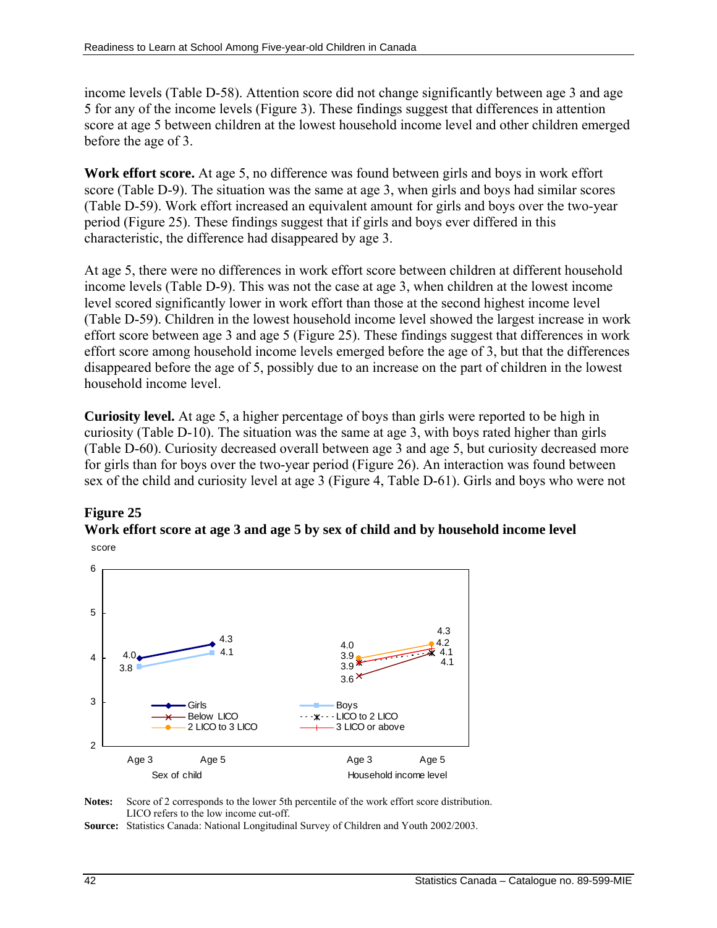income levels (Table D-58). Attention score did not change significantly between age 3 and age 5 for any of the income levels (Figure 3). These findings suggest that differences in attention score at age 5 between children at the lowest household income level and other children emerged before the age of 3.

**Work effort score.** At age 5, no difference was found between girls and boys in work effort score (Table D-9). The situation was the same at age 3, when girls and boys had similar scores (Table D-59). Work effort increased an equivalent amount for girls and boys over the two-year period (Figure 25). These findings suggest that if girls and boys ever differed in this characteristic, the difference had disappeared by age 3.

At age 5, there were no differences in work effort score between children at different household income levels (Table D-9). This was not the case at age 3, when children at the lowest income level scored significantly lower in work effort than those at the second highest income level (Table D-59). Children in the lowest household income level showed the largest increase in work effort score between age 3 and age 5 (Figure 25). These findings suggest that differences in work effort score among household income levels emerged before the age of 3, but that the differences disappeared before the age of 5, possibly due to an increase on the part of children in the lowest household income level.

**Curiosity level.** At age 5, a higher percentage of boys than girls were reported to be high in curiosity (Table D-10). The situation was the same at age 3, with boys rated higher than girls (Table D-60). Curiosity decreased overall between age 3 and age 5, but curiosity decreased more for girls than for boys over the two-year period (Figure 26). An interaction was found between sex of the child and curiosity level at age 3 (Figure 4, Table D-61). Girls and boys who were not

# **Figure 25**





**Notes:** Score of 2 corresponds to the lower 5th percentile of the work effort score distribution. LICO refers to the low income cut-off.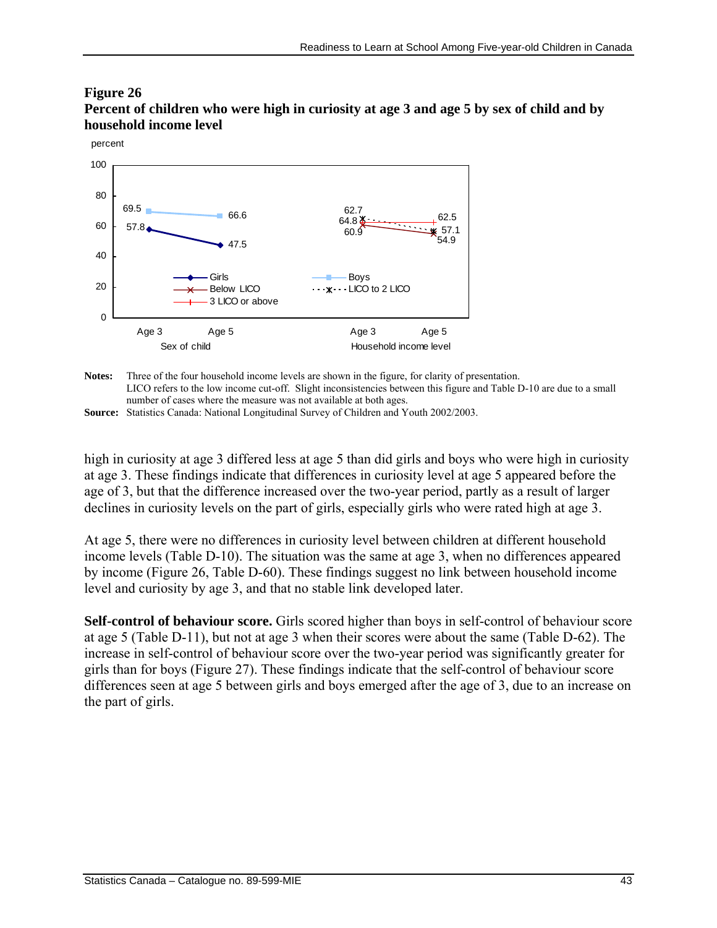#### **Figure 26 Percent of children who were high in curiosity at age 3 and age 5 by sex of child and by household income level**



**Notes:** Three of the four household income levels are shown in the figure, for clarity of presentation. LICO refers to the low income cut-off. Slight inconsistencies between this figure and Table D-10 are due to a small number of cases where the measure was not available at both ages. **Source:** Statistics Canada: National Longitudinal Survey of Children and Youth 2002/2003.

high in curiosity at age 3 differed less at age 5 than did girls and boys who were high in curiosity at age 3. These findings indicate that differences in curiosity level at age 5 appeared before the age of 3, but that the difference increased over the two-year period, partly as a result of larger declines in curiosity levels on the part of girls, especially girls who were rated high at age 3.

At age 5, there were no differences in curiosity level between children at different household income levels (Table D-10). The situation was the same at age 3, when no differences appeared by income (Figure 26, Table D-60). These findings suggest no link between household income level and curiosity by age 3, and that no stable link developed later.

**Self-control of behaviour score.** Girls scored higher than boys in self-control of behaviour score at age 5 (Table D-11), but not at age 3 when their scores were about the same (Table D-62). The increase in self-control of behaviour score over the two-year period was significantly greater for girls than for boys (Figure 27). These findings indicate that the self-control of behaviour score differences seen at age 5 between girls and boys emerged after the age of 3, due to an increase on the part of girls.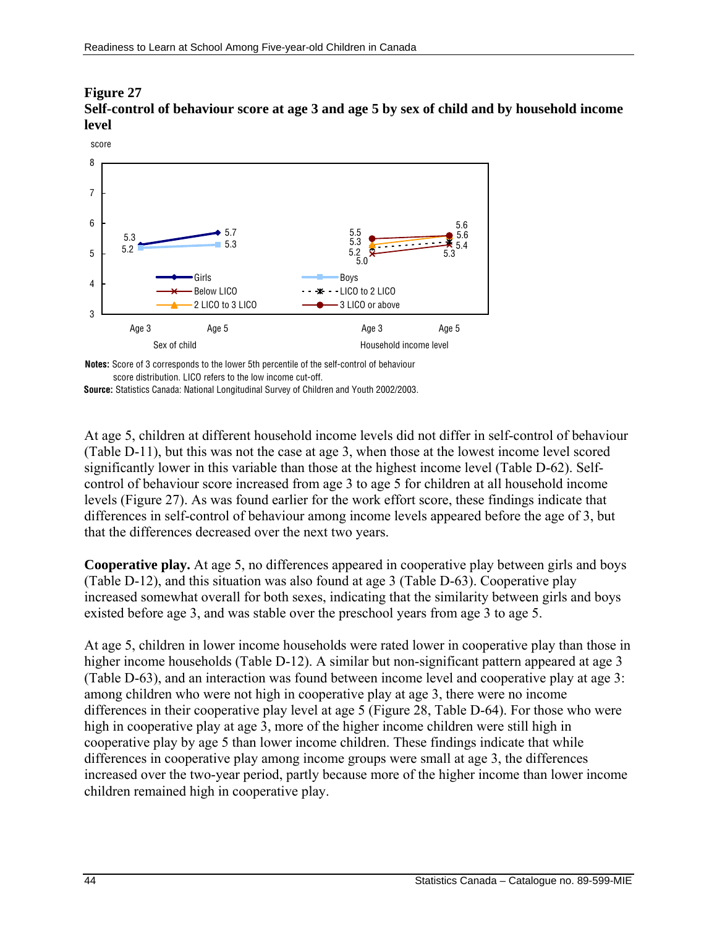#### **Figure 27 Self-control of behaviour score at age 3 and age 5 by sex of child and by household income level**



**Notes:** Score of 3 corresponds to the lower 5th percentile of the self-control of behaviour score distribution. LICO refers to the low income cut-off.

**Source:** Statistics Canada: National Longitudinal Survey of Children and Youth 2002/2003.

At age 5, children at different household income levels did not differ in self-control of behaviour (Table D-11), but this was not the case at age 3, when those at the lowest income level scored significantly lower in this variable than those at the highest income level (Table D-62). Selfcontrol of behaviour score increased from age 3 to age 5 for children at all household income levels (Figure 27). As was found earlier for the work effort score, these findings indicate that differences in self-control of behaviour among income levels appeared before the age of 3, but that the differences decreased over the next two years.

**Cooperative play.** At age 5, no differences appeared in cooperative play between girls and boys (Table D-12), and this situation was also found at age 3 (Table D-63). Cooperative play increased somewhat overall for both sexes, indicating that the similarity between girls and boys existed before age 3, and was stable over the preschool years from age 3 to age 5.

At age 5, children in lower income households were rated lower in cooperative play than those in higher income households (Table D-12). A similar but non-significant pattern appeared at age 3 (Table D-63), and an interaction was found between income level and cooperative play at age 3: among children who were not high in cooperative play at age 3, there were no income differences in their cooperative play level at age 5 (Figure 28, Table D-64). For those who were high in cooperative play at age 3, more of the higher income children were still high in cooperative play by age 5 than lower income children. These findings indicate that while differences in cooperative play among income groups were small at age 3, the differences increased over the two-year period, partly because more of the higher income than lower income children remained high in cooperative play.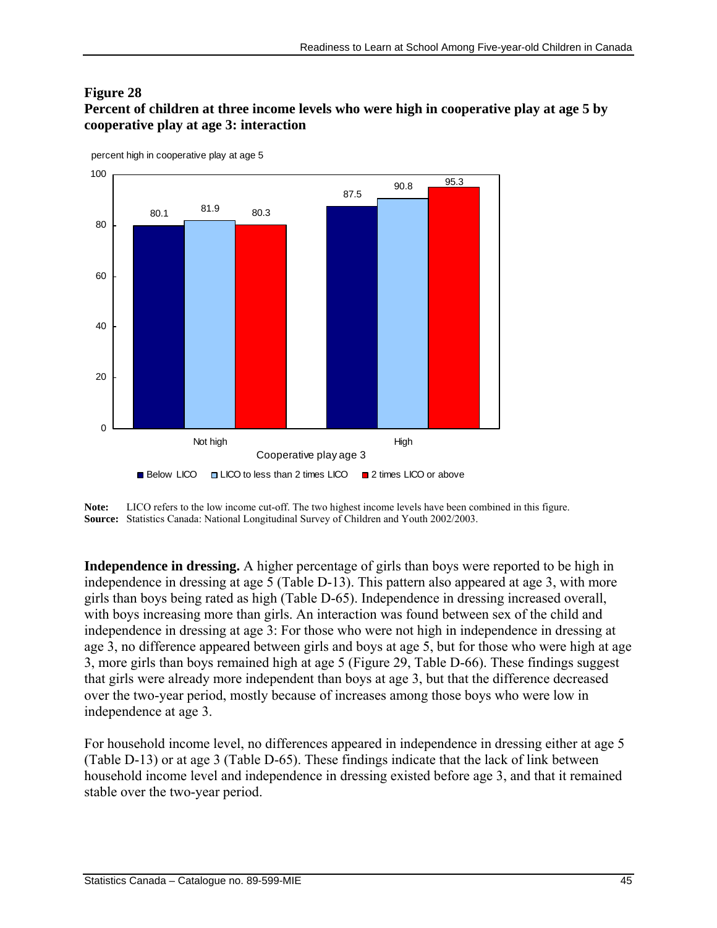#### **Figure 28**

**Percent of children at three income levels who were high in cooperative play at age 5 by cooperative play at age 3: interaction** 



**Note:** LICO refers to the low income cut-off. The two highest income levels have been combined in this figure. **Source:** Statistics Canada: National Longitudinal Survey of Children and Youth 2002/2003.

**Independence in dressing.** A higher percentage of girls than boys were reported to be high in independence in dressing at age 5 (Table D-13). This pattern also appeared at age 3, with more girls than boys being rated as high (Table D-65). Independence in dressing increased overall, with boys increasing more than girls. An interaction was found between sex of the child and independence in dressing at age 3: For those who were not high in independence in dressing at age 3, no difference appeared between girls and boys at age 5, but for those who were high at age 3, more girls than boys remained high at age 5 (Figure 29, Table D-66). These findings suggest that girls were already more independent than boys at age 3, but that the difference decreased over the two-year period, mostly because of increases among those boys who were low in independence at age 3.

For household income level, no differences appeared in independence in dressing either at age 5 (Table D-13) or at age 3 (Table D-65). These findings indicate that the lack of link between household income level and independence in dressing existed before age 3, and that it remained stable over the two-year period.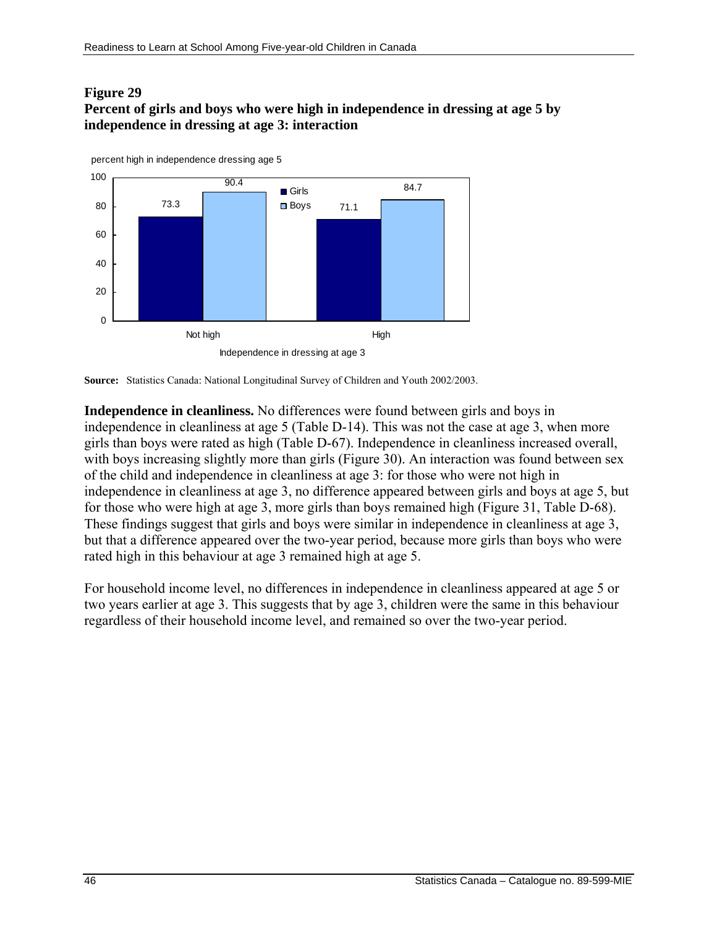#### **Figure 29 Percent of girls and boys who were high in independence in dressing at age 5 by independence in dressing at age 3: interaction**



**Source:** Statistics Canada: National Longitudinal Survey of Children and Youth 2002/2003.

**Independence in cleanliness.** No differences were found between girls and boys in independence in cleanliness at age 5 (Table D-14). This was not the case at age 3, when more girls than boys were rated as high (Table D-67). Independence in cleanliness increased overall, with boys increasing slightly more than girls (Figure 30). An interaction was found between sex of the child and independence in cleanliness at age 3: for those who were not high in independence in cleanliness at age 3, no difference appeared between girls and boys at age 5, but for those who were high at age 3, more girls than boys remained high (Figure 31, Table D-68). These findings suggest that girls and boys were similar in independence in cleanliness at age 3, but that a difference appeared over the two-year period, because more girls than boys who were rated high in this behaviour at age 3 remained high at age 5.

For household income level, no differences in independence in cleanliness appeared at age 5 or two years earlier at age 3. This suggests that by age 3, children were the same in this behaviour regardless of their household income level, and remained so over the two-year period.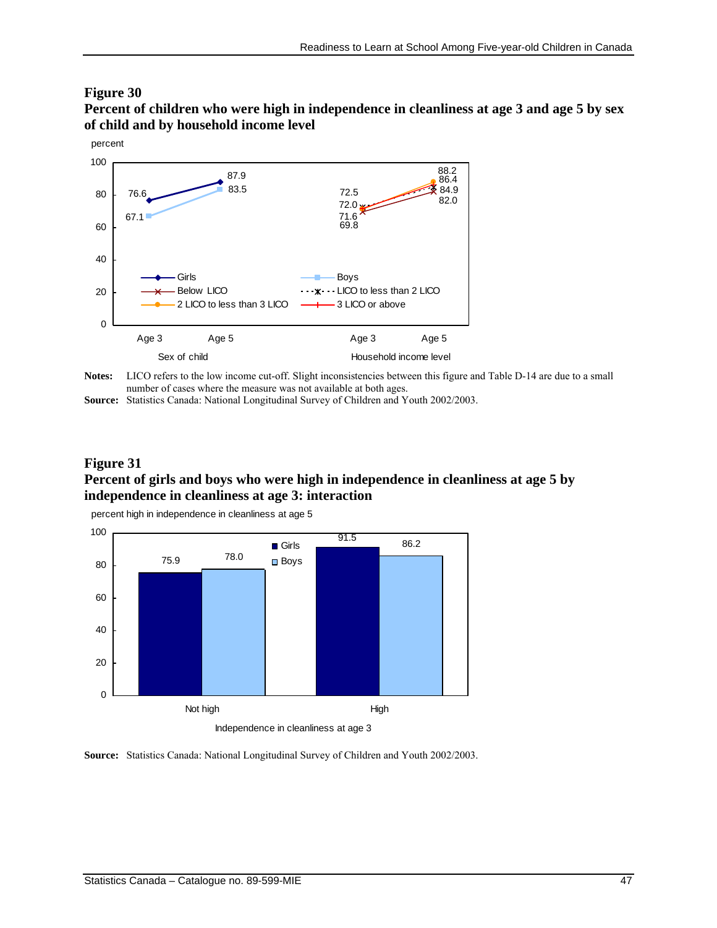#### **Figure 30**

**Percent of children who were high in independence in cleanliness at age 3 and age 5 by sex of child and by household income level** 



Notes: LICO refers to the low income cut-off. Slight inconsistencies between this figure and Table D-14 are due to a small number of cases where the measure was not available at both ages.

**Source:** Statistics Canada: National Longitudinal Survey of Children and Youth 2002/2003.

#### **Figure 31 Percent of girls and boys who were high in independence in cleanliness at age 5 by independence in cleanliness at age 3: interaction**

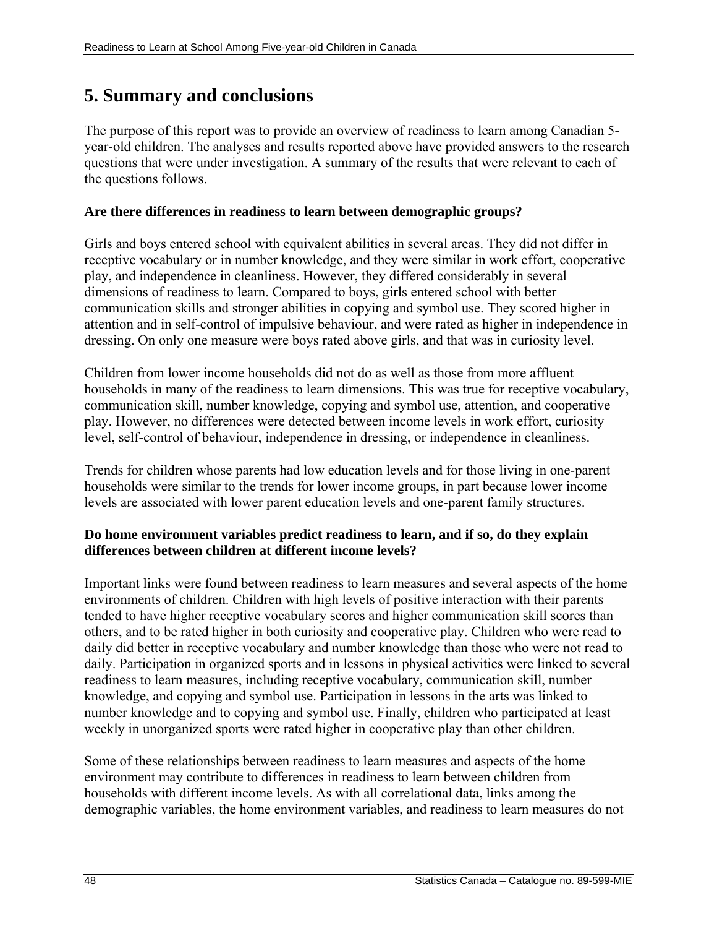# **5. Summary and conclusions**

The purpose of this report was to provide an overview of readiness to learn among Canadian 5 year-old children. The analyses and results reported above have provided answers to the research questions that were under investigation. A summary of the results that were relevant to each of the questions follows.

## **Are there differences in readiness to learn between demographic groups?**

Girls and boys entered school with equivalent abilities in several areas. They did not differ in receptive vocabulary or in number knowledge, and they were similar in work effort, cooperative play, and independence in cleanliness. However, they differed considerably in several dimensions of readiness to learn. Compared to boys, girls entered school with better communication skills and stronger abilities in copying and symbol use. They scored higher in attention and in self-control of impulsive behaviour, and were rated as higher in independence in dressing. On only one measure were boys rated above girls, and that was in curiosity level.

Children from lower income households did not do as well as those from more affluent households in many of the readiness to learn dimensions. This was true for receptive vocabulary, communication skill, number knowledge, copying and symbol use, attention, and cooperative play. However, no differences were detected between income levels in work effort, curiosity level, self-control of behaviour, independence in dressing, or independence in cleanliness.

Trends for children whose parents had low education levels and for those living in one-parent households were similar to the trends for lower income groups, in part because lower income levels are associated with lower parent education levels and one-parent family structures.

### **Do home environment variables predict readiness to learn, and if so, do they explain differences between children at different income levels?**

Important links were found between readiness to learn measures and several aspects of the home environments of children. Children with high levels of positive interaction with their parents tended to have higher receptive vocabulary scores and higher communication skill scores than others, and to be rated higher in both curiosity and cooperative play. Children who were read to daily did better in receptive vocabulary and number knowledge than those who were not read to daily. Participation in organized sports and in lessons in physical activities were linked to several readiness to learn measures, including receptive vocabulary, communication skill, number knowledge, and copying and symbol use. Participation in lessons in the arts was linked to number knowledge and to copying and symbol use. Finally, children who participated at least weekly in unorganized sports were rated higher in cooperative play than other children.

Some of these relationships between readiness to learn measures and aspects of the home environment may contribute to differences in readiness to learn between children from households with different income levels. As with all correlational data, links among the demographic variables, the home environment variables, and readiness to learn measures do not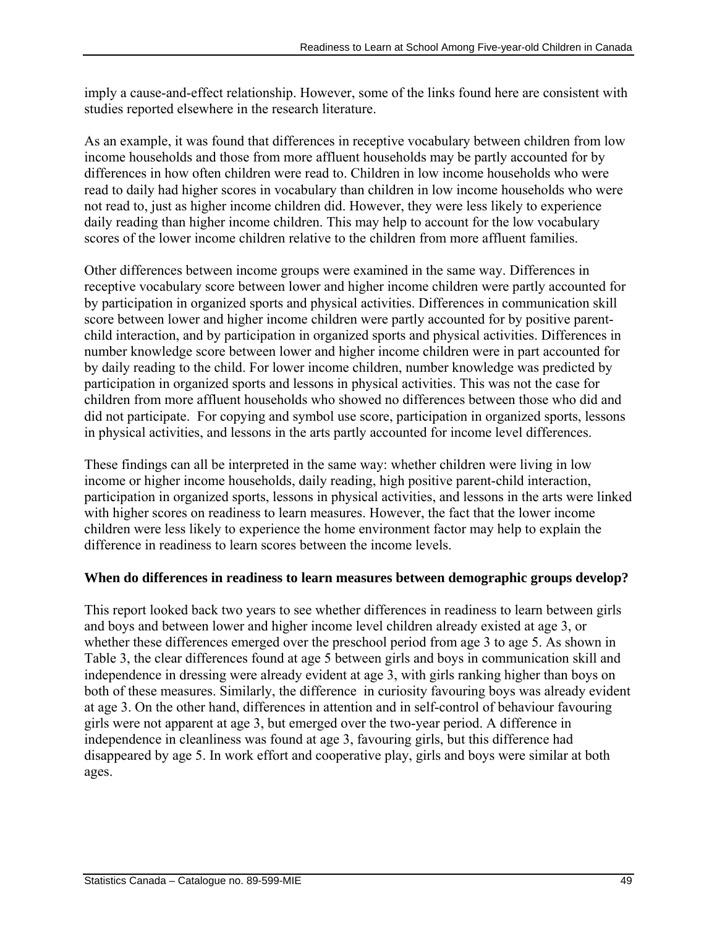imply a cause-and-effect relationship. However, some of the links found here are consistent with studies reported elsewhere in the research literature.

As an example, it was found that differences in receptive vocabulary between children from low income households and those from more affluent households may be partly accounted for by differences in how often children were read to. Children in low income households who were read to daily had higher scores in vocabulary than children in low income households who were not read to, just as higher income children did. However, they were less likely to experience daily reading than higher income children. This may help to account for the low vocabulary scores of the lower income children relative to the children from more affluent families.

Other differences between income groups were examined in the same way. Differences in receptive vocabulary score between lower and higher income children were partly accounted for by participation in organized sports and physical activities. Differences in communication skill score between lower and higher income children were partly accounted for by positive parentchild interaction, and by participation in organized sports and physical activities. Differences in number knowledge score between lower and higher income children were in part accounted for by daily reading to the child. For lower income children, number knowledge was predicted by participation in organized sports and lessons in physical activities. This was not the case for children from more affluent households who showed no differences between those who did and did not participate. For copying and symbol use score, participation in organized sports, lessons in physical activities, and lessons in the arts partly accounted for income level differences.

These findings can all be interpreted in the same way: whether children were living in low income or higher income households, daily reading, high positive parent-child interaction, participation in organized sports, lessons in physical activities, and lessons in the arts were linked with higher scores on readiness to learn measures. However, the fact that the lower income children were less likely to experience the home environment factor may help to explain the difference in readiness to learn scores between the income levels.

# **When do differences in readiness to learn measures between demographic groups develop?**

This report looked back two years to see whether differences in readiness to learn between girls and boys and between lower and higher income level children already existed at age 3, or whether these differences emerged over the preschool period from age 3 to age 5. As shown in Table 3, the clear differences found at age 5 between girls and boys in communication skill and independence in dressing were already evident at age 3, with girls ranking higher than boys on both of these measures. Similarly, the difference in curiosity favouring boys was already evident at age 3. On the other hand, differences in attention and in self-control of behaviour favouring girls were not apparent at age 3, but emerged over the two-year period. A difference in independence in cleanliness was found at age 3, favouring girls, but this difference had disappeared by age 5. In work effort and cooperative play, girls and boys were similar at both ages.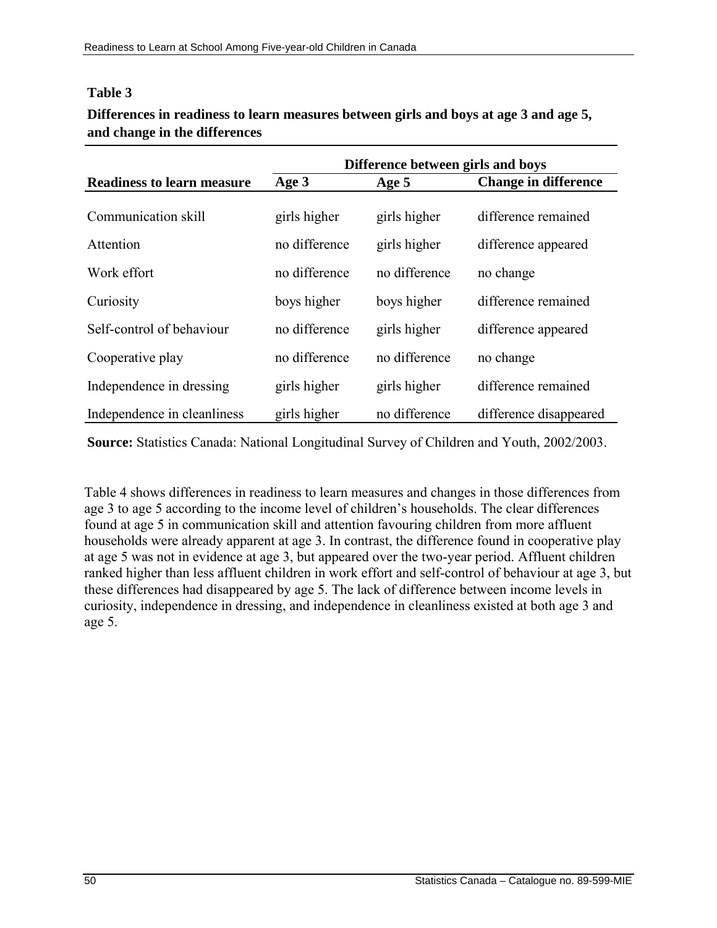### **Table 3**

## **Differences in readiness to learn measures between girls and boys at age 3 and age 5, and change in the differences**

|                                   | Difference between girls and boys |               |                             |  |  |  |
|-----------------------------------|-----------------------------------|---------------|-----------------------------|--|--|--|
| <b>Readiness to learn measure</b> | Age 3                             | Age 5         | <b>Change in difference</b> |  |  |  |
|                                   |                                   |               |                             |  |  |  |
| Communication skill               | girls higher                      | girls higher  | difference remained         |  |  |  |
| Attention                         | no difference                     | girls higher  | difference appeared         |  |  |  |
| Work effort                       | no difference                     | no difference | no change                   |  |  |  |
| Curiosity                         | boys higher                       | boys higher   | difference remained         |  |  |  |
| Self-control of behaviour         | no difference                     | girls higher  | difference appeared         |  |  |  |
| Cooperative play                  | no difference                     | no difference | no change                   |  |  |  |
| Independence in dressing          | girls higher                      | girls higher  | difference remained         |  |  |  |
| Independence in cleanliness       | girls higher                      | no difference | difference disappeared      |  |  |  |

**Source:** Statistics Canada: National Longitudinal Survey of Children and Youth, 2002/2003.

Table 4 shows differences in readiness to learn measures and changes in those differences from age 3 to age 5 according to the income level of children's households. The clear differences found at age 5 in communication skill and attention favouring children from more affluent households were already apparent at age 3. In contrast, the difference found in cooperative play at age 5 was not in evidence at age 3, but appeared over the two-year period. Affluent children ranked higher than less affluent children in work effort and self-control of behaviour at age 3, but these differences had disappeared by age 5. The lack of difference between income levels in curiosity, independence in dressing, and independence in cleanliness existed at both age 3 and age 5.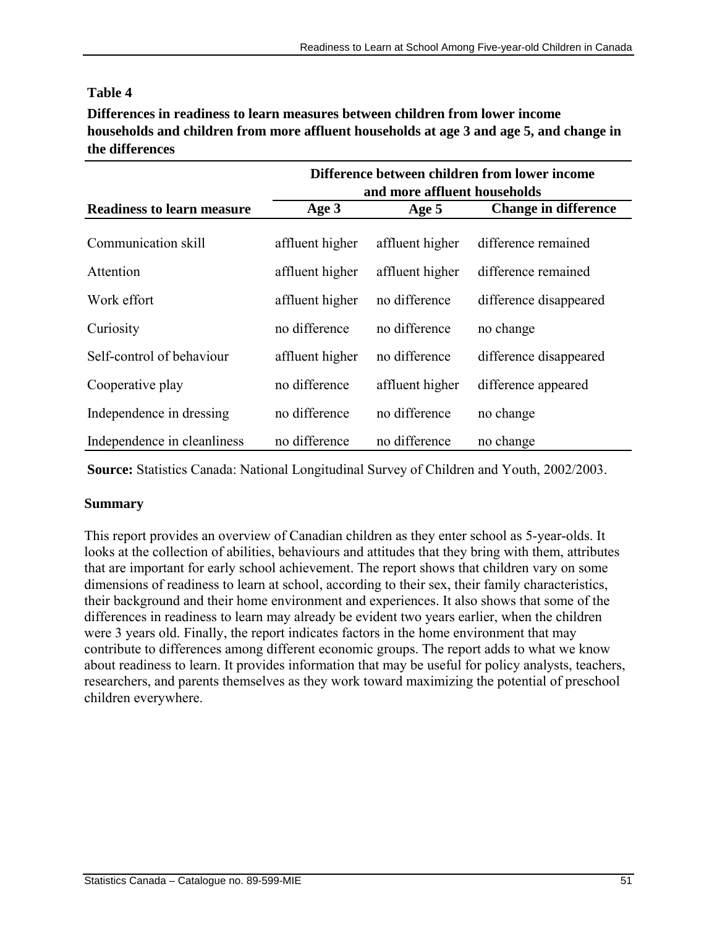#### **Table 4**

**Differences in readiness to learn measures between children from lower income households and children from more affluent households at age 3 and age 5, and change in the differences**

|                                   | Difference between children from lower income<br>and more affluent households |                 |                             |  |  |  |
|-----------------------------------|-------------------------------------------------------------------------------|-----------------|-----------------------------|--|--|--|
| <b>Readiness to learn measure</b> | Age 3                                                                         | Age 5           | <b>Change in difference</b> |  |  |  |
| Communication skill               | affluent higher                                                               | affluent higher | difference remained         |  |  |  |
| Attention                         | affluent higher                                                               | affluent higher | difference remained         |  |  |  |
| Work effort                       | affluent higher                                                               | no difference   | difference disappeared      |  |  |  |
| Curiosity                         | no difference                                                                 | no difference   | no change                   |  |  |  |
| Self-control of behaviour         | affluent higher                                                               | no difference   | difference disappeared      |  |  |  |
| Cooperative play                  | no difference                                                                 | affluent higher | difference appeared         |  |  |  |
| Independence in dressing          | no difference                                                                 | no difference   | no change                   |  |  |  |
| Independence in cleanliness       | no difference                                                                 | no difference   | no change                   |  |  |  |

**Source:** Statistics Canada: National Longitudinal Survey of Children and Youth, 2002/2003.

### **Summary**

This report provides an overview of Canadian children as they enter school as 5-year-olds. It looks at the collection of abilities, behaviours and attitudes that they bring with them, attributes that are important for early school achievement. The report shows that children vary on some dimensions of readiness to learn at school, according to their sex, their family characteristics, their background and their home environment and experiences. It also shows that some of the differences in readiness to learn may already be evident two years earlier, when the children were 3 years old. Finally, the report indicates factors in the home environment that may contribute to differences among different economic groups. The report adds to what we know about readiness to learn. It provides information that may be useful for policy analysts, teachers, researchers, and parents themselves as they work toward maximizing the potential of preschool children everywhere.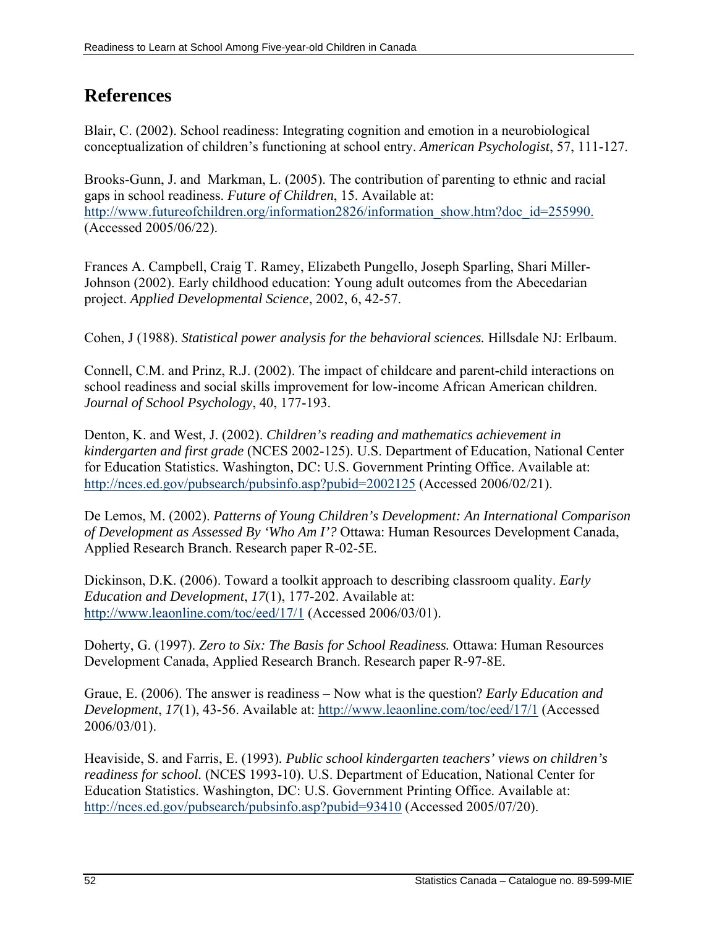# **References**

Blair, C. (2002). School readiness: Integrating cognition and emotion in a neurobiological conceptualization of children's functioning at school entry. *American Psychologist*, 57, 111-127.

Brooks-Gunn, J. and Markman, L. (2005). The contribution of parenting to ethnic and racial gaps in school readiness. *Future of Children*, 15. Available at: [http://www.futureofchildren.org/information2826/information\\_show.htm?doc\\_id=255990.](http://www.futureofchildren.org/information2826/information_show.htm?doc_id=255990.) (Accessed 2005/06/22).

Frances A. Campbell, Craig T. Ramey, Elizabeth Pungello, Joseph Sparling, Shari Miller-Johnson (2002). Early childhood education: Young adult outcomes from the Abecedarian project. *Applied Developmental Science*, 2002, 6, 42-57.

Cohen, J (1988). *Statistical power analysis for the behavioral sciences.* Hillsdale NJ: Erlbaum.

Connell, C.M. and Prinz, R.J. (2002). The impact of childcare and parent-child interactions on school readiness and social skills improvement for low-income African American children. *Journal of School Psychology*, 40, 177-193.

Denton, K. and West, J. (2002). *Children's reading and mathematics achievement in kindergarten and first grade* (NCES 2002-125). U.S. Department of Education, National Center for Education Statistics. Washington, DC: U.S. Government Printing Office. Available at: <http://nces.ed.gov/pubsearch/pubsinfo.asp?pubid=2002125> (Accessed 2006/02/21).

De Lemos, M. (2002). *Patterns of Young Children's Development: An International Comparison of Development as Assessed By 'Who Am I'?* Ottawa: Human Resources Development Canada, Applied Research Branch. Research paper R-02-5E.

Dickinson, D.K. (2006). Toward a toolkit approach to describing classroom quality. *Early Education and Development*, *17*(1), 177-202. Available at: <http://www.leaonline.com/toc/eed/17/1>(Accessed 2006/03/01).

Doherty, G. (1997). *Zero to Six: The Basis for School Readiness.* Ottawa: Human Resources Development Canada, Applied Research Branch. Research paper R-97-8E.

Graue, E. (2006). The answer is readiness – Now what is the question? *Early Education and Development*, *17*(1), 43-56. Available at:<http://www.leaonline.com/toc/eed/17/1>(Accessed 2006/03/01).

Heaviside, S. and Farris, E. (1993)*. Public school kindergarten teachers' views on children's readiness for school.* (NCES 1993-10). U.S. Department of Education, National Center for Education Statistics. Washington, DC: U.S. Government Printing Office. Available at: <http://nces.ed.gov/pubsearch/pubsinfo.asp?pubid=93410> (Accessed 2005/07/20).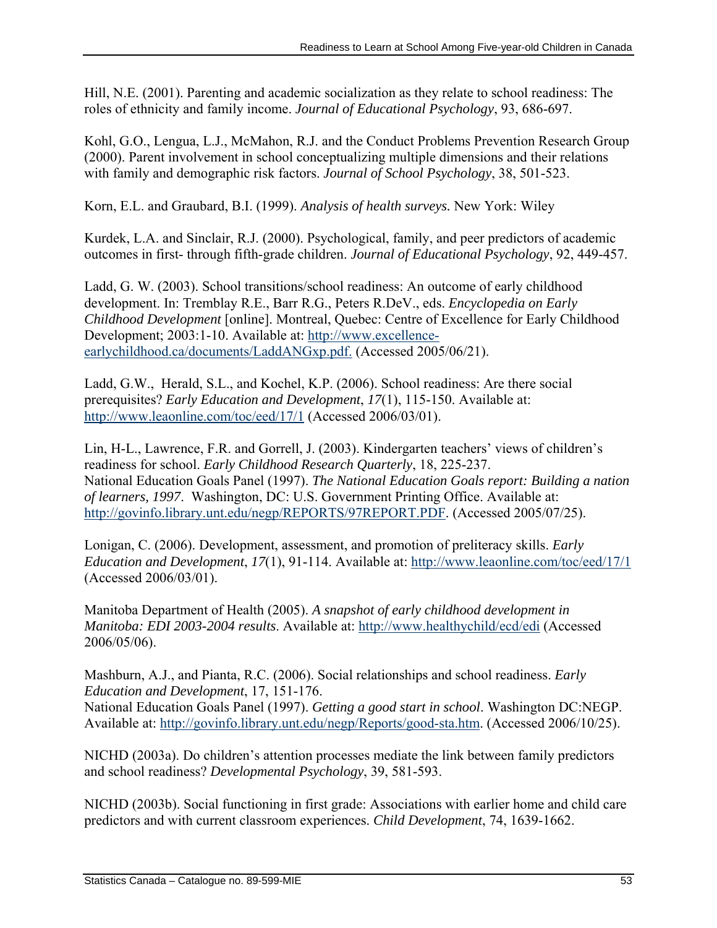Hill, N.E. (2001). Parenting and academic socialization as they relate to school readiness: The roles of ethnicity and family income. *Journal of Educational Psychology*, 93, 686-697.

Kohl, G.O., Lengua, L.J., McMahon, R.J. and the Conduct Problems Prevention Research Group (2000). Parent involvement in school conceptualizing multiple dimensions and their relations with family and demographic risk factors. *Journal of School Psychology*, 38, 501-523.

Korn, E.L. and Graubard, B.I. (1999). *Analysis of health surveys.* New York: Wiley

Kurdek, L.A. and Sinclair, R.J. (2000). Psychological, family, and peer predictors of academic outcomes in first- through fifth-grade children. *Journal of Educational Psychology*, 92, 449-457.

Ladd, G. W. (2003). School transitions/school readiness: An outcome of early childhood development. In: Tremblay R.E., Barr R.G., Peters R.DeV., eds. *Encyclopedia on Early Childhood Development* [online]. Montreal, Quebec: Centre of Excellence for Early Childhood Development; 2003:1-10. Available at: [http://www.excellence](http://www.excellence-earlychildhood.ca/documents/LaddANGxp.pdf.)[earlychildhood.ca/documents/LaddANGxp.pdf.](http://www.excellence-earlychildhood.ca/documents/LaddANGxp.pdf.) (Accessed 2005/06/21).

Ladd, G.W., Herald, S.L., and Kochel, K.P. (2006). School readiness: Are there social prerequisites? *Early Education and Development*, *17*(1), 115-150. Available at: <http://www.leaonline.com/toc/eed/17/1>(Accessed 2006/03/01).

Lin, H-L., Lawrence, F.R. and Gorrell, J. (2003). Kindergarten teachers' views of children's readiness for school. *Early Childhood Research Quarterly*, 18, 225-237. National Education Goals Panel (1997). *The National Education Goals report: Building a nation of learners, 1997*. Washington, DC: U.S. Government Printing Office. Available at: [http://govinfo.library.unt.edu/negp/REPORTS/97REPORT.PDF.](http://govinfo.library.unt.edu/negp/REPORTS/97REPORT.PDF) (Accessed 2005/07/25).

Lonigan, C. (2006). Development, assessment, and promotion of preliteracy skills. *Early Education and Development*, *17*(1), 91-114. Available at:<http://www.leaonline.com/toc/eed/17/1> (Accessed 2006/03/01).

Manitoba Department of Health (2005). *A snapshot of early childhood development in Manitoba: EDI 2003-2004 results*. Available at:<http://www.healthychild/ecd/edi> (Accessed 2006/05/06).

Mashburn, A.J., and Pianta, R.C. (2006). Social relationships and school readiness. *Early Education and Development*, 17, 151-176.

National Education Goals Panel (1997). *Getting a good start in school*. Washington DC:NEGP. Available at: [http://govinfo.library.unt.edu/negp/Reports/good-sta.htm.](http://govinfo.library.unt.edu/negp/Reports/good-sta.htm) (Accessed 2006/10/25).

NICHD (2003a). Do children's attention processes mediate the link between family predictors and school readiness? *Developmental Psychology*, 39, 581-593.

NICHD (2003b). Social functioning in first grade: Associations with earlier home and child care predictors and with current classroom experiences. *Child Development*, 74, 1639-1662.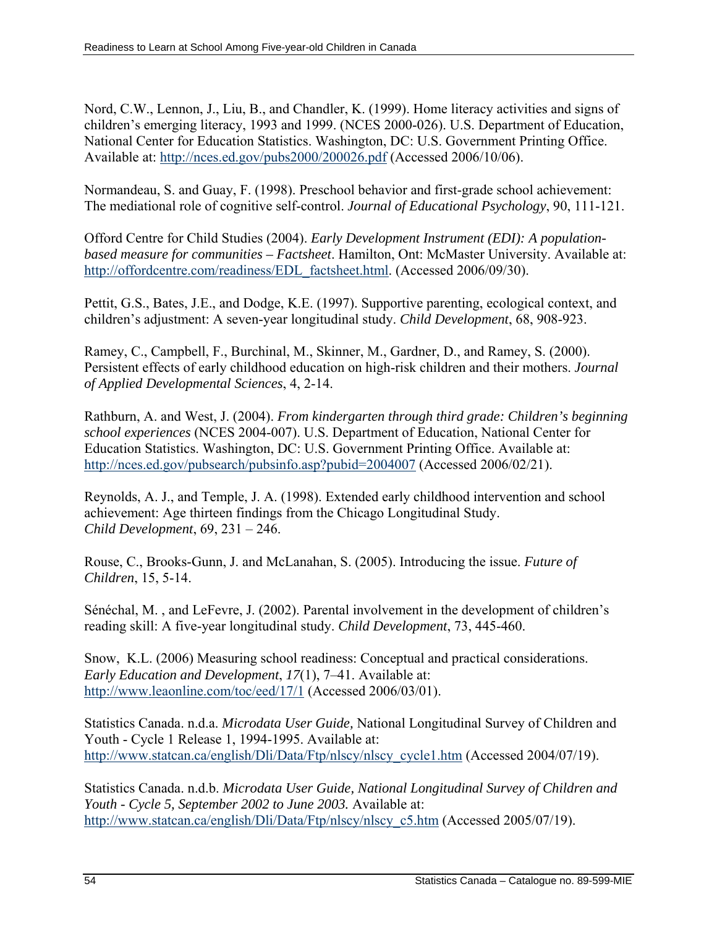Nord, C.W., Lennon, J., Liu, B., and Chandler, K. (1999). Home literacy activities and signs of children's emerging literacy, 1993 and 1999. (NCES 2000-026). U.S. Department of Education, National Center for Education Statistics. Washington, DC: U.S. Government Printing Office. Available at: <http://nces.ed.gov/pubs2000/200026.pdf> (Accessed 2006/10/06).

Normandeau, S. and Guay, F. (1998). Preschool behavior and first-grade school achievement: The mediational role of cognitive self-control. *Journal of Educational Psychology*, 90, 111-121.

Offord Centre for Child Studies (2004). *Early Development Instrument (EDI): A populationbased measure for communities – Factsheet*. Hamilton, Ont: McMaster University. Available at: [http://offordcentre.com/readiness/EDL\\_factsheet.html.](http://offordcentre.com/readiness/EDL_factsheet.html) (Accessed 2006/09/30).

Pettit, G.S., Bates, J.E., and Dodge, K.E. (1997). Supportive parenting, ecological context, and children's adjustment: A seven-year longitudinal study. *Child Development*, 68, 908-923.

Ramey, C., Campbell, F., Burchinal, M., Skinner, M., Gardner, D., and Ramey, S. (2000). Persistent effects of early childhood education on high-risk children and their mothers. *Journal of Applied Developmental Sciences*, 4, 2-14.

Rathburn, A. and West, J. (2004). *From kindergarten through third grade: Children's beginning school experiences* (NCES 2004-007). U.S. Department of Education, National Center for Education Statistics. Washington, DC: U.S. Government Printing Office. Available at: <http://nces.ed.gov/pubsearch/pubsinfo.asp?pubid=2004007> (Accessed 2006/02/21).

Reynolds, A. J., and Temple, J. A. (1998). Extended early childhood intervention and school achievement: Age thirteen findings from the Chicago Longitudinal Study. *Child Development*, 69, 231 – 246.

Rouse, C., Brooks-Gunn, J. and McLanahan, S. (2005). Introducing the issue. *Future of Children*, 15, 5-14.

Sénéchal, M. , and LeFevre, J. (2002). Parental involvement in the development of children's reading skill: A five-year longitudinal study. *Child Development*, 73, 445-460.

Snow, K.L. (2006) Measuring school readiness: Conceptual and practical considerations. *Early Education and Development*, *17*(1), 7–41. Available at: <http://www.leaonline.com/toc/eed/17/1>(Accessed 2006/03/01).

Statistics Canada. n.d.a. *Microdata User Guide,* National Longitudinal Survey of Children and Youth - Cycle 1 Release 1, 1994-1995. Available at: [http://www.statcan.ca/english/Dli/Data/Ftp/nlscy/nlscy\\_cycle1.htm](http://www.statcan.ca/english/Dli/Data/Ftp/nlscy/nlscy_cycle1.htm) (Accessed 2004/07/19).

Statistics Canada. n.d.b. *Microdata User Guide, National Longitudinal Survey of Children and Youth - Cycle 5, September 2002 to June 2003.* Available at: [http://www.statcan.ca/english/Dli/Data/Ftp/nlscy/nlscy\\_c5.htm](http://www.statcan.ca/english/Dli/Data/Ftp/nlscy/nlscy_c5.htm) (Accessed 2005/07/19).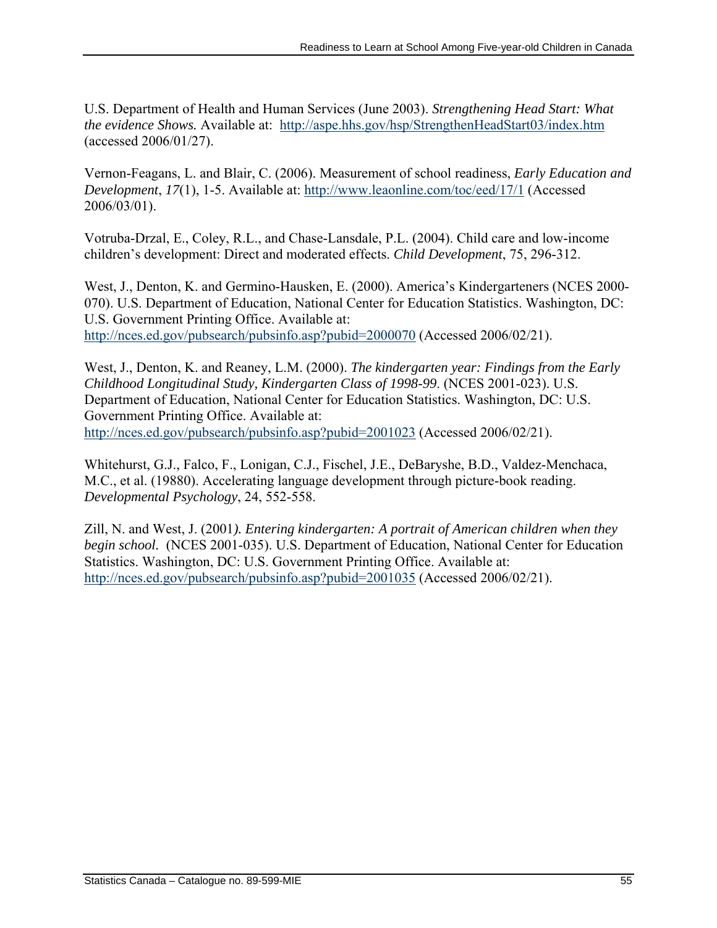U.S. Department of Health and Human Services (June 2003). *Strengthening Head Start: What the evidence Shows.* Available at: <http://aspe.hhs.gov/hsp/StrengthenHeadStart03/index.htm> (accessed 2006/01/27).

Vernon-Feagans, L. and Blair, C. (2006). Measurement of school readiness, *Early Education and Development*, *17*(1), 1-5. Available at: <http://www.leaonline.com/toc/eed/17/1>(Accessed 2006/03/01).

Votruba-Drzal, E., Coley, R.L., and Chase-Lansdale, P.L. (2004). Child care and low-income children's development: Direct and moderated effects. *Child Development*, 75, 296-312.

West, J., Denton, K. and Germino-Hausken, E. (2000). America's Kindergarteners (NCES 2000- 070). U.S. Department of Education, National Center for Education Statistics. Washington, DC: U.S. Government Printing Office. Available at: <http://nces.ed.gov/pubsearch/pubsinfo.asp?pubid=2000070> (Accessed 2006/02/21).

West, J., Denton, K. and Reaney, L.M. (2000). *The kindergarten year: Findings from the Early Childhood Longitudinal Study, Kindergarten Class of 1998-99*. (NCES 2001-023). U.S. Department of Education, National Center for Education Statistics. Washington, DC: U.S. Government Printing Office. Available at: <http://nces.ed.gov/pubsearch/pubsinfo.asp?pubid=2001023> (Accessed 2006/02/21).

Whitehurst, G.J., Falco, F., Lonigan, C.J., Fischel, J.E., DeBaryshe, B.D., Valdez-Menchaca, M.C., et al. (19880). Accelerating language development through picture-book reading. *Developmental Psychology*, 24, 552-558.

Zill, N. and West, J. (2001*). Entering kindergarten: A portrait of American children when they begin school.* (NCES 2001-035). U.S. Department of Education, National Center for Education Statistics. Washington, DC: U.S. Government Printing Office. Available at: <http://nces.ed.gov/pubsearch/pubsinfo.asp?pubid=2001035> (Accessed 2006/02/21).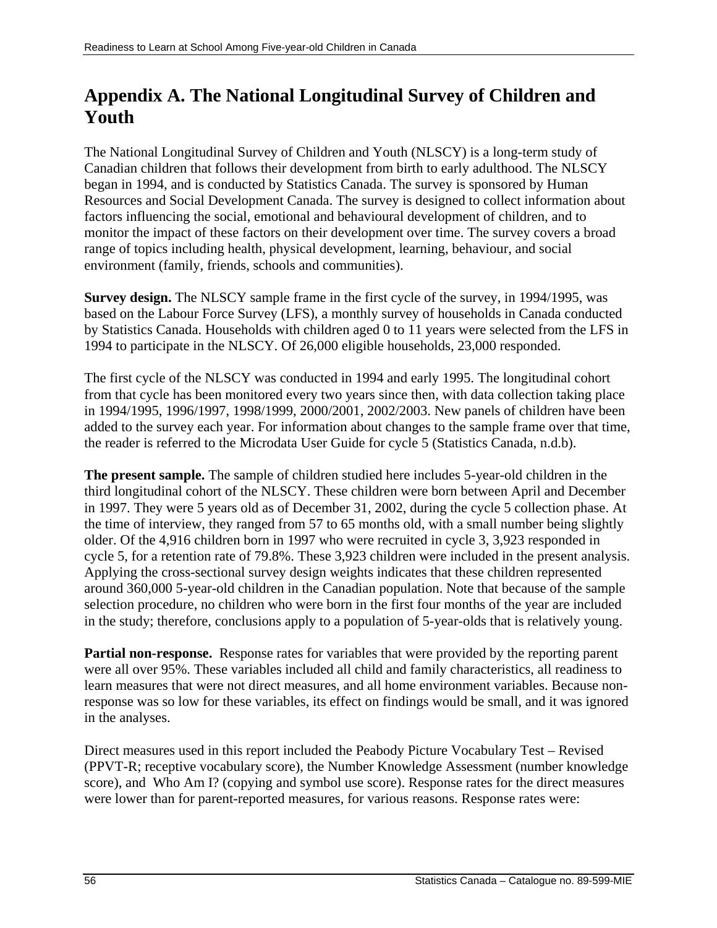# **Appendix A. The National Longitudinal Survey of Children and Youth**

The National Longitudinal Survey of Children and Youth (NLSCY) is a long-term study of Canadian children that follows their development from birth to early adulthood. The NLSCY began in 1994, and is conducted by Statistics Canada. The survey is sponsored by Human Resources and Social Development Canada. The survey is designed to collect information about factors influencing the social, emotional and behavioural development of children, and to monitor the impact of these factors on their development over time. The survey covers a broad range of topics including health, physical development, learning, behaviour, and social environment (family, friends, schools and communities).

**Survey design.** The NLSCY sample frame in the first cycle of the survey, in 1994/1995, was based on the Labour Force Survey (LFS), a monthly survey of households in Canada conducted by Statistics Canada. Households with children aged 0 to 11 years were selected from the LFS in 1994 to participate in the NLSCY. Of 26,000 eligible households, 23,000 responded.

The first cycle of the NLSCY was conducted in 1994 and early 1995. The longitudinal cohort from that cycle has been monitored every two years since then, with data collection taking place in 1994/1995, 1996/1997, 1998/1999, 2000/2001, 2002/2003. New panels of children have been added to the survey each year. For information about changes to the sample frame over that time, the reader is referred to the Microdata User Guide for cycle 5 (Statistics Canada, n.d.b).

**The present sample.** The sample of children studied here includes 5-year-old children in the third longitudinal cohort of the NLSCY. These children were born between April and December in 1997. They were 5 years old as of December 31, 2002, during the cycle 5 collection phase. At the time of interview, they ranged from 57 to 65 months old, with a small number being slightly older. Of the 4,916 children born in 1997 who were recruited in cycle 3, 3,923 responded in cycle 5, for a retention rate of 79.8%. These 3,923 children were included in the present analysis. Applying the cross-sectional survey design weights indicates that these children represented around 360,000 5-year-old children in the Canadian population. Note that because of the sample selection procedure, no children who were born in the first four months of the year are included in the study; therefore, conclusions apply to a population of 5-year-olds that is relatively young.

**Partial non-response.** Response rates for variables that were provided by the reporting parent were all over 95%. These variables included all child and family characteristics, all readiness to learn measures that were not direct measures, and all home environment variables. Because nonresponse was so low for these variables, its effect on findings would be small, and it was ignored in the analyses.

Direct measures used in this report included the Peabody Picture Vocabulary Test – Revised (PPVT-R; receptive vocabulary score), the Number Knowledge Assessment (number knowledge score), and Who Am I? (copying and symbol use score). Response rates for the direct measures were lower than for parent-reported measures, for various reasons. Response rates were: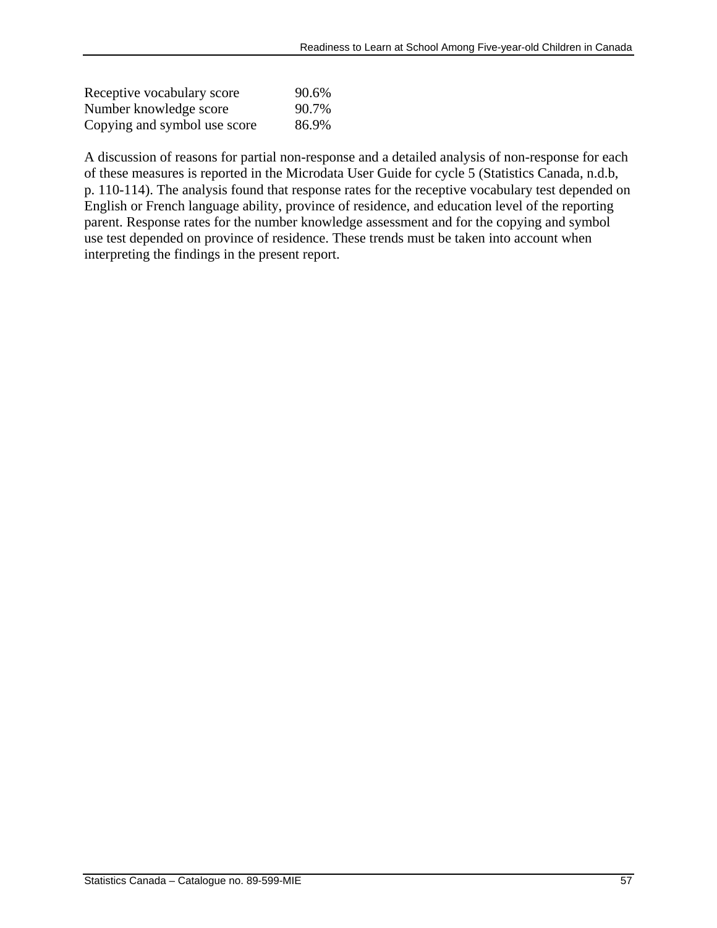| Receptive vocabulary score   | 90.6% |
|------------------------------|-------|
| Number knowledge score       | 90.7% |
| Copying and symbol use score | 86.9% |

A discussion of reasons for partial non-response and a detailed analysis of non-response for each of these measures is reported in the Microdata User Guide for cycle 5 (Statistics Canada, n.d.b, p. 110-114). The analysis found that response rates for the receptive vocabulary test depended on English or French language ability, province of residence, and education level of the reporting parent. Response rates for the number knowledge assessment and for the copying and symbol use test depended on province of residence. These trends must be taken into account when interpreting the findings in the present report.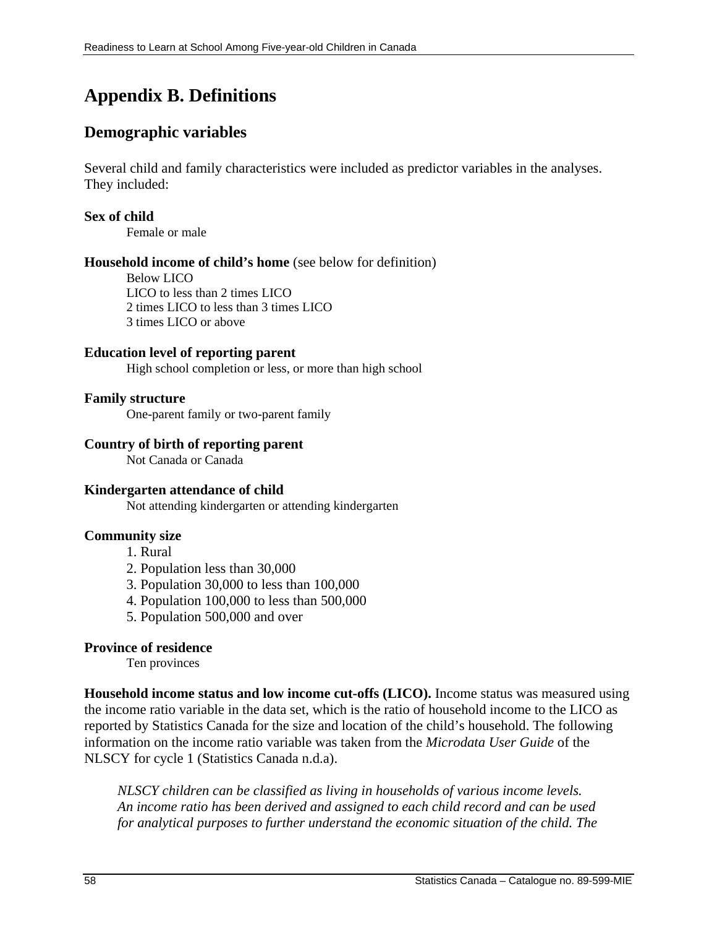# **Appendix B. Definitions**

# **Demographic variables**

Several child and family characteristics were included as predictor variables in the analyses. They included:

#### **Sex of child**

Female or male

#### **Household income of child's home** (see below for definition)

Below LICO LICO to less than 2 times LICO 2 times LICO to less than 3 times LICO 3 times LICO or above

#### **Education level of reporting parent**

High school completion or less, or more than high school

#### **Family structure**

One-parent family or two-parent family

#### **Country of birth of reporting parent**

Not Canada or Canada

#### **Kindergarten attendance of child**

Not attending kindergarten or attending kindergarten

#### **Community size**

- 1. Rural
- 2. Population less than 30,000
- 3. Population 30,000 to less than 100,000
- 4. Population 100,000 to less than 500,000
- 5. Population 500,000 and over

#### **Province of residence**

Ten provinces

**Household income status and low income cut-offs (LICO).** Income status was measured using the income ratio variable in the data set, which is the ratio of household income to the LICO as reported by Statistics Canada for the size and location of the child's household. The following information on the income ratio variable was taken from the *Microdata User Guide* of the NLSCY for cycle 1 (Statistics Canada n.d.a).

*NLSCY children can be classified as living in households of various income levels. An income ratio has been derived and assigned to each child record and can be used for analytical purposes to further understand the economic situation of the child. The*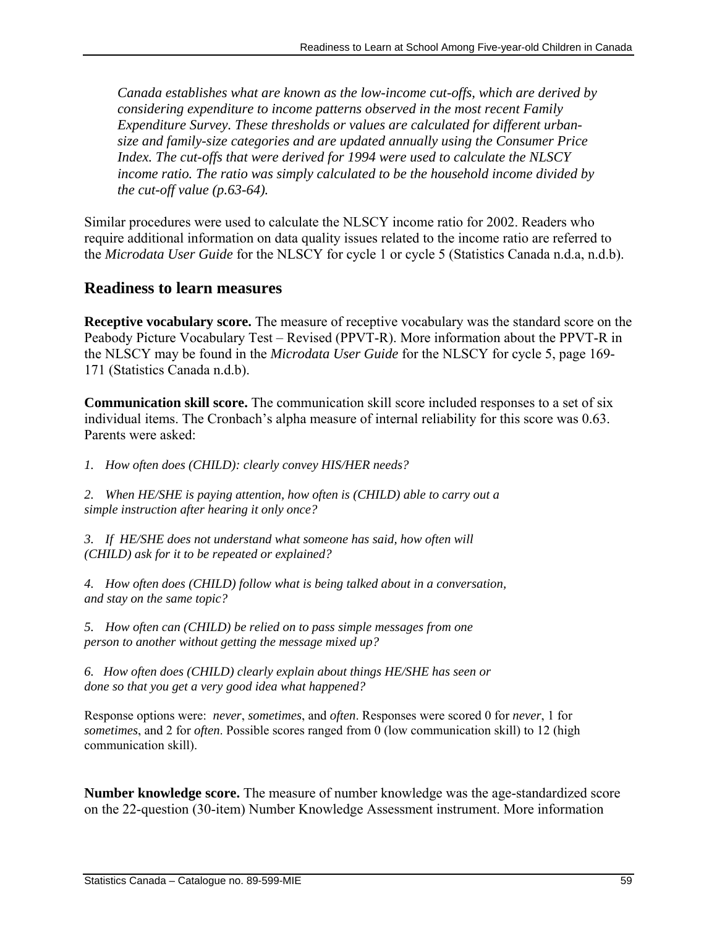*Canada establishes what are known as the low-income cut-offs, which are derived by considering expenditure to income patterns observed in the most recent Family Expenditure Survey. These thresholds or values are calculated for different urbansize and family-size categories and are updated annually using the Consumer Price Index. The cut-offs that were derived for 1994 were used to calculate the NLSCY income ratio. The ratio was simply calculated to be the household income divided by the cut-off value (p.63-64).* 

Similar procedures were used to calculate the NLSCY income ratio for 2002. Readers who require additional information on data quality issues related to the income ratio are referred to the *Microdata User Guide* for the NLSCY for cycle 1 or cycle 5 (Statistics Canada n.d.a, n.d.b).

# **Readiness to learn measures**

**Receptive vocabulary score.** The measure of receptive vocabulary was the standard score on the Peabody Picture Vocabulary Test – Revised (PPVT-R). More information about the PPVT-R in the NLSCY may be found in the *Microdata User Guide* for the NLSCY for cycle 5, page 169- 171 (Statistics Canada n.d.b).

**Communication skill score.** The communication skill score included responses to a set of six individual items. The Cronbach's alpha measure of internal reliability for this score was 0.63. Parents were asked:

*1. How often does (CHILD): clearly convey HIS/HER needs?* 

*2. When HE/SHE is paying attention, how often is (CHILD) able to carry out a simple instruction after hearing it only once?* 

*3. If HE/SHE does not understand what someone has said, how often will (CHILD) ask for it to be repeated or explained?* 

*4. How often does (CHILD) follow what is being talked about in a conversation, and stay on the same topic?*

*5. How often can (CHILD) be relied on to pass simple messages from one person to another without getting the message mixed up?* 

*6. How often does (CHILD) clearly explain about things HE/SHE has seen or done so that you get a very good idea what happened?* 

Response options were: *never*, *sometimes*, and *often*. Responses were scored 0 for *never*, 1 for *sometimes*, and 2 for *often*. Possible scores ranged from 0 (low communication skill) to 12 (high communication skill).

**Number knowledge score.** The measure of number knowledge was the age-standardized score on the 22-question (30-item) Number Knowledge Assessment instrument. More information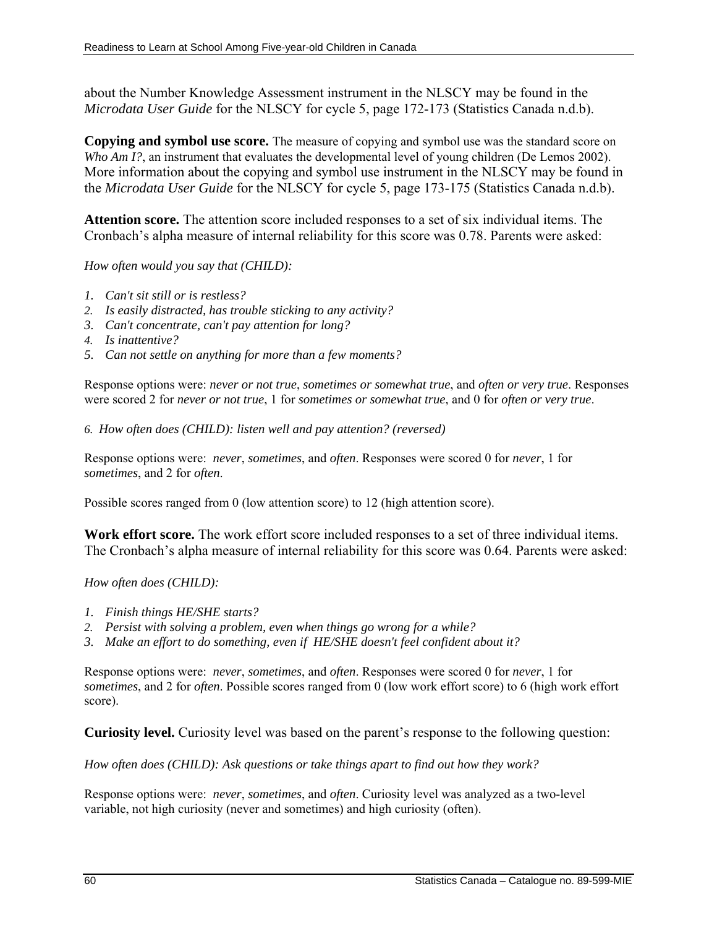about the Number Knowledge Assessment instrument in the NLSCY may be found in the *Microdata User Guide* for the NLSCY for cycle 5, page 172-173 (Statistics Canada n.d.b).

**Copying and symbol use score.** The measure of copying and symbol use was the standard score on *Who Am I?*, an instrument that evaluates the developmental level of young children (De Lemos 2002). More information about the copying and symbol use instrument in the NLSCY may be found in the *Microdata User Guide* for the NLSCY for cycle 5, page 173-175 (Statistics Canada n.d.b).

**Attention score.** The attention score included responses to a set of six individual items. The Cronbach's alpha measure of internal reliability for this score was 0.78. Parents were asked:

*How often would you say that (CHILD):*

- *1. Can't sit still or is restless?*
- *2. Is easily distracted, has trouble sticking to any activity?*
- *3. Can't concentrate, can't pay attention for long?*
- *4. Is inattentive?*
- *5. Can not settle on anything for more than a few moments?*

Response options were: *never or not true*, *sometimes or somewhat true*, and *often or very true*. Responses were scored 2 for *never or not true*, 1 for *sometimes or somewhat true*, and 0 for *often or very true*.

*6. How often does (CHILD): listen well and pay attention? (reversed)* 

Response options were: *never*, *sometimes*, and *often*. Responses were scored 0 for *never*, 1 for *sometimes*, and 2 for *often*.

Possible scores ranged from 0 (low attention score) to 12 (high attention score).

**Work effort score.** The work effort score included responses to a set of three individual items. The Cronbach's alpha measure of internal reliability for this score was 0.64. Parents were asked:

*How often does (CHILD):* 

- *1. Finish things HE/SHE starts?*
- *2. Persist with solving a problem, even when things go wrong for a while?*

*3. Make an effort to do something, even if HE/SHE doesn't feel confident about it?* 

Response options were: *never*, *sometimes*, and *often*. Responses were scored 0 for *never*, 1 for *sometimes*, and 2 for *often*. Possible scores ranged from 0 (low work effort score) to 6 (high work effort score).

**Curiosity level.** Curiosity level was based on the parent's response to the following question:

*How often does (CHILD): Ask questions or take things apart to find out how they work?*

Response options were: *never*, *sometimes*, and *often*. Curiosity level was analyzed as a two-level variable, not high curiosity (never and sometimes) and high curiosity (often).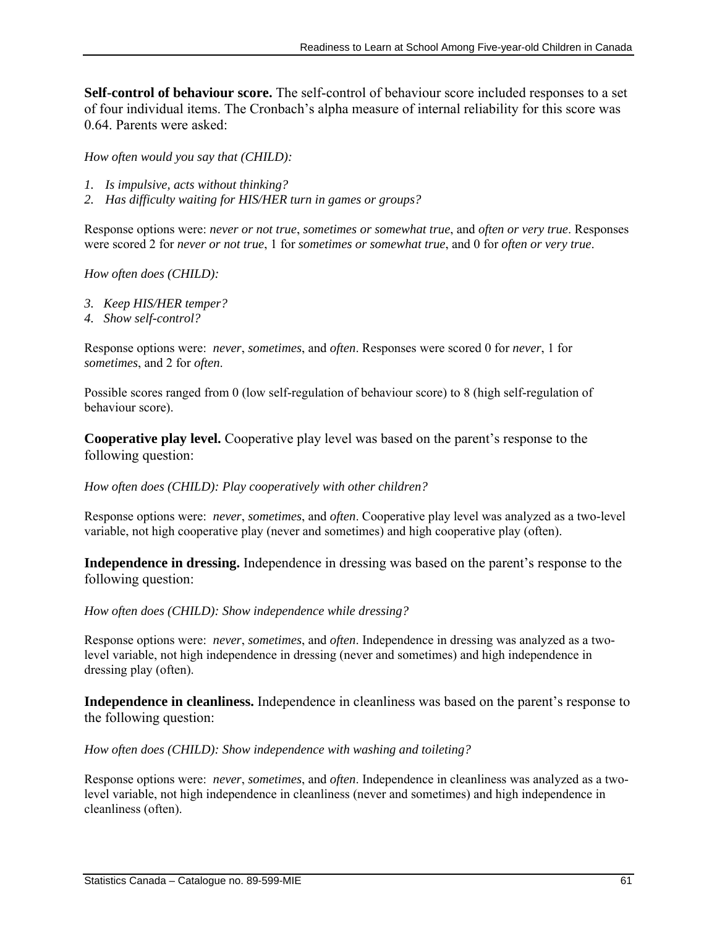**Self-control of behaviour score.** The self-control of behaviour score included responses to a set of four individual items. The Cronbach's alpha measure of internal reliability for this score was 0.64. Parents were asked:

*How often would you say that (CHILD):* 

- *1. Is impulsive, acts without thinking?*
- *2. Has difficulty waiting for HIS/HER turn in games or groups?*

Response options were: *never or not true*, *sometimes or somewhat true*, and *often or very true*. Responses were scored 2 for *never or not true*, 1 for *sometimes or somewhat true*, and 0 for *often or very true*.

*How often does (CHILD):* 

- *3. Keep HIS/HER temper?*
- *4. Show self-control?*

Response options were: *never*, *sometimes*, and *often*. Responses were scored 0 for *never*, 1 for *sometimes*, and 2 for *often*.

Possible scores ranged from 0 (low self-regulation of behaviour score) to 8 (high self-regulation of behaviour score).

**Cooperative play level.** Cooperative play level was based on the parent's response to the following question:

#### *How often does (CHILD): Play cooperatively with other children?*

Response options were: *never*, *sometimes*, and *often*. Cooperative play level was analyzed as a two-level variable, not high cooperative play (never and sometimes) and high cooperative play (often).

**Independence in dressing.** Independence in dressing was based on the parent's response to the following question:

*How often does (CHILD): Show independence while dressing?* 

Response options were: *never*, *sometimes*, and *often*. Independence in dressing was analyzed as a twolevel variable, not high independence in dressing (never and sometimes) and high independence in dressing play (often).

**Independence in cleanliness.** Independence in cleanliness was based on the parent's response to the following question:

*How often does (CHILD): Show independence with washing and toileting?* 

Response options were: *never*, *sometimes*, and *often*. Independence in cleanliness was analyzed as a twolevel variable, not high independence in cleanliness (never and sometimes) and high independence in cleanliness (often).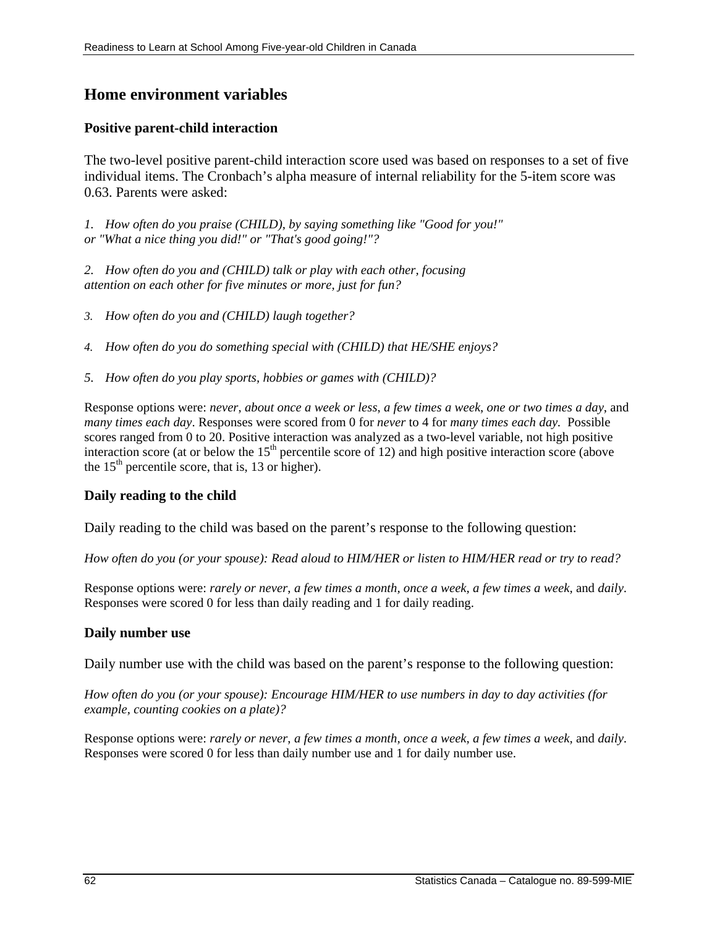## **Home environment variables**

#### **Positive parent-child interaction**

The two-level positive parent-child interaction score used was based on responses to a set of five individual items. The Cronbach's alpha measure of internal reliability for the 5-item score was 0.63. Parents were asked:

*1. How often do you praise (CHILD), by saying something like "Good for you!" or "What a nice thing you did!" or "That's good going!"?* 

*2. How often do you and (CHILD) talk or play with each other, focusing attention on each other for five minutes or more, just for fun?*

- *3. How often do you and (CHILD) laugh together?*
- *4. How often do you do something special with (CHILD) that HE/SHE enjoys?*
- *5. How often do you play sports, hobbies or games with (CHILD)?*

Response options were: *never*, *about once a week or less*, *a few times a week*, *one or two times a day*, and *many times each day*. Responses were scored from 0 for *never* to 4 for *many times each day.* Possible scores ranged from 0 to 20. Positive interaction was analyzed as a two-level variable, not high positive interaction score (at or below the  $15<sup>th</sup>$  percentile score of 12) and high positive interaction score (above the  $15<sup>th</sup>$  percentile score, that is, 13 or higher).

#### **Daily reading to the child**

Daily reading to the child was based on the parent's response to the following question:

*How often do you (or your spouse): Read aloud to HIM/HER or listen to HIM/HER read or try to read?* 

Response options were: *rarely or never*, *a few times a month, once a week, a few times a week,* and *daily*. Responses were scored 0 for less than daily reading and 1 for daily reading.

#### **Daily number use**

Daily number use with the child was based on the parent's response to the following question:

*How often do you (or your spouse): Encourage HIM/HER to use numbers in day to day activities (for example, counting cookies on a plate)?* 

Response options were: *rarely or never*, *a few times a month, once a week, a few times a week,* and *daily*. Responses were scored 0 for less than daily number use and 1 for daily number use.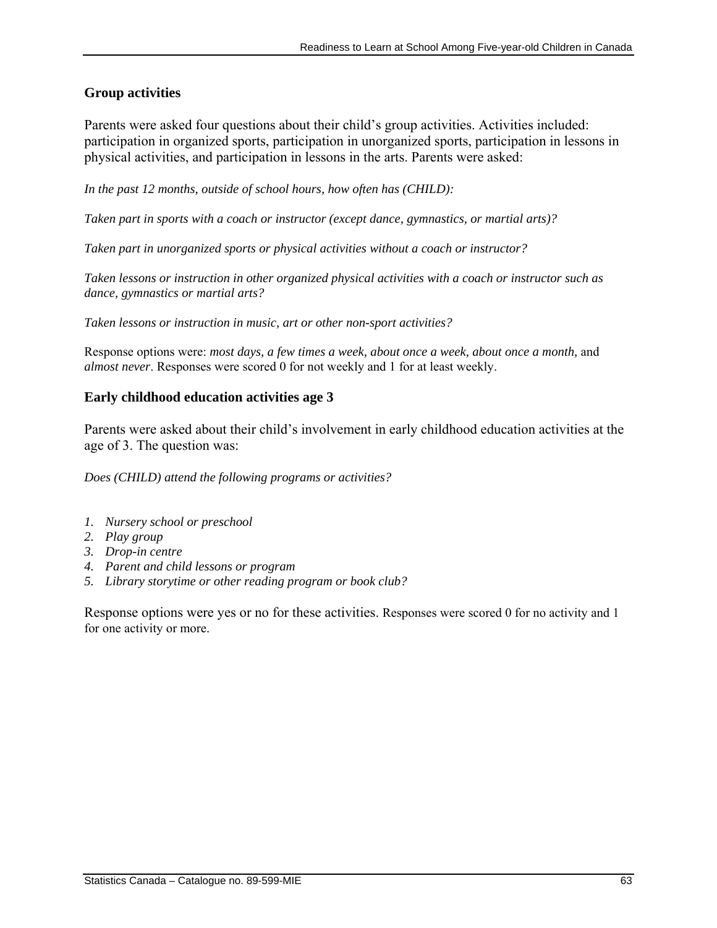## **Group activities**

Parents were asked four questions about their child's group activities. Activities included: participation in organized sports, participation in unorganized sports, participation in lessons in physical activities, and participation in lessons in the arts. Parents were asked:

*In the past 12 months, outside of school hours, how often has (CHILD):* 

*Taken part in sports with a coach or instructor (except dance, gymnastics, or martial arts)?* 

*Taken part in unorganized sports or physical activities without a coach or instructor?* 

*Taken lessons or instruction in other organized physical activities with a coach or instructor such as dance, gymnastics or martial arts?* 

*Taken lessons or instruction in music, art or other non-sport activities?* 

Response options were: *most days, a few times a week, about once a week, about once a month,* and *almost never*. Responses were scored 0 for not weekly and 1 for at least weekly.

#### **Early childhood education activities age 3**

Parents were asked about their child's involvement in early childhood education activities at the age of 3. The question was:

*Does (CHILD) attend the following programs or activities?* 

- *1. Nursery school or preschool*
- *2. Play group*
- *3. Drop-in centre*
- *4. Parent and child lessons or program*
- *5. Library storytime or other reading program or book club?*

Response options were yes or no for these activities. Responses were scored 0 for no activity and 1 for one activity or more.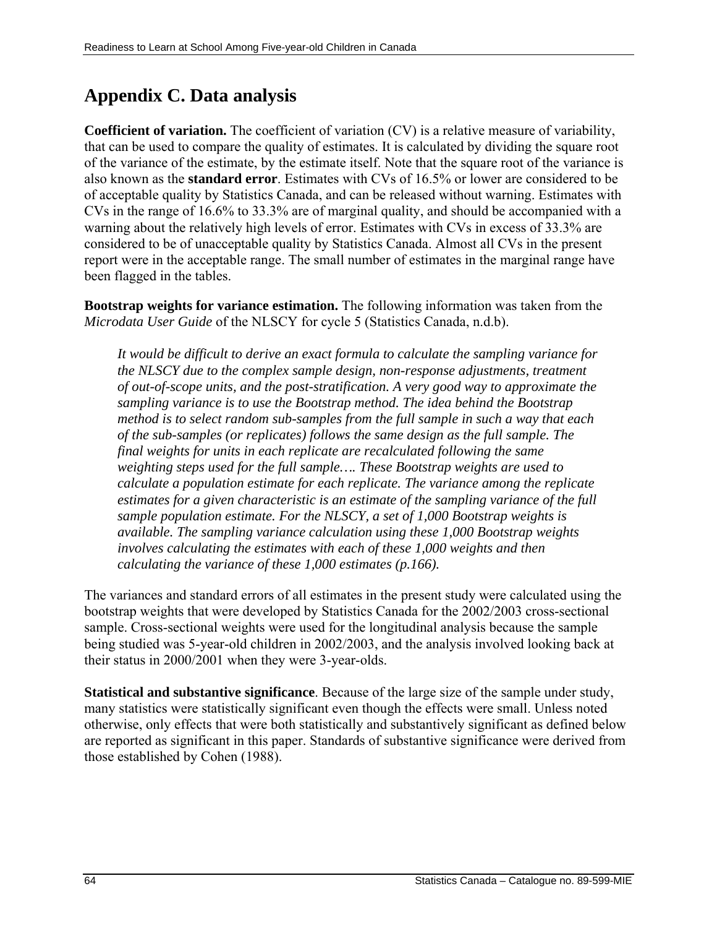# **Appendix C. Data analysis**

**Coefficient of variation.** The coefficient of variation (CV) is a relative measure of variability, that can be used to compare the quality of estimates. It is calculated by dividing the square root of the variance of the estimate, by the estimate itself. Note that the square root of the variance is also known as the **standard error**. Estimates with CVs of 16.5% or lower are considered to be of acceptable quality by Statistics Canada, and can be released without warning. Estimates with CVs in the range of 16.6% to 33.3% are of marginal quality, and should be accompanied with a warning about the relatively high levels of error. Estimates with CVs in excess of 33.3% are considered to be of unacceptable quality by Statistics Canada. Almost all CVs in the present report were in the acceptable range. The small number of estimates in the marginal range have been flagged in the tables.

**Bootstrap weights for variance estimation.** The following information was taken from the *Microdata User Guide* of the NLSCY for cycle 5 (Statistics Canada, n.d.b).

*It would be difficult to derive an exact formula to calculate the sampling variance for the NLSCY due to the complex sample design, non-response adjustments, treatment of out-of-scope units, and the post-stratification. A very good way to approximate the sampling variance is to use the Bootstrap method. The idea behind the Bootstrap method is to select random sub-samples from the full sample in such a way that each of the sub-samples (or replicates) follows the same design as the full sample. The final weights for units in each replicate are recalculated following the same weighting steps used for the full sample…. These Bootstrap weights are used to calculate a population estimate for each replicate. The variance among the replicate estimates for a given characteristic is an estimate of the sampling variance of the full sample population estimate. For the NLSCY, a set of 1,000 Bootstrap weights is available. The sampling variance calculation using these 1,000 Bootstrap weights involves calculating the estimates with each of these 1,000 weights and then calculating the variance of these 1,000 estimates (p.166).* 

The variances and standard errors of all estimates in the present study were calculated using the bootstrap weights that were developed by Statistics Canada for the 2002/2003 cross-sectional sample. Cross-sectional weights were used for the longitudinal analysis because the sample being studied was 5-year-old children in 2002/2003, and the analysis involved looking back at their status in 2000/2001 when they were 3-year-olds.

**Statistical and substantive significance**. Because of the large size of the sample under study, many statistics were statistically significant even though the effects were small. Unless noted otherwise, only effects that were both statistically and substantively significant as defined below are reported as significant in this paper. Standards of substantive significance were derived from those established by Cohen (1988).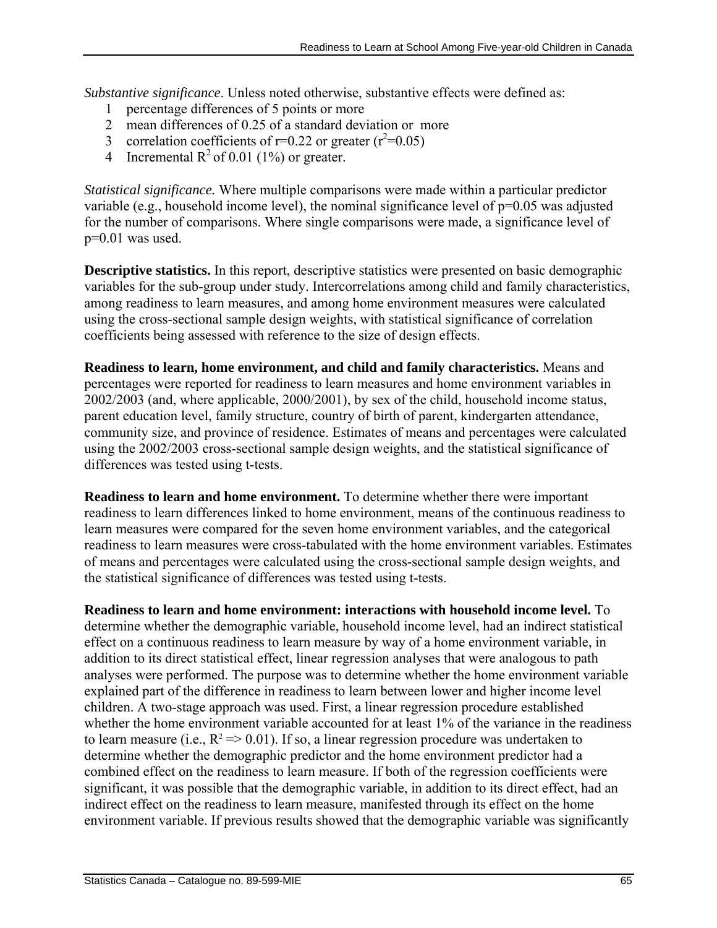*Substantive significance*. Unless noted otherwise, substantive effects were defined as:

- 1 percentage differences of 5 points or more
- 2 mean differences of 0.25 of a standard deviation or more
- 3 correlation coefficients of r=0.22 or greater  $(r^2=0.05)$
- 4 Incremental  $R^2$  of 0.01 (1%) or greater.

*Statistical significance.* Where multiple comparisons were made within a particular predictor variable (e.g., household income level), the nominal significance level of  $p=0.05$  was adjusted for the number of comparisons. Where single comparisons were made, a significance level of p=0.01 was used.

**Descriptive statistics.** In this report, descriptive statistics were presented on basic demographic variables for the sub-group under study. Intercorrelations among child and family characteristics, among readiness to learn measures, and among home environment measures were calculated using the cross-sectional sample design weights, with statistical significance of correlation coefficients being assessed with reference to the size of design effects.

**Readiness to learn, home environment, and child and family characteristics.** Means and percentages were reported for readiness to learn measures and home environment variables in 2002/2003 (and, where applicable, 2000/2001), by sex of the child, household income status, parent education level, family structure, country of birth of parent, kindergarten attendance, community size, and province of residence. Estimates of means and percentages were calculated using the 2002/2003 cross-sectional sample design weights, and the statistical significance of differences was tested using t-tests.

**Readiness to learn and home environment.** To determine whether there were important readiness to learn differences linked to home environment, means of the continuous readiness to learn measures were compared for the seven home environment variables, and the categorical readiness to learn measures were cross-tabulated with the home environment variables. Estimates of means and percentages were calculated using the cross-sectional sample design weights, and the statistical significance of differences was tested using t-tests.

**Readiness to learn and home environment: interactions with household income level.** To determine whether the demographic variable, household income level, had an indirect statistical effect on a continuous readiness to learn measure by way of a home environment variable, in addition to its direct statistical effect, linear regression analyses that were analogous to path analyses were performed. The purpose was to determine whether the home environment variable explained part of the difference in readiness to learn between lower and higher income level children. A two-stage approach was used. First, a linear regression procedure established whether the home environment variable accounted for at least 1% of the variance in the readiness to learn measure (i.e.,  $R^2 \approx 0.01$ ). If so, a linear regression procedure was undertaken to determine whether the demographic predictor and the home environment predictor had a combined effect on the readiness to learn measure. If both of the regression coefficients were significant, it was possible that the demographic variable, in addition to its direct effect, had an indirect effect on the readiness to learn measure, manifested through its effect on the home environment variable. If previous results showed that the demographic variable was significantly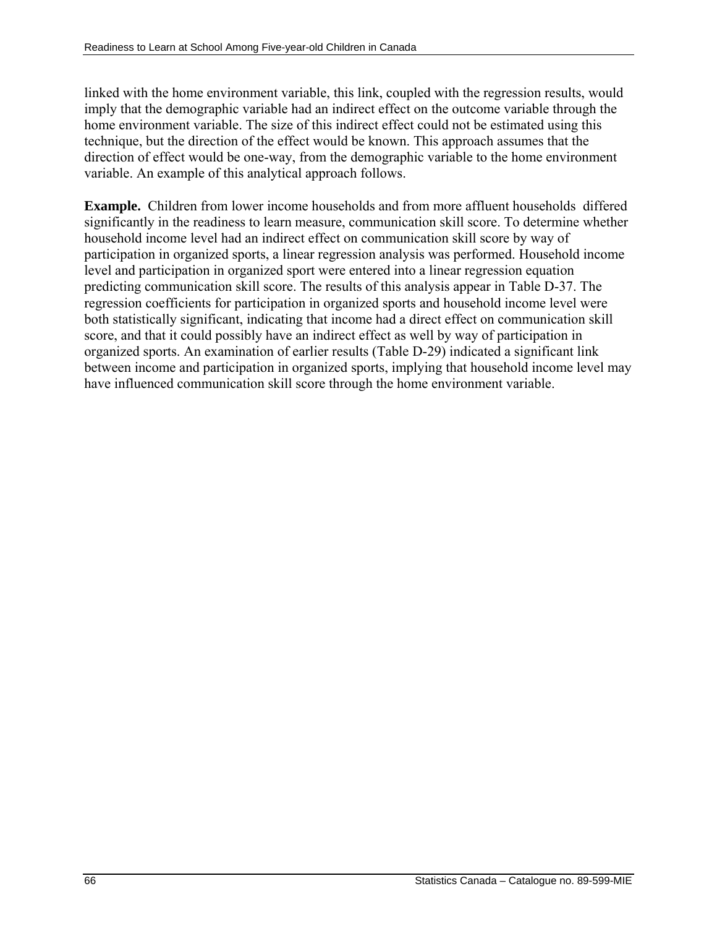linked with the home environment variable, this link, coupled with the regression results, would imply that the demographic variable had an indirect effect on the outcome variable through the home environment variable. The size of this indirect effect could not be estimated using this technique, but the direction of the effect would be known. This approach assumes that the direction of effect would be one-way, from the demographic variable to the home environment variable. An example of this analytical approach follows.

**Example.** Children from lower income households and from more affluent households differed significantly in the readiness to learn measure, communication skill score. To determine whether household income level had an indirect effect on communication skill score by way of participation in organized sports, a linear regression analysis was performed. Household income level and participation in organized sport were entered into a linear regression equation predicting communication skill score. The results of this analysis appear in Table D-37. The regression coefficients for participation in organized sports and household income level were both statistically significant, indicating that income had a direct effect on communication skill score, and that it could possibly have an indirect effect as well by way of participation in organized sports. An examination of earlier results (Table D-29) indicated a significant link between income and participation in organized sports, implying that household income level may have influenced communication skill score through the home environment variable.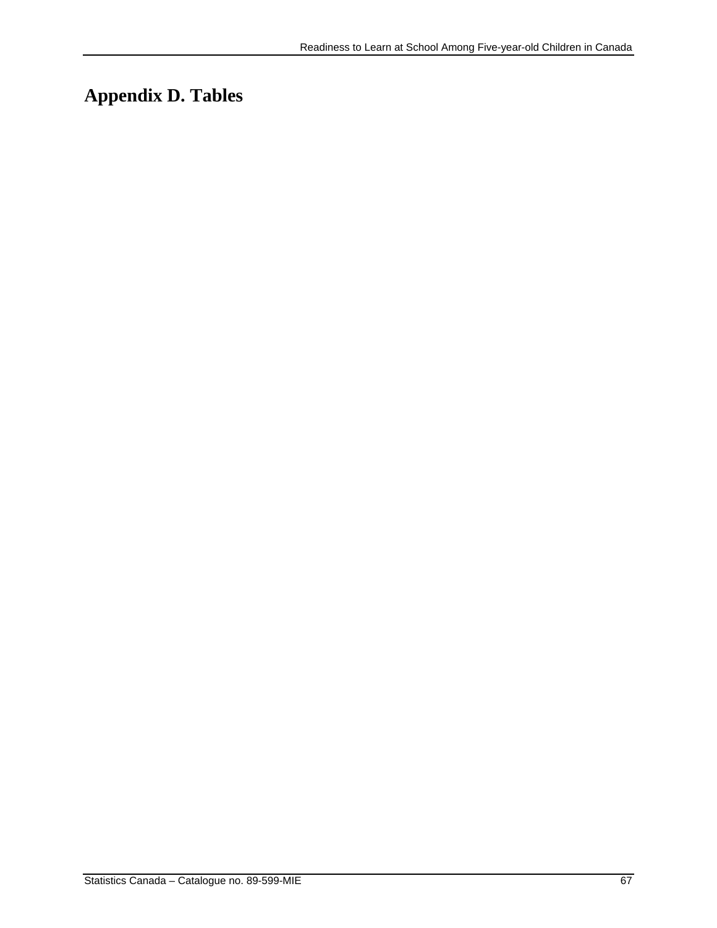# **Appendix D. Tables**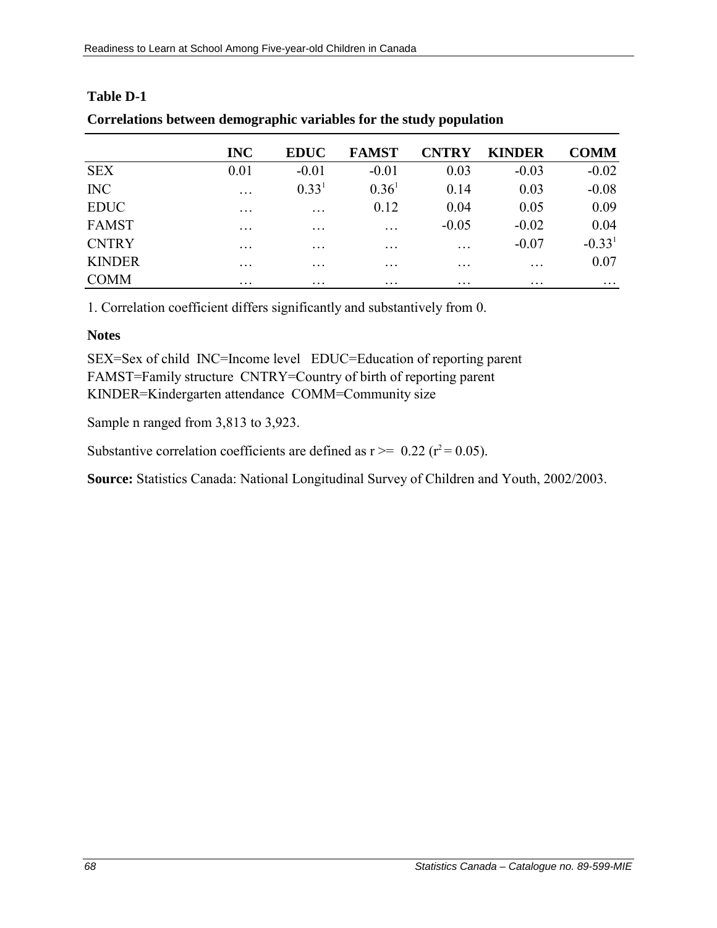|               | <b>INC</b>        | <b>EDUC</b>       | <b>FAMST</b>            | <b>CNTRY</b>      | <b>KINDER</b>     | <b>COMM</b> |
|---------------|-------------------|-------------------|-------------------------|-------------------|-------------------|-------------|
| <b>SEX</b>    | 0.01              | $-0.01$           | $-0.01$                 | 0.03              | $-0.03$           | $-0.02$     |
| <b>INC</b>    | $\ddots$          | 0.33 <sup>1</sup> | 0.36 <sup>1</sup>       | 0.14              | 0.03              | $-0.08$     |
| <b>EDUC</b>   | $\ddotsc$         | $\ddotsc$         | 0.12                    | 0.04              | 0.05              | 0.09        |
| <b>FAMST</b>  | $\cdot\cdot\cdot$ | $\ddotsc$         | $\ddotsc$               | $-0.05$           | $-0.02$           | 0.04        |
| <b>CNTRY</b>  | $\ddotsc$         | $\ddotsc$         | $\ddotsc$               | .                 | $-0.07$           | $-0.331$    |
| <b>KINDER</b> | $\ddotsc$         | $\cdot\cdot\cdot$ | $\cdot$ $\cdot$ $\cdot$ | $\cdot\cdot\cdot$ | $\cdot$           | 0.07        |
| <b>COMM</b>   | $\cdot\cdot\cdot$ | $\ddotsc$         | $\cdots$                | $\cdot\cdot\cdot$ | $\cdot\cdot\cdot$ | $\cdots$    |

### **Table D-1**

| Correlations between demographic variables for the study population |  |  |  |
|---------------------------------------------------------------------|--|--|--|
|                                                                     |  |  |  |

1. Correlation coefficient differs significantly and substantively from 0.

### **Notes**

SEX=Sex of child INC=Income level EDUC=Education of reporting parent FAMST=Family structure CNTRY=Country of birth of reporting parent KINDER=Kindergarten attendance COMM=Community size

Sample n ranged from 3,813 to 3,923.

Substantive correlation coefficients are defined as  $r \ge 0.22$  ( $r^2 = 0.05$ ).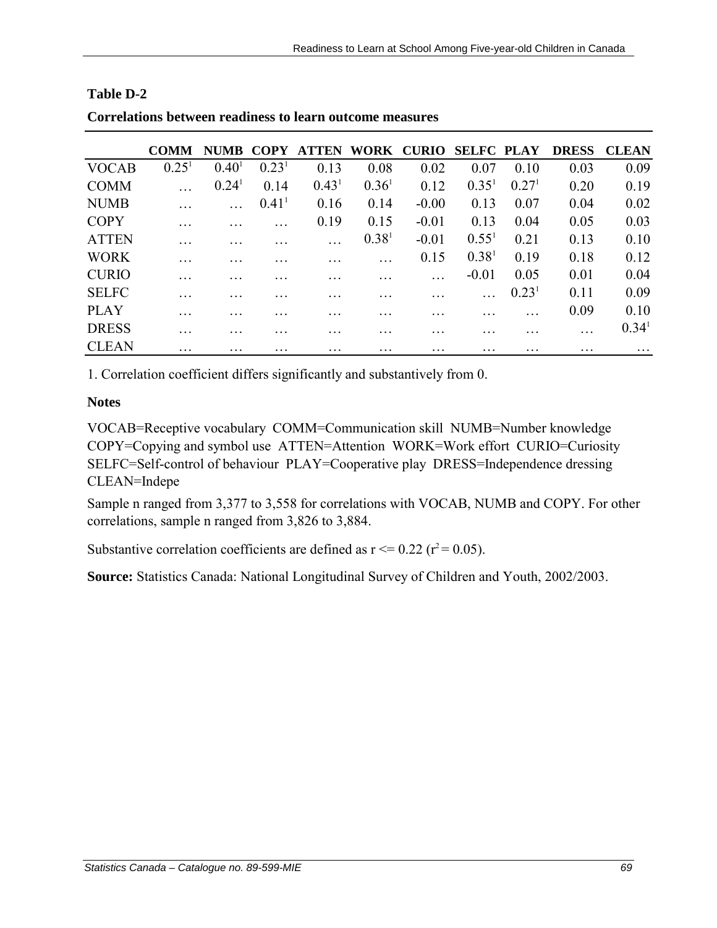|              | <b>COMM</b>       | <b>NUMB</b> | COPY                | ATTEN WORK CURIO SELFC PLAY |                   |         |                   |                   | <b>DRESS</b> | <b>CLEAN</b>      |
|--------------|-------------------|-------------|---------------------|-----------------------------|-------------------|---------|-------------------|-------------------|--------------|-------------------|
| <b>VOCAB</b> | 0.25 <sup>1</sup> | $0.40^{1}$  | 0.23 <sup>1</sup>   | 0.13                        | 0.08              | 0.02    | 0.07              | 0.10              | 0.03         | 0.09              |
| <b>COMM</b>  |                   | $0.24^1$    | 0.14                | 0.43 <sup>1</sup>           | 0.36 <sup>1</sup> | 0.12    | 0.35 <sup>1</sup> | 0.27 <sup>1</sup> | 0.20         | 0.19              |
| <b>NUMB</b>  |                   |             | $0.41$ <sup>1</sup> | 0.16                        | 0.14              | $-0.00$ | 0.13              | 0.07              | 0.04         | 0.02              |
| <b>COPY</b>  |                   |             |                     | 0.19                        | 0.15              | $-0.01$ | 0.13              | 0.04              | 0.05         | 0.03              |
| <b>ATTEN</b> | $\cdot\cdot\cdot$ |             |                     |                             | 0.38 <sup>1</sup> | $-0.01$ | $0.55^{1}$        | 0.21              | 0.13         | 0.10              |
| <b>WORK</b>  | .                 |             |                     |                             |                   | 0.15    | 0.38 <sup>1</sup> | 0.19              | 0.18         | 0.12              |
| <b>CURIO</b> |                   |             |                     |                             |                   |         | $-0.01$           | 0.05              | 0.01         | 0.04              |
| <b>SELFC</b> |                   |             |                     |                             |                   |         |                   | 0.23 <sup>1</sup> | 0.11         | 0.09              |
| <b>PLAY</b>  | .                 |             |                     |                             |                   |         |                   | .                 | 0.09         | 0.10              |
| <b>DRESS</b> |                   |             |                     |                             |                   |         |                   |                   | $\ddotsc$    | 0.34 <sup>1</sup> |
| <b>CLEAN</b> | $\cdot$           | .           | $\cdot$             | .                           | .                 |         | .                 |                   |              |                   |

#### **Table D-2**

**Correlations between readiness to learn outcome measures**

1. Correlation coefficient differs significantly and substantively from 0.

## **Notes**

VOCAB=Receptive vocabulary COMM=Communication skill NUMB=Number knowledge COPY=Copying and symbol use ATTEN=Attention WORK=Work effort CURIO=Curiosity SELFC=Self-control of behaviour PLAY=Cooperative play DRESS=Independence dressing CLEAN=Indepe

Sample n ranged from 3,377 to 3,558 for correlations with VOCAB, NUMB and COPY. For other correlations, sample n ranged from 3,826 to 3,884.

Substantive correlation coefficients are defined as  $r \le 0.22$  ( $r^2 = 0.05$ ).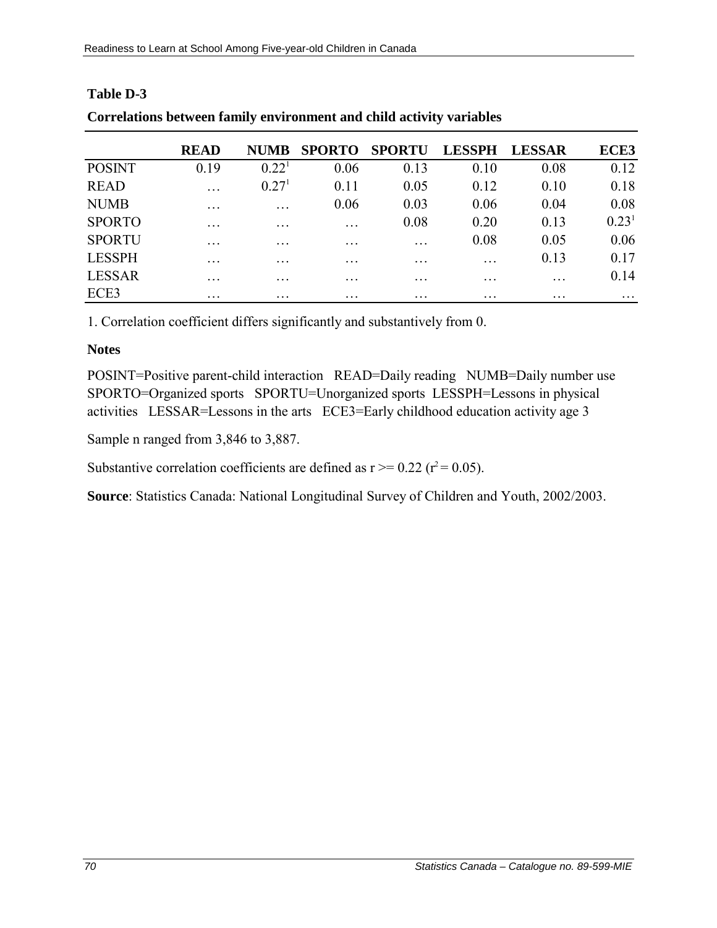|               | <b>READ</b>       | <b>NUMB</b>       | <b>SPORTO</b>           | <b>SPORTU</b>     | <b>LESSPH</b>     | <b>LESSAR</b>     | ECE3              |
|---------------|-------------------|-------------------|-------------------------|-------------------|-------------------|-------------------|-------------------|
| <b>POSINT</b> | 0.19              | 0.22 <sup>1</sup> | 0.06                    | 0.13              | 0.10              | 0.08              | 0.12              |
| <b>READ</b>   | $\cdot$           | 0.27 <sup>1</sup> | 0.11                    | 0.05              | 0.12              | 0.10              | 0.18              |
| <b>NUMB</b>   | $\ddotsc$         | $\ddotsc$         | 0.06                    | 0.03              | 0.06              | 0.04              | 0.08              |
| <b>SPORTO</b> | $\cdot\cdot\cdot$ | $\cdots$          | $\cdot$ $\cdot$ $\cdot$ | 0.08              | 0.20              | 0.13              | 0.23 <sup>1</sup> |
| <b>SPORTU</b> | $\cdot\cdot\cdot$ | $\cdots$          | $\cdot$ $\cdot$ $\cdot$ | $\cdots$          | 0.08              | 0.05              | 0.06              |
| <b>LESSPH</b> | $\ddotsc$         | $\cdots$          | $\ddotsc$               | $\cdot\cdot\cdot$ | $\ddotsc$         | 0.13              | 0.17              |
| <b>LESSAR</b> | $\ddotsc$         | $\cdot\cdot\cdot$ | $\cdot$ $\cdot$ $\cdot$ | $\cdot\cdot\cdot$ | $\cdot\cdot\cdot$ | $\ddotsc$         | 0.14              |
| ECE3          | $\cdot\cdot\cdot$ | $\cdots$          | $\cdot$ $\cdot$ $\cdot$ | $\cdots$          | $\cdots$          | $\cdot\cdot\cdot$ | $\cdot\cdot\cdot$ |

# **Table D-3 Correlations between family environment and child activity variables**

1. Correlation coefficient differs significantly and substantively from 0.

### **Notes**

POSINT=Positive parent-child interaction READ=Daily reading NUMB=Daily number use SPORTO=Organized sports SPORTU=Unorganized sports LESSPH=Lessons in physical activities LESSAR=Lessons in the arts ECE3=Early childhood education activity age 3

Sample n ranged from 3,846 to 3,887.

Substantive correlation coefficients are defined as  $r \ge 0.22$  ( $r^2 = 0.05$ ).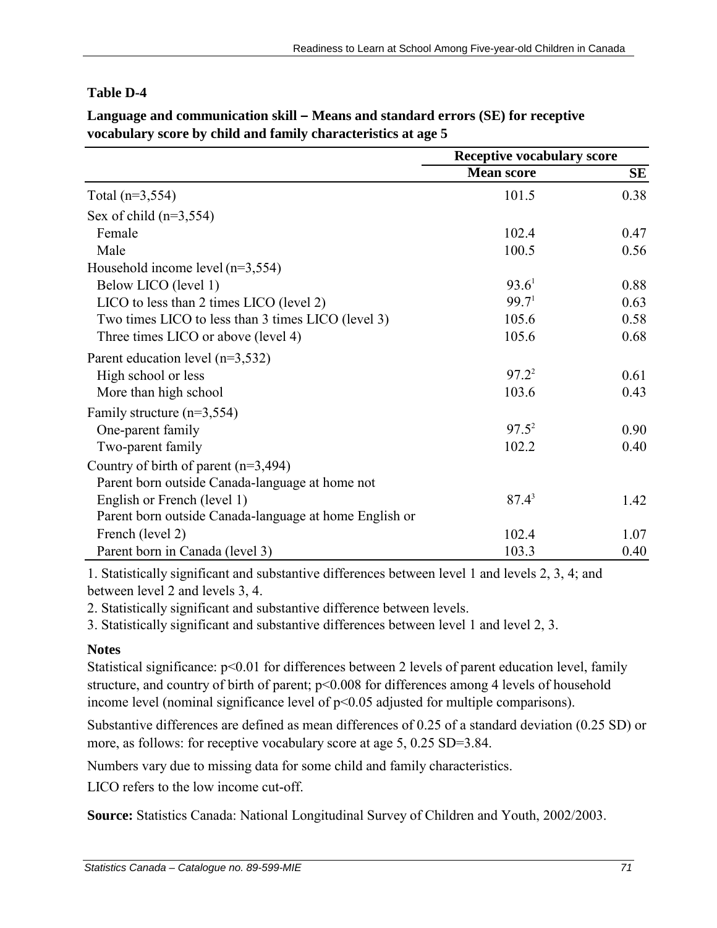## **Table D-4**

|                                                        | <b>Receptive vocabulary score</b> |      |  |
|--------------------------------------------------------|-----------------------------------|------|--|
|                                                        | <b>Mean score</b>                 | SE   |  |
| Total $(n=3,554)$                                      | 101.5                             | 0.38 |  |
| Sex of child $(n=3,554)$                               |                                   |      |  |
| Female                                                 | 102.4                             | 0.47 |  |
| Male                                                   | 100.5                             | 0.56 |  |
| Household income level $(n=3,554)$                     |                                   |      |  |
| Below LICO (level 1)                                   | 93.6 <sup>1</sup>                 | 0.88 |  |
| LICO to less than 2 times LICO (level 2)               | 99.7 <sup>1</sup>                 | 0.63 |  |
| Two times LICO to less than 3 times LICO (level 3)     | 105.6                             | 0.58 |  |
| Three times LICO or above (level 4)                    | 105.6                             | 0.68 |  |
| Parent education level $(n=3,532)$                     |                                   |      |  |
| High school or less                                    | $97.2^2$                          | 0.61 |  |
| More than high school                                  | 103.6                             | 0.43 |  |
| Family structure $(n=3,554)$                           |                                   |      |  |
| One-parent family                                      | $97.5^2$                          | 0.90 |  |
| Two-parent family                                      | 102.2                             | 0.40 |  |
| Country of birth of parent $(n=3,494)$                 |                                   |      |  |
| Parent born outside Canada-language at home not        |                                   |      |  |
| English or French (level 1)                            | $87.4^3$                          | 1.42 |  |
| Parent born outside Canada-language at home English or |                                   |      |  |
| French (level 2)                                       | 102.4                             | 1.07 |  |
| Parent born in Canada (level 3)                        | 103.3                             | 0.40 |  |

**Language and communication skill – Means and standard errors (SE) for receptive vocabulary score by child and family characteristics at age 5**

1. Statistically significant and substantive differences between level 1 and levels 2, 3, 4; and between level 2 and levels 3, 4.

2. Statistically significant and substantive difference between levels.

3. Statistically significant and substantive differences between level 1 and level 2, 3.

## **Notes**

Statistical significance:  $p<0.01$  for differences between 2 levels of parent education level, family structure, and country of birth of parent;  $p \le 0.008$  for differences among 4 levels of household income level (nominal significance level of  $p<0.05$  adjusted for multiple comparisons).

Substantive differences are defined as mean differences of 0.25 of a standard deviation (0.25 SD) or more, as follows: for receptive vocabulary score at age 5, 0.25 SD=3.84.

Numbers vary due to missing data for some child and family characteristics.

LICO refers to the low income cut-off.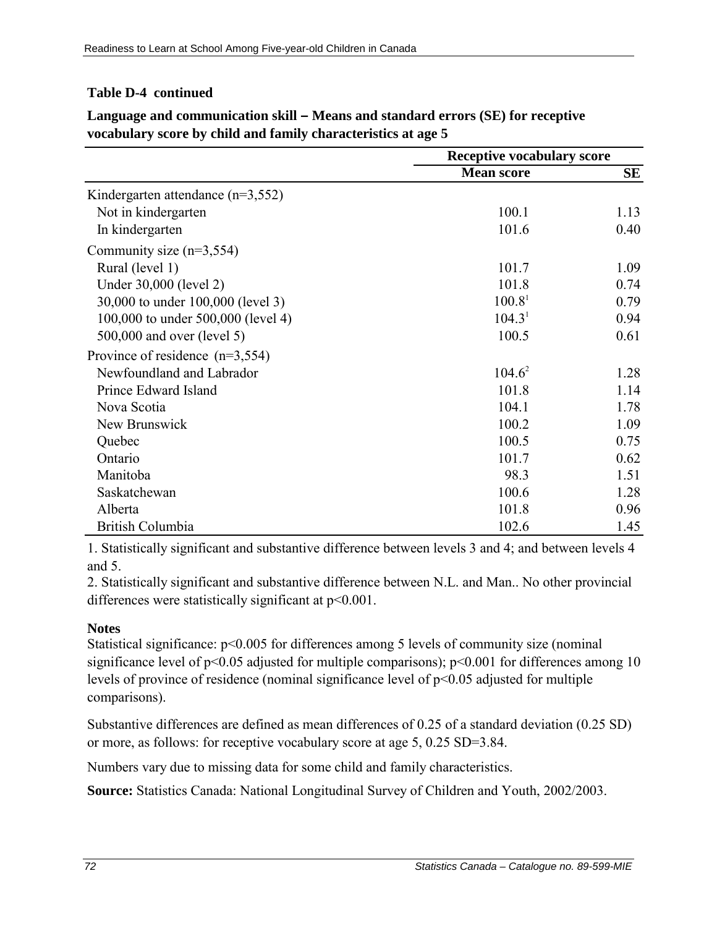## **Table D-4 continued**

|                                       | <b>Receptive vocabulary score</b> |      |  |
|---------------------------------------|-----------------------------------|------|--|
|                                       | <b>Mean score</b>                 | SE   |  |
| Kindergarten attendance ( $n=3,552$ ) |                                   |      |  |
| Not in kindergarten                   | 100.1                             | 1.13 |  |
| In kindergarten                       | 101.6                             | 0.40 |  |
| Community size $(n=3,554)$            |                                   |      |  |
| Rural (level 1)                       | 101.7                             | 1.09 |  |
| Under 30,000 (level 2)                | 101.8                             | 0.74 |  |
| 30,000 to under 100,000 (level 3)     | 100.8 <sup>1</sup>                | 0.79 |  |
| 100,000 to under 500,000 (level 4)    | 104.3 <sup>1</sup>                | 0.94 |  |
| 500,000 and over (level 5)            | 100.5                             | 0.61 |  |
| Province of residence $(n=3,554)$     |                                   |      |  |
| Newfoundland and Labrador             | $104.6^2$                         | 1.28 |  |
| Prince Edward Island                  | 101.8                             | 1.14 |  |
| Nova Scotia                           | 104.1                             | 1.78 |  |
| New Brunswick                         | 100.2                             | 1.09 |  |
| Quebec                                | 100.5                             | 0.75 |  |
| Ontario                               | 101.7                             | 0.62 |  |
| Manitoba                              | 98.3                              | 1.51 |  |
| Saskatchewan                          | 100.6                             | 1.28 |  |
| Alberta                               | 101.8                             | 0.96 |  |
| <b>British Columbia</b>               | 102.6                             | 1.45 |  |

**Language and communication skill – Means and standard errors (SE) for receptive vocabulary score by child and family characteristics at age 5**

1. Statistically significant and substantive difference between levels 3 and 4; and between levels 4 and 5.

2. Statistically significant and substantive difference between N.L. and Man.. No other provincial differences were statistically significant at p<0.001.

### **Notes**

Statistical significance: p<0.005 for differences among 5 levels of community size (nominal significance level of  $p<0.05$  adjusted for multiple comparisons);  $p<0.001$  for differences among 10 levels of province of residence (nominal significance level of p<0.05 adjusted for multiple comparisons).

Substantive differences are defined as mean differences of 0.25 of a standard deviation (0.25 SD) or more, as follows: for receptive vocabulary score at age 5, 0.25 SD=3.84.

Numbers vary due to missing data for some child and family characteristics.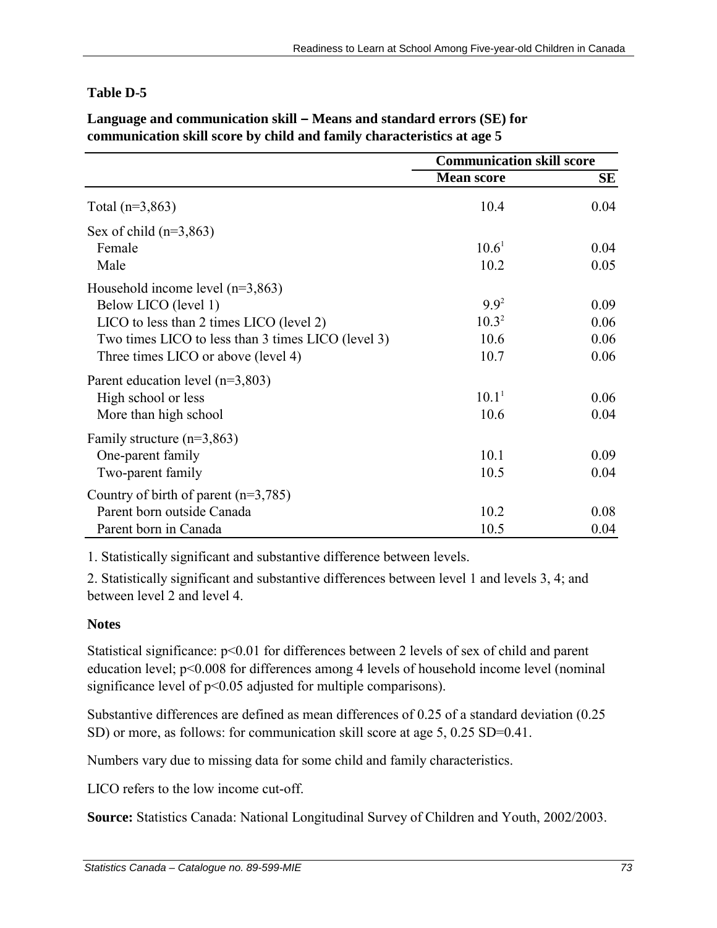|                                                    | <b>Communication skill score</b> |           |
|----------------------------------------------------|----------------------------------|-----------|
|                                                    | <b>Mean score</b>                | <b>SE</b> |
| Total $(n=3,863)$                                  | 10.4                             | 0.04      |
| Sex of child $(n=3,863)$                           |                                  |           |
| Female                                             | $10.6^1$                         | 0.04      |
| Male                                               | 10.2                             | 0.05      |
| Household income level $(n=3,863)$                 |                                  |           |
| Below LICO (level 1)                               | $9.9^2$                          | 0.09      |
| LICO to less than 2 times LICO (level 2)           | $10.3^2$                         | 0.06      |
| Two times LICO to less than 3 times LICO (level 3) | 10.6                             | 0.06      |
| Three times LICO or above (level 4)                | 10.7                             | 0.06      |
| Parent education level $(n=3,803)$                 |                                  |           |
| High school or less                                | 10.1 <sup>1</sup>                | 0.06      |
| More than high school                              | 10.6                             | 0.04      |
| Family structure $(n=3,863)$                       |                                  |           |
| One-parent family                                  | 10.1                             | 0.09      |
| Two-parent family                                  | 10.5                             | 0.04      |
| Country of birth of parent $(n=3,785)$             |                                  |           |
| Parent born outside Canada                         | 10.2                             | 0.08      |
| Parent born in Canada                              | 10.5                             | 0.04      |

## **Language and communication skill – Means and standard errors (SE) for communication skill score by child and family characteristics at age 5**

1. Statistically significant and substantive difference between levels.

2. Statistically significant and substantive differences between level 1 and levels 3, 4; and between level 2 and level 4.

## **Notes**

Statistical significance:  $p<0.01$  for differences between 2 levels of sex of child and parent education level; p<0.008 for differences among 4 levels of household income level (nominal significance level of  $p<0.05$  adjusted for multiple comparisons).

Substantive differences are defined as mean differences of 0.25 of a standard deviation (0.25 SD) or more, as follows: for communication skill score at age 5, 0.25 SD=0.41.

Numbers vary due to missing data for some child and family characteristics.

LICO refers to the low income cut-off.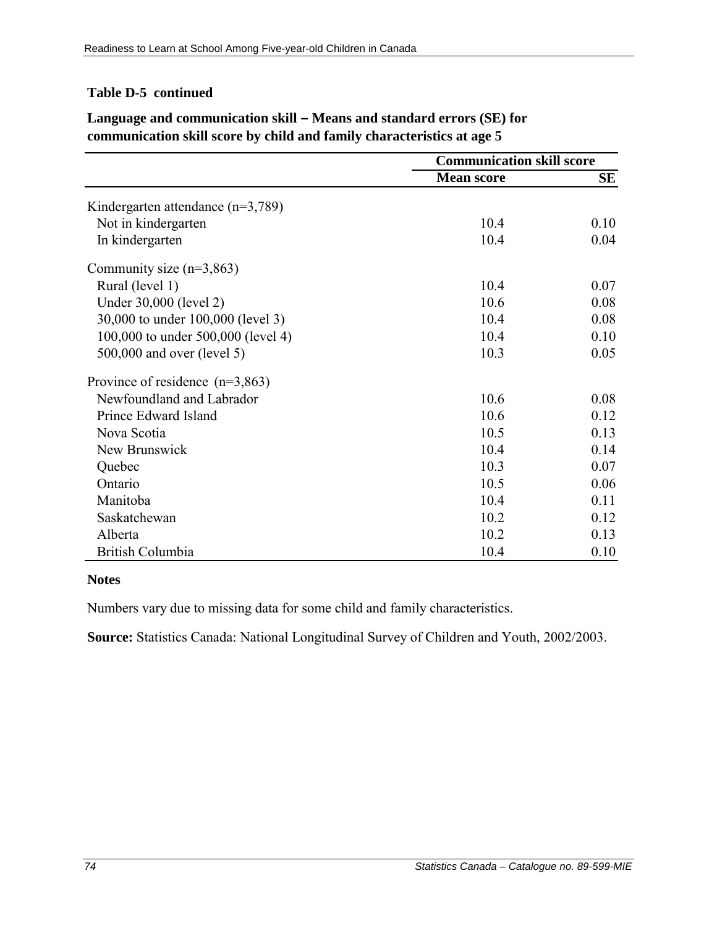### **Table D-5 continued**

|                                       | <b>Communication skill score</b> |      |
|---------------------------------------|----------------------------------|------|
|                                       | <b>Mean score</b>                | SЕ   |
| Kindergarten attendance ( $n=3,789$ ) |                                  |      |
| Not in kindergarten                   | 10.4                             | 0.10 |
| In kindergarten                       | 10.4                             | 0.04 |
| Community size $(n=3,863)$            |                                  |      |
| Rural (level 1)                       | 10.4                             | 0.07 |
| Under 30,000 (level 2)                | 10.6                             | 0.08 |
| 30,000 to under 100,000 (level 3)     | 10.4                             | 0.08 |
| 100,000 to under 500,000 (level 4)    | 10.4                             | 0.10 |
| 500,000 and over (level 5)            | 10.3                             | 0.05 |
| Province of residence $(n=3,863)$     |                                  |      |
| Newfoundland and Labrador             | 10.6                             | 0.08 |
| Prince Edward Island                  | 10.6                             | 0.12 |
| Nova Scotia                           | 10.5                             | 0.13 |
| New Brunswick                         | 10.4                             | 0.14 |
| Quebec                                | 10.3                             | 0.07 |
| Ontario                               | 10.5                             | 0.06 |
| Manitoba                              | 10.4                             | 0.11 |
| Saskatchewan                          | 10.2                             | 0.12 |
| Alberta                               | 10.2                             | 0.13 |
| British Columbia                      | 10.4                             | 0.10 |

## **Language and communication skill – Means and standard errors (SE) for communication skill score by child and family characteristics at age 5**

#### **Notes**

Numbers vary due to missing data for some child and family characteristics.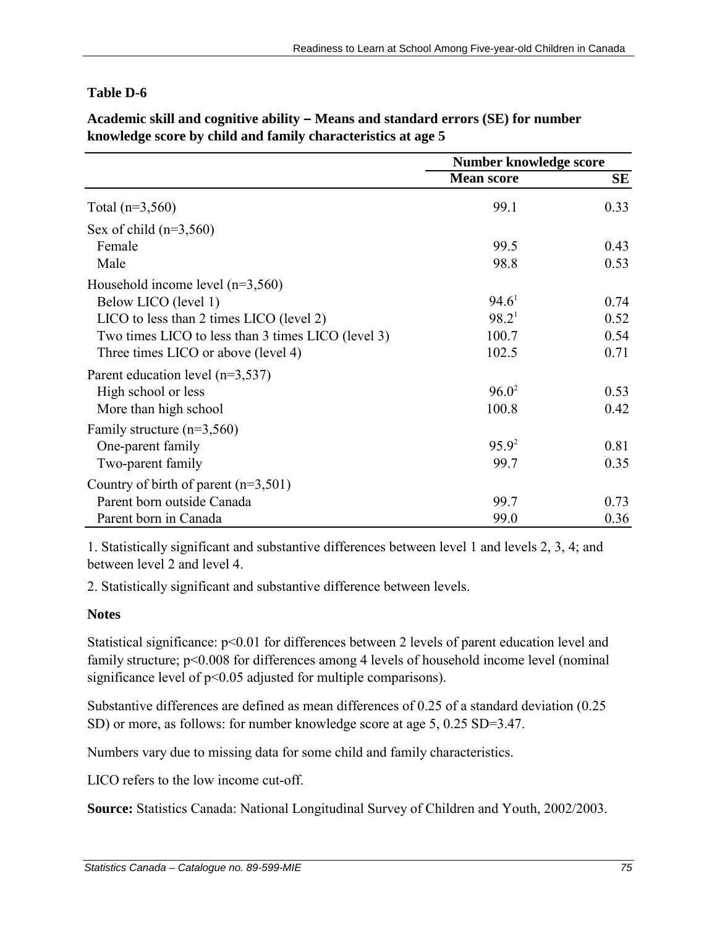|                                                    | Number knowledge score |           |
|----------------------------------------------------|------------------------|-----------|
|                                                    | <b>Mean score</b>      | <b>SE</b> |
| Total $(n=3,560)$                                  | 99.1                   | 0.33      |
| Sex of child $(n=3,560)$                           |                        |           |
| Female                                             | 99.5                   | 0.43      |
| Male                                               | 98.8                   | 0.53      |
| Household income level $(n=3,560)$                 |                        |           |
| Below LICO (level 1)                               | 94.6 <sup>1</sup>      | 0.74      |
| LICO to less than 2 times LICO (level 2)           | 98.2 <sup>1</sup>      | 0.52      |
| Two times LICO to less than 3 times LICO (level 3) | 100.7                  | 0.54      |
| Three times LICO or above (level 4)                | 102.5                  | 0.71      |
| Parent education level $(n=3,537)$                 |                        |           |
| High school or less                                | $96.0^2$               | 0.53      |
| More than high school                              | 100.8                  | 0.42      |
| Family structure $(n=3,560)$                       |                        |           |
| One-parent family                                  | $95.9^2$               | 0.81      |
| Two-parent family                                  | 99.7                   | 0.35      |
| Country of birth of parent $(n=3,501)$             |                        |           |
| Parent born outside Canada                         | 99.7                   | 0.73      |
| Parent born in Canada                              | 99.0                   | 0.36      |

**Academic skill and cognitive ability – Means and standard errors (SE) for number knowledge score by child and family characteristics at age 5**

1. Statistically significant and substantive differences between level 1 and levels 2, 3, 4; and between level 2 and level 4.

2. Statistically significant and substantive difference between levels.

## **Notes**

Statistical significance:  $p<0.01$  for differences between 2 levels of parent education level and family structure;  $p<0.008$  for differences among 4 levels of household income level (nominal significance level of  $p<0.05$  adjusted for multiple comparisons).

Substantive differences are defined as mean differences of 0.25 of a standard deviation (0.25 SD) or more, as follows: for number knowledge score at age 5, 0.25 SD=3.47.

Numbers vary due to missing data for some child and family characteristics.

LICO refers to the low income cut-off.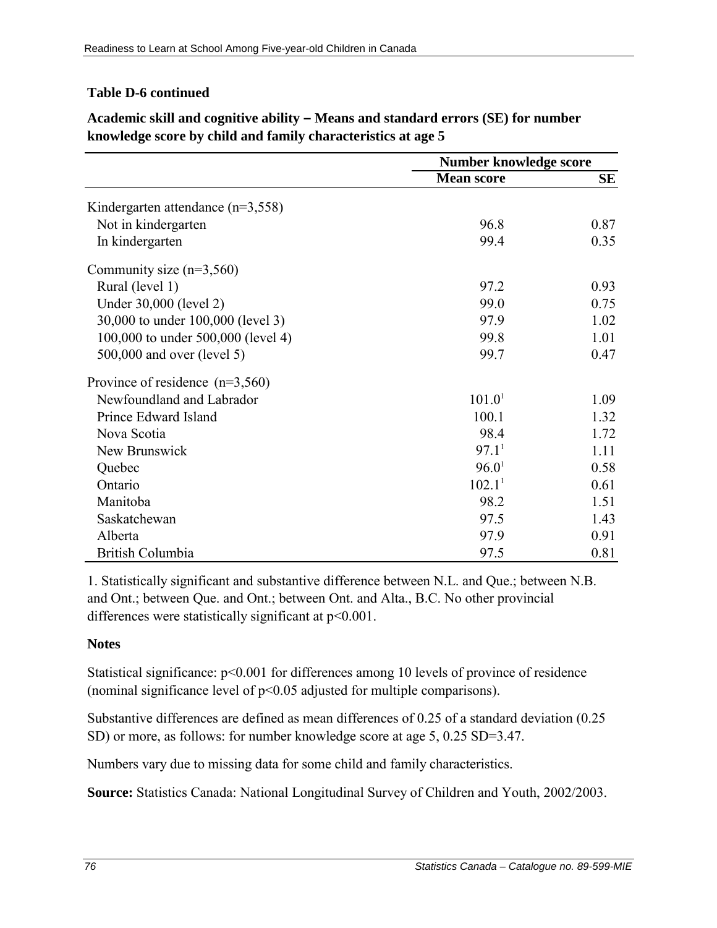### **Table D-6 continued**

|                                       | Number knowledge score |      |
|---------------------------------------|------------------------|------|
|                                       | <b>Mean score</b>      | SЕ   |
| Kindergarten attendance ( $n=3,558$ ) |                        |      |
| Not in kindergarten                   | 96.8                   | 0.87 |
| In kindergarten                       | 99.4                   | 0.35 |
| Community size $(n=3,560)$            |                        |      |
| Rural (level 1)                       | 97.2                   | 0.93 |
| Under 30,000 (level 2)                | 99.0                   | 0.75 |
| 30,000 to under 100,000 (level 3)     | 97.9                   | 1.02 |
| 100,000 to under 500,000 (level 4)    | 99.8                   | 1.01 |
| 500,000 and over (level 5)            | 99.7                   | 0.47 |
| Province of residence $(n=3,560)$     |                        |      |
| Newfoundland and Labrador             | 101.0 <sup>1</sup>     | 1.09 |
| Prince Edward Island                  | 100.1                  | 1.32 |
| Nova Scotia                           | 98.4                   | 1.72 |
| New Brunswick                         | 97.1 <sup>1</sup>      | 1.11 |
| Quebec                                | 96.0 <sup>1</sup>      | 0.58 |
| Ontario                               | 102.1 <sup>1</sup>     | 0.61 |
| Manitoba                              | 98.2                   | 1.51 |
| Saskatchewan                          | 97.5                   | 1.43 |
| Alberta                               | 97.9                   | 0.91 |
| <b>British Columbia</b>               | 97.5                   | 0.81 |

# **Academic skill and cognitive ability – Means and standard errors (SE) for number knowledge score by child and family characteristics at age 5**

1. Statistically significant and substantive difference between N.L. and Que.; between N.B. and Ont.; between Que. and Ont.; between Ont. and Alta., B.C. No other provincial differences were statistically significant at  $p<0.001$ .

#### **Notes**

Statistical significance:  $p<0.001$  for differences among 10 levels of province of residence (nominal significance level of p<0.05 adjusted for multiple comparisons).

Substantive differences are defined as mean differences of 0.25 of a standard deviation (0.25 SD) or more, as follows: for number knowledge score at age 5, 0.25 SD=3.47.

Numbers vary due to missing data for some child and family characteristics.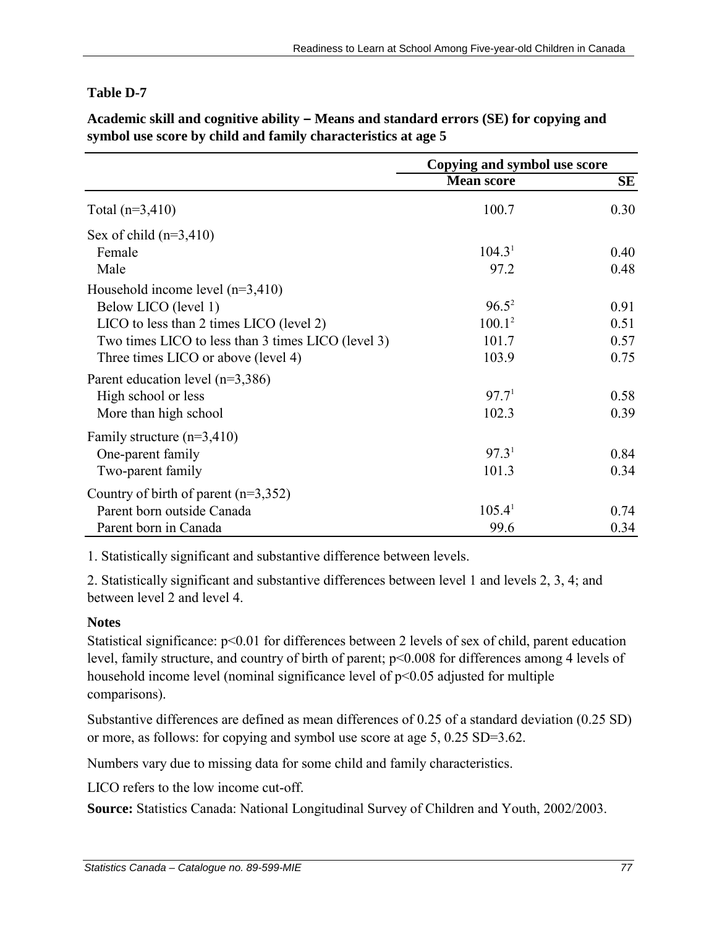|                                                    | Copying and symbol use score |           |
|----------------------------------------------------|------------------------------|-----------|
|                                                    | <b>Mean score</b>            | <b>SE</b> |
| Total $(n=3,410)$                                  | 100.7                        | 0.30      |
| Sex of child $(n=3,410)$                           |                              |           |
| Female                                             | $104.3^1$                    | 0.40      |
| Male                                               | 97.2                         | 0.48      |
| Household income level $(n=3,410)$                 |                              |           |
| Below LICO (level 1)                               | $96.5^2$                     | 0.91      |
| LICO to less than 2 times LICO (level 2)           | $100.1^2$                    | 0.51      |
| Two times LICO to less than 3 times LICO (level 3) | 101.7                        | 0.57      |
| Three times LICO or above (level 4)                | 103.9                        | 0.75      |
| Parent education level $(n=3,386)$                 |                              |           |
| High school or less                                | 97.7 <sup>1</sup>            | 0.58      |
| More than high school                              | 102.3                        | 0.39      |
| Family structure $(n=3,410)$                       |                              |           |
| One-parent family                                  | 97.3 <sup>1</sup>            | 0.84      |
| Two-parent family                                  | 101.3                        | 0.34      |
| Country of birth of parent $(n=3,352)$             |                              |           |
| Parent born outside Canada                         | 105.4 <sup>1</sup>           | 0.74      |
| Parent born in Canada                              | 99.6                         | 0.34      |

**Academic skill and cognitive ability – Means and standard errors (SE) for copying and symbol use score by child and family characteristics at age 5**

1. Statistically significant and substantive difference between levels.

2. Statistically significant and substantive differences between level 1 and levels 2, 3, 4; and between level 2 and level 4.

## **Notes**

Statistical significance:  $p<0.01$  for differences between 2 levels of sex of child, parent education level, family structure, and country of birth of parent; p<0.008 for differences among 4 levels of household income level (nominal significance level of  $p<0.05$  adjusted for multiple comparisons).

Substantive differences are defined as mean differences of 0.25 of a standard deviation (0.25 SD) or more, as follows: for copying and symbol use score at age 5, 0.25 SD=3.62.

Numbers vary due to missing data for some child and family characteristics.

LICO refers to the low income cut-off.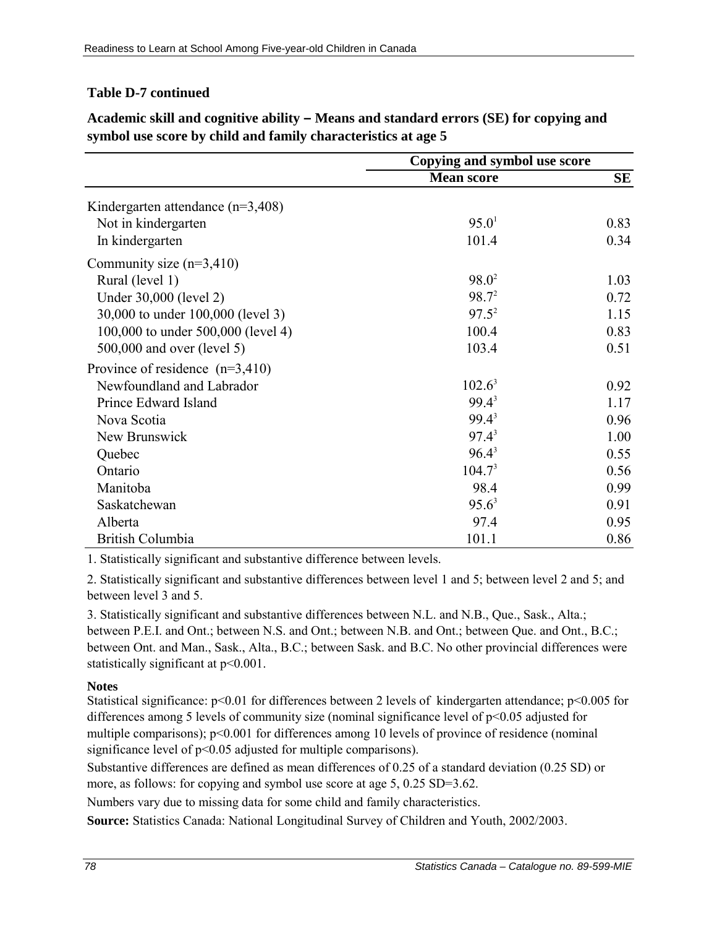### **Table D-7 continued**

|                                       | Copying and symbol use score |      |
|---------------------------------------|------------------------------|------|
|                                       | <b>Mean score</b>            | SЕ   |
| Kindergarten attendance ( $n=3,408$ ) |                              |      |
| Not in kindergarten                   | 95.0 <sup>1</sup>            | 0.83 |
| In kindergarten                       | 101.4                        | 0.34 |
| Community size $(n=3,410)$            |                              |      |
| Rural (level 1)                       | $98.0^2$                     | 1.03 |
| Under 30,000 (level 2)                | $98.7^2$                     | 0.72 |
| 30,000 to under 100,000 (level 3)     | $97.5^2$                     | 1.15 |
| 100,000 to under 500,000 (level 4)    | 100.4                        | 0.83 |
| 500,000 and over (level 5)            | 103.4                        | 0.51 |
| Province of residence $(n=3,410)$     |                              |      |
| Newfoundland and Labrador             | $102.6^3$                    | 0.92 |
| Prince Edward Island                  | $99.4^3$                     | 1.17 |
| Nova Scotia                           | $99.4^3$                     | 0.96 |
| New Brunswick                         | $97.4^3$                     | 1.00 |
| Quebec                                | $96.4^3$                     | 0.55 |
| Ontario                               | 104.7 <sup>3</sup>           | 0.56 |
| Manitoba                              | 98.4                         | 0.99 |
| Saskatchewan                          | $95.6^3$                     | 0.91 |
| Alberta                               | 97.4                         | 0.95 |
| British Columbia                      | 101.1                        | 0.86 |

**Academic skill and cognitive ability – Means and standard errors (SE) for copying and symbol use score by child and family characteristics at age 5**

1. Statistically significant and substantive difference between levels.

2. Statistically significant and substantive differences between level 1 and 5; between level 2 and 5; and between level 3 and 5.

3. Statistically significant and substantive differences between N.L. and N.B., Que., Sask., Alta.; between P.E.I. and Ont.; between N.S. and Ont.; between N.B. and Ont.; between Que. and Ont., B.C.; between Ont. and Man., Sask., Alta., B.C.; between Sask. and B.C. No other provincial differences were statistically significant at  $p<0.001$ .

#### **Notes**

Statistical significance: p<0.01 for differences between 2 levels of kindergarten attendance; p<0.005 for differences among 5 levels of community size (nominal significance level of p<0.05 adjusted for multiple comparisons);  $p<0.001$  for differences among 10 levels of province of residence (nominal significance level of  $p<0.05$  adjusted for multiple comparisons).

Substantive differences are defined as mean differences of 0.25 of a standard deviation (0.25 SD) or more, as follows: for copying and symbol use score at age 5, 0.25 SD=3.62.

Numbers vary due to missing data for some child and family characteristics.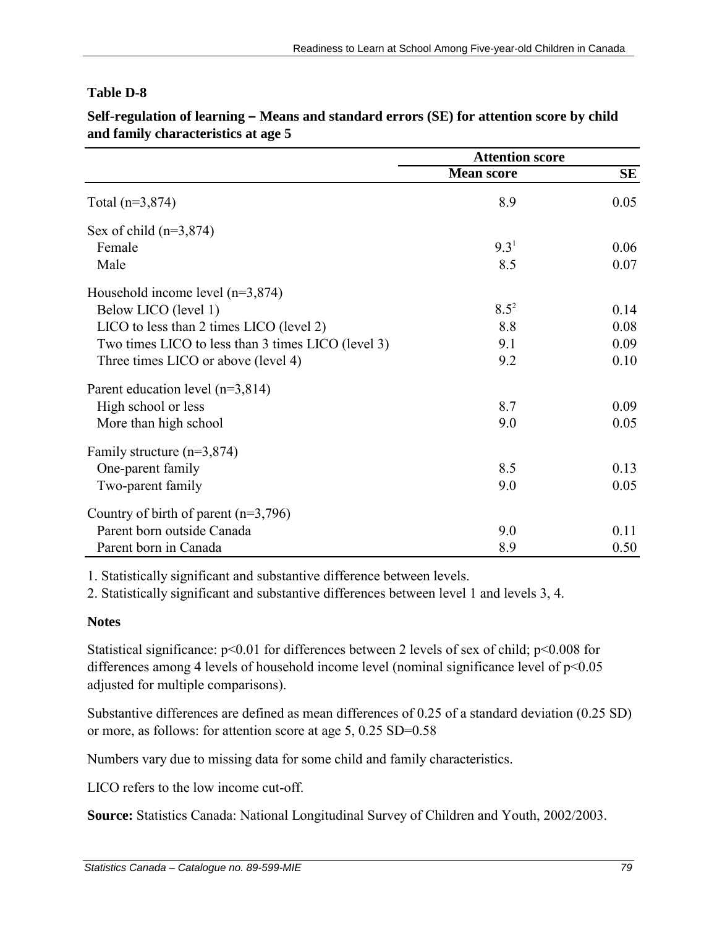|                                                    | <b>Attention score</b> |           |
|----------------------------------------------------|------------------------|-----------|
|                                                    | <b>Mean score</b>      | <b>SE</b> |
| Total $(n=3,874)$                                  | 8.9                    | 0.05      |
| Sex of child $(n=3,874)$                           |                        |           |
| Female                                             | 9.3 <sup>1</sup>       | 0.06      |
| Male                                               | 8.5                    | 0.07      |
| Household income level $(n=3,874)$                 |                        |           |
| Below LICO (level 1)                               | $8.5^2$                | 0.14      |
| LICO to less than 2 times LICO (level 2)           | 8.8                    | 0.08      |
| Two times LICO to less than 3 times LICO (level 3) | 9.1                    | 0.09      |
| Three times LICO or above (level 4)                | 9.2                    | 0.10      |
| Parent education level $(n=3,814)$                 |                        |           |
| High school or less                                | 8.7                    | 0.09      |
| More than high school                              | 9.0                    | 0.05      |
| Family structure $(n=3,874)$                       |                        |           |
| One-parent family                                  | 8.5                    | 0.13      |
| Two-parent family                                  | 9.0                    | 0.05      |
| Country of birth of parent $(n=3,796)$             |                        |           |
| Parent born outside Canada                         | 9.0                    | 0.11      |
| Parent born in Canada                              | 8.9                    | 0.50      |

**Self-regulation of learning – Means and standard errors (SE) for attention score by child and family characteristics at age 5**

1. Statistically significant and substantive difference between levels.

2. Statistically significant and substantive differences between level 1 and levels 3, 4.

## **Notes**

Statistical significance:  $p<0.01$  for differences between 2 levels of sex of child;  $p<0.008$  for differences among 4 levels of household income level (nominal significance level of  $p<0.05$ ) adjusted for multiple comparisons).

Substantive differences are defined as mean differences of 0.25 of a standard deviation (0.25 SD) or more, as follows: for attention score at age 5, 0.25 SD=0.58

Numbers vary due to missing data for some child and family characteristics.

LICO refers to the low income cut-off.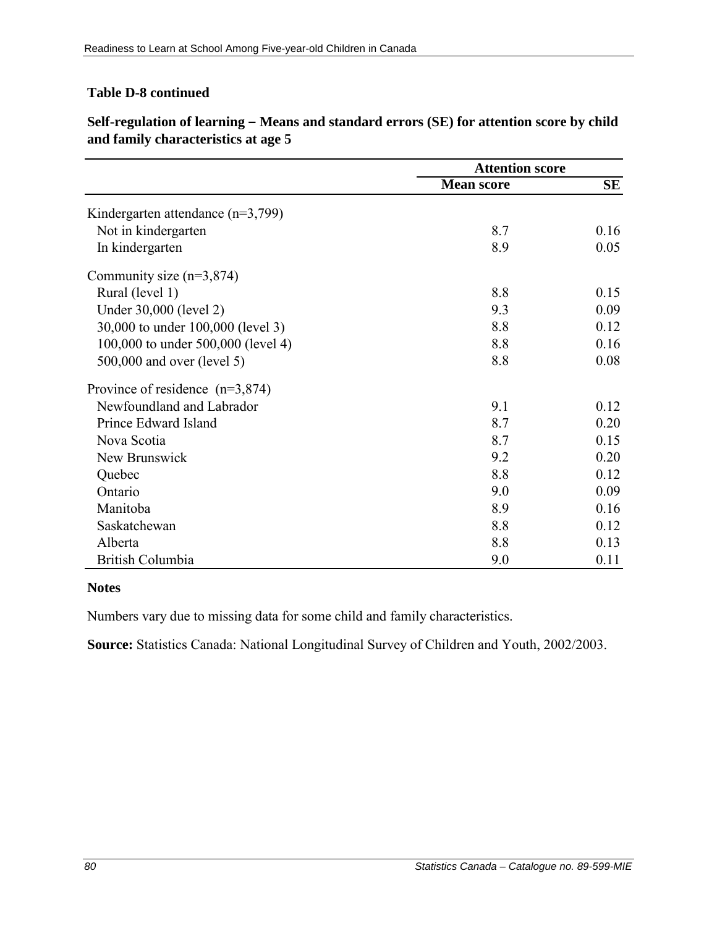## **Table D-8 continued**

|                                       | <b>Attention score</b> |      |
|---------------------------------------|------------------------|------|
|                                       | <b>Mean score</b>      | SE   |
| Kindergarten attendance ( $n=3,799$ ) |                        |      |
| Not in kindergarten                   | 8.7                    | 0.16 |
| In kindergarten                       | 8.9                    | 0.05 |
| Community size $(n=3,874)$            |                        |      |
| Rural (level 1)                       | 8.8                    | 0.15 |
| Under 30,000 (level 2)                | 9.3                    | 0.09 |
| 30,000 to under 100,000 (level 3)     | 8.8                    | 0.12 |
| 100,000 to under 500,000 (level 4)    | 8.8                    | 0.16 |
| 500,000 and over (level 5)            | 8.8                    | 0.08 |
| Province of residence $(n=3,874)$     |                        |      |
| Newfoundland and Labrador             | 9.1                    | 0.12 |
| Prince Edward Island                  | 8.7                    | 0.20 |
| Nova Scotia                           | 8.7                    | 0.15 |
| New Brunswick                         | 9.2                    | 0.20 |
| Quebec                                | 8.8                    | 0.12 |
| Ontario                               | 9.0                    | 0.09 |
| Manitoba                              | 8.9                    | 0.16 |
| Saskatchewan                          | 8.8                    | 0.12 |
| Alberta                               | 8.8                    | 0.13 |
| British Columbia                      | 9.0                    | 0.11 |

**Self-regulation of learning – Means and standard errors (SE) for attention score by child and family characteristics at age 5**

### **Notes**

Numbers vary due to missing data for some child and family characteristics.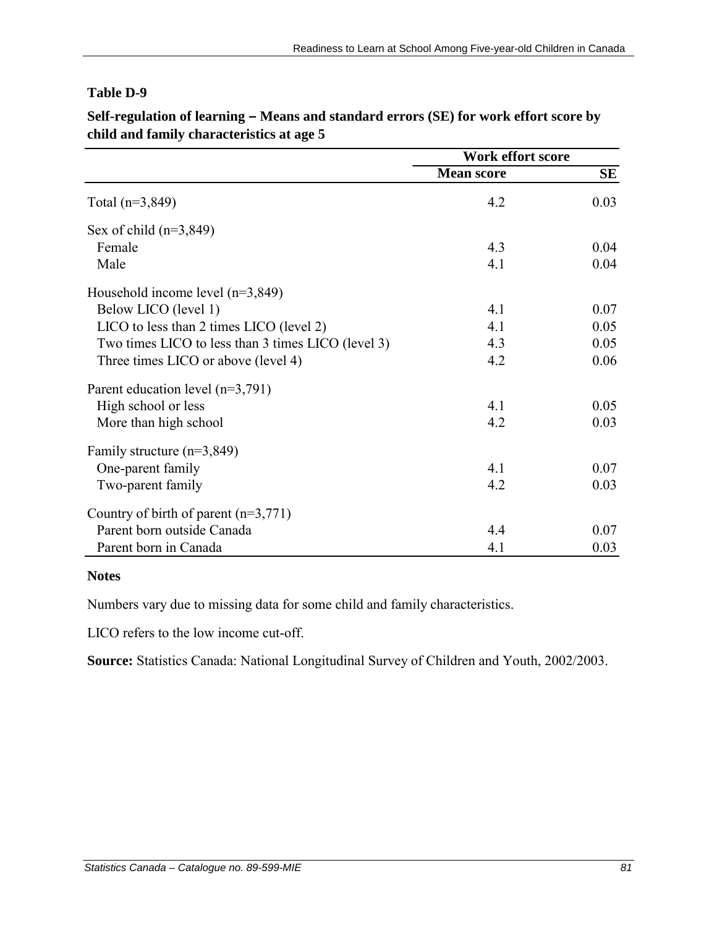|                                                    | Work effort score |      |
|----------------------------------------------------|-------------------|------|
|                                                    | <b>Mean score</b> | SE   |
| Total $(n=3,849)$                                  | 4.2               | 0.03 |
| Sex of child $(n=3,849)$                           |                   |      |
| Female                                             | 4.3               | 0.04 |
| Male                                               | 4.1               | 0.04 |
| Household income level $(n=3,849)$                 |                   |      |
| Below LICO (level 1)                               | 4.1               | 0.07 |
| LICO to less than 2 times LICO (level 2)           | 4.1               | 0.05 |
| Two times LICO to less than 3 times LICO (level 3) | 4.3               | 0.05 |
| Three times LICO or above (level 4)                | 4.2               | 0.06 |
| Parent education level $(n=3,791)$                 |                   |      |
| High school or less                                | 4.1               | 0.05 |
| More than high school                              | 4.2               | 0.03 |
| Family structure $(n=3,849)$                       |                   |      |
| One-parent family                                  | 4.1               | 0.07 |
| Two-parent family                                  | 4.2               | 0.03 |
| Country of birth of parent $(n=3,771)$             |                   |      |
| Parent born outside Canada                         | 4.4               | 0.07 |
| Parent born in Canada                              | 4.1               | 0.03 |

**Self-regulation of learning – Means and standard errors (SE) for work effort score by child and family characteristics at age 5**

### **Notes**

Numbers vary due to missing data for some child and family characteristics.

LICO refers to the low income cut-off.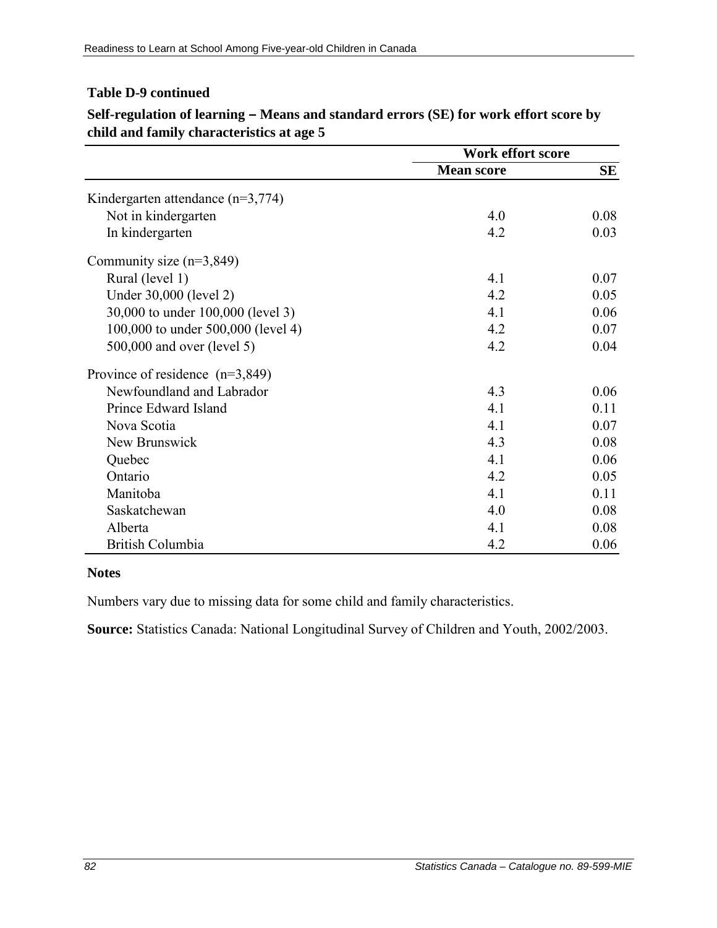### **Table D-9 continued**

|                                       | <b>Work effort score</b> |           |
|---------------------------------------|--------------------------|-----------|
|                                       | <b>Mean score</b>        | <b>SE</b> |
| Kindergarten attendance ( $n=3,774$ ) |                          |           |
| Not in kindergarten                   | 4.0                      | 0.08      |
| In kindergarten                       | 4.2                      | 0.03      |
| Community size $(n=3,849)$            |                          |           |
| Rural (level 1)                       | 4.1                      | 0.07      |
| Under 30,000 (level 2)                | 4.2                      | 0.05      |
| 30,000 to under 100,000 (level 3)     | 4.1                      | 0.06      |
| 100,000 to under 500,000 (level 4)    | 4.2                      | 0.07      |
| 500,000 and over (level 5)            | 4.2                      | 0.04      |
| Province of residence $(n=3,849)$     |                          |           |
| Newfoundland and Labrador             | 4.3                      | 0.06      |
| Prince Edward Island                  | 4.1                      | 0.11      |
| Nova Scotia                           | 4.1                      | 0.07      |
| New Brunswick                         | 4.3                      | 0.08      |
| Quebec                                | 4.1                      | 0.06      |
| Ontario                               | 4.2                      | 0.05      |
| Manitoba                              | 4.1                      | 0.11      |
| Saskatchewan                          | 4.0                      | 0.08      |
| Alberta                               | 4.1                      | 0.08      |
| British Columbia                      | 4.2                      | 0.06      |

**Self-regulation of learning – Means and standard errors (SE) for work effort score by child and family characteristics at age 5**

#### **Notes**

Numbers vary due to missing data for some child and family characteristics.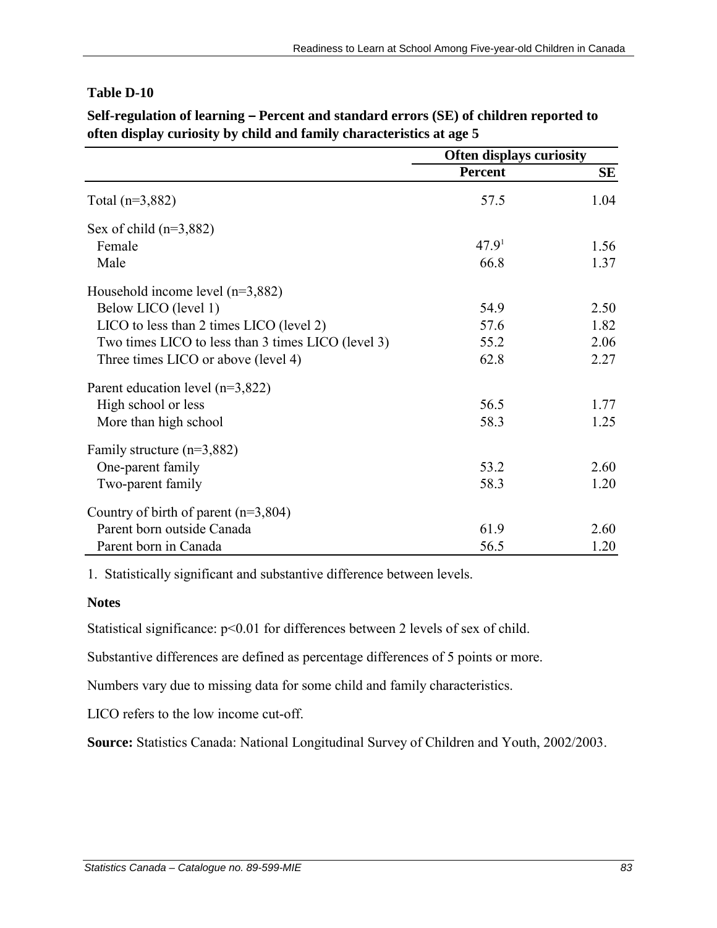|                                                    | <b>Often displays curiosity</b> |      |
|----------------------------------------------------|---------------------------------|------|
|                                                    | Percent                         | SE   |
| Total $(n=3,882)$                                  | 57.5                            | 1.04 |
| Sex of child $(n=3,882)$                           |                                 |      |
| Female                                             | 47.9 <sup>1</sup>               | 1.56 |
| Male                                               | 66.8                            | 1.37 |
| Household income level $(n=3,882)$                 |                                 |      |
| Below LICO (level 1)                               | 54.9                            | 2.50 |
| LICO to less than 2 times LICO (level 2)           | 57.6                            | 1.82 |
| Two times LICO to less than 3 times LICO (level 3) | 55.2                            | 2.06 |
| Three times LICO or above (level 4)                | 62.8                            | 2.27 |
| Parent education level $(n=3,822)$                 |                                 |      |
| High school or less                                | 56.5                            | 1.77 |
| More than high school                              | 58.3                            | 1.25 |
| Family structure $(n=3,882)$                       |                                 |      |
| One-parent family                                  | 53.2                            | 2.60 |
| Two-parent family                                  | 58.3                            | 1.20 |
| Country of birth of parent $(n=3,804)$             |                                 |      |
| Parent born outside Canada                         | 61.9                            | 2.60 |
| Parent born in Canada                              | 56.5                            | 1.20 |

**Self-regulation of learning – Percent and standard errors (SE) of children reported to often display curiosity by child and family characteristics at age 5**

1. Statistically significant and substantive difference between levels.

#### **Notes**

Statistical significance:  $p<0.01$  for differences between 2 levels of sex of child.

Substantive differences are defined as percentage differences of 5 points or more.

Numbers vary due to missing data for some child and family characteristics.

LICO refers to the low income cut-off.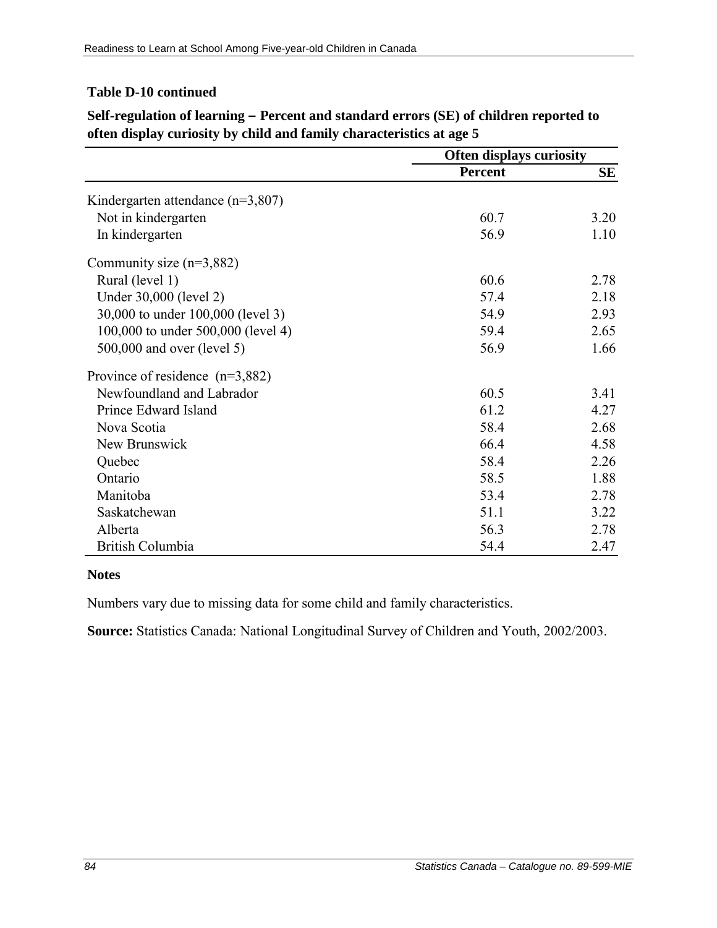### **Table D-10 continued**

|                                       | <b>Often displays curiosity</b> |      |
|---------------------------------------|---------------------------------|------|
|                                       | <b>Percent</b>                  | SE   |
| Kindergarten attendance ( $n=3,807$ ) |                                 |      |
| Not in kindergarten                   | 60.7                            | 3.20 |
| In kindergarten                       | 56.9                            | 1.10 |
| Community size $(n=3,882)$            |                                 |      |
| Rural (level 1)                       | 60.6                            | 2.78 |
| Under 30,000 (level 2)                | 57.4                            | 2.18 |
| 30,000 to under 100,000 (level 3)     | 54.9                            | 2.93 |
| 100,000 to under 500,000 (level 4)    | 59.4                            | 2.65 |
| 500,000 and over (level 5)            | 56.9                            | 1.66 |
| Province of residence $(n=3,882)$     |                                 |      |
| Newfoundland and Labrador             | 60.5                            | 3.41 |
| Prince Edward Island                  | 61.2                            | 4.27 |
| Nova Scotia                           | 58.4                            | 2.68 |
| New Brunswick                         | 66.4                            | 4.58 |
| Quebec                                | 58.4                            | 2.26 |
| Ontario                               | 58.5                            | 1.88 |
| Manitoba                              | 53.4                            | 2.78 |
| Saskatchewan                          | 51.1                            | 3.22 |
| Alberta                               | 56.3                            | 2.78 |
| British Columbia                      | 54.4                            | 2.47 |

**Self-regulation of learning – Percent and standard errors (SE) of children reported to often display curiosity by child and family characteristics at age 5**

#### **Notes**

Numbers vary due to missing data for some child and family characteristics.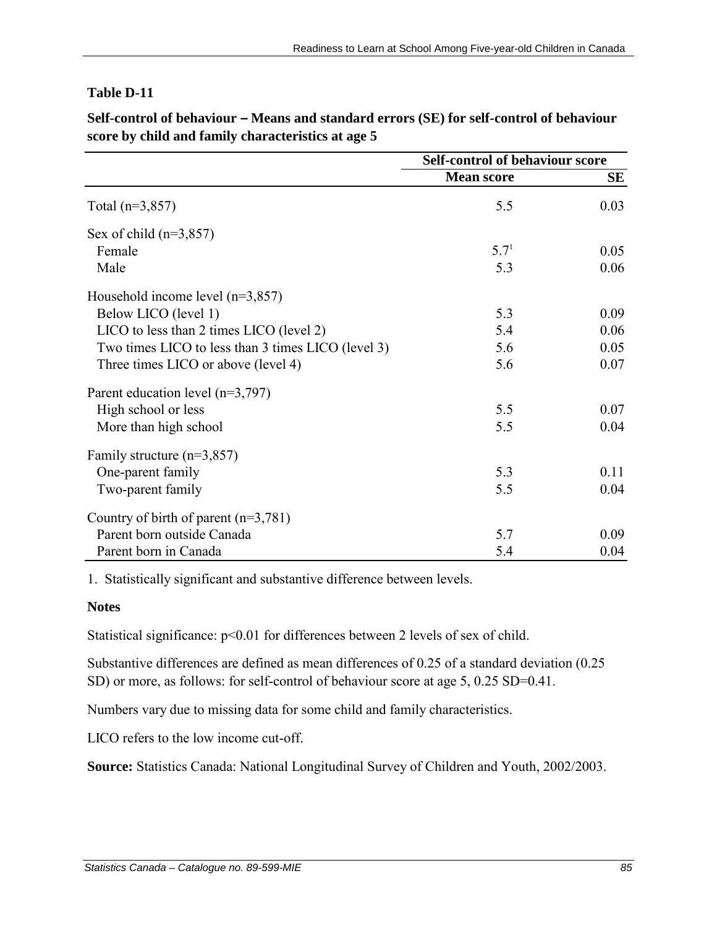|                                                    | <b>Self-control of behaviour score</b> |      |
|----------------------------------------------------|----------------------------------------|------|
|                                                    | <b>Mean score</b>                      | SE   |
| Total $(n=3,857)$                                  | 5.5                                    | 0.03 |
| Sex of child $(n=3,857)$                           |                                        |      |
| Female                                             | 5.7 <sup>1</sup>                       | 0.05 |
| Male                                               | 5.3                                    | 0.06 |
| Household income level $(n=3,857)$                 |                                        |      |
| Below LICO (level 1)                               | 5.3                                    | 0.09 |
| LICO to less than 2 times LICO (level 2)           | 5.4                                    | 0.06 |
| Two times LICO to less than 3 times LICO (level 3) | 5.6                                    | 0.05 |
| Three times LICO or above (level 4)                | 5.6                                    | 0.07 |
| Parent education level $(n=3,797)$                 |                                        |      |
| High school or less                                | 5.5                                    | 0.07 |
| More than high school                              | 5.5                                    | 0.04 |
| Family structure $(n=3,857)$                       |                                        |      |
| One-parent family                                  | 5.3                                    | 0.11 |
| Two-parent family                                  | 5.5                                    | 0.04 |
| Country of birth of parent $(n=3,781)$             |                                        |      |
| Parent born outside Canada                         | 5.7                                    | 0.09 |
| Parent born in Canada                              | 5.4                                    | 0.04 |

Self-control of behaviour – Means and standard errors (SE) for self-control of behaviour **score by child and family characteristics at age 5**

1. Statistically significant and substantive difference between levels.

#### **Notes**

Statistical significance:  $p<0.01$  for differences between 2 levels of sex of child.

Substantive differences are defined as mean differences of 0.25 of a standard deviation (0.25 SD) or more, as follows: for self-control of behaviour score at age 5, 0.25 SD=0.41.

Numbers vary due to missing data for some child and family characteristics.

LICO refers to the low income cut-off.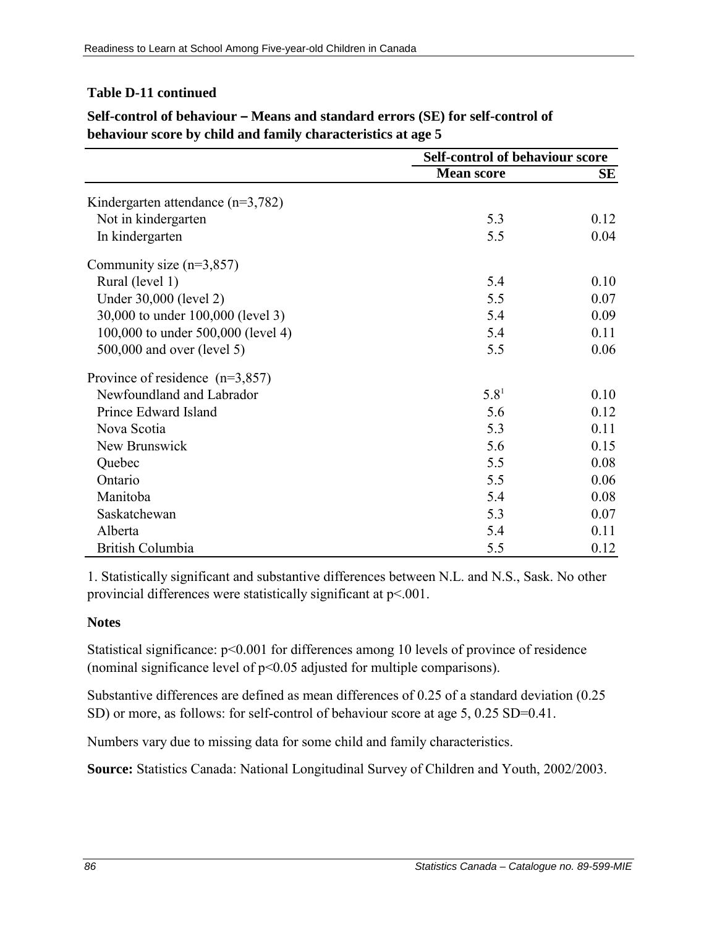### **Table D-11 continued**

|                                       | <b>Self-control of behaviour score</b> |      |
|---------------------------------------|----------------------------------------|------|
|                                       | <b>Mean score</b>                      | SЕ   |
| Kindergarten attendance ( $n=3,782$ ) |                                        |      |
| Not in kindergarten                   | 5.3                                    | 0.12 |
| In kindergarten                       | 5.5                                    | 0.04 |
| Community size $(n=3,857)$            |                                        |      |
| Rural (level 1)                       | 5.4                                    | 0.10 |
| Under 30,000 (level 2)                | 5.5                                    | 0.07 |
| 30,000 to under 100,000 (level 3)     | 5.4                                    | 0.09 |
| 100,000 to under 500,000 (level 4)    | 5.4                                    | 0.11 |
| 500,000 and over (level 5)            | 5.5                                    | 0.06 |
| Province of residence $(n=3,857)$     |                                        |      |
| Newfoundland and Labrador             | 5.8 <sup>1</sup>                       | 0.10 |
| Prince Edward Island                  | 5.6                                    | 0.12 |
| Nova Scotia                           | 5.3                                    | 0.11 |
| New Brunswick                         | 5.6                                    | 0.15 |
| Quebec                                | 5.5                                    | 0.08 |
| Ontario                               | 5.5                                    | 0.06 |
| Manitoba                              | 5.4                                    | 0.08 |
| Saskatchewan                          | 5.3                                    | 0.07 |
| Alberta                               | 5.4                                    | 0.11 |
| <b>British Columbia</b>               | 5.5                                    | 0.12 |

# **Self-control of behaviour – Means and standard errors (SE) for self-control of behaviour score by child and family characteristics at age 5**

1. Statistically significant and substantive differences between N.L. and N.S., Sask. No other provincial differences were statistically significant at p<.001.

## **Notes**

Statistical significance:  $p<0.001$  for differences among 10 levels of province of residence (nominal significance level of p<0.05 adjusted for multiple comparisons).

Substantive differences are defined as mean differences of 0.25 of a standard deviation (0.25 SD) or more, as follows: for self-control of behaviour score at age 5, 0.25 SD=0.41.

Numbers vary due to missing data for some child and family characteristics.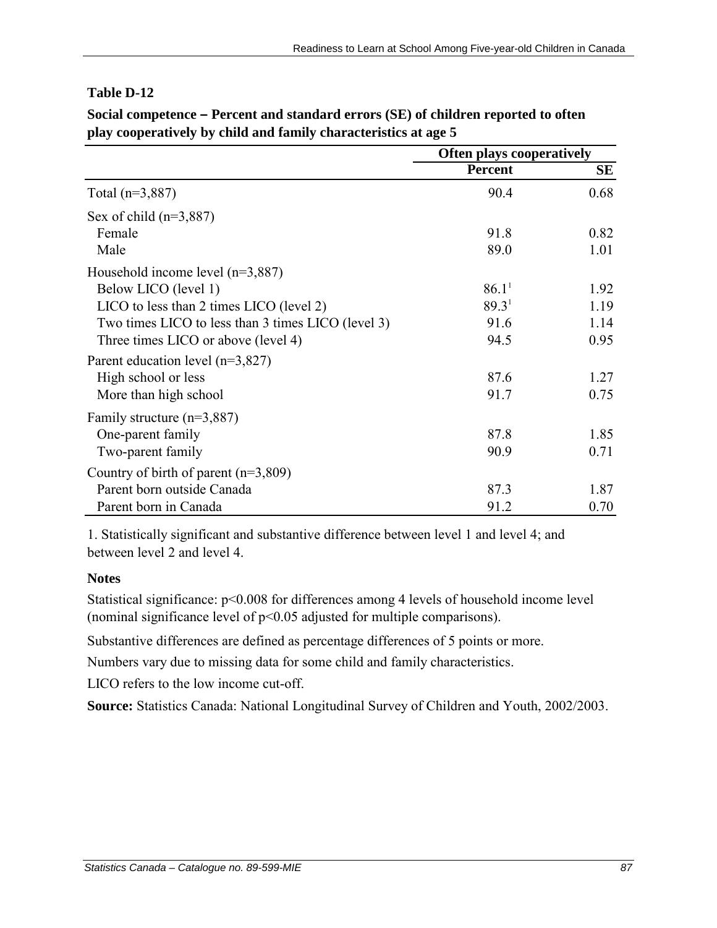|                                                    |                   | <b>Often plays cooperatively</b> |  |
|----------------------------------------------------|-------------------|----------------------------------|--|
|                                                    | <b>Percent</b>    | SЕ                               |  |
| Total $(n=3,887)$                                  | 90.4              | 0.68                             |  |
| Sex of child $(n=3,887)$                           |                   |                                  |  |
| Female                                             | 91.8              | 0.82                             |  |
| Male                                               | 89.0              | 1.01                             |  |
| Household income level $(n=3,887)$                 |                   |                                  |  |
| Below LICO (level 1)                               | 86.1 <sup>1</sup> | 1.92                             |  |
| LICO to less than 2 times LICO (level 2)           | 89.3 <sup>1</sup> | 1.19                             |  |
| Two times LICO to less than 3 times LICO (level 3) | 91.6              | 1.14                             |  |
| Three times LICO or above (level 4)                | 94.5              | 0.95                             |  |
| Parent education level $(n=3,827)$                 |                   |                                  |  |
| High school or less                                | 87.6              | 1.27                             |  |
| More than high school                              | 91.7              | 0.75                             |  |
| Family structure $(n=3,887)$                       |                   |                                  |  |
| One-parent family                                  | 87.8              | 1.85                             |  |
| Two-parent family                                  | 90.9              | 0.71                             |  |
| Country of birth of parent $(n=3,809)$             |                   |                                  |  |
| Parent born outside Canada                         | 87.3              | 1.87                             |  |
| Parent born in Canada                              | 91.2              | 0.70                             |  |

**Social competence – Percent and standard errors (SE) of children reported to often play cooperatively by child and family characteristics at age 5**

1. Statistically significant and substantive difference between level 1 and level 4; and between level 2 and level 4.

#### **Notes**

Statistical significance: p<0.008 for differences among 4 levels of household income level (nominal significance level of p<0.05 adjusted for multiple comparisons).

Substantive differences are defined as percentage differences of 5 points or more.

Numbers vary due to missing data for some child and family characteristics.

LICO refers to the low income cut-off.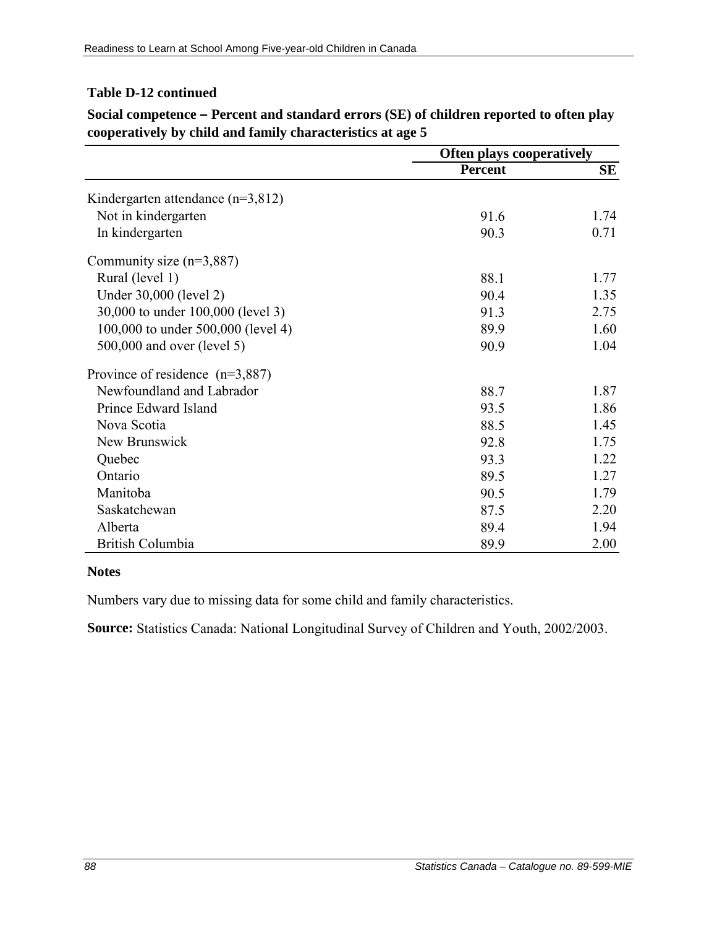### **Table D-12 continued**

|                                       | <b>Often plays cooperatively</b> |           |
|---------------------------------------|----------------------------------|-----------|
|                                       | <b>Percent</b>                   | <b>SE</b> |
| Kindergarten attendance ( $n=3,812$ ) |                                  |           |
| Not in kindergarten                   | 91.6                             | 1.74      |
| In kindergarten                       | 90.3                             | 0.71      |
| Community size $(n=3,887)$            |                                  |           |
| Rural (level 1)                       | 88.1                             | 1.77      |
| Under 30,000 (level 2)                | 90.4                             | 1.35      |
| 30,000 to under 100,000 (level 3)     | 91.3                             | 2.75      |
| 100,000 to under 500,000 (level 4)    | 89.9                             | 1.60      |
| 500,000 and over (level 5)            | 90.9                             | 1.04      |
| Province of residence $(n=3,887)$     |                                  |           |
| Newfoundland and Labrador             | 88.7                             | 1.87      |
| Prince Edward Island                  | 93.5                             | 1.86      |
| Nova Scotia                           | 88.5                             | 1.45      |
| New Brunswick                         | 92.8                             | 1.75      |
| Quebec                                | 93.3                             | 1.22      |
| Ontario                               | 89.5                             | 1.27      |
| Manitoba                              | 90.5                             | 1.79      |
| Saskatchewan                          | 87.5                             | 2.20      |
| Alberta                               | 89.4                             | 1.94      |
| <b>British Columbia</b>               | 89.9                             | 2.00      |

**Social competence – Percent and standard errors (SE) of children reported to often play cooperatively by child and family characteristics at age 5**

#### **Notes**

Numbers vary due to missing data for some child and family characteristics.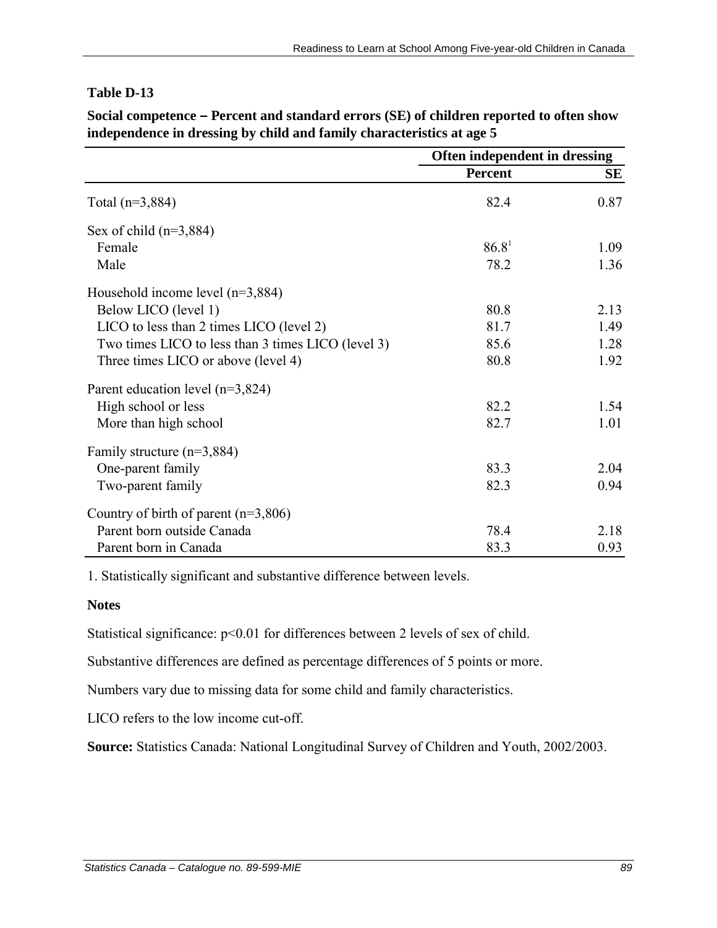**Social competence – Percent and standard errors (SE) of children reported to often show independence in dressing by child and family characteristics at age 5**

|                                                    | Often independent in dressing |      |
|----------------------------------------------------|-------------------------------|------|
|                                                    | <b>Percent</b>                | SE   |
| Total $(n=3,884)$                                  | 82.4                          | 0.87 |
| Sex of child $(n=3,884)$                           |                               |      |
| Female                                             | 86.8 <sup>1</sup>             | 1.09 |
| Male                                               | 78.2                          | 1.36 |
| Household income level $(n=3,884)$                 |                               |      |
| Below LICO (level 1)                               | 80.8                          | 2.13 |
| LICO to less than 2 times LICO (level 2)           | 81.7                          | 1.49 |
| Two times LICO to less than 3 times LICO (level 3) | 85.6                          | 1.28 |
| Three times LICO or above (level 4)                | 80.8                          | 1.92 |
| Parent education level $(n=3,824)$                 |                               |      |
| High school or less                                | 82.2                          | 1.54 |
| More than high school                              | 82.7                          | 1.01 |
| Family structure $(n=3,884)$                       |                               |      |
| One-parent family                                  | 83.3                          | 2.04 |
| Two-parent family                                  | 82.3                          | 0.94 |
| Country of birth of parent $(n=3,806)$             |                               |      |
| Parent born outside Canada                         | 78.4                          | 2.18 |
| Parent born in Canada                              | 83.3                          | 0.93 |

1. Statistically significant and substantive difference between levels.

#### **Notes**

Statistical significance:  $p<0.01$  for differences between 2 levels of sex of child.

Substantive differences are defined as percentage differences of 5 points or more.

Numbers vary due to missing data for some child and family characteristics.

LICO refers to the low income cut-off.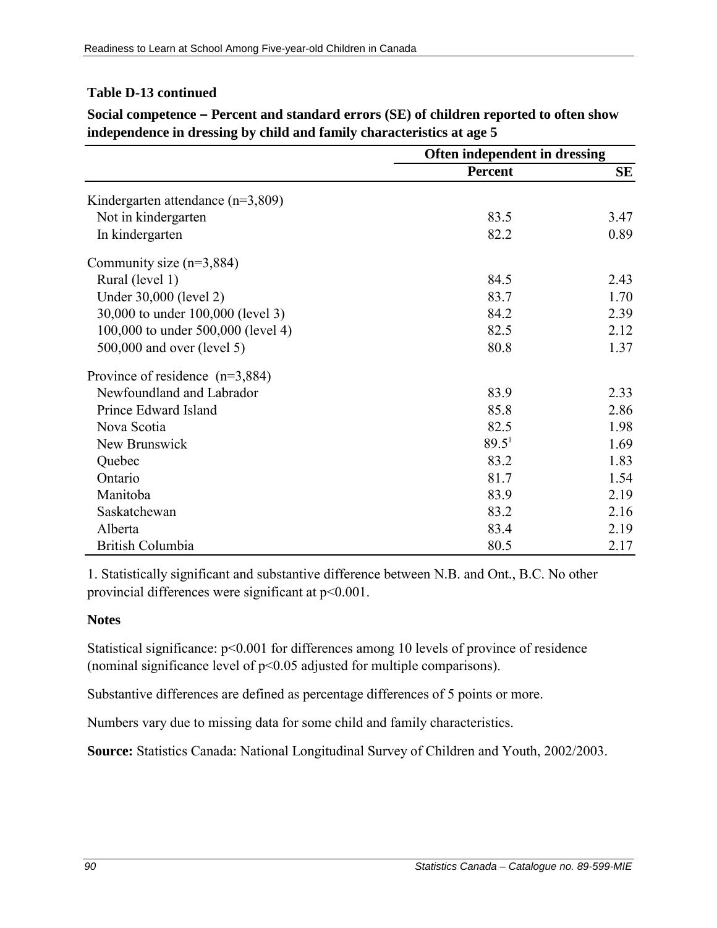### **Table D-13 continued**

|                                       | Often independent in dressing |      |
|---------------------------------------|-------------------------------|------|
|                                       | <b>Percent</b>                | SE   |
| Kindergarten attendance ( $n=3,809$ ) |                               |      |
| Not in kindergarten                   | 83.5                          | 3.47 |
| In kindergarten                       | 82.2                          | 0.89 |
| Community size $(n=3,884)$            |                               |      |
| Rural (level 1)                       | 84.5                          | 2.43 |
| Under 30,000 (level 2)                | 83.7                          | 1.70 |
| 30,000 to under 100,000 (level 3)     | 84.2                          | 2.39 |
| 100,000 to under 500,000 (level 4)    | 82.5                          | 2.12 |
| 500,000 and over (level 5)            | 80.8                          | 1.37 |
| Province of residence $(n=3,884)$     |                               |      |
| Newfoundland and Labrador             | 83.9                          | 2.33 |
| Prince Edward Island                  | 85.8                          | 2.86 |
| Nova Scotia                           | 82.5                          | 1.98 |
| New Brunswick                         | $89.5^1$                      | 1.69 |
| Quebec                                | 83.2                          | 1.83 |
| Ontario                               | 81.7                          | 1.54 |
| Manitoba                              | 83.9                          | 2.19 |
| Saskatchewan                          | 83.2                          | 2.16 |
| Alberta                               | 83.4                          | 2.19 |
| <b>British Columbia</b>               | 80.5                          | 2.17 |

**Social competence – Percent and standard errors (SE) of children reported to often show independence in dressing by child and family characteristics at age 5**

1. Statistically significant and substantive difference between N.B. and Ont., B.C. No other provincial differences were significant at p<0.001.

## **Notes**

Statistical significance:  $p<0.001$  for differences among 10 levels of province of residence (nominal significance level of p<0.05 adjusted for multiple comparisons).

Substantive differences are defined as percentage differences of 5 points or more.

Numbers vary due to missing data for some child and family characteristics.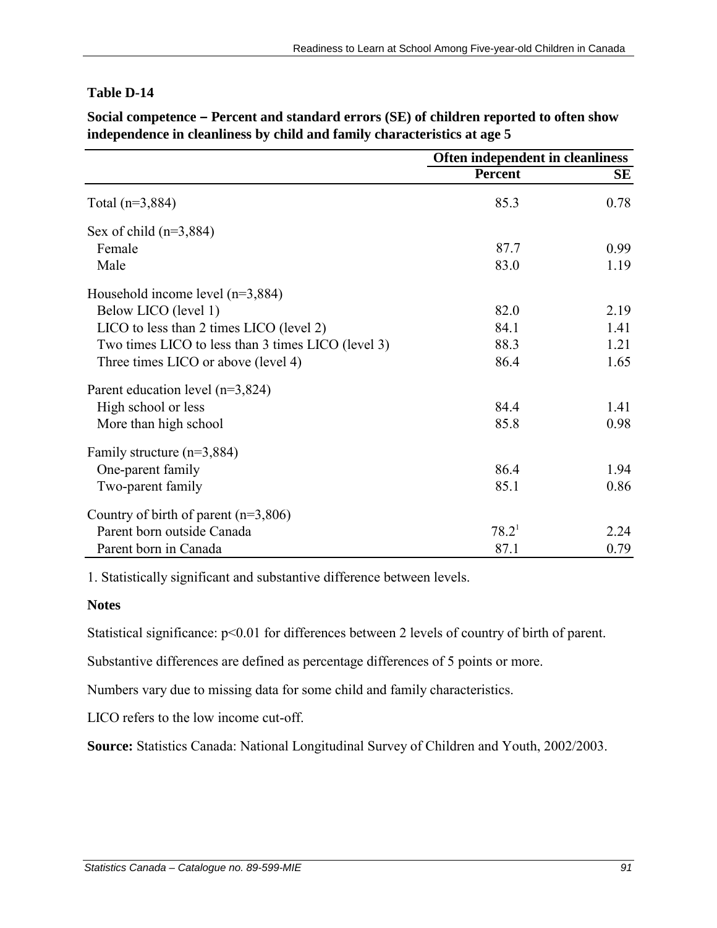**Social competence – Percent and standard errors (SE) of children reported to often show independence in cleanliness by child and family characteristics at age 5**

|                                                    | Often independent in cleanliness |      |
|----------------------------------------------------|----------------------------------|------|
|                                                    | <b>Percent</b>                   | SЕ   |
| Total $(n=3,884)$                                  | 85.3                             | 0.78 |
| Sex of child $(n=3,884)$                           |                                  |      |
| Female                                             | 87.7                             | 0.99 |
| Male                                               | 83.0                             | 1.19 |
| Household income level $(n=3,884)$                 |                                  |      |
| Below LICO (level 1)                               | 82.0                             | 2.19 |
| LICO to less than 2 times LICO (level 2)           | 84.1                             | 1.41 |
| Two times LICO to less than 3 times LICO (level 3) | 88.3                             | 1.21 |
| Three times LICO or above (level 4)                | 86.4                             | 1.65 |
| Parent education level $(n=3,824)$                 |                                  |      |
| High school or less                                | 84.4                             | 1.41 |
| More than high school                              | 85.8                             | 0.98 |
| Family structure $(n=3,884)$                       |                                  |      |
| One-parent family                                  | 86.4                             | 1.94 |
| Two-parent family                                  | 85.1                             | 0.86 |
| Country of birth of parent $(n=3,806)$             |                                  |      |
| Parent born outside Canada                         | 78.2 <sup>1</sup>                | 2.24 |
| Parent born in Canada                              | 87.1                             | 0.79 |

1. Statistically significant and substantive difference between levels.

#### **Notes**

Statistical significance:  $p<0.01$  for differences between 2 levels of country of birth of parent.

Substantive differences are defined as percentage differences of 5 points or more.

Numbers vary due to missing data for some child and family characteristics.

LICO refers to the low income cut-off.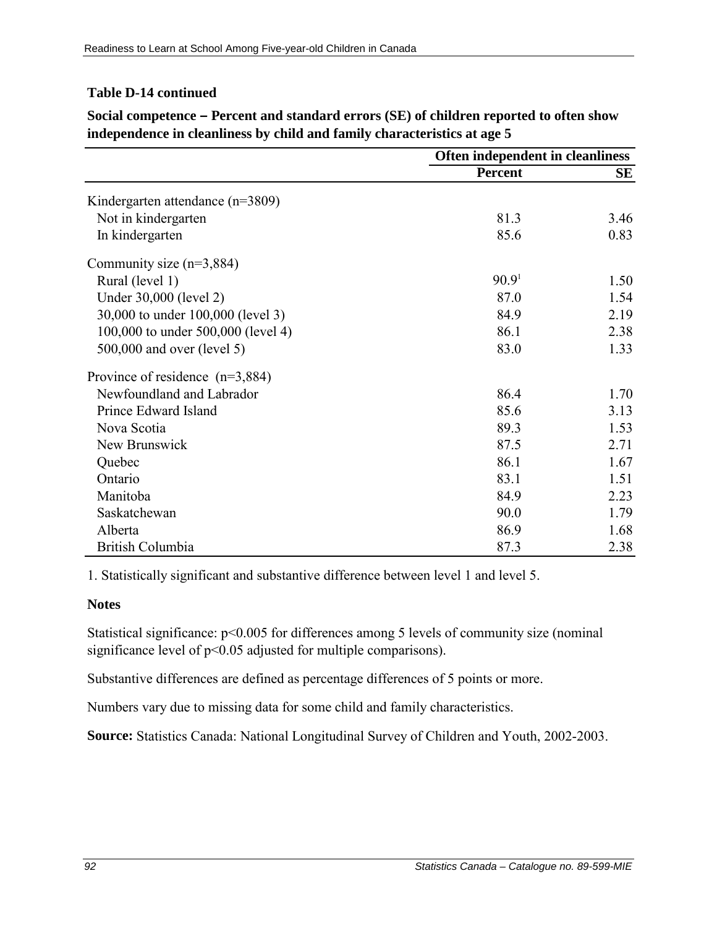## **Table D-14 continued**

|                                    | Often independent in cleanliness |      |
|------------------------------------|----------------------------------|------|
|                                    | <b>Percent</b>                   | SE   |
| Kindergarten attendance (n=3809)   |                                  |      |
| Not in kindergarten                | 81.3                             | 3.46 |
| In kindergarten                    | 85.6                             | 0.83 |
| Community size $(n=3,884)$         |                                  |      |
| Rural (level 1)                    | 90.9 <sup>1</sup>                | 1.50 |
| Under 30,000 (level 2)             | 87.0                             | 1.54 |
| 30,000 to under 100,000 (level 3)  | 84.9                             | 2.19 |
| 100,000 to under 500,000 (level 4) | 86.1                             | 2.38 |
| 500,000 and over (level 5)         | 83.0                             | 1.33 |
| Province of residence $(n=3,884)$  |                                  |      |
| Newfoundland and Labrador          | 86.4                             | 1.70 |
| Prince Edward Island               | 85.6                             | 3.13 |
| Nova Scotia                        | 89.3                             | 1.53 |
| New Brunswick                      | 87.5                             | 2.71 |
| Quebec                             | 86.1                             | 1.67 |
| Ontario                            | 83.1                             | 1.51 |
| Manitoba                           | 84.9                             | 2.23 |
| Saskatchewan                       | 90.0                             | 1.79 |
| Alberta                            | 86.9                             | 1.68 |
| British Columbia                   | 87.3                             | 2.38 |

**Social competence – Percent and standard errors (SE) of children reported to often show independence in cleanliness by child and family characteristics at age 5**

1. Statistically significant and substantive difference between level 1 and level 5.

#### **Notes**

Statistical significance:  $p<0.005$  for differences among 5 levels of community size (nominal significance level of  $p<0.05$  adjusted for multiple comparisons).

Substantive differences are defined as percentage differences of 5 points or more.

Numbers vary due to missing data for some child and family characteristics.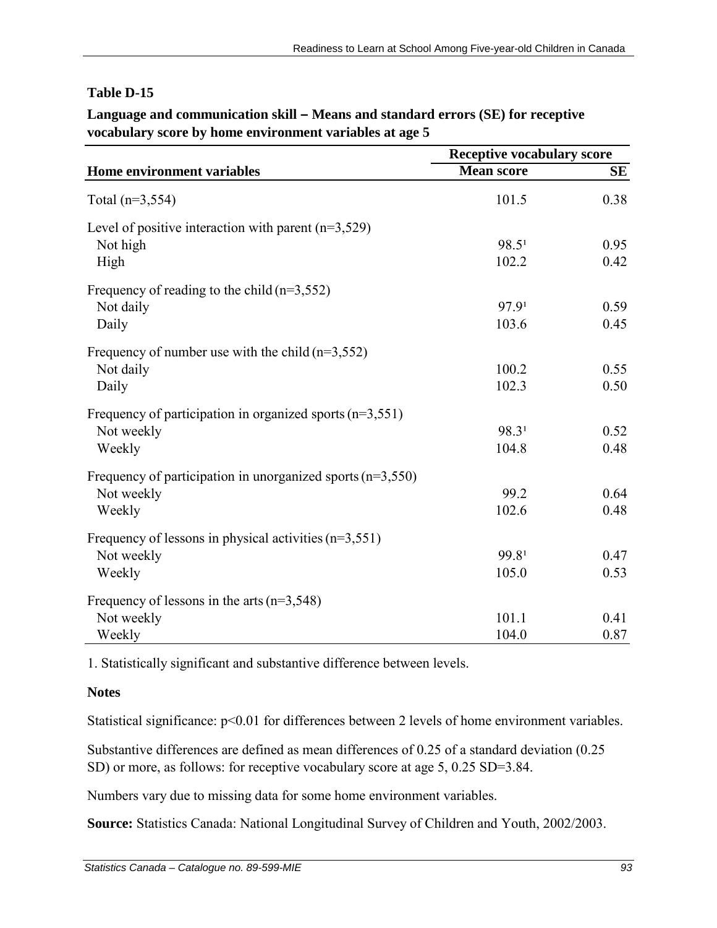#### **Language and communication skill – Means and standard errors (SE) for receptive vocabulary score by home environment variables at age 5**

|                                                              | <b>Receptive vocabulary score</b> |           |
|--------------------------------------------------------------|-----------------------------------|-----------|
| Home environment variables                                   | <b>Mean score</b>                 | <b>SE</b> |
| Total $(n=3, 554)$                                           | 101.5                             | 0.38      |
| Level of positive interaction with parent $(n=3,529)$        |                                   |           |
| Not high                                                     | 98.5 <sup>1</sup>                 | 0.95      |
| High                                                         | 102.2                             | 0.42      |
| Frequency of reading to the child $(n=3,552)$                |                                   |           |
| Not daily                                                    | 97.9 <sup>1</sup>                 | 0.59      |
| Daily                                                        | 103.6                             | 0.45      |
| Frequency of number use with the child $(n=3,552)$           |                                   |           |
| Not daily                                                    | 100.2                             | 0.55      |
| Daily                                                        | 102.3                             | 0.50      |
| Frequency of participation in organized sports $(n=3,551)$   |                                   |           |
| Not weekly                                                   | 98.31                             | 0.52      |
| Weekly                                                       | 104.8                             | 0.48      |
| Frequency of participation in unorganized sports $(n=3,550)$ |                                   |           |
| Not weekly                                                   | 99.2                              | 0.64      |
| Weekly                                                       | 102.6                             | 0.48      |
| Frequency of lessons in physical activities $(n=3,551)$      |                                   |           |
| Not weekly                                                   | 99.81                             | 0.47      |
| Weekly                                                       | 105.0                             | 0.53      |
| Frequency of lessons in the arts $(n=3,548)$                 |                                   |           |
| Not weekly                                                   | 101.1                             | 0.41      |
| Weekly                                                       | 104.0                             | 0.87      |

1. Statistically significant and substantive difference between levels.

## **Notes**

Statistical significance:  $p<0.01$  for differences between 2 levels of home environment variables.

Substantive differences are defined as mean differences of 0.25 of a standard deviation (0.25 SD) or more, as follows: for receptive vocabulary score at age 5, 0.25 SD=3.84.

Numbers vary due to missing data for some home environment variables.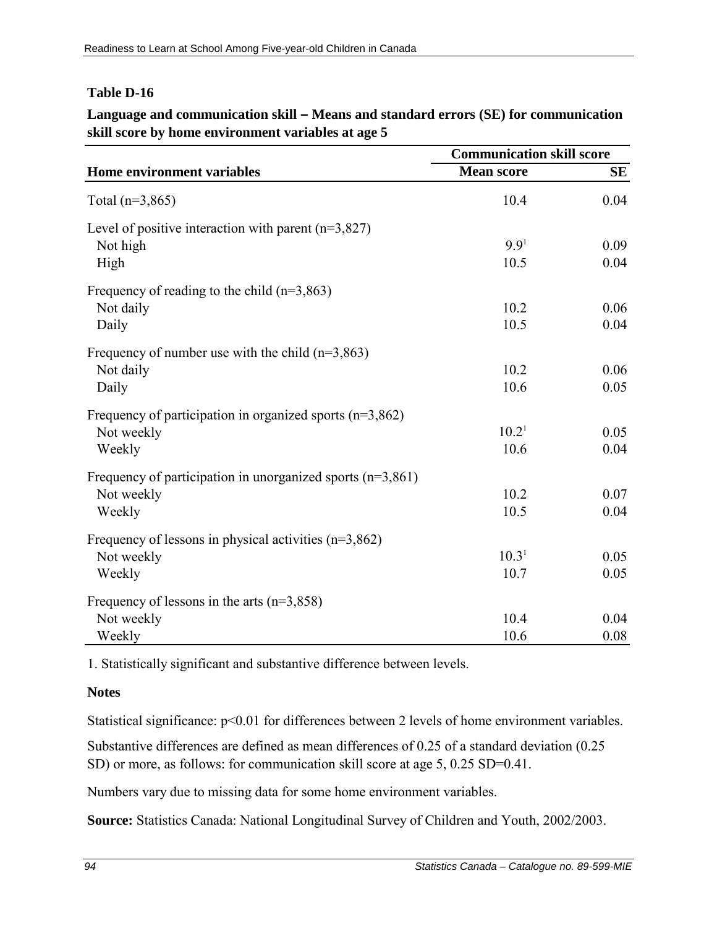#### **Language and communication skill – Means and standard errors (SE) for communication skill score by home environment variables at age 5**

|                                                              | <b>Communication skill score</b> |      |
|--------------------------------------------------------------|----------------------------------|------|
| Home environment variables                                   | <b>Mean score</b>                | SЕ   |
| Total $(n=3,865)$                                            | 10.4                             | 0.04 |
| Level of positive interaction with parent $(n=3,827)$        |                                  |      |
| Not high                                                     | 9.9 <sup>1</sup>                 | 0.09 |
| High                                                         | 10.5                             | 0.04 |
| Frequency of reading to the child $(n=3,863)$                |                                  |      |
| Not daily                                                    | 10.2                             | 0.06 |
| Daily                                                        | 10.5                             | 0.04 |
| Frequency of number use with the child $(n=3,863)$           |                                  |      |
| Not daily                                                    | 10.2                             | 0.06 |
| Daily                                                        | 10.6                             | 0.05 |
| Frequency of participation in organized sports $(n=3,862)$   |                                  |      |
| Not weekly                                                   | 10.2 <sup>1</sup>                | 0.05 |
| Weekly                                                       | 10.6                             | 0.04 |
| Frequency of participation in unorganized sports $(n=3,861)$ |                                  |      |
| Not weekly                                                   | 10.2                             | 0.07 |
| Weekly                                                       | 10.5                             | 0.04 |
| Frequency of lessons in physical activities $(n=3,862)$      |                                  |      |
| Not weekly                                                   | 10.3 <sup>1</sup>                | 0.05 |
| Weekly                                                       | 10.7                             | 0.05 |
| Frequency of lessons in the arts $(n=3,858)$                 |                                  |      |
| Not weekly                                                   | 10.4                             | 0.04 |
| Weekly                                                       | 10.6                             | 0.08 |

1. Statistically significant and substantive difference between levels.

#### **Notes**

Statistical significance:  $p<0.01$  for differences between 2 levels of home environment variables.

Substantive differences are defined as mean differences of 0.25 of a standard deviation (0.25 SD) or more, as follows: for communication skill score at age 5, 0.25 SD=0.41.

Numbers vary due to missing data for some home environment variables.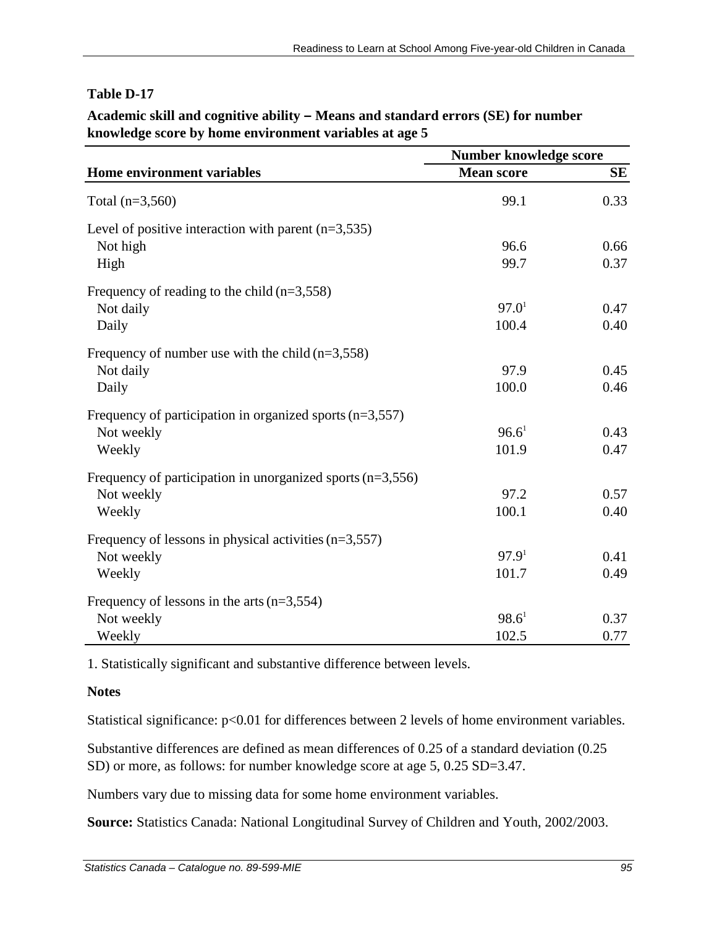#### **Academic skill and cognitive ability – Means and standard errors (SE) for number knowledge score by home environment variables at age 5**

|                                                              | Number knowledge score |           |
|--------------------------------------------------------------|------------------------|-----------|
| Home environment variables                                   | <b>Mean score</b>      | <b>SE</b> |
| Total $(n=3,560)$                                            | 99.1                   | 0.33      |
| Level of positive interaction with parent $(n=3,535)$        |                        |           |
| Not high                                                     | 96.6                   | 0.66      |
| High                                                         | 99.7                   | 0.37      |
| Frequency of reading to the child $(n=3,558)$                |                        |           |
| Not daily                                                    | 97.0 <sup>1</sup>      | 0.47      |
| Daily                                                        | 100.4                  | 0.40      |
| Frequency of number use with the child $(n=3,558)$           |                        |           |
| Not daily                                                    | 97.9                   | 0.45      |
| Daily                                                        | 100.0                  | 0.46      |
| Frequency of participation in organized sports $(n=3,557)$   |                        |           |
| Not weekly                                                   | 96.6 <sup>1</sup>      | 0.43      |
| Weekly                                                       | 101.9                  | 0.47      |
| Frequency of participation in unorganized sports $(n=3,556)$ |                        |           |
| Not weekly                                                   | 97.2                   | 0.57      |
| Weekly                                                       | 100.1                  | 0.40      |
| Frequency of lessons in physical activities $(n=3,557)$      |                        |           |
| Not weekly                                                   | 97.9 <sup>1</sup>      | 0.41      |
| Weekly                                                       | 101.7                  | 0.49      |
| Frequency of lessons in the arts $(n=3,554)$                 |                        |           |
| Not weekly                                                   | $98.6^1$               | 0.37      |
| Weekly                                                       | 102.5                  | 0.77      |

1. Statistically significant and substantive difference between levels.

#### **Notes**

Statistical significance:  $p<0.01$  for differences between 2 levels of home environment variables.

Substantive differences are defined as mean differences of 0.25 of a standard deviation (0.25 SD) or more, as follows: for number knowledge score at age 5, 0.25 SD=3.47.

Numbers vary due to missing data for some home environment variables.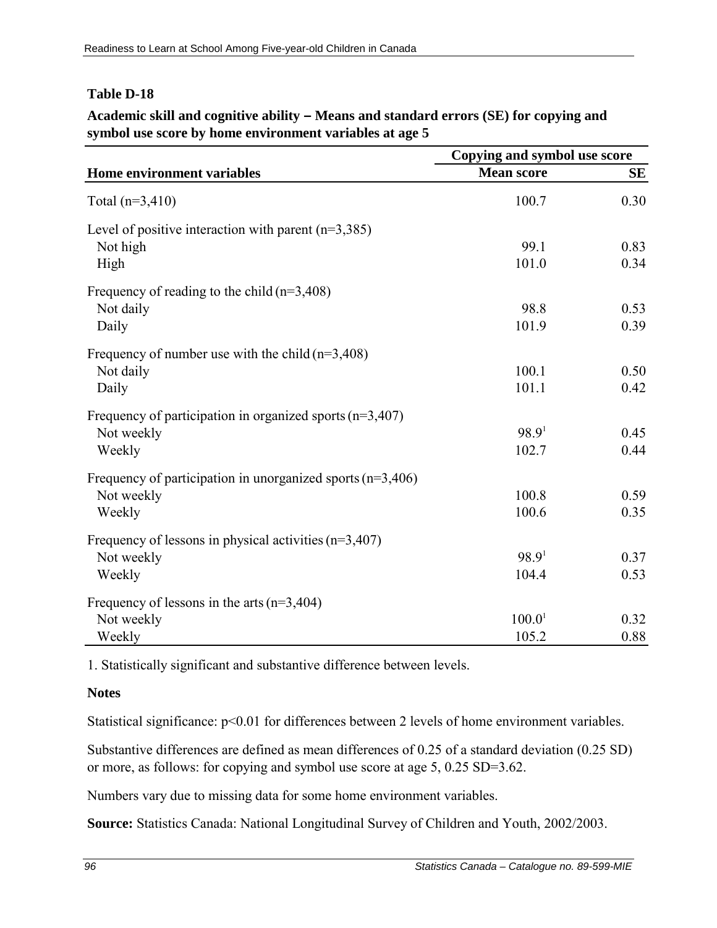#### **Academic skill and cognitive ability – Means and standard errors (SE) for copying and symbol use score by home environment variables at age 5**

|                                                              | Copying and symbol use score |           |
|--------------------------------------------------------------|------------------------------|-----------|
| Home environment variables                                   | <b>Mean score</b>            | <b>SE</b> |
| Total $(n=3,410)$                                            | 100.7                        | 0.30      |
| Level of positive interaction with parent $(n=3,385)$        |                              |           |
| Not high                                                     | 99.1                         | 0.83      |
| High                                                         | 101.0                        | 0.34      |
| Frequency of reading to the child $(n=3,408)$                |                              |           |
| Not daily                                                    | 98.8                         | 0.53      |
| Daily                                                        | 101.9                        | 0.39      |
| Frequency of number use with the child $(n=3,408)$           |                              |           |
| Not daily                                                    | 100.1                        | 0.50      |
| Daily                                                        | 101.1                        | 0.42      |
| Frequency of participation in organized sports $(n=3,407)$   |                              |           |
| Not weekly                                                   | 98.9 <sup>1</sup>            | 0.45      |
| Weekly                                                       | 102.7                        | 0.44      |
| Frequency of participation in unorganized sports $(n=3,406)$ |                              |           |
| Not weekly                                                   | 100.8                        | 0.59      |
| Weekly                                                       | 100.6                        | 0.35      |
| Frequency of lessons in physical activities $(n=3,407)$      |                              |           |
| Not weekly                                                   | 98.9 <sup>1</sup>            | 0.37      |
| Weekly                                                       | 104.4                        | 0.53      |
| Frequency of lessons in the arts $(n=3,404)$                 |                              |           |
| Not weekly                                                   | 100.0 <sup>1</sup>           | 0.32      |
| Weekly                                                       | 105.2                        | 0.88      |

1. Statistically significant and substantive difference between levels.

#### **Notes**

Statistical significance:  $p<0.01$  for differences between 2 levels of home environment variables.

Substantive differences are defined as mean differences of 0.25 of a standard deviation (0.25 SD) or more, as follows: for copying and symbol use score at age 5, 0.25 SD=3.62.

Numbers vary due to missing data for some home environment variables.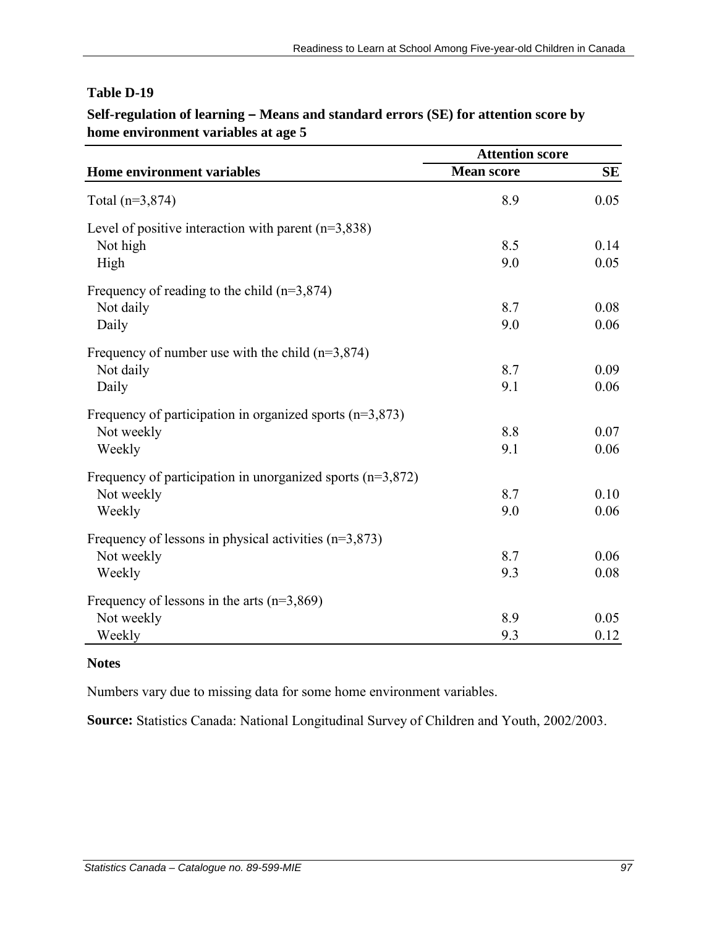|                                                              | <b>Attention score</b> |           |
|--------------------------------------------------------------|------------------------|-----------|
| Home environment variables                                   | <b>Mean score</b>      | <b>SE</b> |
| Total $(n=3,874)$                                            | 8.9                    | 0.05      |
| Level of positive interaction with parent $(n=3,838)$        |                        |           |
| Not high                                                     | 8.5                    | 0.14      |
| High                                                         | 9.0                    | 0.05      |
| Frequency of reading to the child $(n=3,874)$                |                        |           |
| Not daily                                                    | 8.7                    | 0.08      |
| Daily                                                        | 9.0                    | 0.06      |
| Frequency of number use with the child $(n=3,874)$           |                        |           |
| Not daily                                                    | 8.7                    | 0.09      |
| Daily                                                        | 9.1                    | 0.06      |
| Frequency of participation in organized sports $(n=3,873)$   |                        |           |
| Not weekly                                                   | 8.8                    | 0.07      |
| Weekly                                                       | 9.1                    | 0.06      |
| Frequency of participation in unorganized sports $(n=3,872)$ |                        |           |
| Not weekly                                                   | 8.7                    | 0.10      |
| Weekly                                                       | 9.0                    | 0.06      |
| Frequency of lessons in physical activities $(n=3,873)$      |                        |           |
| Not weekly                                                   | 8.7                    | 0.06      |
| Weekly                                                       | 9.3                    | 0.08      |
| Frequency of lessons in the arts $(n=3,869)$                 |                        |           |
| Not weekly                                                   | 8.9                    | 0.05      |
| Weekly                                                       | 9.3                    | 0.12      |

# **Self-regulation of learning – Means and standard errors (SE) for attention score by home environment variables at age 5**

#### **Notes**

Numbers vary due to missing data for some home environment variables.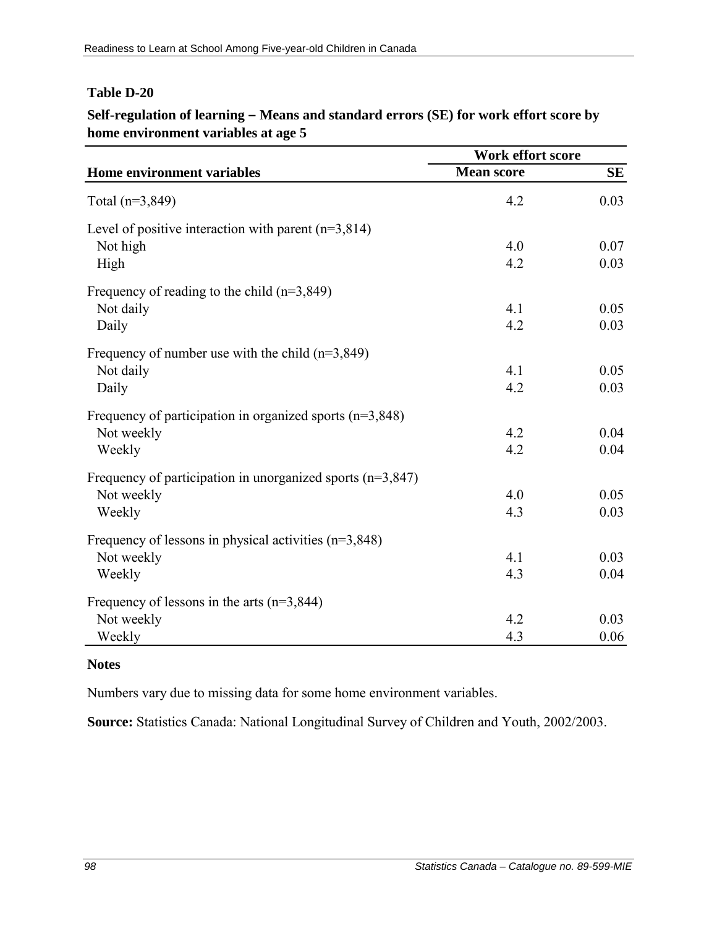### **Self-regulation of learning – Means and standard errors (SE) for work effort score by home environment variables at age 5**

|                                                              | Work effort score |           |
|--------------------------------------------------------------|-------------------|-----------|
| Home environment variables                                   | <b>Mean score</b> | <b>SE</b> |
| Total $(n=3,849)$                                            | 4.2               | 0.03      |
| Level of positive interaction with parent $(n=3,814)$        |                   |           |
| Not high                                                     | 4.0               | 0.07      |
| High                                                         | 4.2               | 0.03      |
| Frequency of reading to the child $(n=3,849)$                |                   |           |
| Not daily                                                    | 4.1               | 0.05      |
| Daily                                                        | 4.2               | 0.03      |
| Frequency of number use with the child $(n=3,849)$           |                   |           |
| Not daily                                                    | 4.1               | 0.05      |
| Daily                                                        | 4.2               | 0.03      |
| Frequency of participation in organized sports $(n=3,848)$   |                   |           |
| Not weekly                                                   | 4.2               | 0.04      |
| Weekly                                                       | 4.2               | 0.04      |
| Frequency of participation in unorganized sports $(n=3,847)$ |                   |           |
| Not weekly                                                   | 4.0               | 0.05      |
| Weekly                                                       | 4.3               | 0.03      |
| Frequency of lessons in physical activities $(n=3,848)$      |                   |           |
| Not weekly                                                   | 4.1               | 0.03      |
| Weekly                                                       | 4.3               | 0.04      |
| Frequency of lessons in the arts $(n=3,844)$                 |                   |           |
| Not weekly                                                   | 4.2               | 0.03      |
| Weekly                                                       | 4.3               | 0.06      |

#### **Notes**

Numbers vary due to missing data for some home environment variables.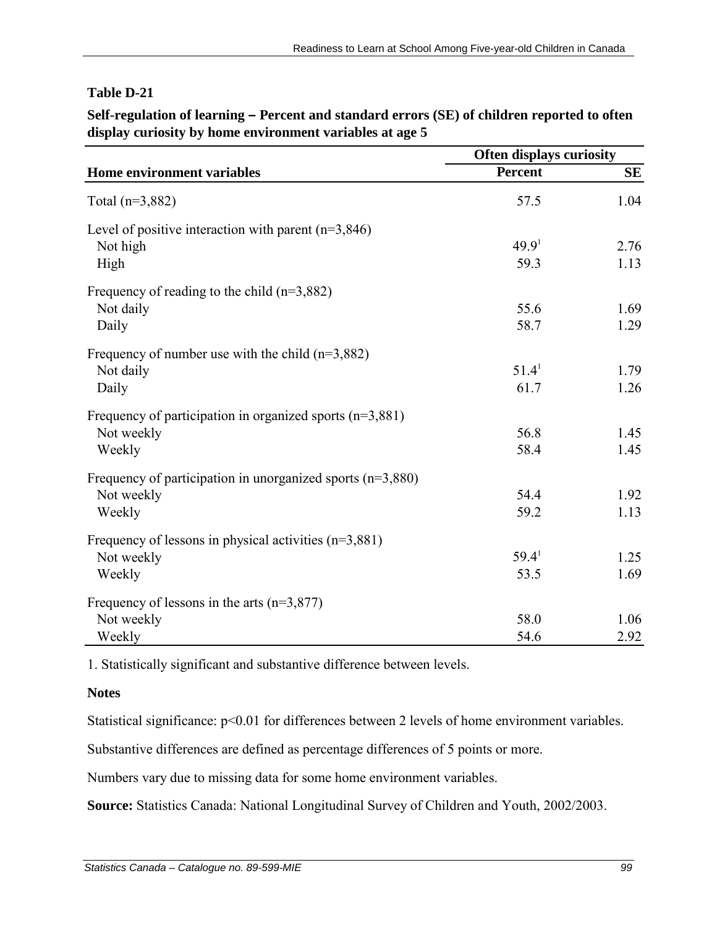| Self-regulation of learning – Percent and standard errors (SE) of children reported to often |
|----------------------------------------------------------------------------------------------|
| display curiosity by home environment variables at age 5                                     |

|                                                              | Often displays curiosity |           |
|--------------------------------------------------------------|--------------------------|-----------|
| Home environment variables                                   | <b>Percent</b>           | <b>SE</b> |
| Total $(n=3,882)$                                            | 57.5                     | 1.04      |
| Level of positive interaction with parent $(n=3,846)$        |                          |           |
| Not high                                                     | 49.9 <sup>1</sup>        | 2.76      |
| High                                                         | 59.3                     | 1.13      |
| Frequency of reading to the child $(n=3,882)$                |                          |           |
| Not daily                                                    | 55.6                     | 1.69      |
| Daily                                                        | 58.7                     | 1.29      |
| Frequency of number use with the child $(n=3,882)$           |                          |           |
| Not daily                                                    | 51.4 <sup>1</sup>        | 1.79      |
| Daily                                                        | 61.7                     | 1.26      |
| Frequency of participation in organized sports $(n=3,881)$   |                          |           |
| Not weekly                                                   | 56.8                     | 1.45      |
| Weekly                                                       | 58.4                     | 1.45      |
| Frequency of participation in unorganized sports $(n=3,880)$ |                          |           |
| Not weekly                                                   | 54.4                     | 1.92      |
| Weekly                                                       | 59.2                     | 1.13      |
| Frequency of lessons in physical activities $(n=3,881)$      |                          |           |
| Not weekly                                                   | 59.4 <sup>1</sup>        | 1.25      |
| Weekly                                                       | 53.5                     | 1.69      |
| Frequency of lessons in the arts $(n=3,877)$                 |                          |           |
| Not weekly                                                   | 58.0                     | 1.06      |
| Weekly                                                       | 54.6                     | 2.92      |

1. Statistically significant and substantive difference between levels.

#### **Notes**

Statistical significance:  $p<0.01$  for differences between 2 levels of home environment variables.

Substantive differences are defined as percentage differences of 5 points or more.

Numbers vary due to missing data for some home environment variables.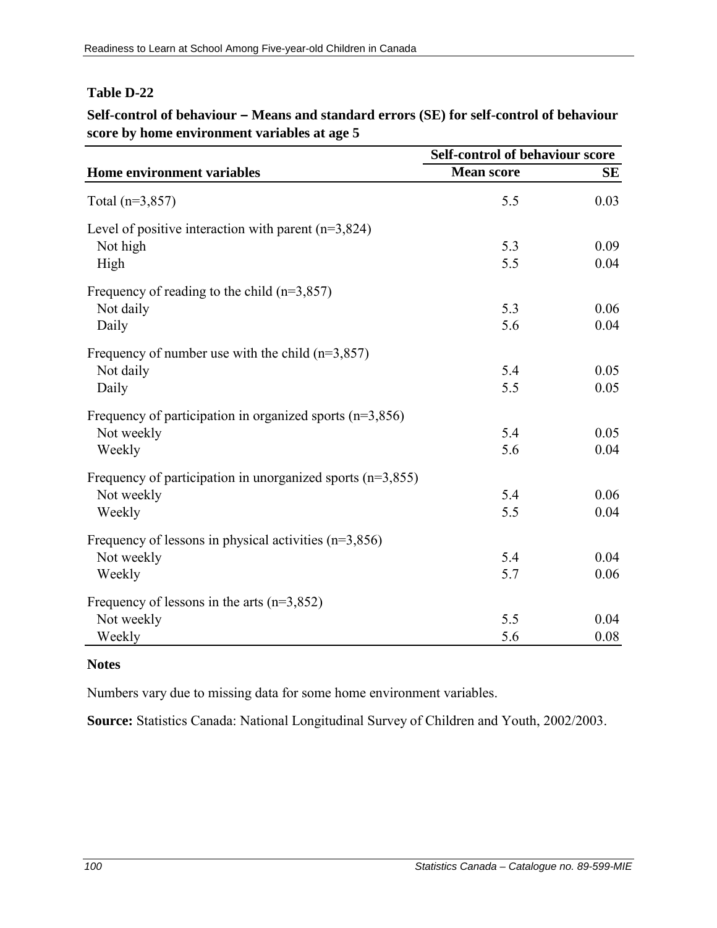### **Self-control of behaviour – Means and standard errors (SE) for self-control of behaviour score by home environment variables at age 5**

|                                                              | Self-control of behaviour score |           |
|--------------------------------------------------------------|---------------------------------|-----------|
| Home environment variables                                   | <b>Mean score</b>               | <b>SE</b> |
| Total $(n=3,857)$                                            | 5.5                             | 0.03      |
| Level of positive interaction with parent $(n=3,824)$        |                                 |           |
| Not high                                                     | 5.3                             | 0.09      |
| High                                                         | 5.5                             | 0.04      |
| Frequency of reading to the child $(n=3,857)$                |                                 |           |
| Not daily                                                    | 5.3                             | 0.06      |
| Daily                                                        | 5.6                             | 0.04      |
| Frequency of number use with the child $(n=3,857)$           |                                 |           |
| Not daily                                                    | 5.4                             | 0.05      |
| Daily                                                        | 5.5                             | 0.05      |
| Frequency of participation in organized sports $(n=3,856)$   |                                 |           |
| Not weekly                                                   | 5.4                             | 0.05      |
| Weekly                                                       | 5.6                             | 0.04      |
| Frequency of participation in unorganized sports $(n=3,855)$ |                                 |           |
| Not weekly                                                   | 5.4                             | 0.06      |
| Weekly                                                       | 5.5                             | 0.04      |
| Frequency of lessons in physical activities $(n=3,856)$      |                                 |           |
| Not weekly                                                   | 5.4                             | 0.04      |
| Weekly                                                       | 5.7                             | 0.06      |
| Frequency of lessons in the arts $(n=3,852)$                 |                                 |           |
| Not weekly                                                   | 5.5                             | 0.04      |
| Weekly                                                       | 5.6                             | 0.08      |

#### **Notes**

Numbers vary due to missing data for some home environment variables.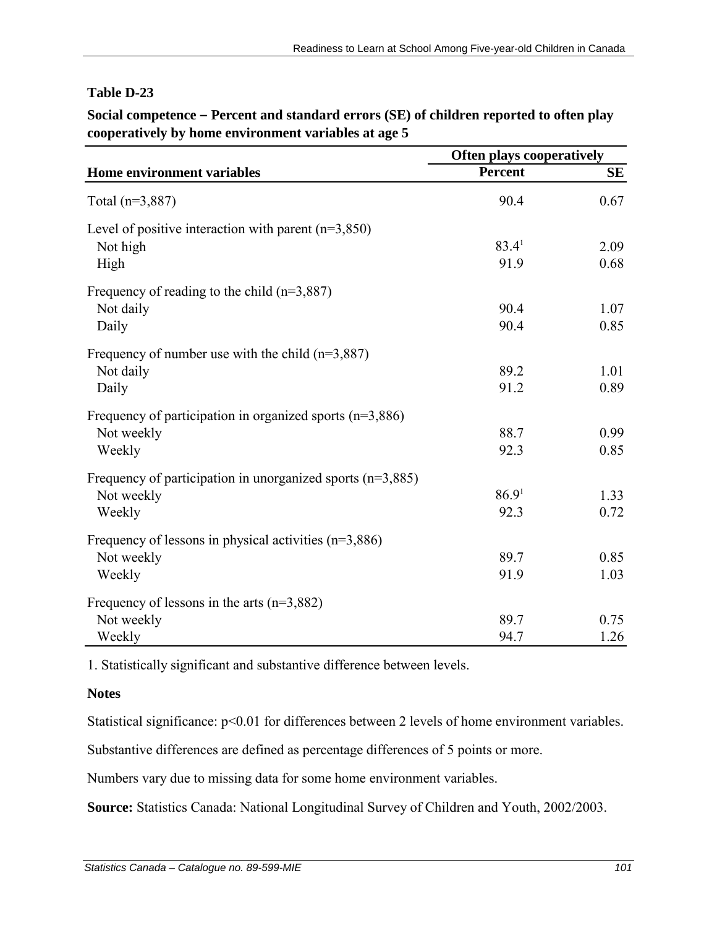**Social competence – Percent and standard errors (SE) of children reported to often play cooperatively by home environment variables at age 5**

|                                                              | <b>Often plays cooperatively</b> |           |
|--------------------------------------------------------------|----------------------------------|-----------|
| Home environment variables                                   | <b>Percent</b>                   | <b>SE</b> |
| Total $(n=3,887)$                                            | 90.4                             | 0.67      |
| Level of positive interaction with parent $(n=3,850)$        |                                  |           |
| Not high                                                     | 83.4 <sup>1</sup>                | 2.09      |
| High                                                         | 91.9                             | 0.68      |
| Frequency of reading to the child $(n=3,887)$                |                                  |           |
| Not daily                                                    | 90.4                             | 1.07      |
| Daily                                                        | 90.4                             | 0.85      |
| Frequency of number use with the child $(n=3,887)$           |                                  |           |
| Not daily                                                    | 89.2                             | 1.01      |
| Daily                                                        | 91.2                             | 0.89      |
| Frequency of participation in organized sports $(n=3,886)$   |                                  |           |
| Not weekly                                                   | 88.7                             | 0.99      |
| Weekly                                                       | 92.3                             | 0.85      |
| Frequency of participation in unorganized sports $(n=3,885)$ |                                  |           |
| Not weekly                                                   | 86.9 <sup>1</sup>                | 1.33      |
| Weekly                                                       | 92.3                             | 0.72      |
| Frequency of lessons in physical activities $(n=3,886)$      |                                  |           |
| Not weekly                                                   | 89.7                             | 0.85      |
| Weekly                                                       | 91.9                             | 1.03      |
| Frequency of lessons in the arts $(n=3,882)$                 |                                  |           |
| Not weekly                                                   | 89.7                             | 0.75      |
| Weekly                                                       | 94.7                             | 1.26      |

1. Statistically significant and substantive difference between levels.

#### **Notes**

Statistical significance:  $p<0.01$  for differences between 2 levels of home environment variables.

Substantive differences are defined as percentage differences of 5 points or more.

Numbers vary due to missing data for some home environment variables.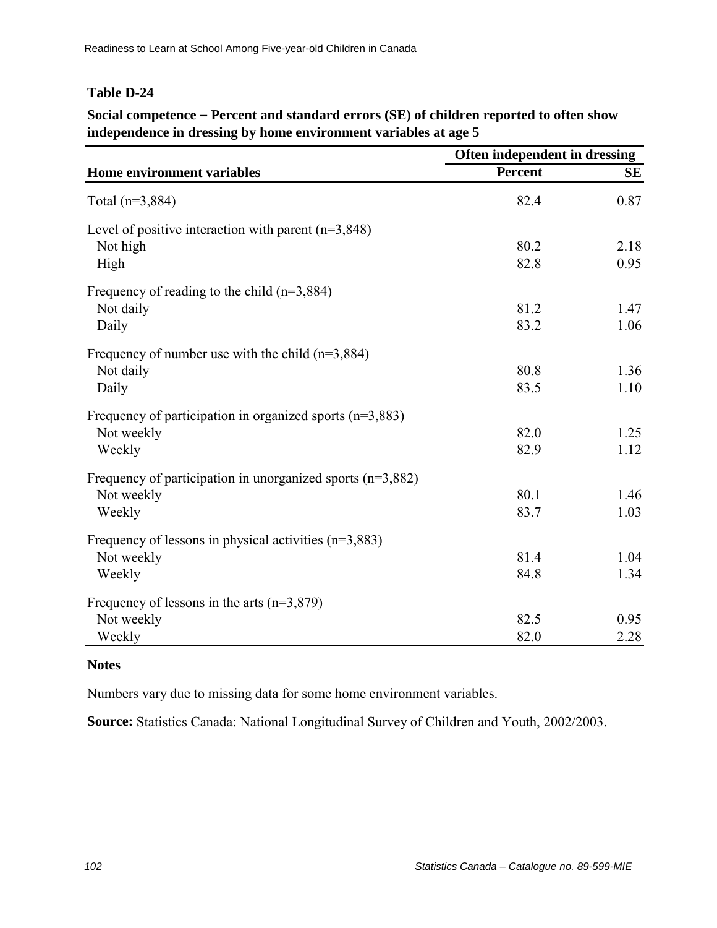### **Social competence – Percent and standard errors (SE) of children reported to often show independence in dressing by home environment variables at age 5**

|                                                              | Often independent in dressing |           |
|--------------------------------------------------------------|-------------------------------|-----------|
| Home environment variables                                   | <b>Percent</b>                | <b>SE</b> |
| Total $(n=3,884)$                                            | 82.4                          | 0.87      |
| Level of positive interaction with parent $(n=3,848)$        |                               |           |
| Not high                                                     | 80.2                          | 2.18      |
| High                                                         | 82.8                          | 0.95      |
| Frequency of reading to the child $(n=3,884)$                |                               |           |
| Not daily                                                    | 81.2                          | 1.47      |
| Daily                                                        | 83.2                          | 1.06      |
| Frequency of number use with the child $(n=3,884)$           |                               |           |
| Not daily                                                    | 80.8                          | 1.36      |
| Daily                                                        | 83.5                          | 1.10      |
| Frequency of participation in organized sports $(n=3,883)$   |                               |           |
| Not weekly                                                   | 82.0                          | 1.25      |
| Weekly                                                       | 82.9                          | 1.12      |
| Frequency of participation in unorganized sports $(n=3,882)$ |                               |           |
| Not weekly                                                   | 80.1                          | 1.46      |
| Weekly                                                       | 83.7                          | 1.03      |
| Frequency of lessons in physical activities $(n=3,883)$      |                               |           |
| Not weekly                                                   | 81.4                          | 1.04      |
| Weekly                                                       | 84.8                          | 1.34      |
| Frequency of lessons in the arts $(n=3,879)$                 |                               |           |
| Not weekly                                                   | 82.5                          | 0.95      |
| Weekly                                                       | 82.0                          | 2.28      |

#### **Notes**

Numbers vary due to missing data for some home environment variables.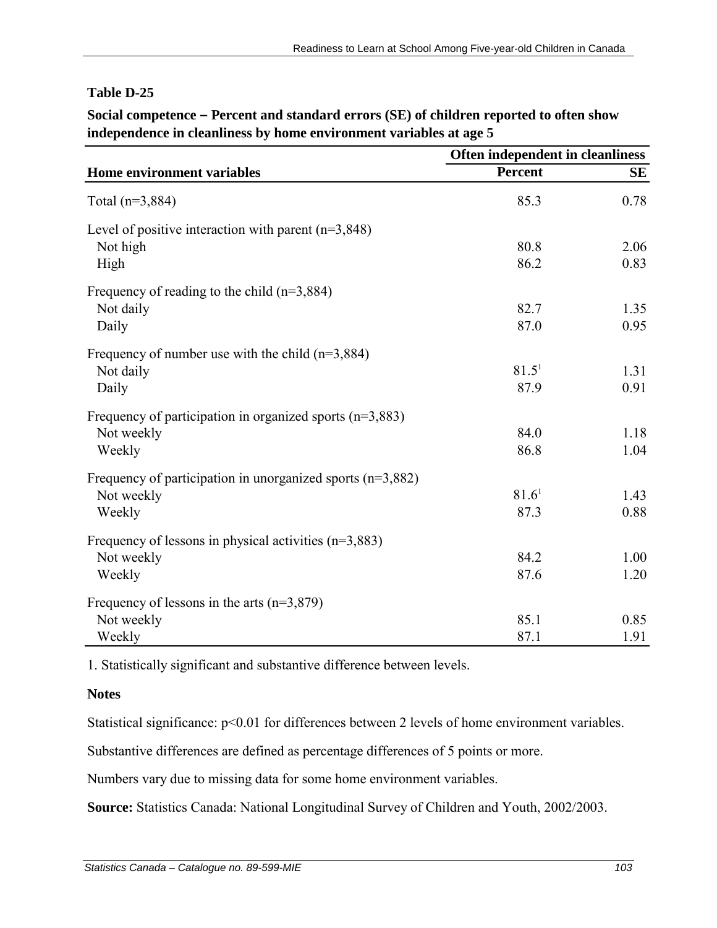#### **Social competence – Percent and standard errors (SE) of children reported to often show independence in cleanliness by home environment variables at age 5**

|                                                              | Often independent in cleanliness |      |
|--------------------------------------------------------------|----------------------------------|------|
| Home environment variables                                   | <b>Percent</b>                   | SЕ   |
| Total $(n=3,884)$                                            | 85.3                             | 0.78 |
| Level of positive interaction with parent $(n=3,848)$        |                                  |      |
| Not high                                                     | 80.8                             | 2.06 |
| High                                                         | 86.2                             | 0.83 |
| Frequency of reading to the child $(n=3,884)$                |                                  |      |
| Not daily                                                    | 82.7                             | 1.35 |
| Daily                                                        | 87.0                             | 0.95 |
| Frequency of number use with the child $(n=3,884)$           |                                  |      |
| Not daily                                                    | 81.5 <sup>1</sup>                | 1.31 |
| Daily                                                        | 87.9                             | 0.91 |
| Frequency of participation in organized sports $(n=3,883)$   |                                  |      |
| Not weekly                                                   | 84.0                             | 1.18 |
| Weekly                                                       | 86.8                             | 1.04 |
| Frequency of participation in unorganized sports $(n=3,882)$ |                                  |      |
| Not weekly                                                   | 81.6 <sup>1</sup>                | 1.43 |
| Weekly                                                       | 87.3                             | 0.88 |
| Frequency of lessons in physical activities $(n=3,883)$      |                                  |      |
| Not weekly                                                   | 84.2                             | 1.00 |
| Weekly                                                       | 87.6                             | 1.20 |
| Frequency of lessons in the arts $(n=3,879)$                 |                                  |      |
| Not weekly                                                   | 85.1                             | 0.85 |
| Weekly                                                       | 87.1                             | 1.91 |

1. Statistically significant and substantive difference between levels.

#### **Notes**

Statistical significance:  $p<0.01$  for differences between 2 levels of home environment variables.

Substantive differences are defined as percentage differences of 5 points or more.

Numbers vary due to missing data for some home environment variables.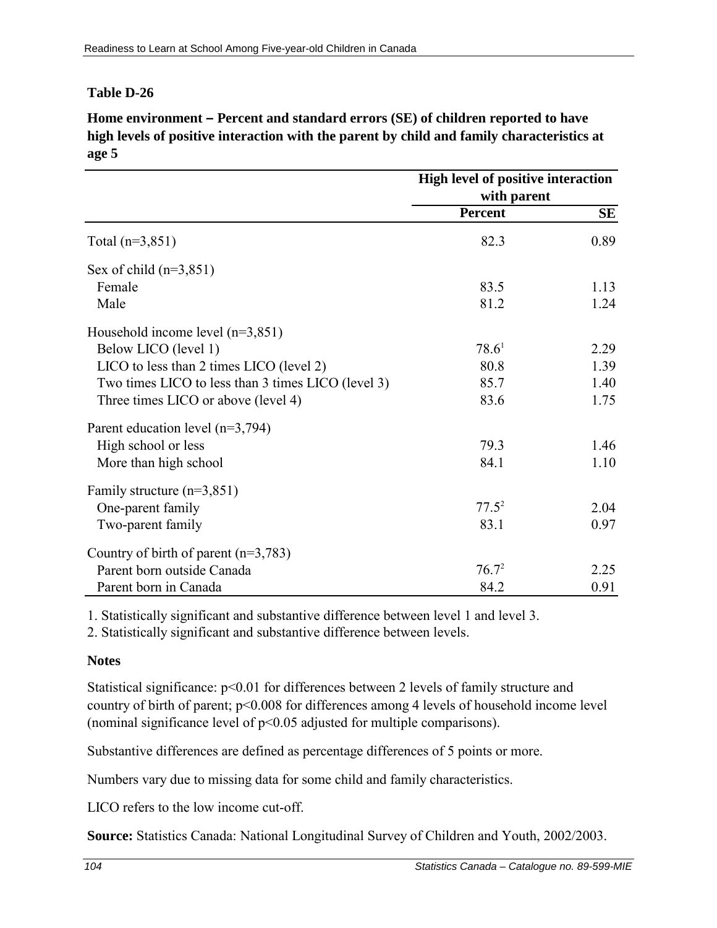**Home environment – Percent and standard errors (SE) of children reported to have high levels of positive interaction with the parent by child and family characteristics at age 5**

|                                                    | High level of positive interaction<br>with parent |           |
|----------------------------------------------------|---------------------------------------------------|-----------|
|                                                    | Percent                                           | <b>SE</b> |
| Total $(n=3,851)$                                  | 82.3                                              | 0.89      |
| Sex of child $(n=3,851)$                           |                                                   |           |
| Female                                             | 83.5                                              | 1.13      |
| Male                                               | 81.2                                              | 1.24      |
| Household income level $(n=3,851)$                 |                                                   |           |
| Below LICO (level 1)                               | 78.6 <sup>1</sup>                                 | 2.29      |
| LICO to less than 2 times LICO (level 2)           | 80.8                                              | 1.39      |
| Two times LICO to less than 3 times LICO (level 3) | 85.7                                              | 1.40      |
| Three times LICO or above (level 4)                | 83.6                                              | 1.75      |
| Parent education level $(n=3,794)$                 |                                                   |           |
| High school or less                                | 79.3                                              | 1.46      |
| More than high school                              | 84.1                                              | 1.10      |
| Family structure $(n=3,851)$                       |                                                   |           |
| One-parent family                                  | $77.5^2$                                          | 2.04      |
| Two-parent family                                  | 83.1                                              | 0.97      |
| Country of birth of parent $(n=3,783)$             |                                                   |           |
| Parent born outside Canada                         | $76.7^2$                                          | 2.25      |
| Parent born in Canada                              | 84.2                                              | 0.91      |

1. Statistically significant and substantive difference between level 1 and level 3.

2. Statistically significant and substantive difference between levels.

#### **Notes**

Statistical significance:  $p<0.01$  for differences between 2 levels of family structure and country of birth of parent; p<0.008 for differences among 4 levels of household income level (nominal significance level of p<0.05 adjusted for multiple comparisons).

Substantive differences are defined as percentage differences of 5 points or more.

Numbers vary due to missing data for some child and family characteristics.

LICO refers to the low income cut-off.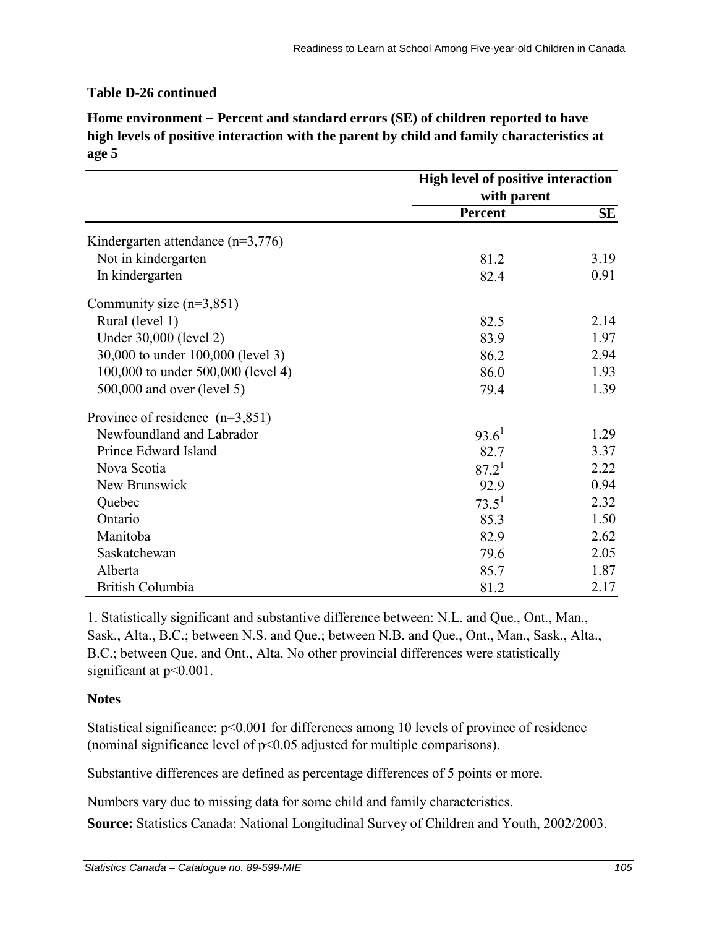#### **Table D-26 continued**

**Home environment – Percent and standard errors (SE) of children reported to have high levels of positive interaction with the parent by child and family characteristics at age 5**

|                                     | High level of positive interaction<br>with parent |           |
|-------------------------------------|---------------------------------------------------|-----------|
|                                     |                                                   |           |
|                                     | Percent                                           | <b>SE</b> |
| Kindergarten attendance $(n=3,776)$ |                                                   |           |
| Not in kindergarten                 | 81.2                                              | 3.19      |
| In kindergarten                     | 82.4                                              | 0.91      |
| Community size $(n=3,851)$          |                                                   |           |
| Rural (level 1)                     | 82.5                                              | 2.14      |
| Under 30,000 (level 2)              | 83.9                                              | 1.97      |
| 30,000 to under 100,000 (level 3)   | 86.2                                              | 2.94      |
| 100,000 to under 500,000 (level 4)  | 86.0                                              | 1.93      |
| 500,000 and over (level 5)          | 79.4                                              | 1.39      |
| Province of residence $(n=3,851)$   |                                                   |           |
| Newfoundland and Labrador           | $93.6^1$                                          | 1.29      |
| Prince Edward Island                | 82.7                                              | 3.37      |
| Nova Scotia                         | $87.2^{1}$                                        | 2.22      |
| New Brunswick                       | 92.9                                              | 0.94      |
| Quebec                              | $73.5^1$                                          | 2.32      |
| Ontario                             | 85.3                                              | 1.50      |
| Manitoba                            | 82.9                                              | 2.62      |
| Saskatchewan                        | 79.6                                              | 2.05      |
| Alberta                             | 85.7                                              | 1.87      |
| <b>British Columbia</b>             | 81.2                                              | 2.17      |

1. Statistically significant and substantive difference between: N.L. and Que., Ont., Man., Sask., Alta., B.C.; between N.S. and Que.; between N.B. and Que., Ont., Man., Sask., Alta., B.C.; between Que. and Ont., Alta. No other provincial differences were statistically significant at  $p<0.001$ .

#### **Notes**

Statistical significance:  $p<0.001$  for differences among 10 levels of province of residence (nominal significance level of p<0.05 adjusted for multiple comparisons).

Substantive differences are defined as percentage differences of 5 points or more.

Numbers vary due to missing data for some child and family characteristics.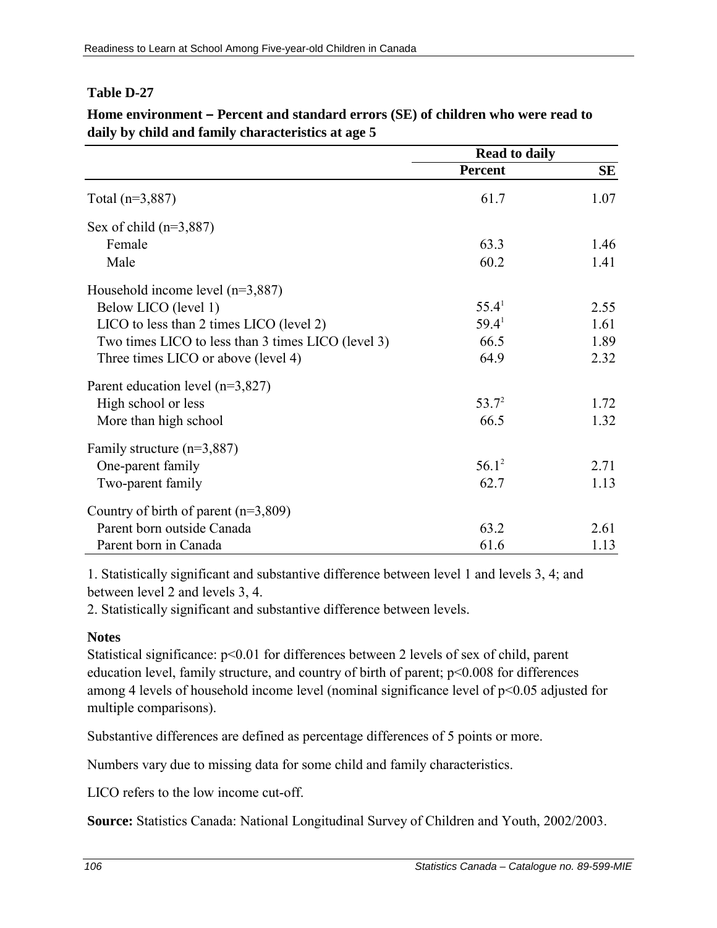|                                                    | <b>Read to daily</b> |      |
|----------------------------------------------------|----------------------|------|
|                                                    | Percent              | SE   |
| Total $(n=3,887)$                                  | 61.7                 | 1.07 |
| Sex of child $(n=3,887)$                           |                      |      |
| Female                                             | 63.3                 | 1.46 |
| Male                                               | 60.2                 | 1.41 |
| Household income level $(n=3,887)$                 |                      |      |
| Below LICO (level 1)                               | 55.4 <sup>1</sup>    | 2.55 |
| LICO to less than 2 times LICO (level 2)           | 59.4 <sup>1</sup>    | 1.61 |
| Two times LICO to less than 3 times LICO (level 3) | 66.5                 | 1.89 |
| Three times LICO or above (level 4)                | 64.9                 | 2.32 |
| Parent education level $(n=3,827)$                 |                      |      |
| High school or less                                | $53.7^2$             | 1.72 |
| More than high school                              | 66.5                 | 1.32 |
| Family structure $(n=3,887)$                       |                      |      |
| One-parent family                                  | $56.1^2$             | 2.71 |
| Two-parent family                                  | 62.7                 | 1.13 |
| Country of birth of parent $(n=3,809)$             |                      |      |
| Parent born outside Canada                         | 63.2                 | 2.61 |
| Parent born in Canada                              | 61.6                 | 1.13 |

**Home environment – Percent and standard errors (SE) of children who were read to daily by child and family characteristics at age 5**

1. Statistically significant and substantive difference between level 1 and levels 3, 4; and between level 2 and levels 3, 4.

2. Statistically significant and substantive difference between levels.

## **Notes**

Statistical significance:  $p<0.01$  for differences between 2 levels of sex of child, parent education level, family structure, and country of birth of parent;  $p<0.008$  for differences among 4 levels of household income level (nominal significance level of p<0.05 adjusted for multiple comparisons).

Substantive differences are defined as percentage differences of 5 points or more.

Numbers vary due to missing data for some child and family characteristics.

LICO refers to the low income cut-off.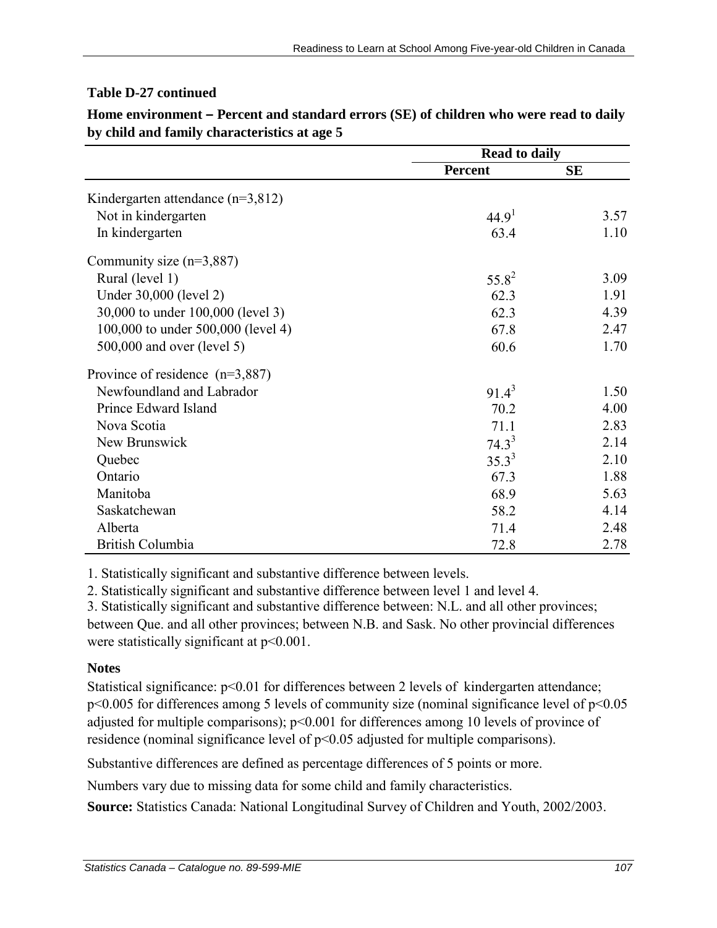### **Table D-27 continued**

|                                       | <b>Read to daily</b> |           |
|---------------------------------------|----------------------|-----------|
|                                       | <b>Percent</b>       | <b>SE</b> |
| Kindergarten attendance ( $n=3,812$ ) |                      |           |
| Not in kindergarten                   | 44.9 <sup>1</sup>    | 3.57      |
| In kindergarten                       | 63.4                 | 1.10      |
| Community size $(n=3,887)$            |                      |           |
| Rural (level 1)                       | $55.8^{2}$           | 3.09      |
| Under 30,000 (level 2)                | 62.3                 | 1.91      |
| 30,000 to under 100,000 (level 3)     | 62.3                 | 4.39      |
| 100,000 to under 500,000 (level 4)    | 67.8                 | 2.47      |
| 500,000 and over (level 5)            | 60.6                 | 1.70      |
| Province of residence $(n=3,887)$     |                      |           |
| Newfoundland and Labrador             | $91.4^3$             | 1.50      |
| Prince Edward Island                  | 70.2                 | 4.00      |
| Nova Scotia                           | 71.1                 | 2.83      |
| New Brunswick                         | $74.3^3$             | 2.14      |
| Quebec                                | $35.3^{3}$           | 2.10      |
| Ontario                               | 67.3                 | 1.88      |
| Manitoba                              | 68.9                 | 5.63      |
| Saskatchewan                          | 58.2                 | 4.14      |
| Alberta                               | 71.4                 | 2.48      |
| British Columbia                      | 72.8                 | 2.78      |

**Home environment – Percent and standard errors (SE) of children who were read to daily by child and family characteristics at age 5**

1. Statistically significant and substantive difference between levels.

2. Statistically significant and substantive difference between level 1 and level 4.

3. Statistically significant and substantive difference between: N.L. and all other provinces; between Que. and all other provinces; between N.B. and Sask. No other provincial differences were statistically significant at  $p<0.001$ .

## **Notes**

Statistical significance:  $p<0.01$  for differences between 2 levels of kindergarten attendance; p<0.005 for differences among 5 levels of community size (nominal significance level of p<0.05 adjusted for multiple comparisons); p<0.001 for differences among 10 levels of province of residence (nominal significance level of p<0.05 adjusted for multiple comparisons).

Substantive differences are defined as percentage differences of 5 points or more.

Numbers vary due to missing data for some child and family characteristics.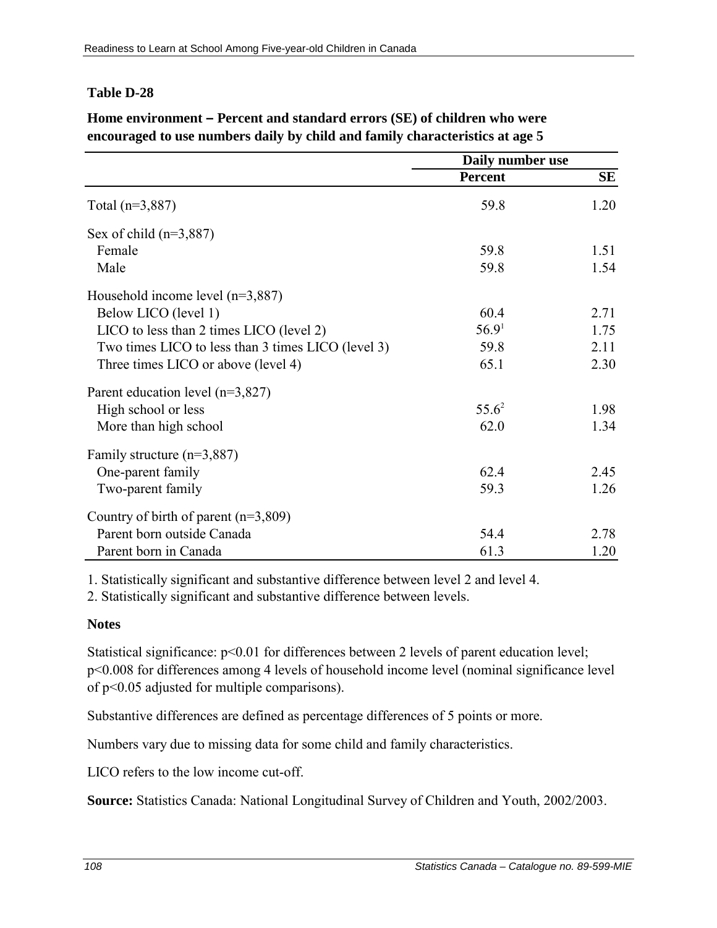|                                                    | Daily number use  |      |
|----------------------------------------------------|-------------------|------|
|                                                    | <b>Percent</b>    | SE   |
| Total $(n=3,887)$                                  | 59.8              | 1.20 |
| Sex of child $(n=3,887)$                           |                   |      |
| Female                                             | 59.8              | 1.51 |
| Male                                               | 59.8              | 1.54 |
| Household income level $(n=3,887)$                 |                   |      |
| Below LICO (level 1)                               | 60.4              | 2.71 |
| LICO to less than 2 times LICO (level 2)           | 56.9 <sup>1</sup> | 1.75 |
| Two times LICO to less than 3 times LICO (level 3) | 59.8              | 2.11 |
| Three times LICO or above (level 4)                | 65.1              | 2.30 |
| Parent education level $(n=3,827)$                 |                   |      |
| High school or less                                | $55.6^2$          | 1.98 |
| More than high school                              | 62.0              | 1.34 |
| Family structure $(n=3,887)$                       |                   |      |
| One-parent family                                  | 62.4              | 2.45 |
| Two-parent family                                  | 59.3              | 1.26 |
| Country of birth of parent $(n=3,809)$             |                   |      |
| Parent born outside Canada                         | 54.4              | 2.78 |
| Parent born in Canada                              | 61.3              | 1.20 |

## **Home environment – Percent and standard errors (SE) of children who were encouraged to use numbers daily by child and family characteristics at age 5**

1. Statistically significant and substantive difference between level 2 and level 4.

2. Statistically significant and substantive difference between levels.

## **Notes**

Statistical significance:  $p<0.01$  for differences between 2 levels of parent education level; p<0.008 for differences among 4 levels of household income level (nominal significance level of p<0.05 adjusted for multiple comparisons).

Substantive differences are defined as percentage differences of 5 points or more.

Numbers vary due to missing data for some child and family characteristics.

LICO refers to the low income cut-off.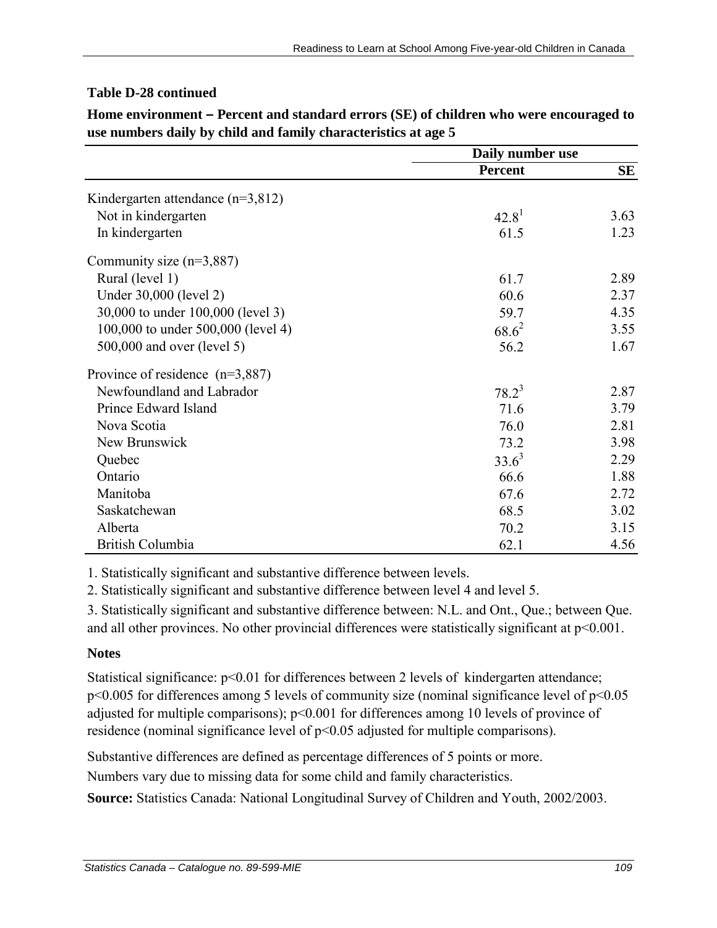### **Table D-28 continued**

|                                       | Daily number use  |      |
|---------------------------------------|-------------------|------|
|                                       | <b>Percent</b>    | SE   |
| Kindergarten attendance ( $n=3,812$ ) |                   |      |
| Not in kindergarten                   | 42.8 <sup>1</sup> | 3.63 |
| In kindergarten                       | 61.5              | 1.23 |
| Community size $(n=3,887)$            |                   |      |
| Rural (level 1)                       | 61.7              | 2.89 |
| Under 30,000 (level 2)                | 60.6              | 2.37 |
| 30,000 to under 100,000 (level 3)     | 59.7              | 4.35 |
| 100,000 to under 500,000 (level 4)    | $68.6^{2}$        | 3.55 |
| 500,000 and over (level 5)            | 56.2              | 1.67 |
| Province of residence $(n=3,887)$     |                   |      |
| Newfoundland and Labrador             | $78.2^3$          | 2.87 |
| Prince Edward Island                  | 71.6              | 3.79 |
| Nova Scotia                           | 76.0              | 2.81 |
| New Brunswick                         | 73.2              | 3.98 |
| Quebec                                | $33.6^3$          | 2.29 |
| Ontario                               | 66.6              | 1.88 |
| Manitoba                              | 67.6              | 2.72 |
| Saskatchewan                          | 68.5              | 3.02 |
| Alberta                               | 70.2              | 3.15 |
| British Columbia                      | 62.1              | 4.56 |

**Home environment – Percent and standard errors (SE) of children who were encouraged to use numbers daily by child and family characteristics at age 5**

1. Statistically significant and substantive difference between levels.

2. Statistically significant and substantive difference between level 4 and level 5.

3. Statistically significant and substantive difference between: N.L. and Ont., Que.; between Que. and all other provinces. No other provincial differences were statistically significant at  $p<0.001$ .

#### **Notes**

Statistical significance:  $p<0.01$  for differences between 2 levels of kindergarten attendance; p<0.005 for differences among 5 levels of community size (nominal significance level of p<0.05 adjusted for multiple comparisons); p<0.001 for differences among 10 levels of province of residence (nominal significance level of p<0.05 adjusted for multiple comparisons).

Substantive differences are defined as percentage differences of 5 points or more.

Numbers vary due to missing data for some child and family characteristics.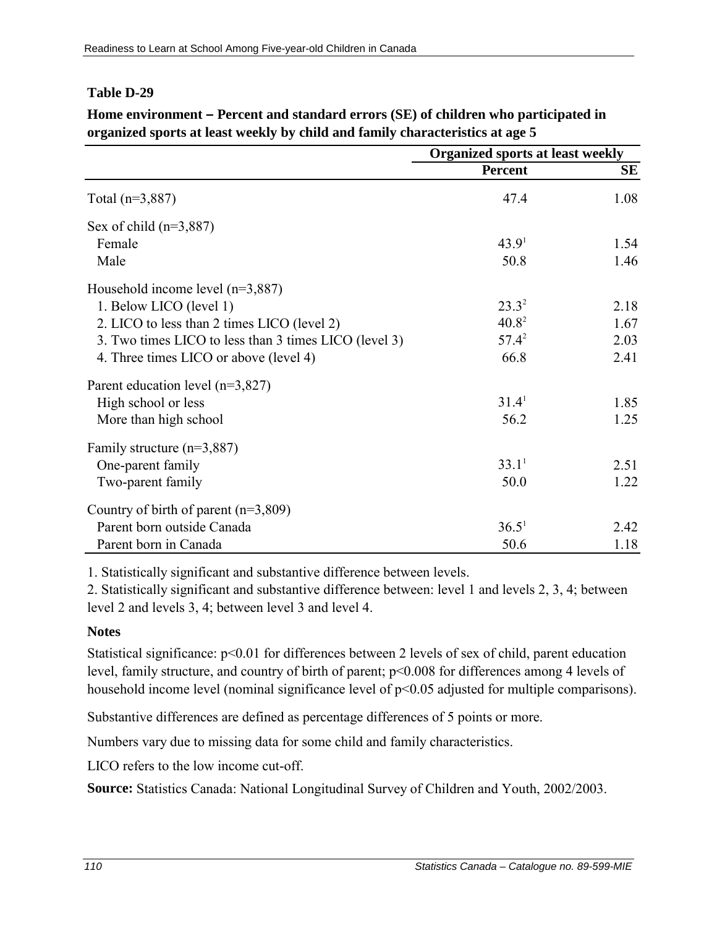|                                                       | <b>Organized sports at least weekly</b> |      |
|-------------------------------------------------------|-----------------------------------------|------|
|                                                       | Percent                                 | SЕ   |
| Total $(n=3,887)$                                     | 47.4                                    | 1.08 |
| Sex of child $(n=3,887)$                              |                                         |      |
| Female                                                | 43.9 <sup>1</sup>                       | 1.54 |
| Male                                                  | 50.8                                    | 1.46 |
| Household income level $(n=3,887)$                    |                                         |      |
| 1. Below LICO (level 1)                               | $23.3^{2}$                              | 2.18 |
| 2. LICO to less than 2 times LICO (level 2)           | $40.8^2$                                | 1.67 |
| 3. Two times LICO to less than 3 times LICO (level 3) | $57.4^2$                                | 2.03 |
| 4. Three times LICO or above (level 4)                | 66.8                                    | 2.41 |
| Parent education level (n=3,827)                      |                                         |      |
| High school or less                                   | 31.4 <sup>1</sup>                       | 1.85 |
| More than high school                                 | 56.2                                    | 1.25 |
| Family structure $(n=3,887)$                          |                                         |      |
| One-parent family                                     | 33.1 <sup>1</sup>                       | 2.51 |
| Two-parent family                                     | 50.0                                    | 1.22 |
| Country of birth of parent $(n=3,809)$                |                                         |      |
| Parent born outside Canada                            | 36.5 <sup>1</sup>                       | 2.42 |
| Parent born in Canada                                 | 50.6                                    | 1.18 |

**Home environment – Percent and standard errors (SE) of children who participated in organized sports at least weekly by child and family characteristics at age 5**

1. Statistically significant and substantive difference between levels.

2. Statistically significant and substantive difference between: level 1 and levels 2, 3, 4; between level 2 and levels 3, 4; between level 3 and level 4.

#### **Notes**

Statistical significance:  $p<0.01$  for differences between 2 levels of sex of child, parent education level, family structure, and country of birth of parent; p<0.008 for differences among 4 levels of household income level (nominal significance level of  $p<0.05$  adjusted for multiple comparisons).

Substantive differences are defined as percentage differences of 5 points or more.

Numbers vary due to missing data for some child and family characteristics.

LICO refers to the low income cut-off.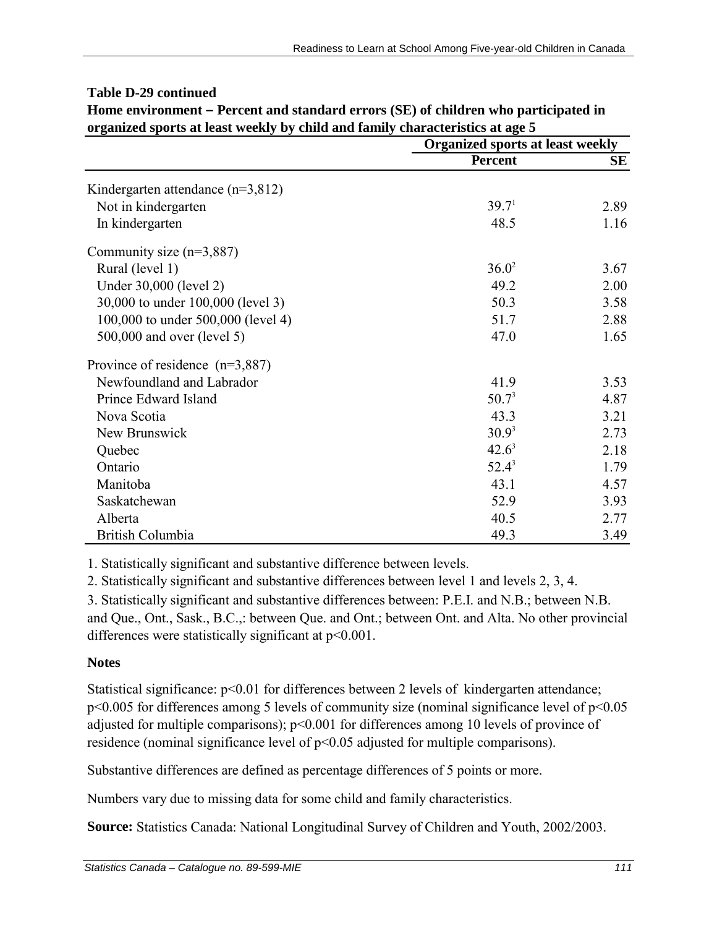| organized sports at reast weekly by clind and rannly characteristics at age 5 |                   | <b>Organized sports at least weekly</b> |  |
|-------------------------------------------------------------------------------|-------------------|-----------------------------------------|--|
|                                                                               | <b>Percent</b>    | SE                                      |  |
| Kindergarten attendance ( $n=3,812$ )                                         |                   |                                         |  |
| Not in kindergarten                                                           | 39.7 <sup>1</sup> | 2.89                                    |  |
| In kindergarten                                                               | 48.5              | 1.16                                    |  |
| Community size $(n=3,887)$                                                    |                   |                                         |  |
| Rural (level 1)                                                               | $36.0^2$          | 3.67                                    |  |
| Under 30,000 (level 2)                                                        | 49.2              | 2.00                                    |  |
| 30,000 to under 100,000 (level 3)                                             | 50.3              | 3.58                                    |  |
| 100,000 to under 500,000 (level 4)                                            | 51.7              | 2.88                                    |  |
| 500,000 and over (level 5)                                                    | 47.0              | 1.65                                    |  |
| Province of residence $(n=3,887)$                                             |                   |                                         |  |
| Newfoundland and Labrador                                                     | 41.9              | 3.53                                    |  |
| Prince Edward Island                                                          | $50.7^3$          | 4.87                                    |  |
| Nova Scotia                                                                   | 43.3              | 3.21                                    |  |
| New Brunswick                                                                 | $30.9^3$          | 2.73                                    |  |
| Quebec                                                                        | $42.6^3$          | 2.18                                    |  |
| Ontario                                                                       | $52.4^3$          | 1.79                                    |  |
| Manitoba                                                                      | 43.1              | 4.57                                    |  |
| Saskatchewan                                                                  | 52.9              | 3.93                                    |  |
| Alberta                                                                       | 40.5              | 2.77                                    |  |
| British Columbia                                                              | 49.3              | 3.49                                    |  |

# **Table D-29 continued**

**Home environment – Percent and standard errors (SE) of children who participated in organized sports at least weekly by child and family characteristics at age 5**

1. Statistically significant and substantive difference between levels.

2. Statistically significant and substantive differences between level 1 and levels 2, 3, 4.

3. Statistically significant and substantive differences between: P.E.I. and N.B.; between N.B. and Que., Ont., Sask., B.C.,: between Que. and Ont.; between Ont. and Alta. No other provincial differences were statistically significant at p<0.001.

## **Notes**

Statistical significance:  $p<0.01$  for differences between 2 levels of kindergarten attendance; p<0.005 for differences among 5 levels of community size (nominal significance level of p<0.05 adjusted for multiple comparisons); p<0.001 for differences among 10 levels of province of residence (nominal significance level of p<0.05 adjusted for multiple comparisons).

Substantive differences are defined as percentage differences of 5 points or more.

Numbers vary due to missing data for some child and family characteristics.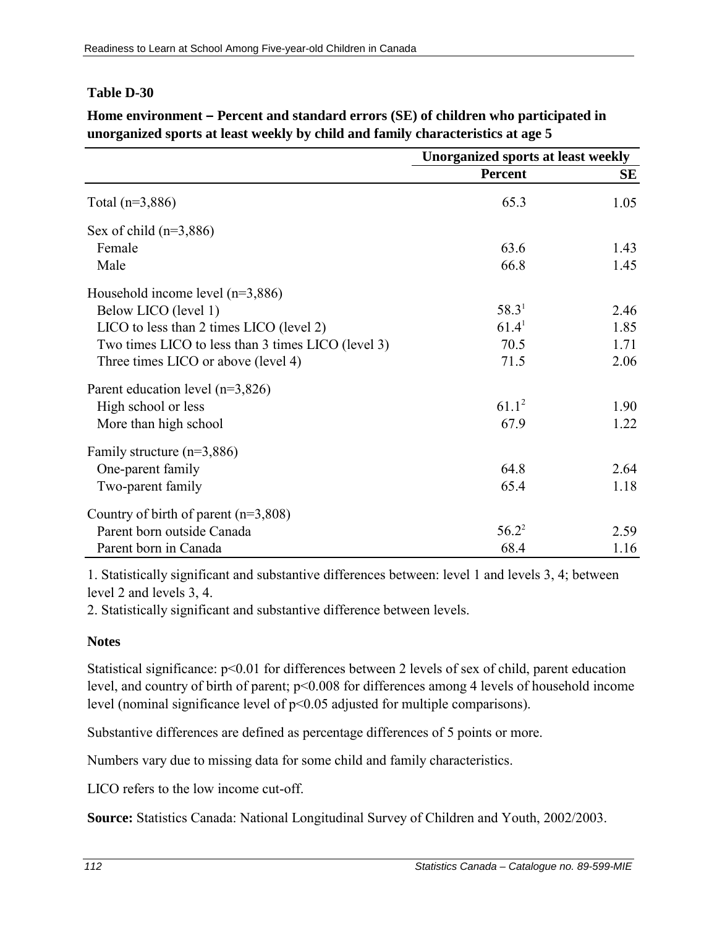**Home environment – Percent and standard errors (SE) of children who participated in unorganized sports at least weekly by child and family characteristics at age 5**

|                                                    | <b>Unorganized sports at least weekly</b> |           |
|----------------------------------------------------|-------------------------------------------|-----------|
|                                                    | <b>Percent</b>                            | <b>SE</b> |
| Total $(n=3,886)$                                  | 65.3                                      | 1.05      |
| Sex of child $(n=3,886)$                           |                                           |           |
| Female                                             | 63.6                                      | 1.43      |
| Male                                               | 66.8                                      | 1.45      |
| Household income level $(n=3,886)$                 |                                           |           |
| Below LICO (level 1)                               | 58.3 <sup>1</sup>                         | 2.46      |
| LICO to less than 2 times LICO (level 2)           | 61.4 <sup>1</sup>                         | 1.85      |
| Two times LICO to less than 3 times LICO (level 3) | 70.5                                      | 1.71      |
| Three times LICO or above (level 4)                | 71.5                                      | 2.06      |
| Parent education level $(n=3,826)$                 |                                           |           |
| High school or less                                | $61.1^2$                                  | 1.90      |
| More than high school                              | 67.9                                      | 1.22      |
| Family structure $(n=3,886)$                       |                                           |           |
| One-parent family                                  | 64.8                                      | 2.64      |
| Two-parent family                                  | 65.4                                      | 1.18      |
| Country of birth of parent $(n=3,808)$             |                                           |           |
| Parent born outside Canada                         | $56.2^2$                                  | 2.59      |
| Parent born in Canada                              | 68.4                                      | 1.16      |

1. Statistically significant and substantive differences between: level 1 and levels 3, 4; between level 2 and levels 3, 4.

2. Statistically significant and substantive difference between levels.

#### **Notes**

Statistical significance:  $p<0.01$  for differences between 2 levels of sex of child, parent education level, and country of birth of parent; p<0.008 for differences among 4 levels of household income level (nominal significance level of p<0.05 adjusted for multiple comparisons).

Substantive differences are defined as percentage differences of 5 points or more.

Numbers vary due to missing data for some child and family characteristics.

LICO refers to the low income cut-off.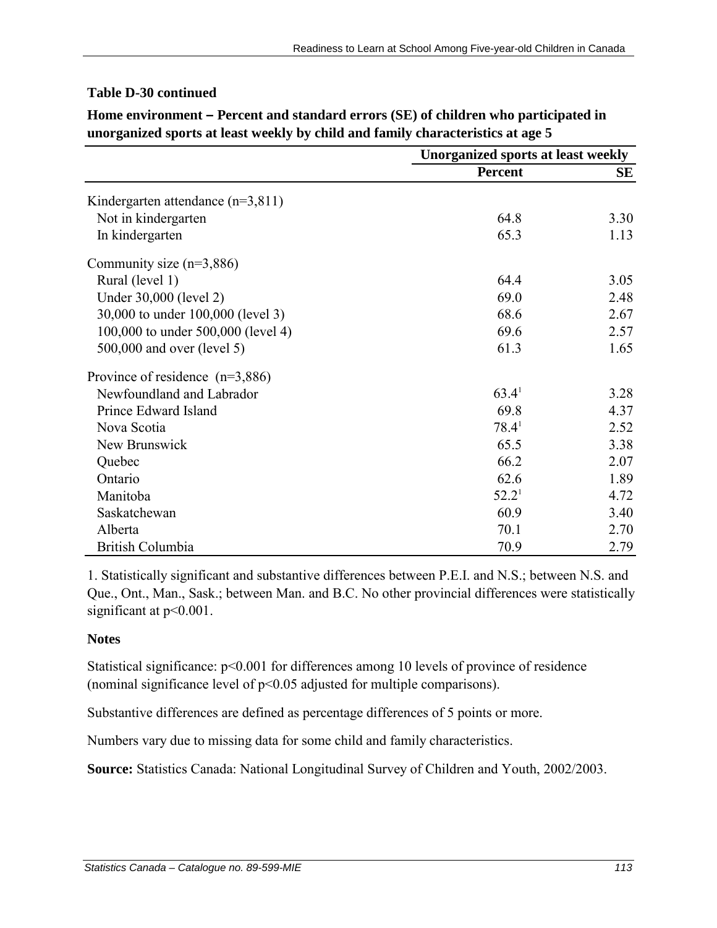|                                     | <b>Unorganized sports at least weekly</b> |      |
|-------------------------------------|-------------------------------------------|------|
|                                     | <b>Percent</b>                            | SЕ   |
| Kindergarten attendance $(n=3,811)$ |                                           |      |
| Not in kindergarten                 | 64.8                                      | 3.30 |
| In kindergarten                     | 65.3                                      | 1.13 |
| Community size $(n=3,886)$          |                                           |      |
| Rural (level 1)                     | 64.4                                      | 3.05 |
| Under 30,000 (level 2)              | 69.0                                      | 2.48 |
| 30,000 to under 100,000 (level 3)   | 68.6                                      | 2.67 |
| 100,000 to under 500,000 (level 4)  | 69.6                                      | 2.57 |
| 500,000 and over (level 5)          | 61.3                                      | 1.65 |
| Province of residence $(n=3,886)$   |                                           |      |
| Newfoundland and Labrador           | $63.4^1$                                  | 3.28 |
| Prince Edward Island                | 69.8                                      | 4.37 |
| Nova Scotia                         | $78.4^1$                                  | 2.52 |
| New Brunswick                       | 65.5                                      | 3.38 |
| Quebec                              | 66.2                                      | 2.07 |
| Ontario                             | 62.6                                      | 1.89 |
| Manitoba                            | $52.2^1$                                  | 4.72 |
| Saskatchewan                        | 60.9                                      | 3.40 |
| Alberta                             | 70.1                                      | 2.70 |
| British Columbia                    | 70.9                                      | 2.79 |

**Home environment – Percent and standard errors (SE) of children who participated in unorganized sports at least weekly by child and family characteristics at age 5**

1. Statistically significant and substantive differences between P.E.I. and N.S.; between N.S. and Que., Ont., Man., Sask.; between Man. and B.C. No other provincial differences were statistically significant at  $p<0.001$ .

## **Notes**

Statistical significance:  $p<0.001$  for differences among 10 levels of province of residence (nominal significance level of p<0.05 adjusted for multiple comparisons).

Substantive differences are defined as percentage differences of 5 points or more.

Numbers vary due to missing data for some child and family characteristics.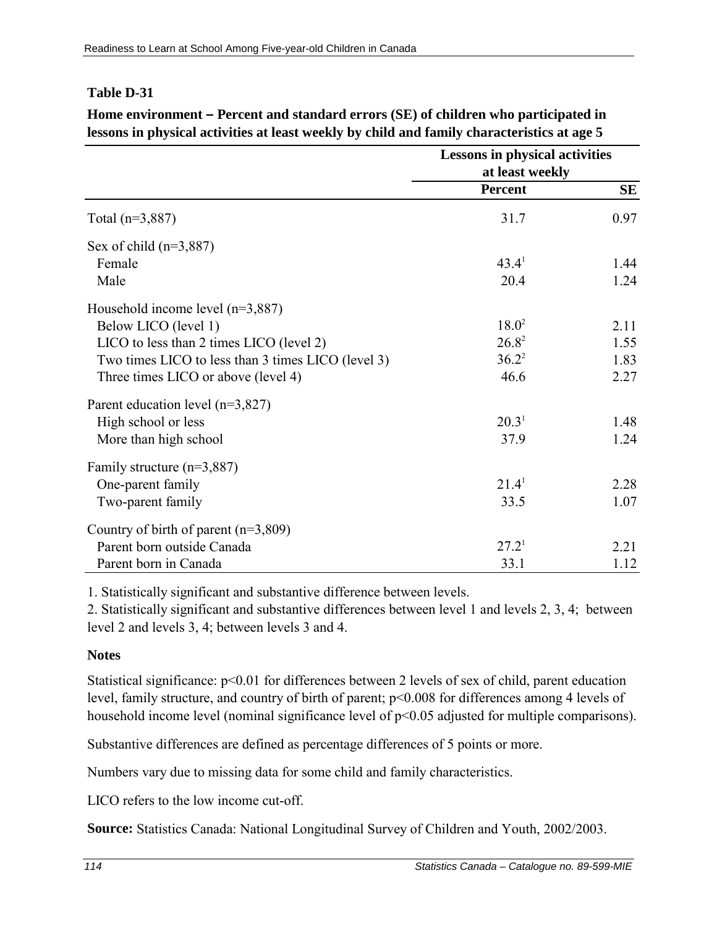|                                                    |                   | <b>Lessons in physical activities</b><br>at least weekly |  |
|----------------------------------------------------|-------------------|----------------------------------------------------------|--|
|                                                    | <b>Percent</b>    | SE                                                       |  |
| Total $(n=3,887)$                                  | 31.7              | 0.97                                                     |  |
| Sex of child $(n=3,887)$                           |                   |                                                          |  |
| Female                                             | 43.4 <sup>1</sup> | 1.44                                                     |  |
| Male                                               | 20.4              | 1.24                                                     |  |
| Household income level $(n=3,887)$                 |                   |                                                          |  |
| Below LICO (level 1)                               | $18.0^2$          | 2.11                                                     |  |
| LICO to less than 2 times LICO (level 2)           | $26.8^2$          | 1.55                                                     |  |
| Two times LICO to less than 3 times LICO (level 3) | $36.2^2$          | 1.83                                                     |  |
| Three times LICO or above (level 4)                | 46.6              | 2.27                                                     |  |
| Parent education level $(n=3,827)$                 |                   |                                                          |  |
| High school or less                                | 20.3 <sup>1</sup> | 1.48                                                     |  |
| More than high school                              | 37.9              | 1.24                                                     |  |
| Family structure $(n=3,887)$                       |                   |                                                          |  |
| One-parent family                                  | 21.4 <sup>1</sup> | 2.28                                                     |  |
| Two-parent family                                  | 33.5              | 1.07                                                     |  |
| Country of birth of parent $(n=3,809)$             |                   |                                                          |  |
| Parent born outside Canada                         | 27.2 <sup>1</sup> | 2.21                                                     |  |
| Parent born in Canada                              | 33.1              | 1.12                                                     |  |

**Home environment – Percent and standard errors (SE) of children who participated in lessons in physical activities at least weekly by child and family characteristics at age 5**

1. Statistically significant and substantive difference between levels.

2. Statistically significant and substantive differences between level 1 and levels 2, 3, 4; between level 2 and levels 3, 4; between levels 3 and 4.

#### **Notes**

Statistical significance: p<0.01 for differences between 2 levels of sex of child, parent education level, family structure, and country of birth of parent; p<0.008 for differences among 4 levels of household income level (nominal significance level of  $p<0.05$  adjusted for multiple comparisons).

Substantive differences are defined as percentage differences of 5 points or more.

Numbers vary due to missing data for some child and family characteristics.

LICO refers to the low income cut-off.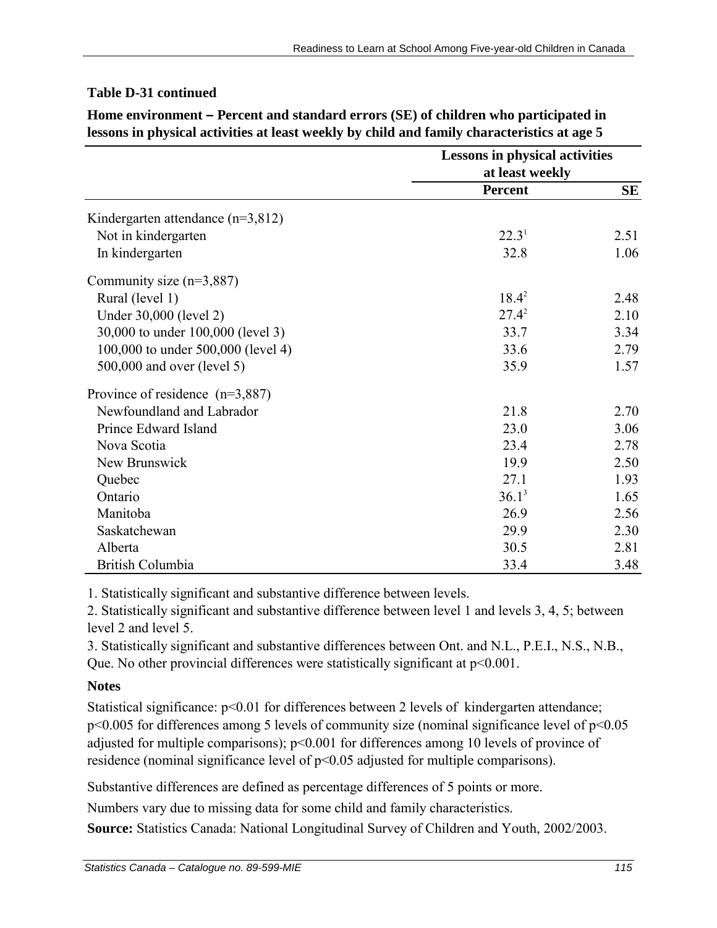|                                       | <b>Lessons in physical activities</b> |           |
|---------------------------------------|---------------------------------------|-----------|
|                                       | at least weekly                       |           |
|                                       | <b>Percent</b>                        | <b>SE</b> |
| Kindergarten attendance ( $n=3,812$ ) |                                       |           |
| Not in kindergarten                   | 22.3 <sup>1</sup>                     | 2.51      |
| In kindergarten                       | 32.8                                  | 1.06      |
| Community size $(n=3,887)$            |                                       |           |
| Rural (level 1)                       | $18.4^2$                              | 2.48      |
| Under 30,000 (level 2)                | $27.4^2$                              | 2.10      |
| 30,000 to under 100,000 (level 3)     | 33.7                                  | 3.34      |
| 100,000 to under 500,000 (level 4)    | 33.6                                  | 2.79      |
| 500,000 and over (level 5)            | 35.9                                  | 1.57      |
| Province of residence $(n=3,887)$     |                                       |           |
| Newfoundland and Labrador             | 21.8                                  | 2.70      |
| Prince Edward Island                  | 23.0                                  | 3.06      |
| Nova Scotia                           | 23.4                                  | 2.78      |
| New Brunswick                         | 19.9                                  | 2.50      |
| Quebec                                | 27.1                                  | 1.93      |
| Ontario                               | $36.1^3$                              | 1.65      |
| Manitoba                              | 26.9                                  | 2.56      |
| Saskatchewan                          | 29.9                                  | 2.30      |
| Alberta                               | 30.5                                  | 2.81      |
| <b>British Columbia</b>               | 33.4                                  | 3.48      |

## **Table D-31 continued**

**Home environment – Percent and standard errors (SE) of children who participated in lessons in physical activities at least weekly by child and family characteristics at age 5**

1. Statistically significant and substantive difference between levels.

2. Statistically significant and substantive difference between level 1 and levels 3, 4, 5; between level 2 and level 5.

3. Statistically significant and substantive differences between Ont. and N.L., P.E.I., N.S., N.B., Que. No other provincial differences were statistically significant at p<0.001.

# **Notes**

Statistical significance: p<0.01 for differences between 2 levels of kindergarten attendance; p<0.005 for differences among 5 levels of community size (nominal significance level of p<0.05 adjusted for multiple comparisons); p<0.001 for differences among 10 levels of province of residence (nominal significance level of p<0.05 adjusted for multiple comparisons).

Substantive differences are defined as percentage differences of 5 points or more.

Numbers vary due to missing data for some child and family characteristics.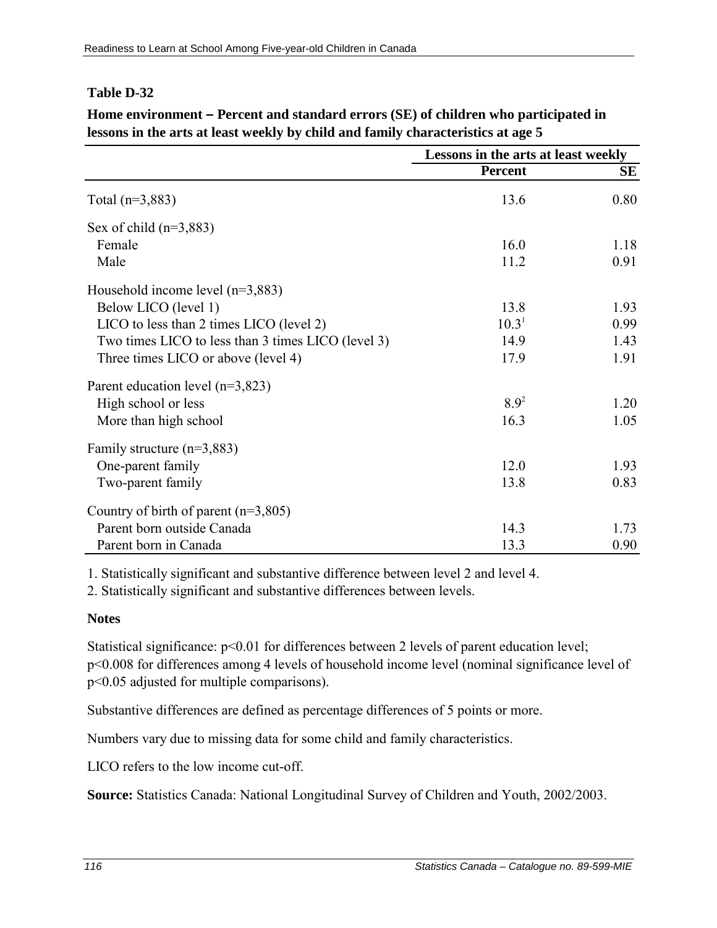|                                                    | Lessons in the arts at least weekly |      |
|----------------------------------------------------|-------------------------------------|------|
|                                                    | <b>Percent</b>                      | SЕ   |
| Total $(n=3,883)$                                  | 13.6                                | 0.80 |
| Sex of child $(n=3,883)$                           |                                     |      |
| Female                                             | 16.0                                | 1.18 |
| Male                                               | 11.2                                | 0.91 |
| Household income level $(n=3,883)$                 |                                     |      |
| Below LICO (level 1)                               | 13.8                                | 1.93 |
| LICO to less than 2 times LICO (level 2)           | 10.3 <sup>1</sup>                   | 0.99 |
| Two times LICO to less than 3 times LICO (level 3) | 14.9                                | 1.43 |
| Three times LICO or above (level 4)                | 17.9                                | 1.91 |
| Parent education level $(n=3,823)$                 |                                     |      |
| High school or less                                | $8.9^2$                             | 1.20 |
| More than high school                              | 16.3                                | 1.05 |
| Family structure $(n=3,883)$                       |                                     |      |
| One-parent family                                  | 12.0                                | 1.93 |
| Two-parent family                                  | 13.8                                | 0.83 |
| Country of birth of parent $(n=3,805)$             |                                     |      |
| Parent born outside Canada                         | 14.3                                | 1.73 |
| Parent born in Canada                              | 13.3                                | 0.90 |

**Home environment – Percent and standard errors (SE) of children who participated in lessons in the arts at least weekly by child and family characteristics at age 5**

1. Statistically significant and substantive difference between level 2 and level 4.

2. Statistically significant and substantive differences between levels.

## **Notes**

Statistical significance:  $p<0.01$  for differences between 2 levels of parent education level; p<0.008 for differences among 4 levels of household income level (nominal significance level of p<0.05 adjusted for multiple comparisons).

Substantive differences are defined as percentage differences of 5 points or more.

Numbers vary due to missing data for some child and family characteristics.

LICO refers to the low income cut-off.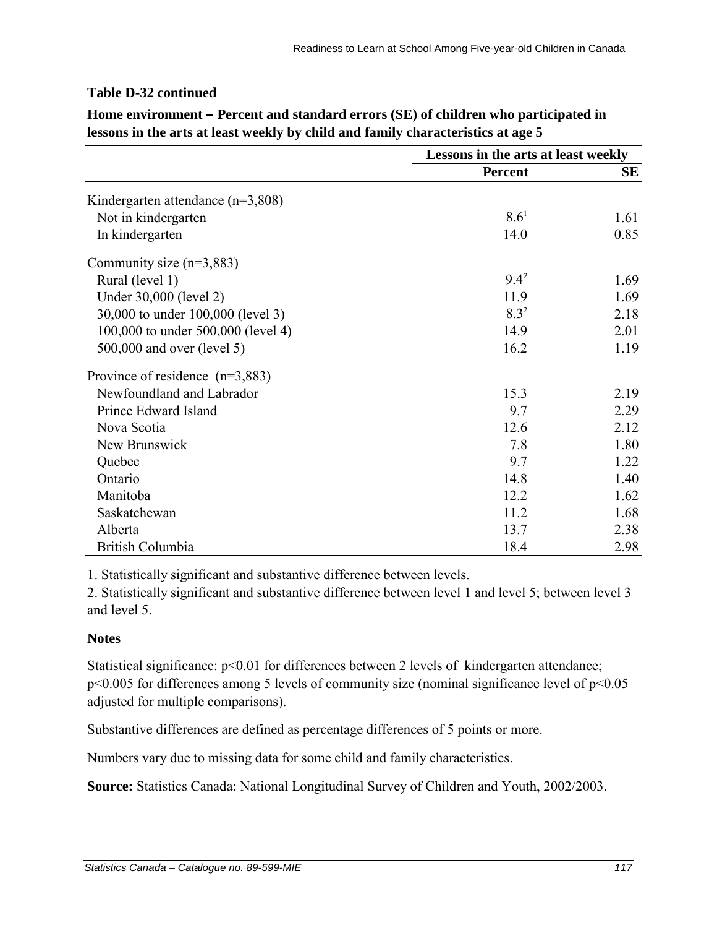# **Table D-32 continued**

|                                       | Lessons in the arts at least weekly |      |
|---------------------------------------|-------------------------------------|------|
|                                       | <b>Percent</b>                      | SЕ   |
| Kindergarten attendance ( $n=3,808$ ) |                                     |      |
| Not in kindergarten                   | $8.6^1$                             | 1.61 |
| In kindergarten                       | 14.0                                | 0.85 |
| Community size $(n=3,883)$            |                                     |      |
| Rural (level 1)                       | $9.4^2$                             | 1.69 |
| Under 30,000 (level 2)                | 11.9                                | 1.69 |
| 30,000 to under 100,000 (level 3)     | $8.3^{2}$                           | 2.18 |
| 100,000 to under 500,000 (level 4)    | 14.9                                | 2.01 |
| 500,000 and over (level 5)            | 16.2                                | 1.19 |
| Province of residence $(n=3,883)$     |                                     |      |
| Newfoundland and Labrador             | 15.3                                | 2.19 |
| Prince Edward Island                  | 9.7                                 | 2.29 |
| Nova Scotia                           | 12.6                                | 2.12 |
| New Brunswick                         | 7.8                                 | 1.80 |
| Quebec                                | 9.7                                 | 1.22 |
| Ontario                               | 14.8                                | 1.40 |
| Manitoba                              | 12.2                                | 1.62 |
| Saskatchewan                          | 11.2                                | 1.68 |
| Alberta                               | 13.7                                | 2.38 |
| British Columbia                      | 18.4                                | 2.98 |

**Home environment – Percent and standard errors (SE) of children who participated in lessons in the arts at least weekly by child and family characteristics at age 5**

1. Statistically significant and substantive difference between levels.

2. Statistically significant and substantive difference between level 1 and level 5; between level 3 and level 5.

#### **Notes**

Statistical significance:  $p<0.01$  for differences between 2 levels of kindergarten attendance; p<0.005 for differences among 5 levels of community size (nominal significance level of p<0.05 adjusted for multiple comparisons).

Substantive differences are defined as percentage differences of 5 points or more.

Numbers vary due to missing data for some child and family characteristics.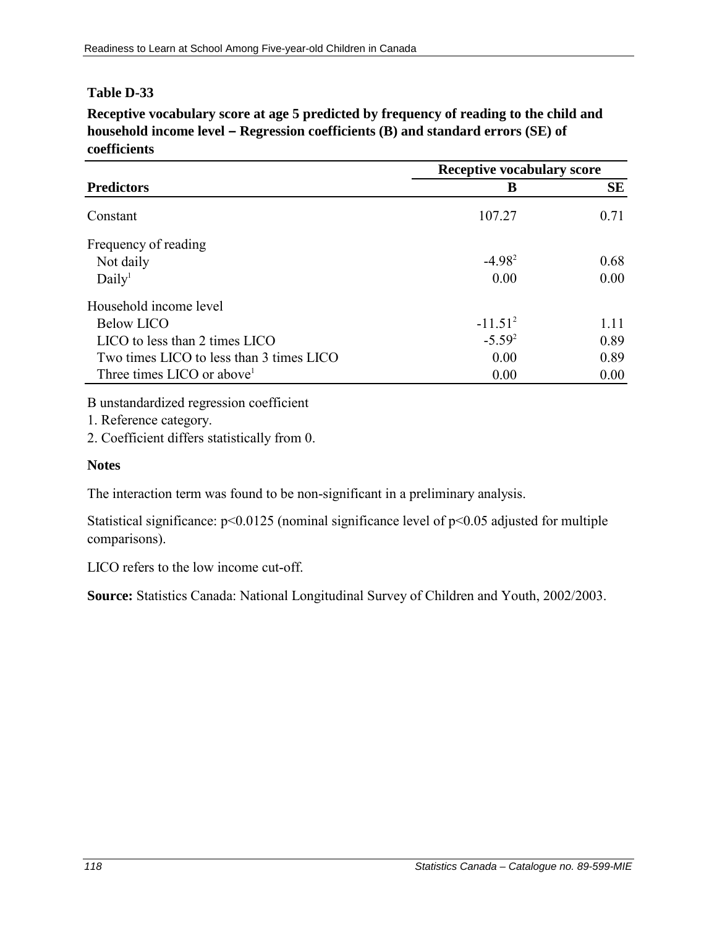**Receptive vocabulary score at age 5 predicted by frequency of reading to the child and household income level – Regression coefficients (B) and standard errors (SE) of coefficients**

| <b>Predictors</b>                        |             | <b>Receptive vocabulary score</b> |  |
|------------------------------------------|-------------|-----------------------------------|--|
|                                          | B           | <b>SE</b>                         |  |
| Constant                                 | 107.27      | 0.71                              |  |
| Frequency of reading                     |             |                                   |  |
| Not daily                                | $-4.98^2$   | 0.68                              |  |
| Daily <sup>1</sup>                       | 0.00        | 0.00                              |  |
| Household income level                   |             |                                   |  |
| <b>Below LICO</b>                        | $-11.51^2$  | 1.11                              |  |
| LICO to less than 2 times LICO           | $-5.59^{2}$ | 0.89                              |  |
| Two times LICO to less than 3 times LICO | 0.00        | 0.89                              |  |
| Three times LICO or above <sup>1</sup>   | 0.00        | 0.00                              |  |

B unstandardized regression coefficient

1. Reference category.

2. Coefficient differs statistically from 0.

### **Notes**

The interaction term was found to be non-significant in a preliminary analysis.

Statistical significance:  $p<0.0125$  (nominal significance level of  $p<0.05$  adjusted for multiple comparisons).

LICO refers to the low income cut-off.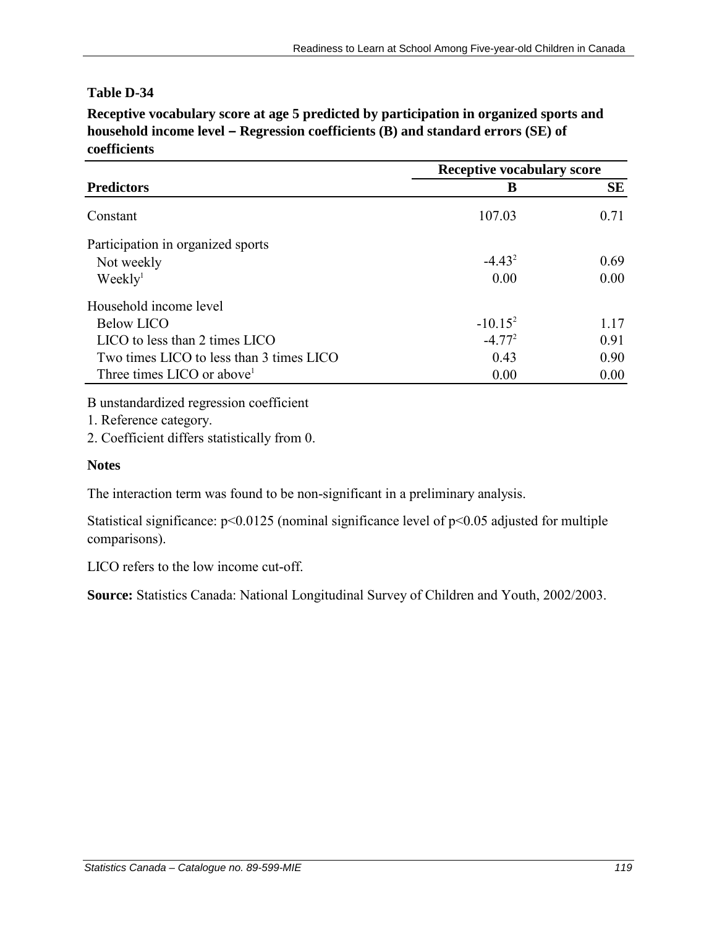**Receptive vocabulary score at age 5 predicted by participation in organized sports and household income level – Regression coefficients (B) and standard errors (SE) of coefficients**

| <b>Predictors</b>                        | <b>Receptive vocabulary score</b> |           |
|------------------------------------------|-----------------------------------|-----------|
|                                          | B                                 | <b>SE</b> |
| Constant                                 | 107.03                            | 0.71      |
| Participation in organized sports        |                                   |           |
| Not weekly                               | $-4.43^2$                         | 0.69      |
| Weekly <sup>1</sup>                      | 0.00                              | 0.00      |
| Household income level                   |                                   |           |
| Below LICO                               | $-10.15^2$                        | 1.17      |
| LICO to less than 2 times LICO           | $-4.772$                          | 0.91      |
| Two times LICO to less than 3 times LICO | 0.43                              | 0.90      |
| Three times LICO or above <sup>1</sup>   | 0.00                              | 0.00      |

B unstandardized regression coefficient

1. Reference category.

2. Coefficient differs statistically from 0.

#### **Notes**

The interaction term was found to be non-significant in a preliminary analysis.

Statistical significance:  $p<0.0125$  (nominal significance level of  $p<0.05$  adjusted for multiple comparisons).

LICO refers to the low income cut-off.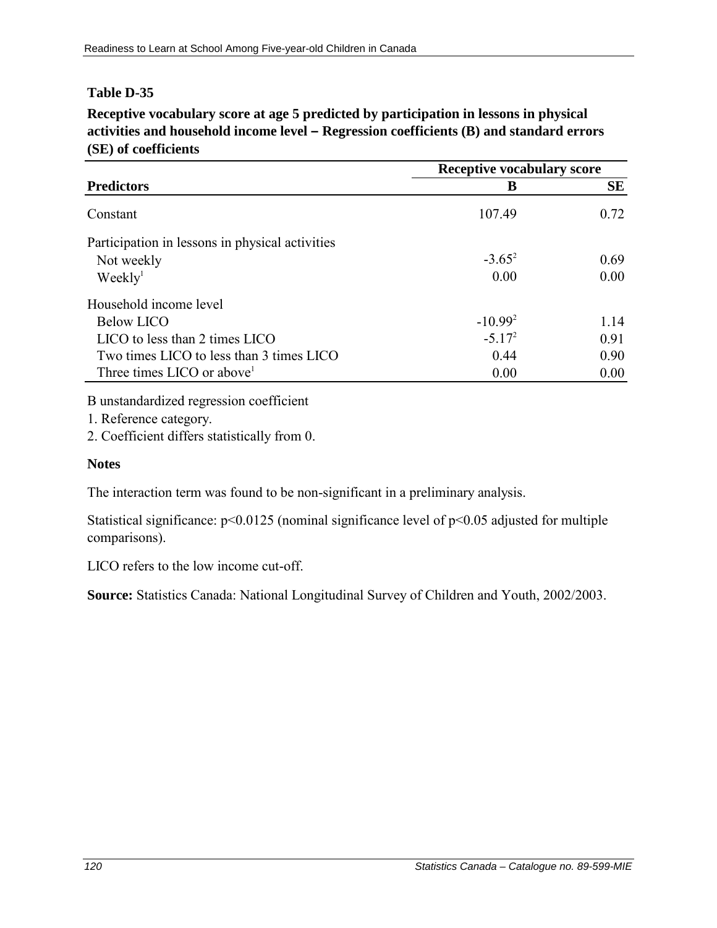**Receptive vocabulary score at age 5 predicted by participation in lessons in physical activities and household income level – Regression coefficients (B) and standard errors (SE) of coefficients**

|                                                 | <b>Receptive vocabulary score</b> |           |
|-------------------------------------------------|-----------------------------------|-----------|
| <b>Predictors</b>                               | B                                 | <b>SE</b> |
| Constant                                        | 107.49                            | 0.72      |
| Participation in lessons in physical activities |                                   |           |
| Not weekly                                      | $-3.65^2$                         | 0.69      |
| Weekly <sup>1</sup>                             | 0.00                              | 0.00      |
| Household income level                          |                                   |           |
| <b>Below LICO</b>                               | $-10.992$                         | 1 14      |
| LICO to less than 2 times LICO                  | $-5.17^{2}$                       | 0.91      |
| Two times LICO to less than 3 times LICO        | 0.44                              | 0.90      |
| Three times LICO or above <sup>1</sup>          | 0.00                              | 0.00      |

B unstandardized regression coefficient

1. Reference category.

2. Coefficient differs statistically from 0.

#### **Notes**

The interaction term was found to be non-significant in a preliminary analysis.

Statistical significance:  $p<0.0125$  (nominal significance level of  $p<0.05$  adjusted for multiple comparisons).

LICO refers to the low income cut-off.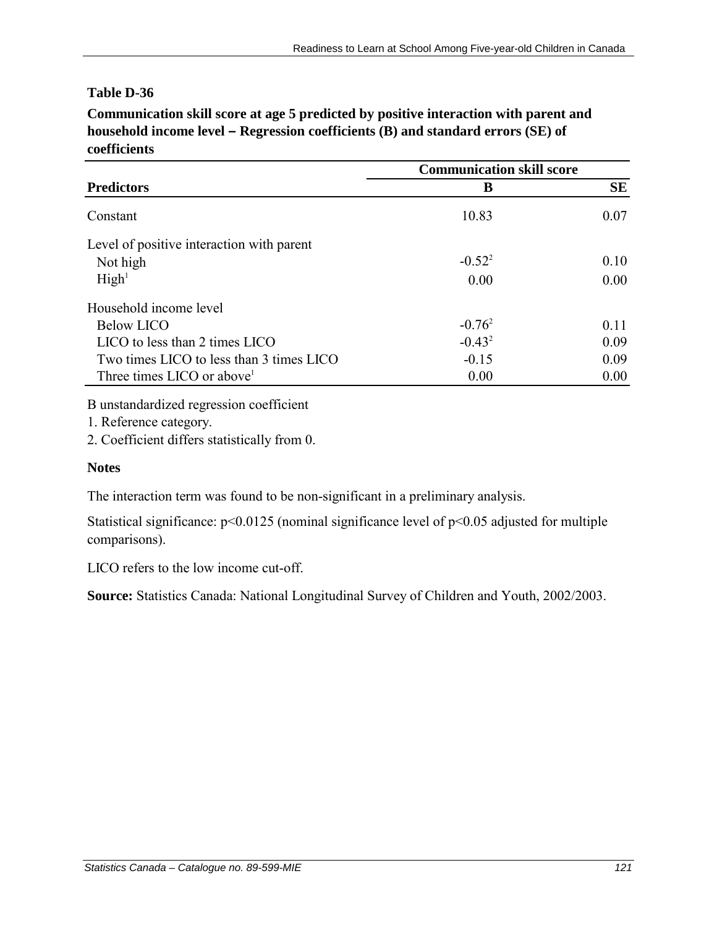**Communication skill score at age 5 predicted by positive interaction with parent and household income level – Regression coefficients (B) and standard errors (SE) of coefficients**

|                                           | <b>Communication skill score</b> |           |
|-------------------------------------------|----------------------------------|-----------|
| <b>Predictors</b>                         | В                                | <b>SE</b> |
| Constant                                  | 10.83                            | 0.07      |
| Level of positive interaction with parent |                                  |           |
| Not high                                  | $-0.52^{2}$                      | 0.10      |
| High <sup>1</sup>                         | 0.00                             | 0.00      |
| Household income level                    |                                  |           |
| <b>Below LICO</b>                         | $-0.76^2$                        | 0.11      |
| LICO to less than 2 times LICO            | $-0.43^2$                        | 0.09      |
| Two times LICO to less than 3 times LICO  | $-0.15$                          | 0.09      |
| Three times LICO or above <sup>1</sup>    | 0.00                             | 0.00      |

B unstandardized regression coefficient

1. Reference category.

2. Coefficient differs statistically from 0.

#### **Notes**

The interaction term was found to be non-significant in a preliminary analysis.

Statistical significance: p<0.0125 (nominal significance level of p<0.05 adjusted for multiple comparisons).

LICO refers to the low income cut-off.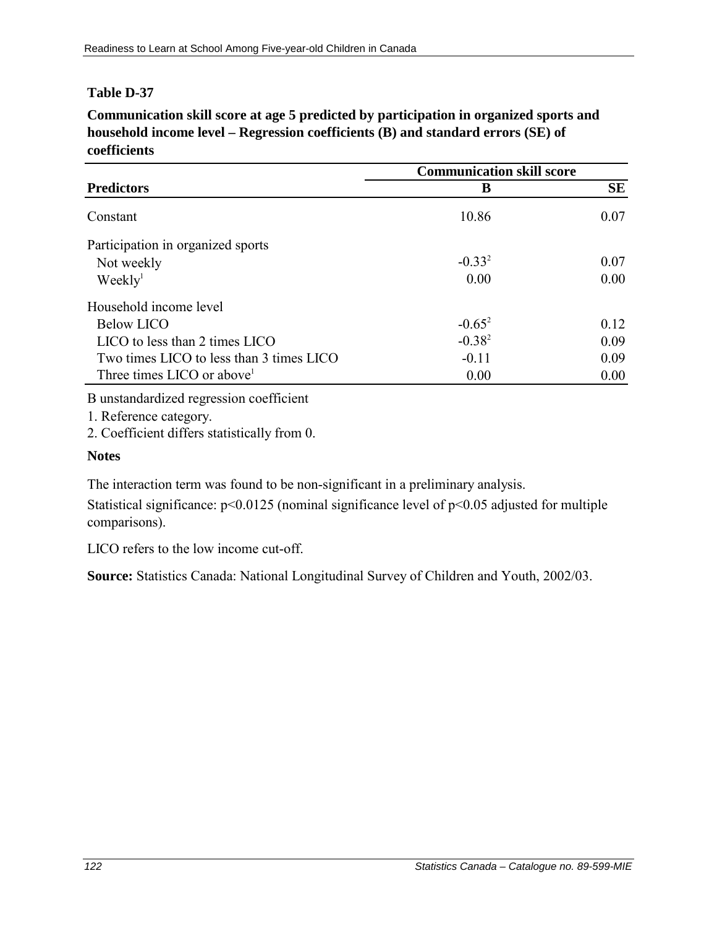**Communication skill score at age 5 predicted by participation in organized sports and household income level – Regression coefficients (B) and standard errors (SE) of coefficients**

|                                          | <b>Communication skill score</b> |           |
|------------------------------------------|----------------------------------|-----------|
| <b>Predictors</b>                        | B                                | <b>SE</b> |
| Constant                                 | 10.86                            | 0.07      |
| Participation in organized sports        |                                  |           |
| Not weekly                               | $-0.33^{2}$                      | 0.07      |
| Weekly <sup>1</sup>                      | 0.00                             | 0.00      |
| Household income level                   |                                  |           |
| <b>Below LICO</b>                        | $-0.65^2$                        | 0.12      |
| LICO to less than 2 times LICO           | $-0.38^{2}$                      | 0.09      |
| Two times LICO to less than 3 times LICO | $-0.11$                          | 0.09      |
| Three times LICO or above <sup>1</sup>   | 0.00                             | 0.00      |

B unstandardized regression coefficient

1. Reference category.

2. Coefficient differs statistically from 0.

#### **Notes**

The interaction term was found to be non-significant in a preliminary analysis.

Statistical significance:  $p<0.0125$  (nominal significance level of  $p<0.05$  adjusted for multiple comparisons).

LICO refers to the low income cut-off.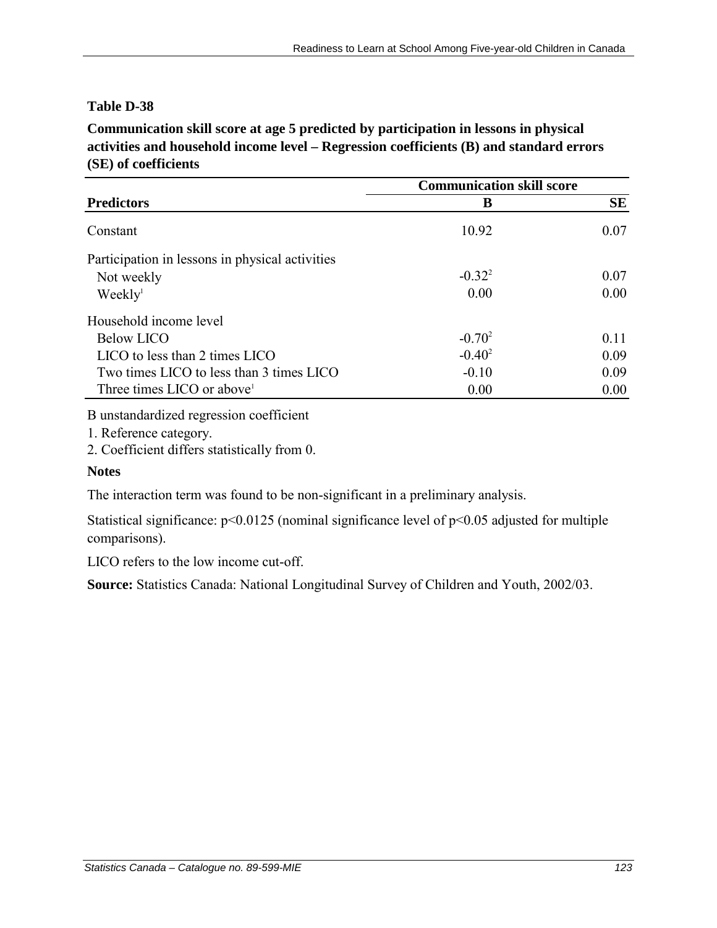**Communication skill score at age 5 predicted by participation in lessons in physical activities and household income level – Regression coefficients (B) and standard errors (SE) of coefficients**

|                                                 | <b>Communication skill score</b> |      |
|-------------------------------------------------|----------------------------------|------|
| <b>Predictors</b>                               | В                                | SE   |
| Constant                                        | 10.92                            | 0.07 |
| Participation in lessons in physical activities |                                  |      |
| Not weekly                                      | $-0.32^{2}$                      | 0.07 |
| Weekly <sup>1</sup>                             | 0.00                             | 0.00 |
| Household income level                          |                                  |      |
| <b>Below LICO</b>                               | $-0.70^2$                        | 0.11 |
| LICO to less than 2 times LICO                  | $-0.40^2$                        | 0.09 |
| Two times LICO to less than 3 times LICO        | $-0.10$                          | 0.09 |
| Three times LICO or above <sup>1</sup>          | 0.00                             | 0.00 |

B unstandardized regression coefficient

1. Reference category.

2. Coefficient differs statistically from 0.

#### **Notes**

The interaction term was found to be non-significant in a preliminary analysis.

Statistical significance: p<0.0125 (nominal significance level of p<0.05 adjusted for multiple comparisons).

LICO refers to the low income cut-off.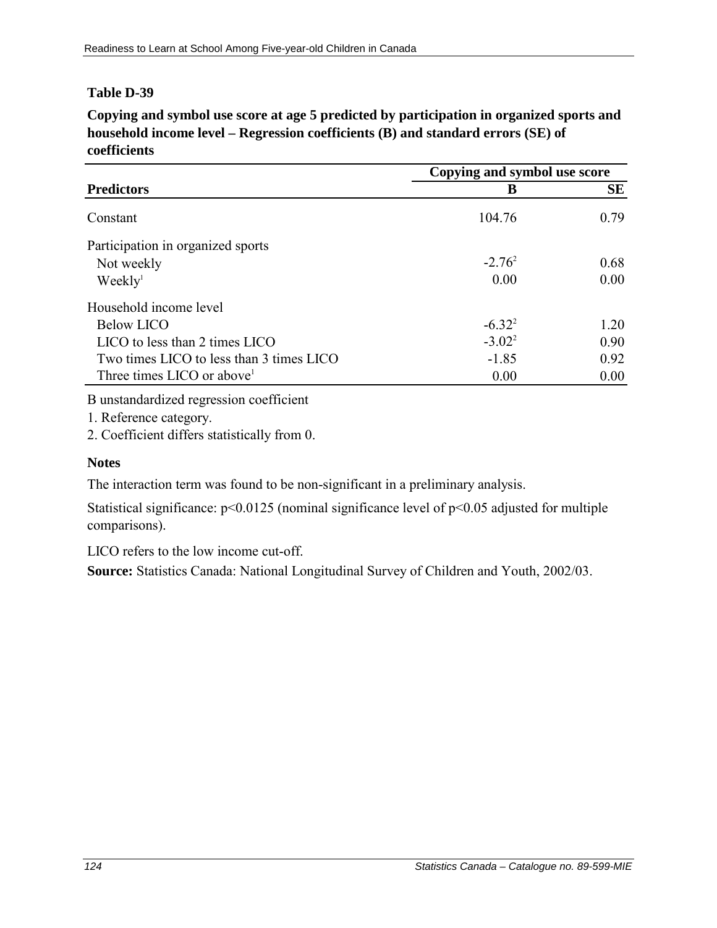**Copying and symbol use score at age 5 predicted by participation in organized sports and household income level – Regression coefficients (B) and standard errors (SE) of coefficients**

|                                          | Copying and symbol use score |      |
|------------------------------------------|------------------------------|------|
| <b>Predictors</b>                        | B                            | SE   |
| Constant                                 | 104.76                       | 0.79 |
| Participation in organized sports        |                              |      |
| Not weekly                               | $-2.76^2$                    | 0.68 |
| Weekly <sup>1</sup>                      | 0.00                         | 0.00 |
| Household income level                   |                              |      |
| Below LICO                               | $-6.32^{2}$                  | 1 20 |
| LICO to less than 2 times LICO           | $-3.02^2$                    | 0.90 |
| Two times LICO to less than 3 times LICO | $-1.85$                      | 0.92 |
| Three times LICO or above <sup>1</sup>   | 0.00                         | 0.00 |

B unstandardized regression coefficient

1. Reference category.

2. Coefficient differs statistically from 0.

## **Notes**

The interaction term was found to be non-significant in a preliminary analysis.

Statistical significance: p<0.0125 (nominal significance level of p<0.05 adjusted for multiple comparisons).

LICO refers to the low income cut-off.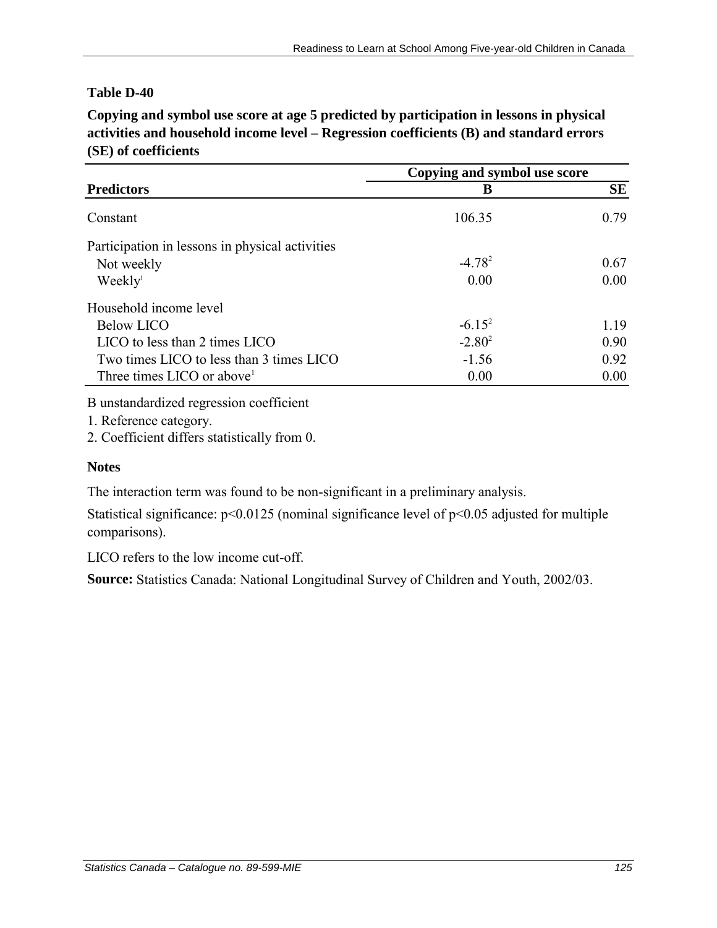**Copying and symbol use score at age 5 predicted by participation in lessons in physical activities and household income level – Regression coefficients (B) and standard errors (SE) of coefficients**

|                                                 | Copying and symbol use score |           |
|-------------------------------------------------|------------------------------|-----------|
| <b>Predictors</b>                               | В                            | <b>SE</b> |
| Constant                                        | 106.35                       | 0.79      |
| Participation in lessons in physical activities |                              |           |
| Not weekly                                      | $-4.78^2$                    | 0.67      |
| Weekly <sup>1</sup>                             | 0.00                         | 0.00      |
| Household income level                          |                              |           |
| <b>Below LICO</b>                               | $-6.15^{2}$                  | 1.19      |
| $LICO$ to less than 2 times $LICO$              | $-2.80^2$                    | 0.90      |
| Two times LICO to less than 3 times LICO        | $-1.56$                      | 0.92      |
| Three times LICO or above <sup>1</sup>          | 0.00                         | 0.00      |

B unstandardized regression coefficient

1. Reference category.

2. Coefficient differs statistically from 0.

#### **Notes**

The interaction term was found to be non-significant in a preliminary analysis.

Statistical significance:  $p<0.0125$  (nominal significance level of  $p<0.05$  adjusted for multiple comparisons).

LICO refers to the low income cut-off.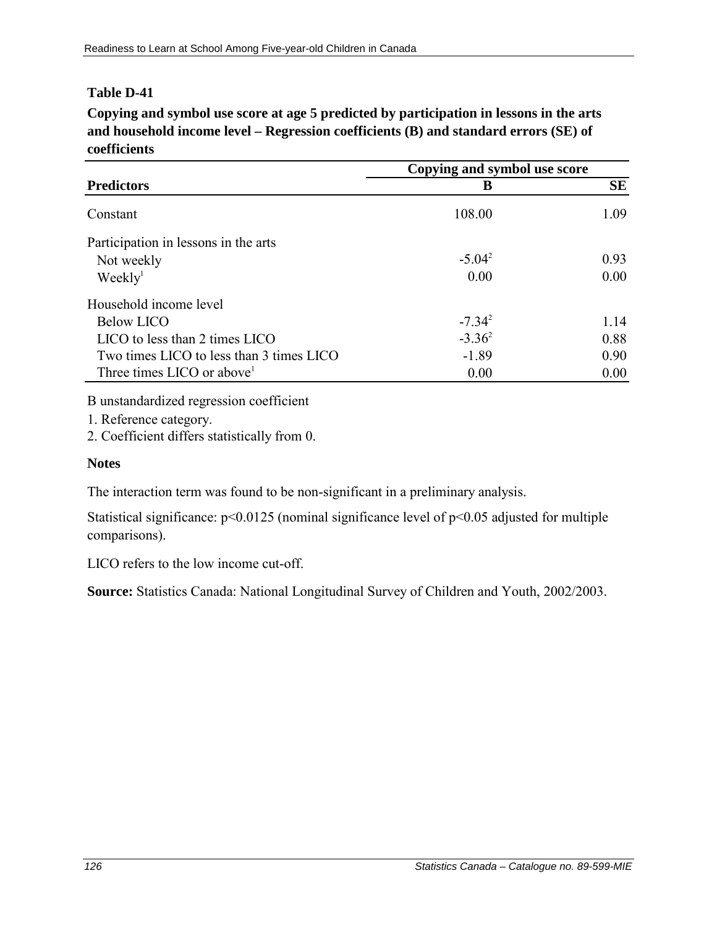**Copying and symbol use score at age 5 predicted by participation in lessons in the arts and household income level – Regression coefficients (B) and standard errors (SE) of coefficients**

|                                          | Copying and symbol use score |           |
|------------------------------------------|------------------------------|-----------|
| <b>Predictors</b>                        | В                            | <b>SE</b> |
| Constant                                 | 108.00                       | 1.09      |
| Participation in lessons in the arts     |                              |           |
| Not weekly                               | $-5.04^2$                    | 0.93      |
| Weekly <sup>1</sup>                      | 0.00                         | 0.00      |
| Household income level                   |                              |           |
| <b>Below LICO</b>                        | $-7.34^{2}$                  | 1.14      |
| LICO to less than 2 times LICO           | $-3.36^2$                    | 0.88      |
| Two times LICO to less than 3 times LICO | $-1.89$                      | 0.90      |
| Three times LICO or above                | 0.00                         | 0.00      |

B unstandardized regression coefficient

1. Reference category.

2. Coefficient differs statistically from 0.

### **Notes**

The interaction term was found to be non-significant in a preliminary analysis.

Statistical significance:  $p<0.0125$  (nominal significance level of  $p<0.05$  adjusted for multiple comparisons).

LICO refers to the low income cut-off.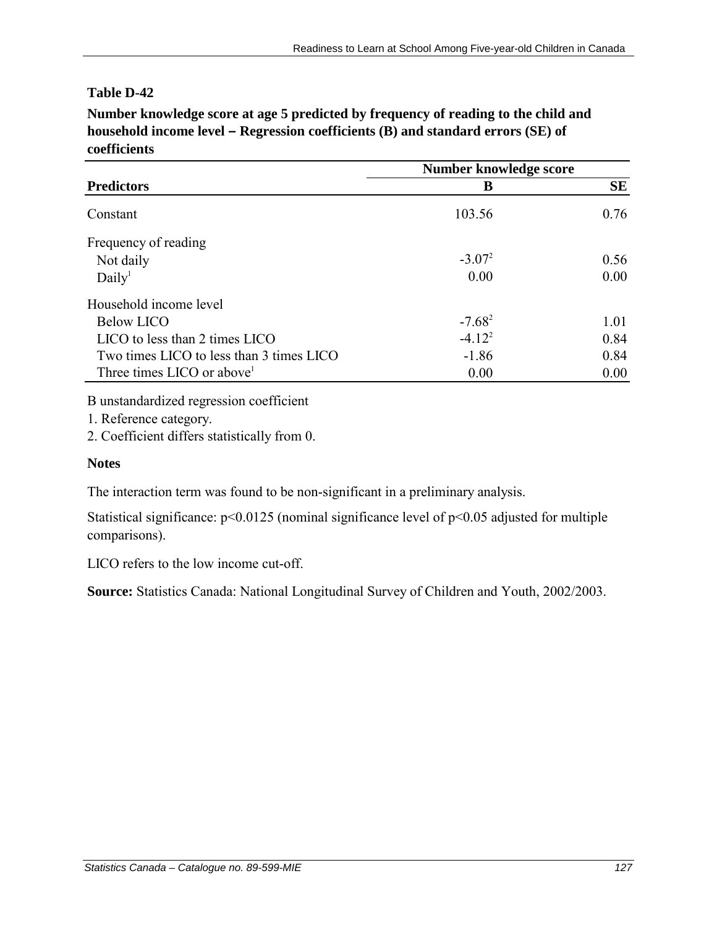**Number knowledge score at age 5 predicted by frequency of reading to the child and household income level – Regression coefficients (B) and standard errors (SE) of coefficients**

|                                          | Number knowledge score |      |
|------------------------------------------|------------------------|------|
| <b>Predictors</b>                        | B                      | SE   |
| Constant                                 | 103.56                 | 0.76 |
| Frequency of reading                     |                        |      |
| Not daily                                | $-3.07^{2}$            | 0.56 |
| Daily <sup>1</sup>                       | 0.00                   | 0.00 |
| Household income level                   |                        |      |
| <b>Below LICO</b>                        | $-7.68^{2}$            | 1.01 |
| LICO to less than 2 times LICO           | $-4.12^{2}$            | 0.84 |
| Two times LICO to less than 3 times LICO | $-1.86$                | 0.84 |
| Three times LICO or above <sup>1</sup>   | 0.00                   | 0.00 |

B unstandardized regression coefficient

1. Reference category.

2. Coefficient differs statistically from 0.

#### **Notes**

The interaction term was found to be non-significant in a preliminary analysis.

Statistical significance:  $p<0.0125$  (nominal significance level of  $p<0.05$  adjusted for multiple comparisons).

LICO refers to the low income cut-off.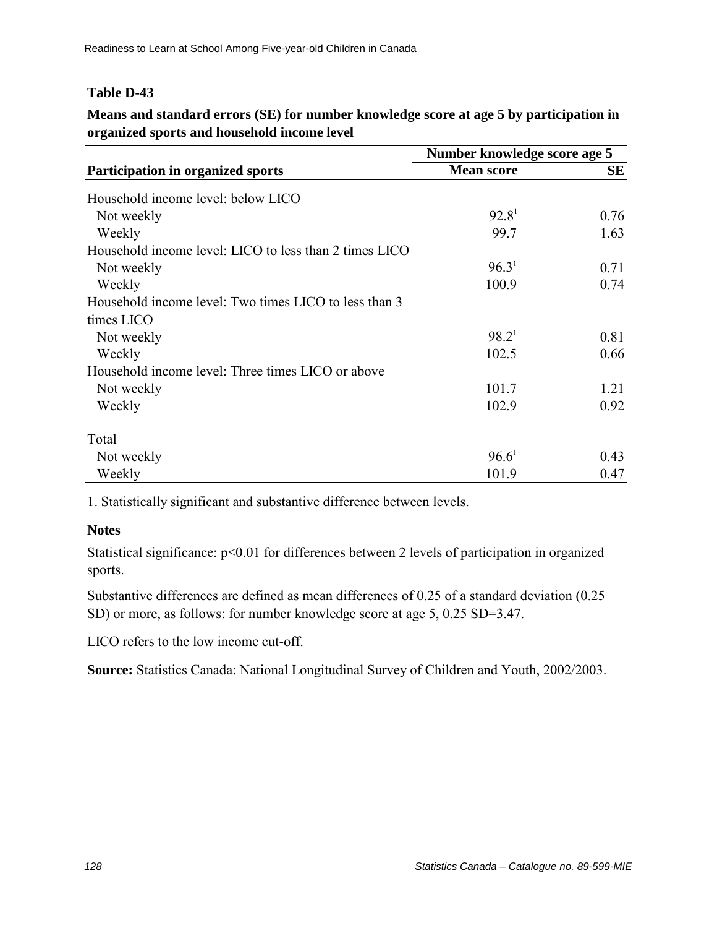**Means and standard errors (SE) for number knowledge score at age 5 by participation in organized sports and household income level**

|                                                        | Number knowledge score age 5 |      |
|--------------------------------------------------------|------------------------------|------|
| <b>Participation in organized sports</b>               | <b>Mean score</b>            | SE   |
| Household income level: below LICO                     |                              |      |
| Not weekly                                             | 92.8 <sup>1</sup>            | 0.76 |
| Weekly                                                 | 99.7                         | 1.63 |
| Household income level: LICO to less than 2 times LICO |                              |      |
| Not weekly                                             | 96.3 <sup>1</sup>            | 0.71 |
| Weekly                                                 | 100.9                        | 0.74 |
| Household income level: Two times LICO to less than 3  |                              |      |
| times LICO                                             |                              |      |
| Not weekly                                             | $98.2^1$                     | 0.81 |
| Weekly                                                 | 102.5                        | 0.66 |
| Household income level: Three times LICO or above      |                              |      |
| Not weekly                                             | 101.7                        | 1.21 |
| Weekly                                                 | 102.9                        | 0.92 |
| Total                                                  |                              |      |
| Not weekly                                             | 96.6 <sup>1</sup>            | 0.43 |
| Weekly                                                 | 101.9                        | 0.47 |

1. Statistically significant and substantive difference between levels.

#### **Notes**

Statistical significance:  $p<0.01$  for differences between 2 levels of participation in organized sports.

Substantive differences are defined as mean differences of 0.25 of a standard deviation (0.25 SD) or more, as follows: for number knowledge score at age 5, 0.25 SD=3.47.

LICO refers to the low income cut-off.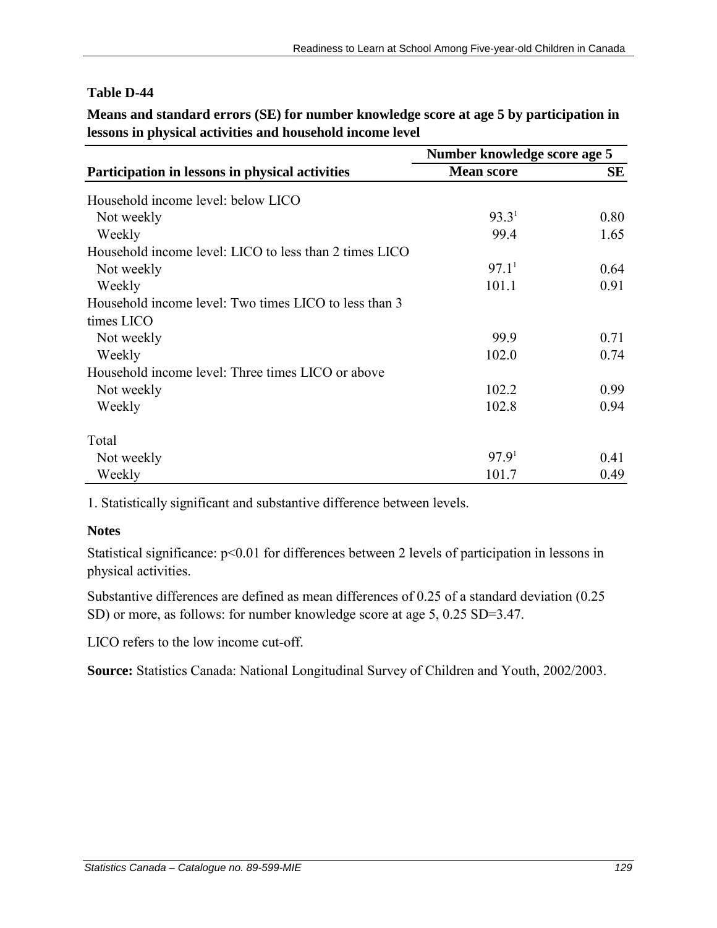**Means and standard errors (SE) for number knowledge score at age 5 by participation in lessons in physical activities and household income level**

|                                                        | Number knowledge score age 5 |      |
|--------------------------------------------------------|------------------------------|------|
| Participation in lessons in physical activities        | <b>Mean score</b>            | SЕ   |
| Household income level: below LICO                     |                              |      |
| Not weekly                                             | 93.3 <sup>1</sup>            | 0.80 |
| Weekly                                                 | 99.4                         | 1.65 |
| Household income level: LICO to less than 2 times LICO |                              |      |
| Not weekly                                             | 97.1 <sup>1</sup>            | 0.64 |
| Weekly                                                 | 101.1                        | 0.91 |
| Household income level: Two times LICO to less than 3  |                              |      |
| times LICO                                             |                              |      |
| Not weekly                                             | 99.9                         | 0.71 |
| Weekly                                                 | 102.0                        | 0.74 |
| Household income level: Three times LICO or above      |                              |      |
| Not weekly                                             | 102.2                        | 0.99 |
| Weekly                                                 | 102.8                        | 0.94 |
| Total                                                  |                              |      |
| Not weekly                                             | 97.9 <sup>1</sup>            | 0.41 |
| Weekly                                                 | 101.7                        | 0.49 |

1. Statistically significant and substantive difference between levels.

#### **Notes**

Statistical significance: p<0.01 for differences between 2 levels of participation in lessons in physical activities.

Substantive differences are defined as mean differences of 0.25 of a standard deviation (0.25 SD) or more, as follows: for number knowledge score at age 5, 0.25 SD=3.47.

LICO refers to the low income cut-off.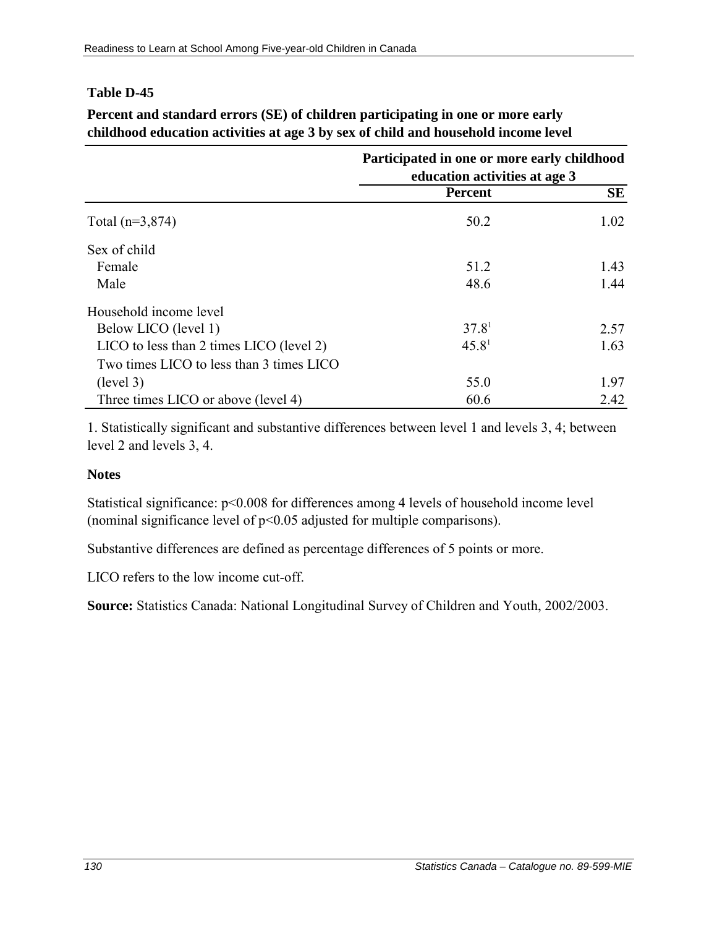|                                              | Participated in one or more early childhood<br>education activities at age 3 |           |
|----------------------------------------------|------------------------------------------------------------------------------|-----------|
|                                              | <b>Percent</b>                                                               | <b>SE</b> |
| Total $(n=3,874)$                            | 50.2                                                                         | 1.02      |
| Sex of child                                 |                                                                              |           |
| Female                                       | 51.2                                                                         | 1.43      |
| Male                                         | 48.6                                                                         | 1.44      |
| Household income level                       |                                                                              |           |
| Below LICO (level 1)                         | 37.8 <sup>1</sup>                                                            | 2.57      |
| $LICO$ to less than 2 times $LICO$ (level 2) | 45.8 <sup>1</sup>                                                            | 1.63      |
| Two times LICO to less than 3 times LICO     |                                                                              |           |
| (level 3)                                    | 55.0                                                                         | 1.97      |
| Three times LICO or above (level 4)          | 60.6                                                                         | 2.42      |

**Percent and standard errors (SE) of children participating in one or more early childhood education activities at age 3 by sex of child and household income level**

1. Statistically significant and substantive differences between level 1 and levels 3, 4; between level 2 and levels 3, 4.

## **Notes**

Statistical significance:  $p<0.008$  for differences among 4 levels of household income level (nominal significance level of p<0.05 adjusted for multiple comparisons).

Substantive differences are defined as percentage differences of 5 points or more.

LICO refers to the low income cut-off.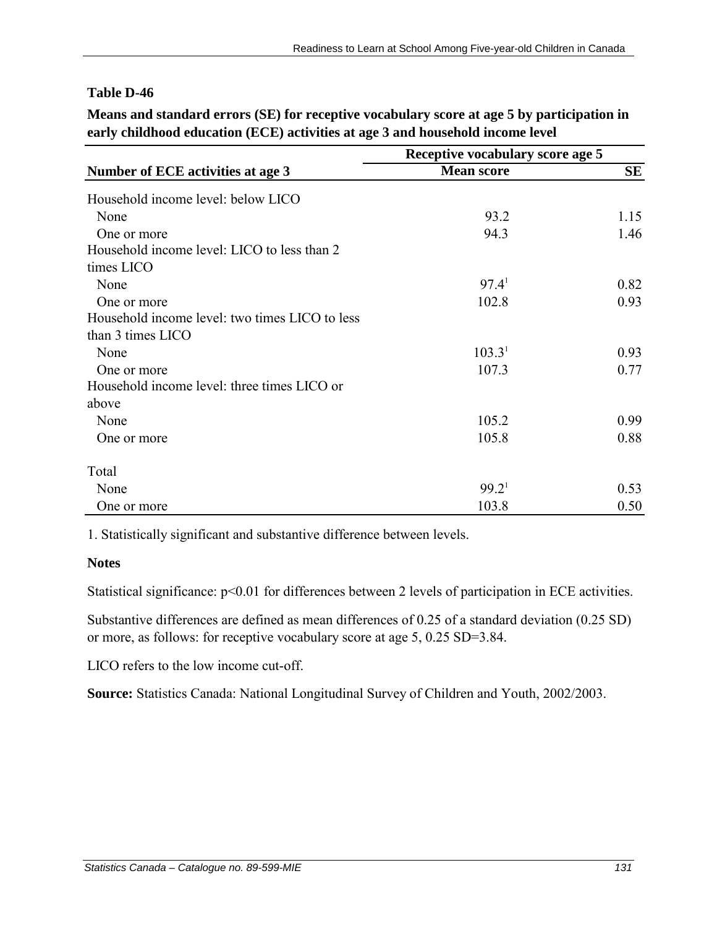**Means and standard errors (SE) for receptive vocabulary score at age 5 by participation in early childhood education (ECE) activities at age 3 and household income level**

|                                                | Receptive vocabulary score age 5 |      |
|------------------------------------------------|----------------------------------|------|
| Number of ECE activities at age 3              | <b>Mean score</b>                | SE   |
| Household income level: below LICO             |                                  |      |
| None                                           | 93.2                             | 1.15 |
| One or more                                    | 94.3                             | 1.46 |
| Household income level: LICO to less than 2    |                                  |      |
| times LICO                                     |                                  |      |
| None                                           | 97.4 <sup>1</sup>                | 0.82 |
| One or more                                    | 102.8                            | 0.93 |
| Household income level: two times LICO to less |                                  |      |
| than 3 times LICO                              |                                  |      |
| None                                           | 103.3 <sup>1</sup>               | 0.93 |
| One or more                                    | 107.3                            | 0.77 |
| Household income level: three times LICO or    |                                  |      |
| above                                          |                                  |      |
| None                                           | 105.2                            | 0.99 |
| One or more                                    | 105.8                            | 0.88 |
| Total                                          |                                  |      |
| None                                           | 99.2 <sup>1</sup>                | 0.53 |
| One or more                                    | 103.8                            | 0.50 |

1. Statistically significant and substantive difference between levels.

#### **Notes**

Statistical significance:  $p<0.01$  for differences between 2 levels of participation in ECE activities.

Substantive differences are defined as mean differences of 0.25 of a standard deviation (0.25 SD) or more, as follows: for receptive vocabulary score at age 5, 0.25 SD=3.84.

LICO refers to the low income cut-off.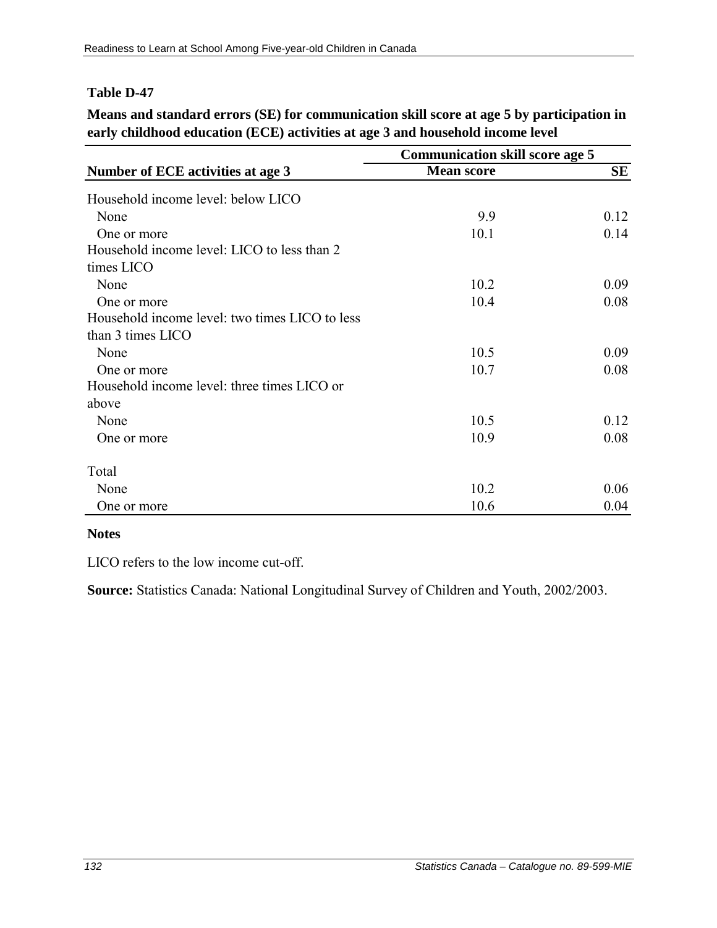**Means and standard errors (SE) for communication skill score at age 5 by participation in early childhood education (ECE) activities at age 3 and household income level**

|                                                | <b>Communication skill score age 5</b> |      |  |
|------------------------------------------------|----------------------------------------|------|--|
| Number of ECE activities at age 3              | <b>Mean score</b>                      | SE   |  |
| Household income level: below LICO             |                                        |      |  |
| None                                           | 9.9                                    | 0.12 |  |
| One or more                                    | 10.1                                   | 0.14 |  |
| Household income level: LICO to less than 2    |                                        |      |  |
| times LICO                                     |                                        |      |  |
| None                                           | 10.2                                   | 0.09 |  |
| One or more                                    | 10.4                                   | 0.08 |  |
| Household income level: two times LICO to less |                                        |      |  |
| than 3 times LICO                              |                                        |      |  |
| None                                           | 10.5                                   | 0.09 |  |
| One or more                                    | 10.7                                   | 0.08 |  |
| Household income level: three times LICO or    |                                        |      |  |
| above                                          |                                        |      |  |
| None                                           | 10.5                                   | 0.12 |  |
| One or more                                    | 10.9                                   | 0.08 |  |
| Total                                          |                                        |      |  |
| None                                           | 10.2                                   | 0.06 |  |
| One or more                                    | 10.6                                   | 0.04 |  |

#### **Notes**

LICO refers to the low income cut-off.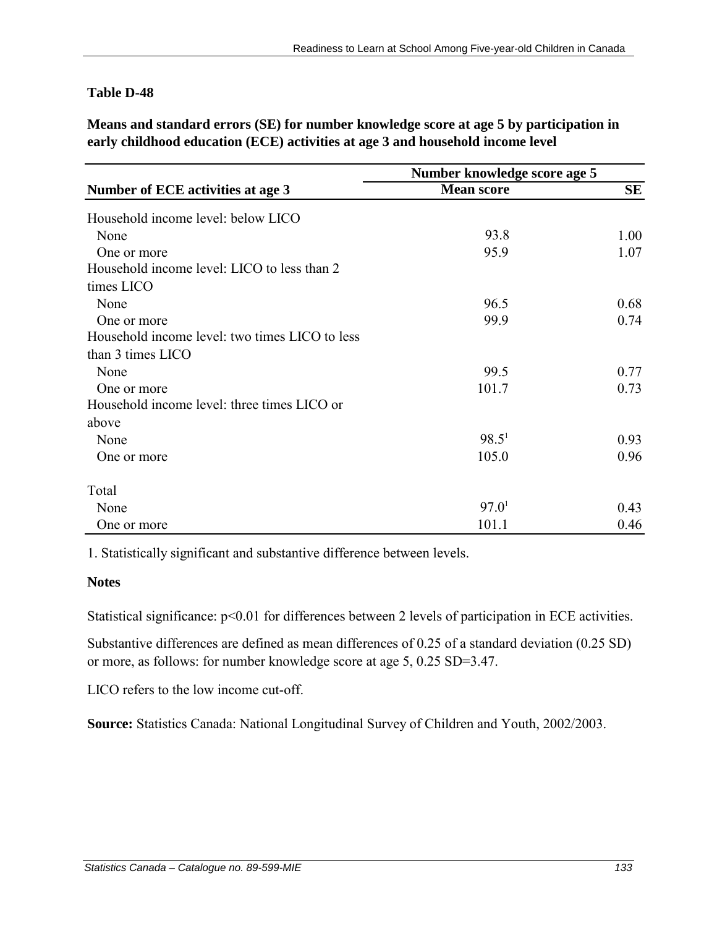**Means and standard errors (SE) for number knowledge score at age 5 by participation in early childhood education (ECE) activities at age 3 and household income level**

|                                                | Number knowledge score age 5 |      |
|------------------------------------------------|------------------------------|------|
| Number of ECE activities at age 3              | <b>Mean score</b>            | SE   |
| Household income level: below LICO             |                              |      |
| None                                           | 93.8                         | 1.00 |
| One or more                                    | 95.9                         | 1.07 |
| Household income level: LICO to less than 2    |                              |      |
| times LICO                                     |                              |      |
| None                                           | 96.5                         | 0.68 |
| One or more                                    | 99.9                         | 0.74 |
| Household income level: two times LICO to less |                              |      |
| than 3 times LICO                              |                              |      |
| None                                           | 99.5                         | 0.77 |
| One or more                                    | 101.7                        | 0.73 |
| Household income level: three times LICO or    |                              |      |
| above                                          |                              |      |
| None                                           | $98.5^1$                     | 0.93 |
| One or more                                    | 105.0                        | 0.96 |
| Total                                          |                              |      |
| None                                           | 97.0 <sup>1</sup>            | 0.43 |
| One or more                                    | 101.1                        | 0.46 |

1. Statistically significant and substantive difference between levels.

#### **Notes**

Statistical significance:  $p<0.01$  for differences between 2 levels of participation in ECE activities.

Substantive differences are defined as mean differences of 0.25 of a standard deviation (0.25 SD) or more, as follows: for number knowledge score at age 5, 0.25 SD=3.47.

LICO refers to the low income cut-off.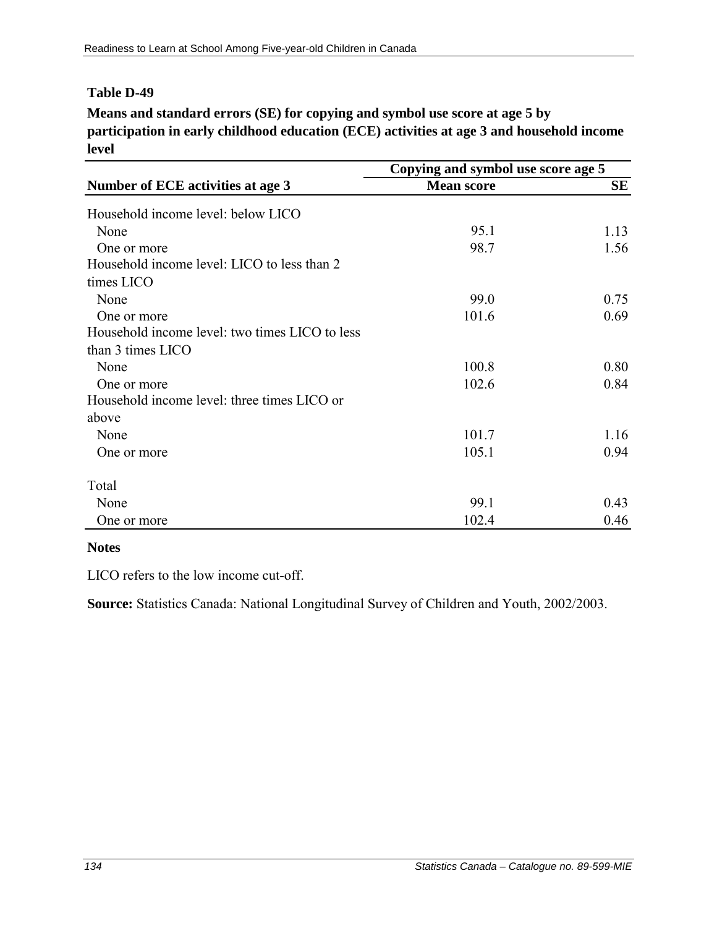**Means and standard errors (SE) for copying and symbol use score at age 5 by participation in early childhood education (ECE) activities at age 3 and household income level**

|                                                | Copying and symbol use score age 5 |           |  |
|------------------------------------------------|------------------------------------|-----------|--|
| Number of ECE activities at age 3              | <b>Mean score</b>                  | <b>SE</b> |  |
| Household income level: below LICO             |                                    |           |  |
| None                                           | 95.1                               | 1.13      |  |
| One or more                                    | 98.7                               | 1.56      |  |
| Household income level: LICO to less than 2    |                                    |           |  |
| times LICO                                     |                                    |           |  |
| None                                           | 99.0                               | 0.75      |  |
| One or more                                    | 101.6                              | 0.69      |  |
| Household income level: two times LICO to less |                                    |           |  |
| than 3 times LICO                              |                                    |           |  |
| None                                           | 100.8                              | 0.80      |  |
| One or more                                    | 102.6                              | 0.84      |  |
| Household income level: three times LICO or    |                                    |           |  |
| above                                          |                                    |           |  |
| None                                           | 101.7                              | 1.16      |  |
| One or more                                    | 105.1                              | 0.94      |  |
| Total                                          |                                    |           |  |
| None                                           | 99.1                               | 0.43      |  |
| One or more                                    | 102.4                              | 0.46      |  |

#### **Notes**

LICO refers to the low income cut-off.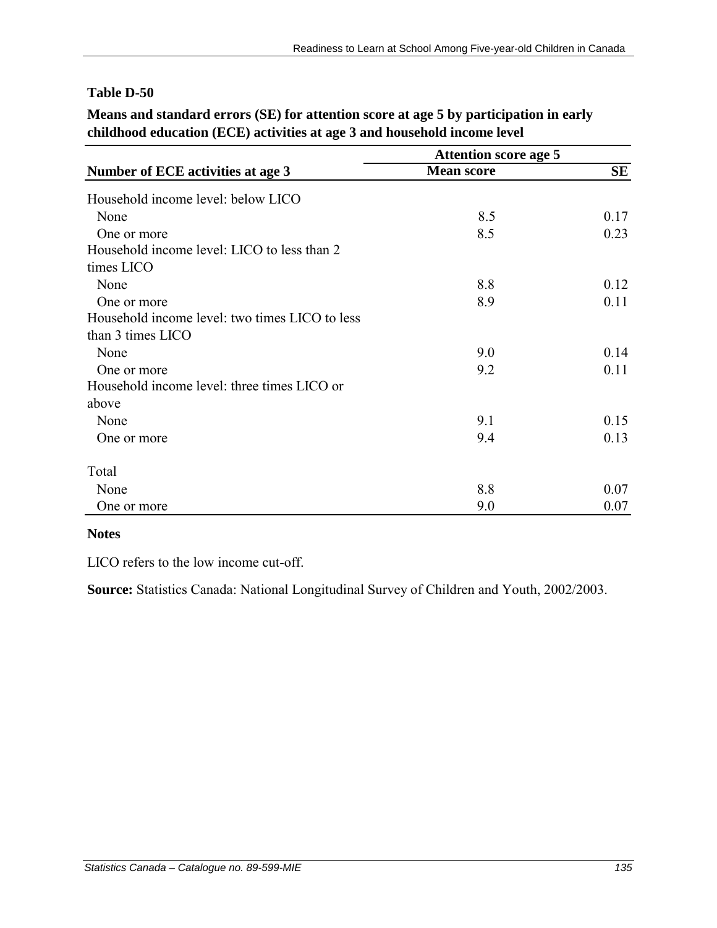### **Means and standard errors (SE) for attention score at age 5 by participation in early childhood education (ECE) activities at age 3 and household income level**

|                                                | <b>Attention score age 5</b> |           |
|------------------------------------------------|------------------------------|-----------|
| Number of ECE activities at age 3              | <b>Mean score</b>            | <b>SE</b> |
| Household income level: below LICO             |                              |           |
| None                                           | 8.5                          | 0.17      |
| One or more                                    | 8.5                          | 0.23      |
| Household income level: LICO to less than 2    |                              |           |
| times LICO                                     |                              |           |
| None                                           | 8.8                          | 0.12      |
| One or more                                    | 8.9                          | 0.11      |
| Household income level: two times LICO to less |                              |           |
| than 3 times LICO                              |                              |           |
| None                                           | 9.0                          | 0.14      |
| One or more                                    | 9.2                          | 0.11      |
| Household income level: three times LICO or    |                              |           |
| above                                          |                              |           |
| None                                           | 9.1                          | 0.15      |
| One or more                                    | 9.4                          | 0.13      |
| Total                                          |                              |           |
| None                                           | 8.8                          | 0.07      |
| One or more                                    | 9.0                          | 0.07      |

#### **Notes**

LICO refers to the low income cut-off.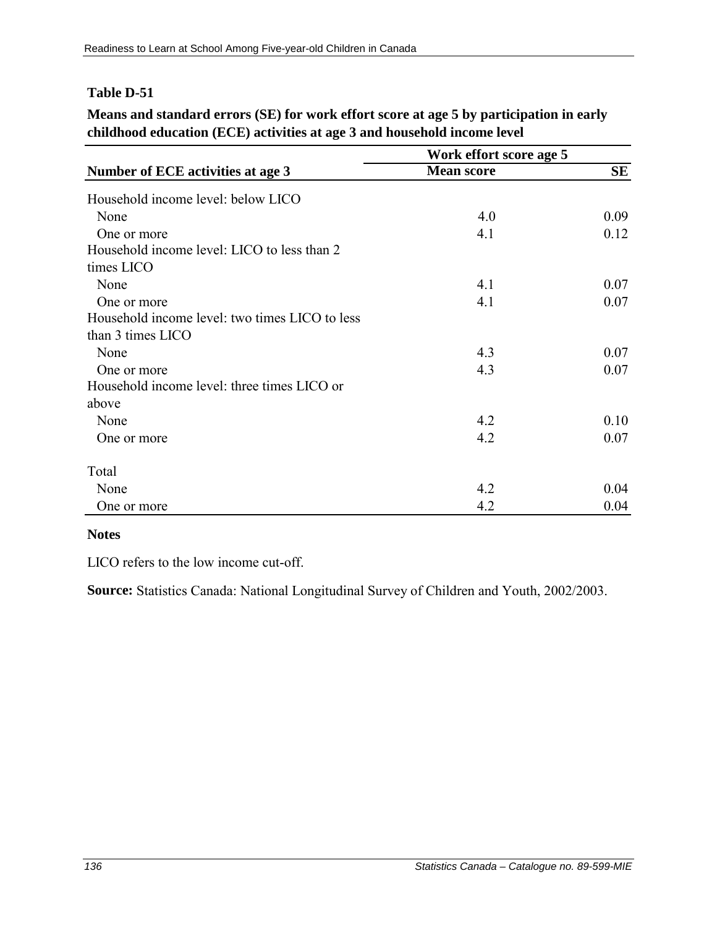### **Means and standard errors (SE) for work effort score at age 5 by participation in early childhood education (ECE) activities at age 3 and household income level**

|                                                | Work effort score age 5 |           |  |
|------------------------------------------------|-------------------------|-----------|--|
| Number of ECE activities at age 3              | <b>Mean score</b>       | <b>SE</b> |  |
| Household income level: below LICO             |                         |           |  |
| None                                           | 4.0                     | 0.09      |  |
| One or more                                    | 4.1                     | 0.12      |  |
| Household income level: LICO to less than 2    |                         |           |  |
| times LICO                                     |                         |           |  |
| None                                           | 4.1                     | 0.07      |  |
| One or more                                    | 4.1                     | 0.07      |  |
| Household income level: two times LICO to less |                         |           |  |
| than 3 times LICO                              |                         |           |  |
| None                                           | 4.3                     | 0.07      |  |
| One or more                                    | 4.3                     | 0.07      |  |
| Household income level: three times LICO or    |                         |           |  |
| above                                          |                         |           |  |
| None                                           | 4.2                     | 0.10      |  |
| One or more                                    | 4.2                     | 0.07      |  |
| Total                                          |                         |           |  |
| None                                           | 4.2                     | 0.04      |  |
| One or more                                    | 4.2                     | 0.04      |  |

#### **Notes**

LICO refers to the low income cut-off.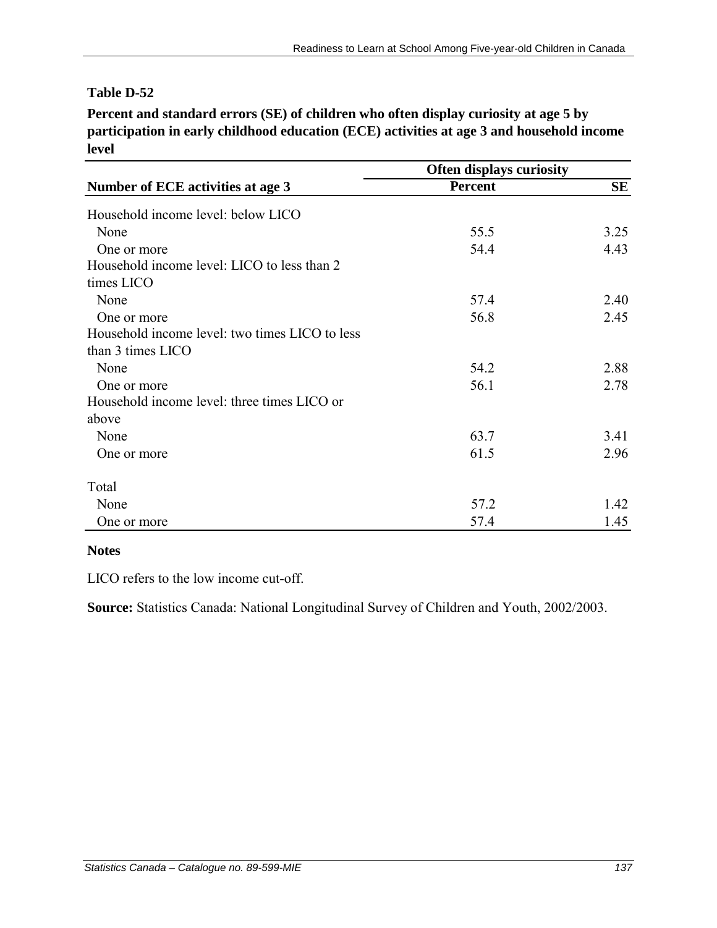**Percent and standard errors (SE) of children who often display curiosity at age 5 by participation in early childhood education (ECE) activities at age 3 and household income level**

|                                                | <b>Often displays curiosity</b> |           |  |
|------------------------------------------------|---------------------------------|-----------|--|
| Number of ECE activities at age 3              | <b>Percent</b>                  | <b>SE</b> |  |
| Household income level: below LICO             |                                 |           |  |
| None                                           | 55.5                            | 3.25      |  |
| One or more                                    | 54.4                            | 4.43      |  |
| Household income level: LICO to less than 2    |                                 |           |  |
| times LICO                                     |                                 |           |  |
| None                                           | 57.4                            | 2.40      |  |
| One or more                                    | 56.8                            | 2.45      |  |
| Household income level: two times LICO to less |                                 |           |  |
| than 3 times LICO                              |                                 |           |  |
| None                                           | 54.2                            | 2.88      |  |
| One or more                                    | 56.1                            | 2.78      |  |
| Household income level: three times LICO or    |                                 |           |  |
| above                                          |                                 |           |  |
| None                                           | 63.7                            | 3.41      |  |
| One or more                                    | 61.5                            | 2.96      |  |
| Total                                          |                                 |           |  |
| None                                           | 57.2                            | 1.42      |  |
| One or more                                    | 57.4                            | 1.45      |  |

#### **Notes**

LICO refers to the low income cut-off.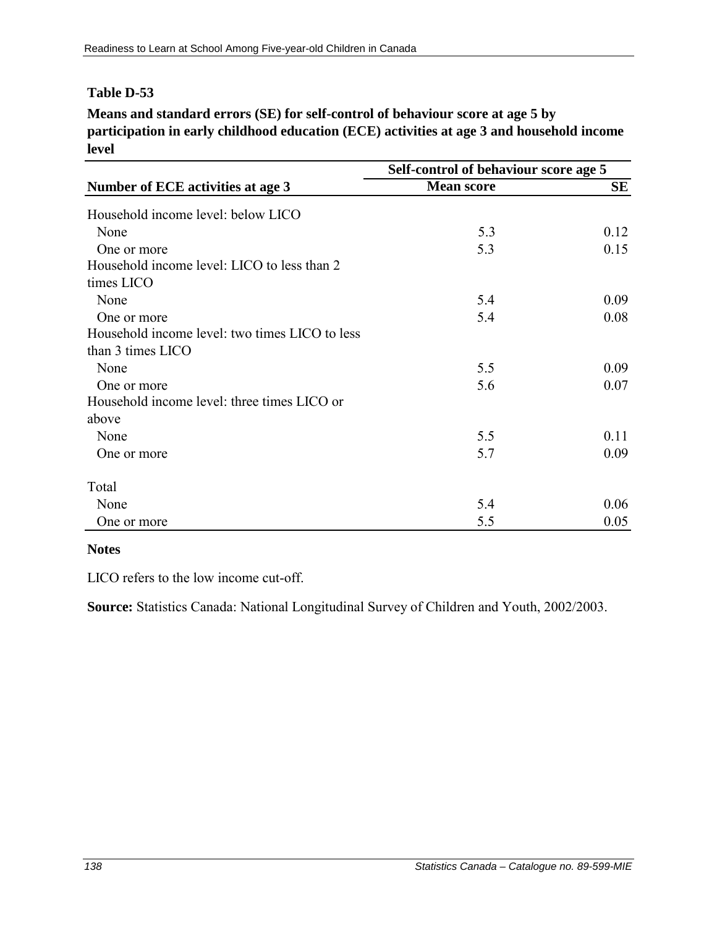**Means and standard errors (SE) for self-control of behaviour score at age 5 by participation in early childhood education (ECE) activities at age 3 and household income level**

|                                                | Self-control of behaviour score age 5 |      |  |
|------------------------------------------------|---------------------------------------|------|--|
| Number of ECE activities at age 3              | <b>Mean score</b>                     | SЕ   |  |
| Household income level: below LICO             |                                       |      |  |
| None                                           | 5.3                                   | 0.12 |  |
| One or more                                    | 5.3                                   | 0.15 |  |
| Household income level: LICO to less than 2    |                                       |      |  |
| times LICO                                     |                                       |      |  |
| None                                           | 5.4                                   | 0.09 |  |
| One or more                                    | 5.4                                   | 0.08 |  |
| Household income level: two times LICO to less |                                       |      |  |
| than 3 times LICO                              |                                       |      |  |
| None                                           | 5.5                                   | 0.09 |  |
| One or more                                    | 5.6                                   | 0.07 |  |
| Household income level: three times LICO or    |                                       |      |  |
| above                                          |                                       |      |  |
| None                                           | 5.5                                   | 0.11 |  |
| One or more                                    | 5.7                                   | 0.09 |  |
| Total                                          |                                       |      |  |
| None                                           | 5.4                                   | 0.06 |  |
| One or more                                    | 5.5                                   | 0.05 |  |

#### **Notes**

LICO refers to the low income cut-off.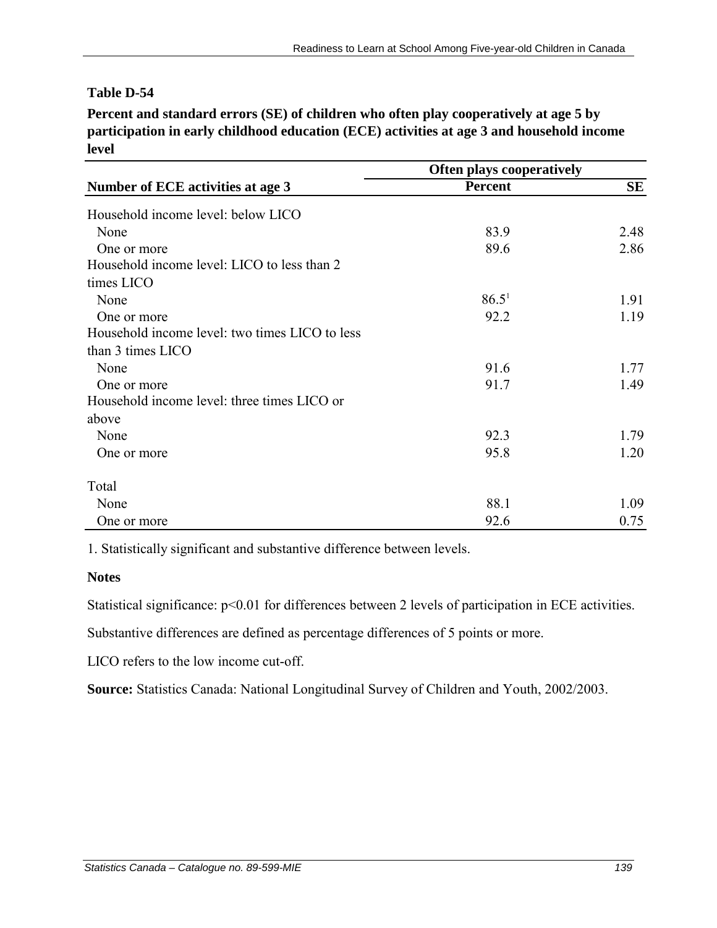**Percent and standard errors (SE) of children who often play cooperatively at age 5 by participation in early childhood education (ECE) activities at age 3 and household income level**

|                                                | <b>Often plays cooperatively</b> |           |  |
|------------------------------------------------|----------------------------------|-----------|--|
| Number of ECE activities at age 3              | <b>Percent</b>                   | <b>SE</b> |  |
| Household income level: below LICO             |                                  |           |  |
| None                                           | 83.9                             | 2.48      |  |
| One or more                                    | 89.6                             | 2.86      |  |
| Household income level: LICO to less than 2    |                                  |           |  |
| times LICO                                     |                                  |           |  |
| None                                           | $86.5^1$                         | 1.91      |  |
| One or more                                    | 92.2                             | 1.19      |  |
| Household income level: two times LICO to less |                                  |           |  |
| than 3 times LICO                              |                                  |           |  |
| None                                           | 91.6                             | 1.77      |  |
| One or more                                    | 91.7                             | 1.49      |  |
| Household income level: three times LICO or    |                                  |           |  |
| above                                          |                                  |           |  |
| None                                           | 92.3                             | 1.79      |  |
| One or more                                    | 95.8                             | 1.20      |  |
| Total                                          |                                  |           |  |
| None                                           | 88.1                             | 1.09      |  |
| One or more                                    | 92.6                             | 0.75      |  |

1. Statistically significant and substantive difference between levels.

#### **Notes**

Statistical significance:  $p<0.01$  for differences between 2 levels of participation in ECE activities.

Substantive differences are defined as percentage differences of 5 points or more.

LICO refers to the low income cut-off.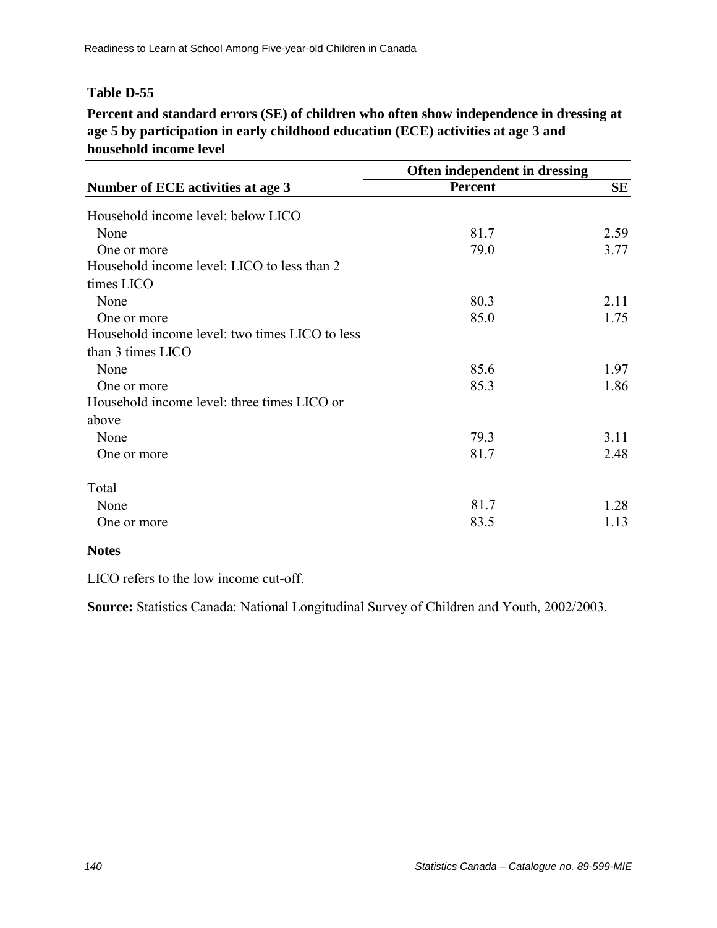**Percent and standard errors (SE) of children who often show independence in dressing at age 5 by participation in early childhood education (ECE) activities at age 3 and household income level**

|                                                | Often independent in dressing |           |  |
|------------------------------------------------|-------------------------------|-----------|--|
| Number of ECE activities at age 3              | <b>Percent</b>                | <b>SE</b> |  |
| Household income level: below LICO             |                               |           |  |
| None                                           | 81.7                          | 2.59      |  |
| One or more                                    | 79.0                          | 3.77      |  |
| Household income level: LICO to less than 2    |                               |           |  |
| times LICO                                     |                               |           |  |
| None                                           | 80.3                          | 2.11      |  |
| One or more                                    | 85.0                          | 1.75      |  |
| Household income level: two times LICO to less |                               |           |  |
| than 3 times LICO                              |                               |           |  |
| None                                           | 85.6                          | 1.97      |  |
| One or more                                    | 85.3                          | 1.86      |  |
| Household income level: three times LICO or    |                               |           |  |
| above                                          |                               |           |  |
| None                                           | 79.3                          | 3.11      |  |
| One or more                                    | 81.7                          | 2.48      |  |
| Total                                          |                               |           |  |
| None                                           | 81.7                          | 1.28      |  |
| One or more                                    | 83.5                          | 1.13      |  |

#### **Notes**

LICO refers to the low income cut-off.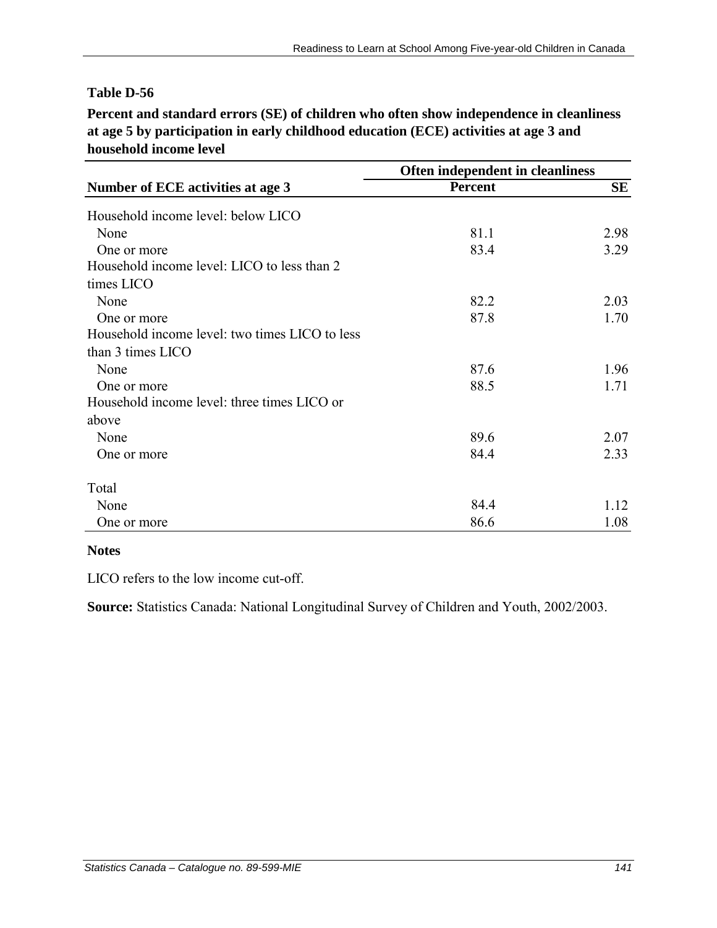**Percent and standard errors (SE) of children who often show independence in cleanliness at age 5 by participation in early childhood education (ECE) activities at age 3 and household income level**

|                                                | Often independent in cleanliness |           |  |
|------------------------------------------------|----------------------------------|-----------|--|
| Number of ECE activities at age 3              | <b>Percent</b>                   | <b>SE</b> |  |
| Household income level: below LICO             |                                  |           |  |
| None                                           | 81.1                             | 2.98      |  |
| One or more                                    | 83.4                             | 3.29      |  |
| Household income level: LICO to less than 2    |                                  |           |  |
| times LICO                                     |                                  |           |  |
| None                                           | 82.2                             | 2.03      |  |
| One or more                                    | 87.8                             | 1.70      |  |
| Household income level: two times LICO to less |                                  |           |  |
| than 3 times LICO                              |                                  |           |  |
| None                                           | 87.6                             | 1.96      |  |
| One or more                                    | 88.5                             | 1.71      |  |
| Household income level: three times LICO or    |                                  |           |  |
| above                                          |                                  |           |  |
| None                                           | 89.6                             | 2.07      |  |
| One or more                                    | 84.4                             | 2.33      |  |
| Total                                          |                                  |           |  |
| None                                           | 84.4                             | 1.12      |  |
| One or more                                    | 86.6                             | 1.08      |  |

#### **Notes**

LICO refers to the low income cut-off.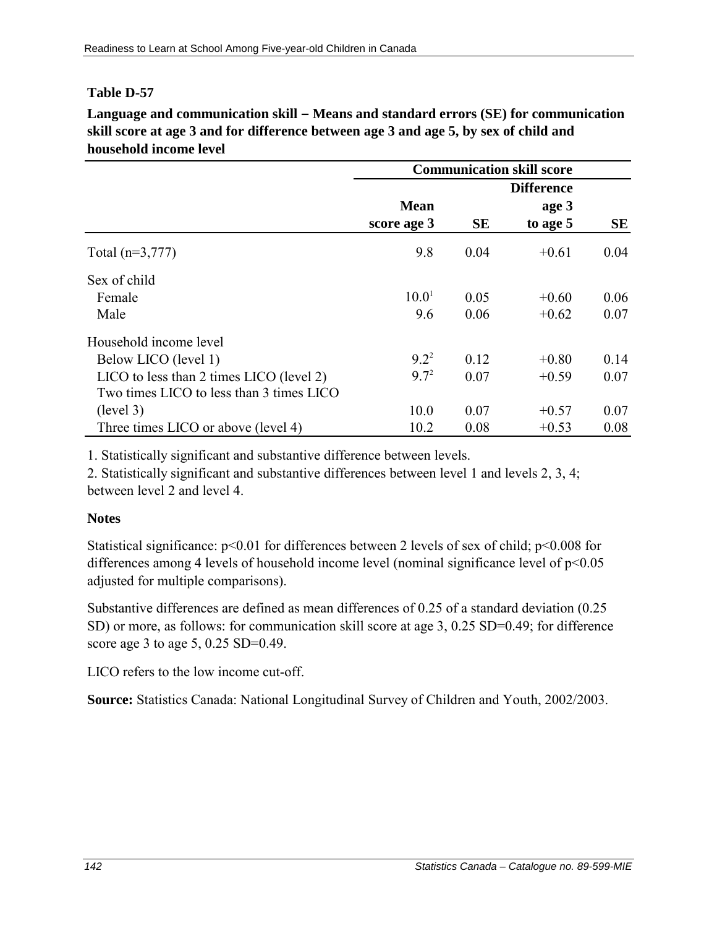**Language and communication skill – Means and standard errors (SE) for communication skill score at age 3 and for difference between age 3 and age 5, by sex of child and household income level** 

|                                          | <b>Communication skill score</b> |                   |          |      |
|------------------------------------------|----------------------------------|-------------------|----------|------|
|                                          |                                  | <b>Difference</b> |          |      |
|                                          | <b>Mean</b>                      |                   | age 3    |      |
|                                          | score age 3                      | <b>SE</b>         | to age 5 | SE   |
| Total $(n=3,777)$                        | 9.8                              | 0.04              | $+0.61$  | 0.04 |
| Sex of child                             |                                  |                   |          |      |
| Female                                   | 10.0 <sup>1</sup>                | 0.05              | $+0.60$  | 0.06 |
| Male                                     | 9.6                              | 0.06              | $+0.62$  | 0.07 |
| Household income level                   |                                  |                   |          |      |
| Below LICO (level 1)                     | $9.2^2$                          | 0.12              | $+0.80$  | 0.14 |
| LICO to less than 2 times LICO (level 2) | $9.7^2$                          | 0.07              | $+0.59$  | 0.07 |
| Two times LICO to less than 3 times LICO |                                  |                   |          |      |
| (level 3)                                | 10.0                             | 0.07              | $+0.57$  | 0.07 |
| Three times LICO or above (level 4)      | 10.2                             | 0.08              | $+0.53$  | 0.08 |

1. Statistically significant and substantive difference between levels.

2. Statistically significant and substantive differences between level 1 and levels 2, 3, 4; between level 2 and level 4.

## **Notes**

Statistical significance:  $p<0.01$  for differences between 2 levels of sex of child;  $p<0.008$  for differences among 4 levels of household income level (nominal significance level of  $p<0.05$ ) adjusted for multiple comparisons).

Substantive differences are defined as mean differences of 0.25 of a standard deviation (0.25 SD) or more, as follows: for communication skill score at age 3, 0.25 SD=0.49; for difference score age 3 to age 5, 0.25 SD=0.49.

LICO refers to the low income cut-off.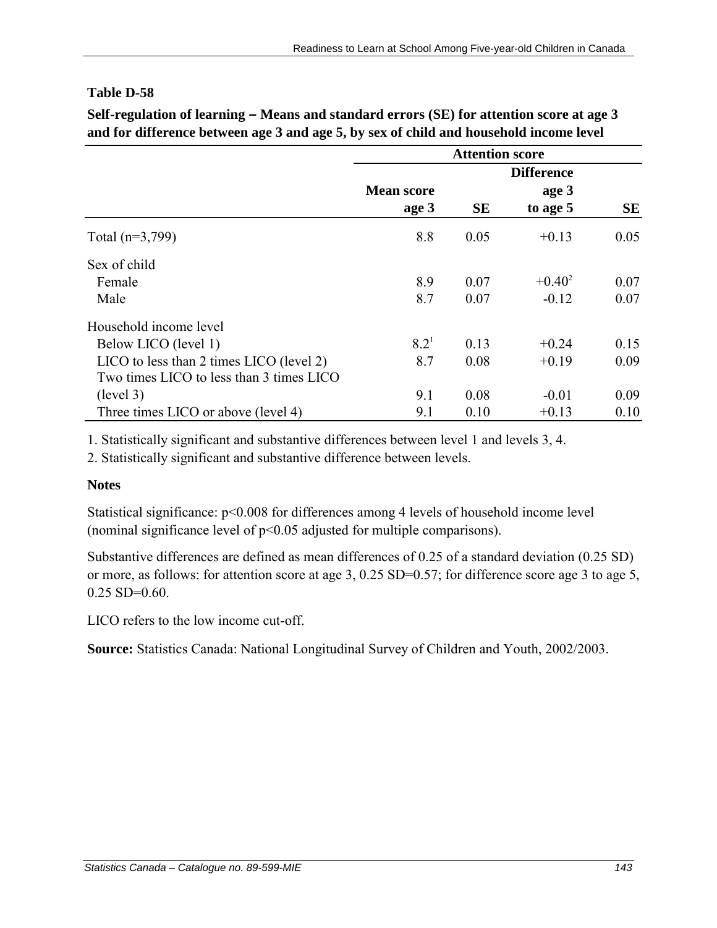**Self-regulation of learning – Means and standard errors (SE) for attention score at age 3 and for difference between age 3 and age 5, by sex of child and household income level** 

|                                          | <b>Attention score</b> |                   |           |      |
|------------------------------------------|------------------------|-------------------|-----------|------|
|                                          |                        | <b>Difference</b> |           |      |
|                                          | <b>Mean score</b>      |                   | age 3     |      |
|                                          | age 3                  | <b>SE</b>         | to age 5  | SE   |
| Total $(n=3,799)$                        | 8.8                    | 0.05              | $+0.13$   | 0.05 |
| Sex of child                             |                        |                   |           |      |
| Female                                   | 8.9                    | 0.07              | $+0.40^2$ | 0.07 |
| Male                                     | 8.7                    | 0.07              | $-0.12$   | 0.07 |
| Household income level                   |                        |                   |           |      |
| Below LICO (level 1)                     | $8.2^{1}$              | 0.13              | $+0.24$   | 0.15 |
| LICO to less than 2 times LICO (level 2) | 8.7                    | 0.08              | $+0.19$   | 0.09 |
| Two times LICO to less than 3 times LICO |                        |                   |           |      |
| (level 3)                                | 9.1                    | 0.08              | $-0.01$   | 0.09 |
| Three times LICO or above (level 4)      | 9.1                    | 0.10              | $+0.13$   | 0.10 |

1. Statistically significant and substantive differences between level 1 and levels 3, 4.

2. Statistically significant and substantive difference between levels.

#### **Notes**

Statistical significance: p<0.008 for differences among 4 levels of household income level (nominal significance level of  $p<0.05$  adjusted for multiple comparisons).

Substantive differences are defined as mean differences of 0.25 of a standard deviation (0.25 SD) or more, as follows: for attention score at age 3, 0.25 SD=0.57; for difference score age 3 to age 5,  $0.25$  SD= $0.60$ .

LICO refers to the low income cut-off.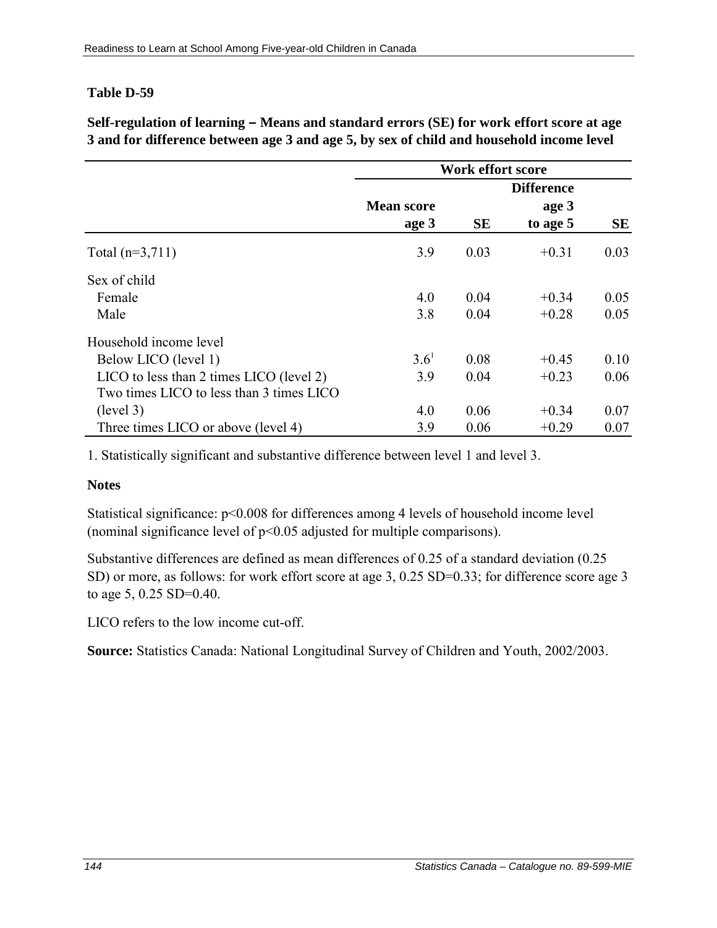**Self-regulation of learning – Means and standard errors (SE) for work effort score at age 3 and for difference between age 3 and age 5, by sex of child and household income level** 

|                                              | <b>Work effort score</b> |           |                   |      |
|----------------------------------------------|--------------------------|-----------|-------------------|------|
|                                              |                          |           | <b>Difference</b> |      |
|                                              | <b>Mean score</b>        |           | age 3             |      |
|                                              | age 3                    | <b>SE</b> | to age 5          | SE   |
| Total $(n=3,711)$                            | 3.9                      | 0.03      | $+0.31$           | 0.03 |
| Sex of child                                 |                          |           |                   |      |
| Female                                       | 4.0                      | 0.04      | $+0.34$           | 0.05 |
| Male                                         | 3.8                      | 0.04      | $+0.28$           | 0.05 |
| Household income level                       |                          |           |                   |      |
| Below LICO (level 1)                         | $3.6^{1}$                | 0.08      | $+0.45$           | 0.10 |
| $LICO$ to less than 2 times $LICO$ (level 2) | 3.9                      | 0.04      | $+0.23$           | 0.06 |
| Two times LICO to less than 3 times LICO     |                          |           |                   |      |
| (level 3)                                    | 4.0                      | 0.06      | $+0.34$           | 0.07 |
| Three times LICO or above (level 4)          | 3.9                      | 0.06      | $+0.29$           | 0.07 |

1. Statistically significant and substantive difference between level 1 and level 3.

#### **Notes**

Statistical significance: p<0.008 for differences among 4 levels of household income level (nominal significance level of p<0.05 adjusted for multiple comparisons).

Substantive differences are defined as mean differences of 0.25 of a standard deviation (0.25 SD) or more, as follows: for work effort score at age 3, 0.25 SD=0.33; for difference score age 3 to age 5, 0.25 SD=0.40.

LICO refers to the low income cut-off.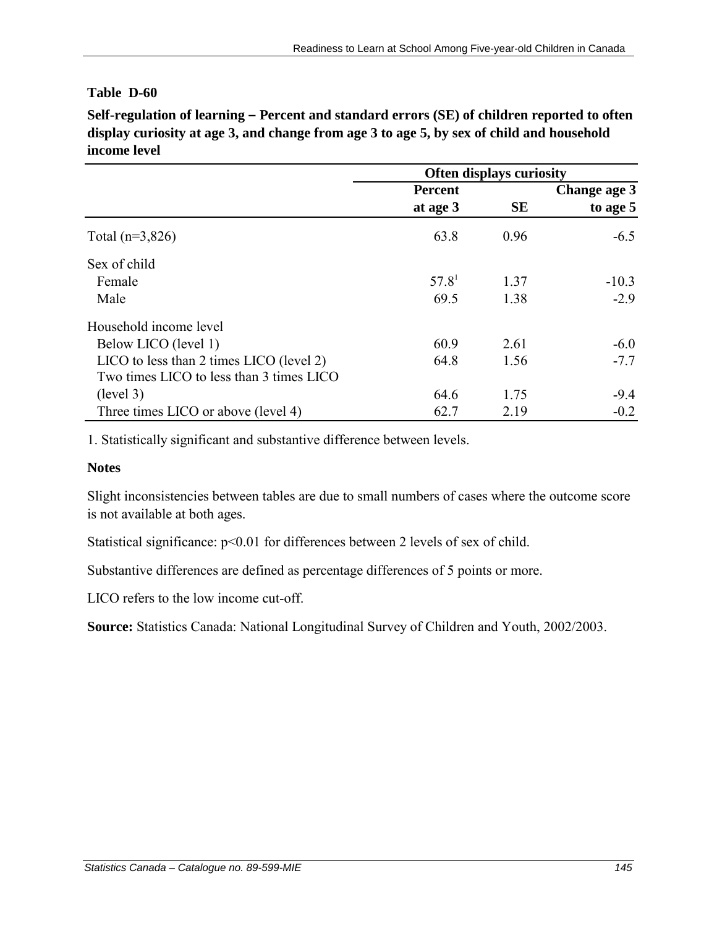**Self-regulation of learning – Percent and standard errors (SE) of children reported to often display curiosity at age 3, and change from age 3 to age 5, by sex of child and household income level** 

|                                          | <b>Often displays curiosity</b> |           |              |
|------------------------------------------|---------------------------------|-----------|--------------|
|                                          | <b>Percent</b>                  |           | Change age 3 |
|                                          | at age 3                        | <b>SE</b> | to age 5     |
| Total $(n=3,826)$                        | 63.8                            | 0.96      | $-6.5$       |
| Sex of child                             |                                 |           |              |
| Female                                   | 57.8 <sup>1</sup>               | 1.37      | $-10.3$      |
| Male                                     | 69.5                            | 1.38      | $-2.9$       |
| Household income level                   |                                 |           |              |
| Below LICO (level 1)                     | 60.9                            | 2.61      | $-6.0$       |
| LICO to less than 2 times LICO (level 2) | 64.8                            | 1.56      | $-7.7$       |
| Two times LICO to less than 3 times LICO |                                 |           |              |
| (level 3)                                | 64.6                            | 1.75      | $-9.4$       |
| Three times LICO or above (level 4)      | 62.7                            | 2.19      | $-0.2$       |

1. Statistically significant and substantive difference between levels.

#### **Notes**

Slight inconsistencies between tables are due to small numbers of cases where the outcome score is not available at both ages.

Statistical significance:  $p<0.01$  for differences between 2 levels of sex of child.

Substantive differences are defined as percentage differences of 5 points or more.

LICO refers to the low income cut-off.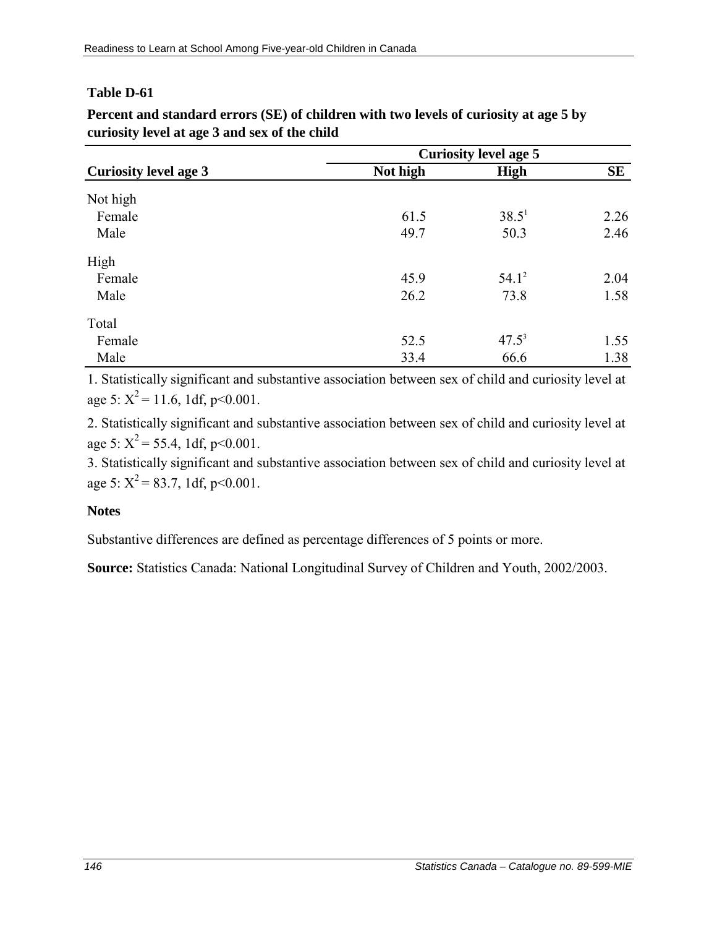|                              | <b>Curiosity level age 5</b> |             |           |
|------------------------------|------------------------------|-------------|-----------|
| <b>Curiosity level age 3</b> | Not high                     | <b>High</b> | <b>SE</b> |
| Not high                     |                              |             |           |
| Female                       | 61.5                         | $38.5^1$    | 2.26      |
| Male                         | 49.7                         | 50.3        | 2.46      |
| High                         |                              |             |           |
| Female                       | 45.9                         | $54.1^2$    | 2.04      |
| Male                         | 26.2                         | 73.8        | 1.58      |
| Total                        |                              |             |           |
| Female                       | 52.5                         | $47.5^3$    | 1.55      |
| Male                         | 33.4                         | 66.6        | 1.38      |

**Percent and standard errors (SE) of children with two levels of curiosity at age 5 by curiosity level at age 3 and sex of the child**

1. Statistically significant and substantive association between sex of child and curiosity level at age 5:  $X^2$  = 11.6, 1df, p<0.001.

2. Statistically significant and substantive association between sex of child and curiosity level at age 5:  $X^2$  = 55.4, 1df, p<0.001.

3. Statistically significant and substantive association between sex of child and curiosity level at age 5:  $X^2$  = 83.7, 1df, p<0.001.

# **Notes**

Substantive differences are defined as percentage differences of 5 points or more.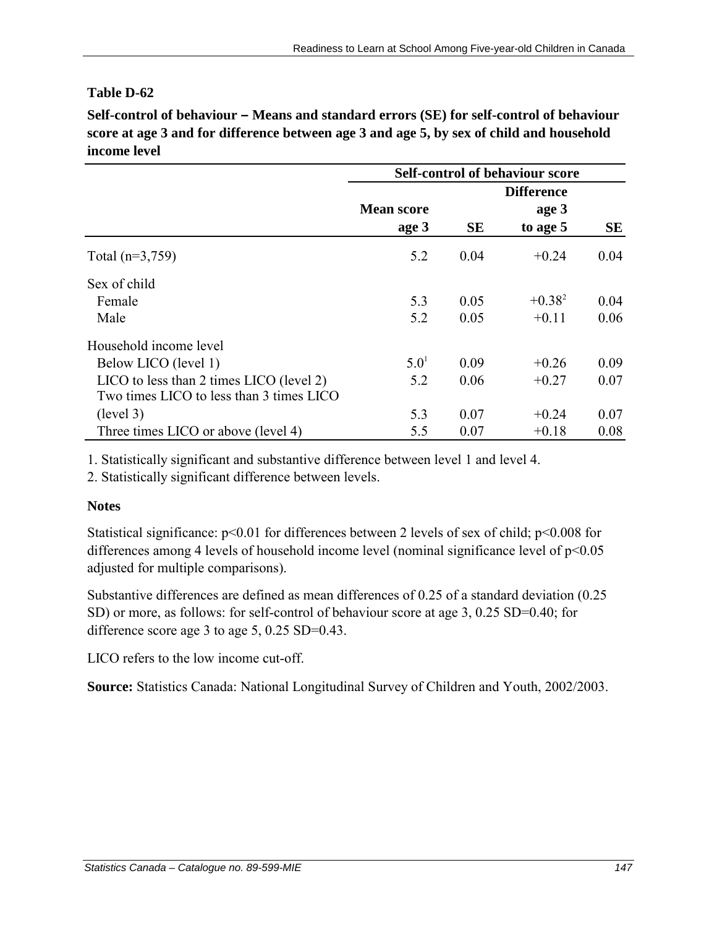Self-control of behaviour – Means and standard errors (SE) for self-control of behaviour **score at age 3 and for difference between age 3 and age 5, by sex of child and household income level** 

|                                              | <b>Self-control of behaviour score</b> |           |                   |      |
|----------------------------------------------|----------------------------------------|-----------|-------------------|------|
|                                              |                                        |           | <b>Difference</b> |      |
|                                              | <b>Mean score</b>                      |           | age 3             |      |
|                                              | age 3                                  | <b>SE</b> | to age 5          | SЕ   |
| Total $(n=3,759)$                            | 5.2                                    | 0.04      | $+0.24$           | 0.04 |
| Sex of child                                 |                                        |           |                   |      |
| Female                                       | 5.3                                    | 0.05      | $+0.38^{2}$       | 0.04 |
| Male                                         | 5.2                                    | 0.05      | $+0.11$           | 0.06 |
| Household income level                       |                                        |           |                   |      |
| Below LICO (level 1)                         | 5.0 <sup>1</sup>                       | 0.09      | $+0.26$           | 0.09 |
| $LICO$ to less than 2 times $LICO$ (level 2) | 5.2                                    | 0.06      | $+0.27$           | 0.07 |
| Two times LICO to less than 3 times LICO     |                                        |           |                   |      |
| (level 3)                                    | 5.3                                    | 0.07      | $+0.24$           | 0.07 |
| Three times LICO or above (level 4)          | 5.5                                    | 0.07      | $+0.18$           | 0.08 |

1. Statistically significant and substantive difference between level 1 and level 4.

2. Statistically significant difference between levels.

# **Notes**

Statistical significance:  $p<0.01$  for differences between 2 levels of sex of child;  $p<0.008$  for differences among 4 levels of household income level (nominal significance level of p<0.05 adjusted for multiple comparisons).

Substantive differences are defined as mean differences of 0.25 of a standard deviation (0.25 SD) or more, as follows: for self-control of behaviour score at age 3, 0.25 SD=0.40; for difference score age 3 to age 5, 0.25 SD=0.43.

LICO refers to the low income cut-off.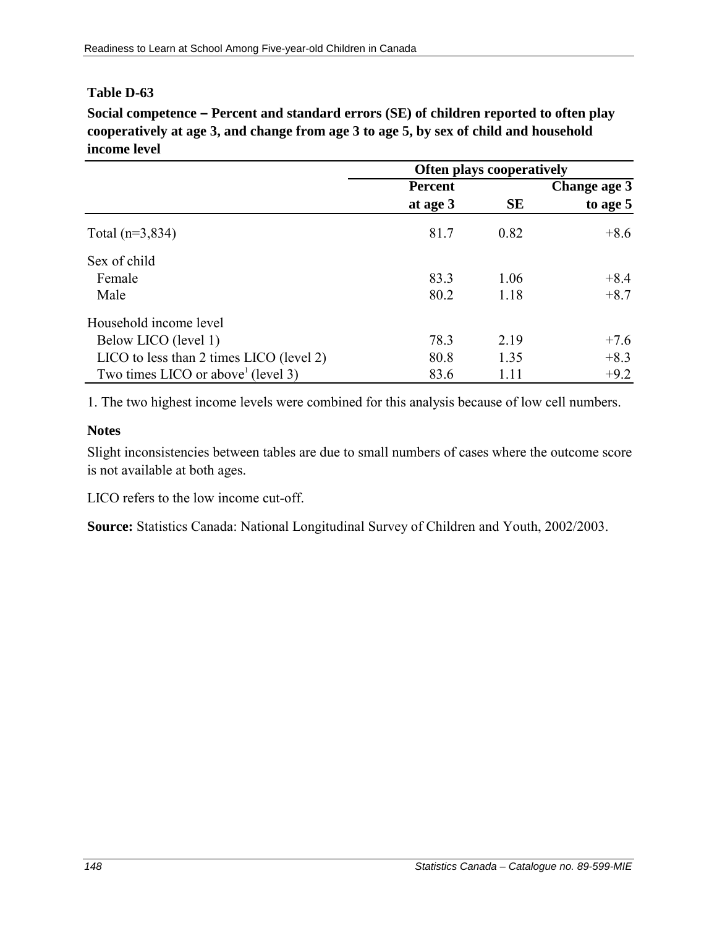**Social competence – Percent and standard errors (SE) of children reported to often play cooperatively at age 3, and change from age 3 to age 5, by sex of child and household income level** 

|                                          | <b>Often plays cooperatively</b> |           |              |
|------------------------------------------|----------------------------------|-----------|--------------|
|                                          | <b>Percent</b>                   |           | Change age 3 |
|                                          | at age 3                         | <b>SE</b> | to age 5     |
| Total $(n=3,834)$                        | 81.7                             | 0.82      | $+8.6$       |
| Sex of child                             |                                  |           |              |
| Female                                   | 83.3                             | 1.06      | $+8.4$       |
| Male                                     | 80.2                             | 1.18      | $+8.7$       |
| Household income level                   |                                  |           |              |
| Below LICO (level 1)                     | 78.3                             | 2.19      | $+7.6$       |
| LICO to less than 2 times LICO (level 2) | 80.8                             | 1.35      | $+8.3$       |
| Two times LICO or above $(level 3)$      | 83.6                             | 1.11      | $+9.2$       |

1. The two highest income levels were combined for this analysis because of low cell numbers.

#### **Notes**

Slight inconsistencies between tables are due to small numbers of cases where the outcome score is not available at both ages.

LICO refers to the low income cut-off.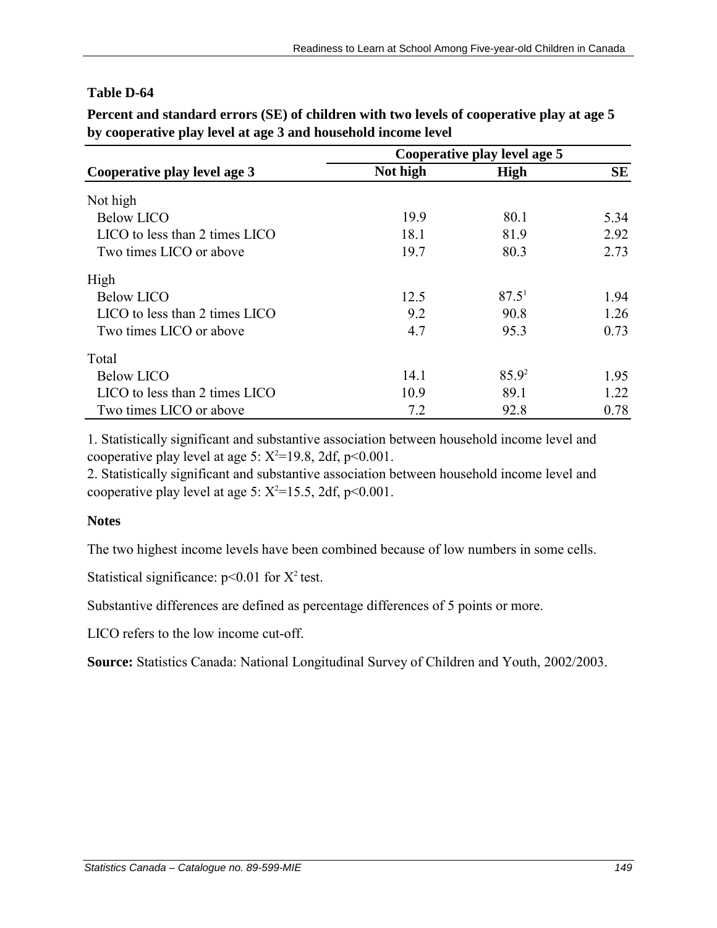|                                | Cooperative play level age 5 |             |           |
|--------------------------------|------------------------------|-------------|-----------|
| Cooperative play level age 3   | Not high                     | <b>High</b> | <b>SE</b> |
| Not high                       |                              |             |           |
| <b>Below LICO</b>              | 19.9                         | 80.1        | 5.34      |
| LICO to less than 2 times LICO | 18.1                         | 81.9        | 2.92      |
| Two times LICO or above        | 19.7                         | 80.3        | 2.73      |
| High                           |                              |             |           |
| <b>Below LICO</b>              | 12.5                         | $87.5^1$    | 1.94      |
| LICO to less than 2 times LICO | 9.2                          | 90.8        | 1.26      |
| Two times LICO or above        | 4.7                          | 95.3        | 0.73      |
| Total                          |                              |             |           |
| <b>Below LICO</b>              | 14.1                         | $85.9^2$    | 1.95      |
| LICO to less than 2 times LICO | 10.9                         | 89.1        | 1.22      |
| Two times LICO or above        | 7.2                          | 92.8        | 0.78      |

**Percent and standard errors (SE) of children with two levels of cooperative play at age 5 by cooperative play level at age 3 and household income level**

1. Statistically significant and substantive association between household income level and cooperative play level at age 5:  $X^2$ =19.8, 2df, p<0.001.

2. Statistically significant and substantive association between household income level and cooperative play level at age 5:  $X^2 = 15.5$ , 2df, p<0.001.

# **Notes**

The two highest income levels have been combined because of low numbers in some cells.

Statistical significance:  $p<0.01$  for  $X^2$  test.

Substantive differences are defined as percentage differences of 5 points or more.

LICO refers to the low income cut-off.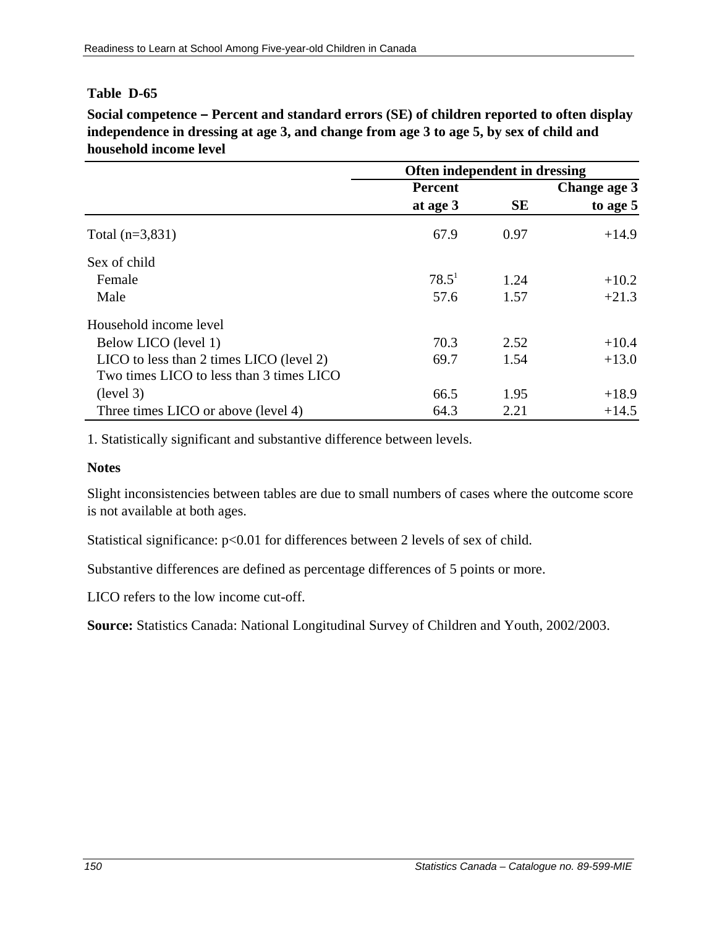**Social competence – Percent and standard errors (SE) of children reported to often display independence in dressing at age 3, and change from age 3 to age 5, by sex of child and household income level** 

|                                          | Often independent in dressing |           |              |  |
|------------------------------------------|-------------------------------|-----------|--------------|--|
|                                          | <b>Percent</b>                |           | Change age 3 |  |
|                                          | at age 3                      | <b>SE</b> | to age 5     |  |
| Total $(n=3,831)$                        | 67.9                          | 0.97      | $+14.9$      |  |
| Sex of child                             |                               |           |              |  |
| Female                                   | $78.5^1$                      | 1.24      | $+10.2$      |  |
| Male                                     | 57.6                          | 1.57      | $+21.3$      |  |
| Household income level                   |                               |           |              |  |
| Below LICO (level 1)                     | 70.3                          | 2.52      | $+10.4$      |  |
| LICO to less than 2 times LICO (level 2) | 69.7                          | 1.54      | $+13.0$      |  |
| Two times LICO to less than 3 times LICO |                               |           |              |  |
| (level 3)                                | 66.5                          | 1.95      | $+18.9$      |  |
| Three times LICO or above (level 4)      | 64.3                          | 2.21      | $+14.5$      |  |

1. Statistically significant and substantive difference between levels.

#### **Notes**

Slight inconsistencies between tables are due to small numbers of cases where the outcome score is not available at both ages.

Statistical significance:  $p<0.01$  for differences between 2 levels of sex of child.

Substantive differences are defined as percentage differences of 5 points or more.

LICO refers to the low income cut-off.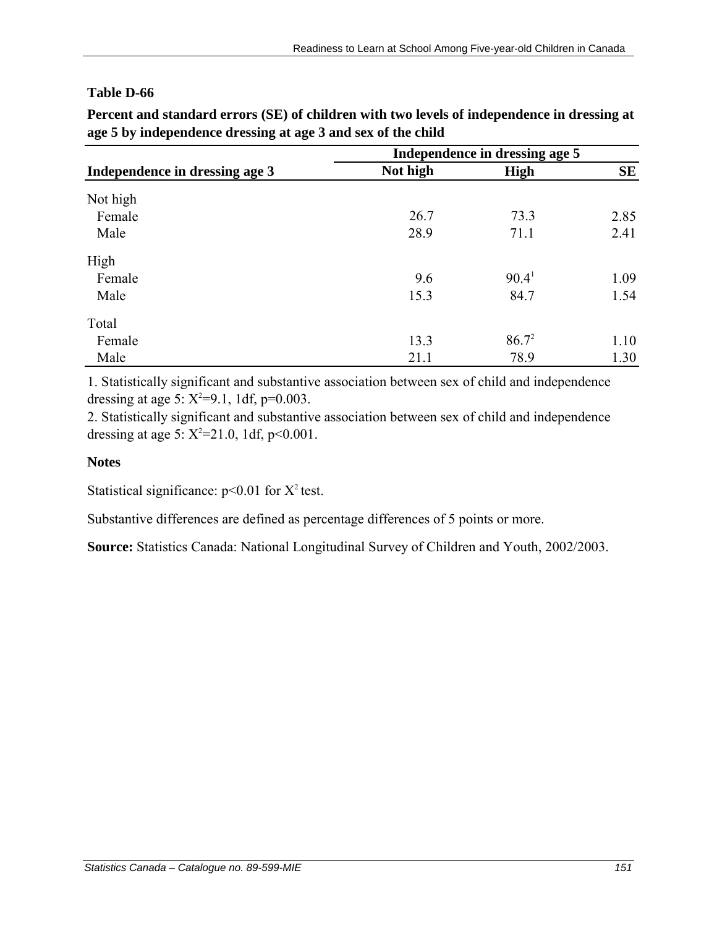| Independence in dressing age 3 | Independence in dressing age 5 |                   |           |
|--------------------------------|--------------------------------|-------------------|-----------|
|                                | Not high                       | <b>High</b>       | <b>SE</b> |
| Not high                       |                                |                   |           |
| Female                         | 26.7                           | 73.3              | 2.85      |
| Male                           | 28.9                           | 71.1              | 2.41      |
| High                           |                                |                   |           |
| Female                         | 9.6                            | 90.4 <sup>1</sup> | 1.09      |
| Male                           | 15.3                           | 84.7              | 1.54      |
| Total                          |                                |                   |           |
| Female                         | 13.3                           | $86.7^2$          | 1.10      |
| Male                           | 21.1                           | 78.9              | 1.30      |

**Percent and standard errors (SE) of children with two levels of independence in dressing at age 5 by independence dressing at age 3 and sex of the child**

1. Statistically significant and substantive association between sex of child and independence dressing at age 5:  $X^2=9.1$ , 1df, p=0.003.

2. Statistically significant and substantive association between sex of child and independence dressing at age 5:  $X^2 = 21.0$ , 1df, p<0.001.

## **Notes**

Statistical significance:  $p<0.01$  for  $X^2$  test.

Substantive differences are defined as percentage differences of 5 points or more.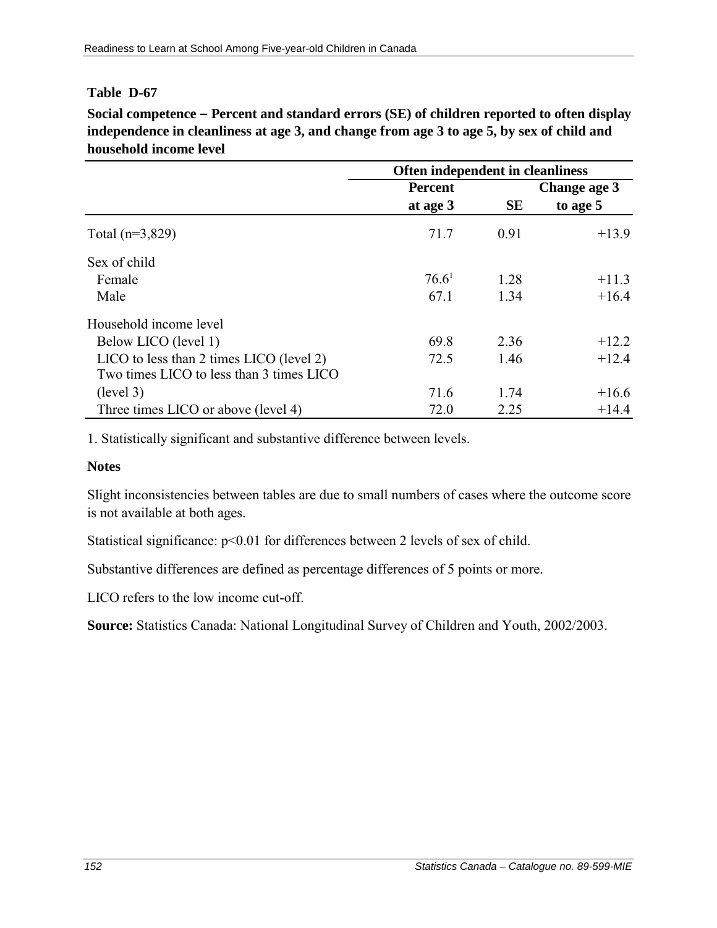**Social competence – Percent and standard errors (SE) of children reported to often display independence in cleanliness at age 3, and change from age 3 to age 5, by sex of child and household income level** 

|                                          | <b>Often independent in cleanliness</b> |           |              |
|------------------------------------------|-----------------------------------------|-----------|--------------|
|                                          | <b>Percent</b>                          |           | Change age 3 |
|                                          | at age 3                                | <b>SE</b> | to age 5     |
| Total $(n=3,829)$                        | 71.7                                    | 0.91      | $+13.9$      |
| Sex of child                             |                                         |           |              |
| Female                                   | 76.6 <sup>1</sup>                       | 1.28      | $+11.3$      |
| Male                                     | 67.1                                    | 1.34      | $+16.4$      |
| Household income level                   |                                         |           |              |
| Below LICO (level 1)                     | 69.8                                    | 2.36      | $+12.2$      |
| LICO to less than 2 times LICO (level 2) | 72.5                                    | 1.46      | $+12.4$      |
| Two times LICO to less than 3 times LICO |                                         |           |              |
| (level 3)                                | 71.6                                    | 1.74      | $+16.6$      |
| Three times LICO or above (level 4)      | 72.0                                    | 2.25      | $+14.4$      |

1. Statistically significant and substantive difference between levels.

#### **Notes**

Slight inconsistencies between tables are due to small numbers of cases where the outcome score is not available at both ages.

Statistical significance:  $p<0.01$  for differences between 2 levels of sex of child.

Substantive differences are defined as percentage differences of 5 points or more.

LICO refers to the low income cut-off.